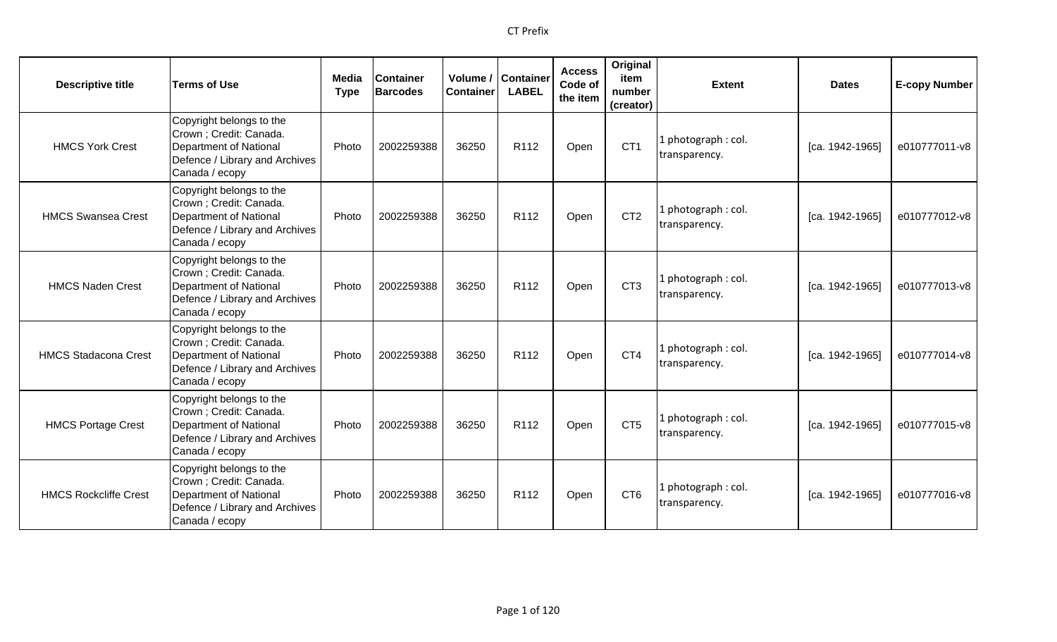| <b>Descriptive title</b>     | <b>Terms of Use</b>                                                                                                               | Media<br><b>Type</b> | <b>Container</b><br><b>Barcodes</b> | Volume /<br><b>Container</b> | <b>Container</b><br><b>LABEL</b> | <b>Access</b><br>Code of<br>the item | Original<br>item<br>number<br>(creator) | <b>Extent</b>                        | <b>Dates</b>    | <b>E-copy Number</b> |
|------------------------------|-----------------------------------------------------------------------------------------------------------------------------------|----------------------|-------------------------------------|------------------------------|----------------------------------|--------------------------------------|-----------------------------------------|--------------------------------------|-----------------|----------------------|
| <b>HMCS York Crest</b>       | Copyright belongs to the<br>Crown; Credit: Canada.<br>Department of National<br>Defence / Library and Archives<br>Canada / ecopy  | Photo                | 2002259388                          | 36250                        | R112                             | Open                                 | CT <sub>1</sub>                         | photograph: col.<br>transparency.    | [ca. 1942-1965] | e010777011-v8        |
| <b>HMCS Swansea Crest</b>    | Copyright belongs to the<br>Crown ; Credit: Canada.<br>Department of National<br>Defence / Library and Archives<br>Canada / ecopy | Photo                | 2002259388                          | 36250                        | R <sub>112</sub>                 | Open                                 | CT <sub>2</sub>                         | l photograph : col.<br>transparency. | [ca. 1942-1965] | e010777012-v8        |
| <b>HMCS Naden Crest</b>      | Copyright belongs to the<br>Crown ; Credit: Canada.<br>Department of National<br>Defence / Library and Archives<br>Canada / ecopy | Photo                | 2002259388                          | 36250                        | R <sub>112</sub>                 | Open                                 | CT <sub>3</sub>                         | photograph: col.<br>transparency.    | [ca. 1942-1965] | e010777013-v8        |
| <b>HMCS Stadacona Crest</b>  | Copyright belongs to the<br>Crown ; Credit: Canada.<br>Department of National<br>Defence / Library and Archives<br>Canada / ecopy | Photo                | 2002259388                          | 36250                        | R112                             | Open                                 | CT4                                     | 1 photograph: col.<br>transparency.  | [ca. 1942-1965] | e010777014-v8        |
| <b>HMCS Portage Crest</b>    | Copyright belongs to the<br>Crown ; Credit: Canada.<br>Department of National<br>Defence / Library and Archives<br>Canada / ecopy | Photo                | 2002259388                          | 36250                        | R <sub>112</sub>                 | Open                                 | CT <sub>5</sub>                         | photograph: col.<br>transparency.    | [ca. 1942-1965] | e010777015-v8        |
| <b>HMCS Rockcliffe Crest</b> | Copyright belongs to the<br>Crown ; Credit: Canada.<br>Department of National<br>Defence / Library and Archives<br>Canada / ecopy | Photo                | 2002259388                          | 36250                        | R <sub>112</sub>                 | Open                                 | CT <sub>6</sub>                         | l photograph : col.<br>transparency. | [ca. 1942-1965] | e010777016-v8        |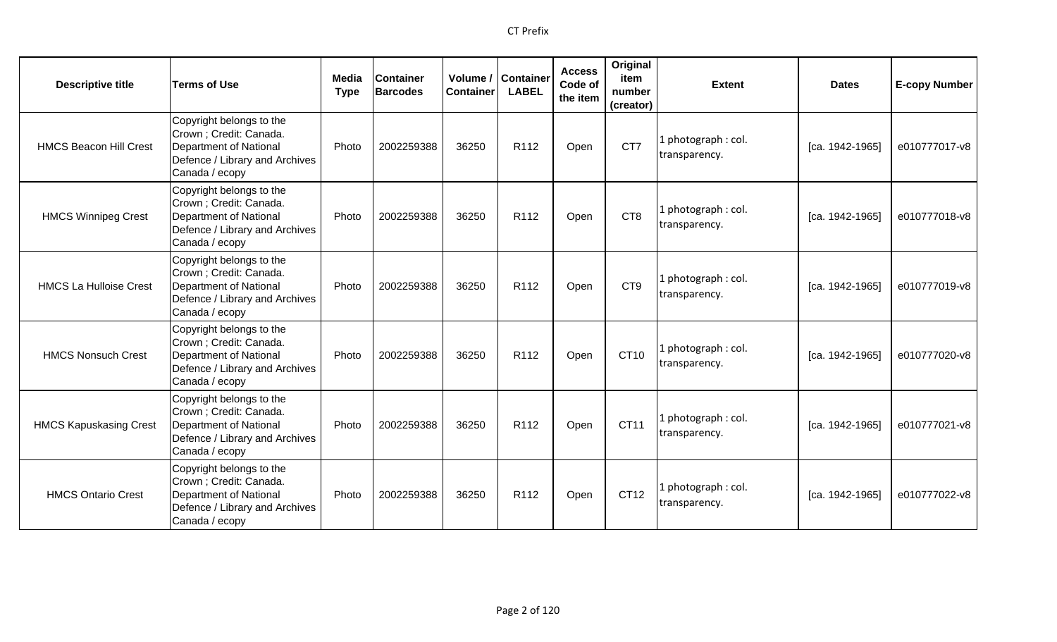| <b>Descriptive title</b>      | <b>Terms of Use</b>                                                                                                               | Media<br><b>Type</b> | <b>Container</b><br><b>Barcodes</b> | Container | Volume / Container<br><b>LABEL</b> | <b>Access</b><br>Code of<br>the item | Original<br>item<br>number<br>(creator) | <b>Extent</b>                        | <b>Dates</b>    | <b>E-copy Number</b> |
|-------------------------------|-----------------------------------------------------------------------------------------------------------------------------------|----------------------|-------------------------------------|-----------|------------------------------------|--------------------------------------|-----------------------------------------|--------------------------------------|-----------------|----------------------|
| <b>HMCS Beacon Hill Crest</b> | Copyright belongs to the<br>Crown ; Credit: Canada.<br>Department of National<br>Defence / Library and Archives<br>Canada / ecopy | Photo                | 2002259388                          | 36250     | R112                               | Open                                 | CT7                                     | 1 photograph: col.<br>transparency.  | [ca. 1942-1965] | e010777017-v8        |
| <b>HMCS Winnipeg Crest</b>    | Copyright belongs to the<br>Crown ; Credit: Canada.<br>Department of National<br>Defence / Library and Archives<br>Canada / ecopy | Photo                | 2002259388                          | 36250     | R <sub>112</sub>                   | Open                                 | CT <sub>8</sub>                         | 1 photograph: col.<br>transparency.  | [ca. 1942-1965] | e010777018-v8        |
| <b>HMCS La Hulloise Crest</b> | Copyright belongs to the<br>Crown ; Credit: Canada.<br>Department of National<br>Defence / Library and Archives<br>Canada / ecopy | Photo                | 2002259388                          | 36250     | R <sub>112</sub>                   | Open                                 | CT <sub>9</sub>                         | 1 photograph : col.<br>transparency. | [ca. 1942-1965] | e010777019-v8        |
| <b>HMCS Nonsuch Crest</b>     | Copyright belongs to the<br>Crown ; Credit: Canada.<br>Department of National<br>Defence / Library and Archives<br>Canada / ecopy | Photo                | 2002259388                          | 36250     | R112                               | Open                                 | CT10                                    | 1 photograph: col.<br>transparency.  | [ca. 1942-1965] | e010777020-v8        |
| <b>HMCS Kapuskasing Crest</b> | Copyright belongs to the<br>Crown ; Credit: Canada.<br>Department of National<br>Defence / Library and Archives<br>Canada / ecopy | Photo                | 2002259388                          | 36250     | R <sub>112</sub>                   | Open                                 | CT11                                    | 1 photograph: col.<br>transparency.  | [ca. 1942-1965] | e010777021-v8        |
| <b>HMCS Ontario Crest</b>     | Copyright belongs to the<br>Crown ; Credit: Canada.<br>Department of National<br>Defence / Library and Archives<br>Canada / ecopy | Photo                | 2002259388                          | 36250     | R <sub>112</sub>                   | Open                                 | CT12                                    | 1 photograph: col.<br>transparency.  | [ca. 1942-1965] | e010777022-v8        |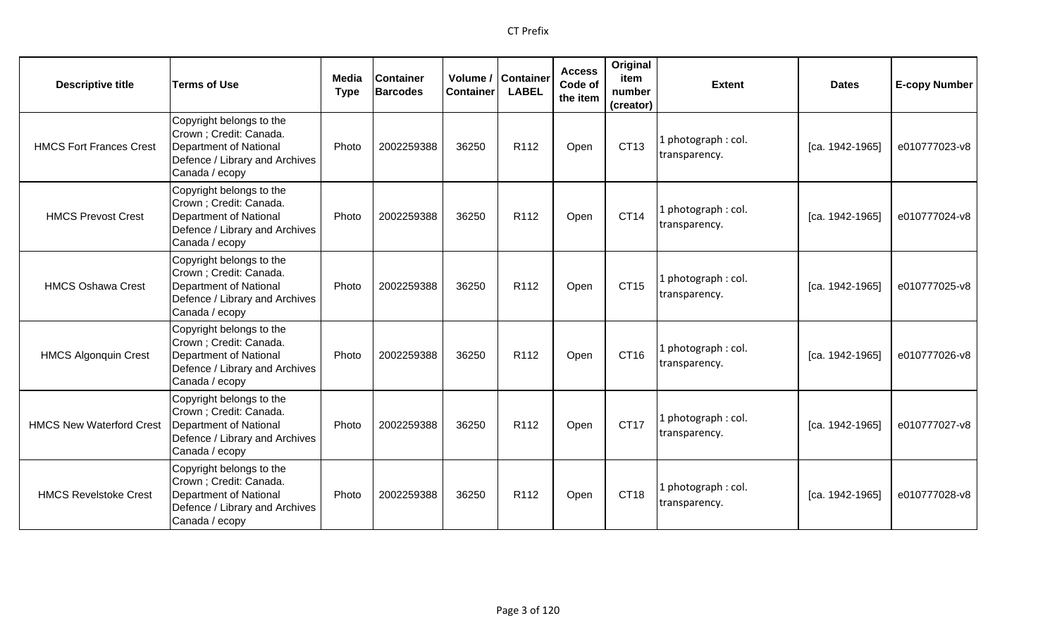| <b>Descriptive title</b>        | <b>Terms of Use</b>                                                                                                               | Media<br><b>Type</b> | <b>Container</b><br><b>Barcodes</b> | Container | Volume / Container<br><b>LABEL</b> | <b>Access</b><br>Code of<br>the item | Original<br>item<br>number<br>(creator) | <b>Extent</b>                        | <b>Dates</b>    | <b>E-copy Number</b> |
|---------------------------------|-----------------------------------------------------------------------------------------------------------------------------------|----------------------|-------------------------------------|-----------|------------------------------------|--------------------------------------|-----------------------------------------|--------------------------------------|-----------------|----------------------|
| <b>HMCS Fort Frances Crest</b>  | Copyright belongs to the<br>Crown ; Credit: Canada.<br>Department of National<br>Defence / Library and Archives<br>Canada / ecopy | Photo                | 2002259388                          | 36250     | R112                               | Open                                 | CT13                                    | 1 photograph: col.<br>transparency.  | [ca. 1942-1965] | e010777023-v8        |
| <b>HMCS Prevost Crest</b>       | Copyright belongs to the<br>Crown ; Credit: Canada.<br>Department of National<br>Defence / Library and Archives<br>Canada / ecopy | Photo                | 2002259388                          | 36250     | R <sub>112</sub>                   | Open                                 | CT14                                    | 1 photograph: col.<br>transparency.  | [ca. 1942-1965] | e010777024-v8        |
| <b>HMCS Oshawa Crest</b>        | Copyright belongs to the<br>Crown ; Credit: Canada.<br>Department of National<br>Defence / Library and Archives<br>Canada / ecopy | Photo                | 2002259388                          | 36250     | R <sub>112</sub>                   | Open                                 | CT15                                    | l photograph : col.<br>transparency. | [ca. 1942-1965] | e010777025-v8        |
| <b>HMCS Algonquin Crest</b>     | Copyright belongs to the<br>Crown ; Credit: Canada.<br>Department of National<br>Defence / Library and Archives<br>Canada / ecopy | Photo                | 2002259388                          | 36250     | R112                               | Open                                 | CT16                                    | 1 photograph: col.<br>transparency.  | [ca. 1942-1965] | e010777026-v8        |
| <b>HMCS New Waterford Crest</b> | Copyright belongs to the<br>Crown ; Credit: Canada.<br>Department of National<br>Defence / Library and Archives<br>Canada / ecopy | Photo                | 2002259388                          | 36250     | R <sub>112</sub>                   | Open                                 | <b>CT17</b>                             | l photograph : col.<br>transparency. | [ca. 1942-1965] | e010777027-v8        |
| <b>HMCS Revelstoke Crest</b>    | Copyright belongs to the<br>Crown ; Credit: Canada.<br>Department of National<br>Defence / Library and Archives<br>Canada / ecopy | Photo                | 2002259388                          | 36250     | R <sub>112</sub>                   | Open                                 | CT18                                    | 1 photograph: col.<br>transparency.  | [ca. 1942-1965] | e010777028-v8        |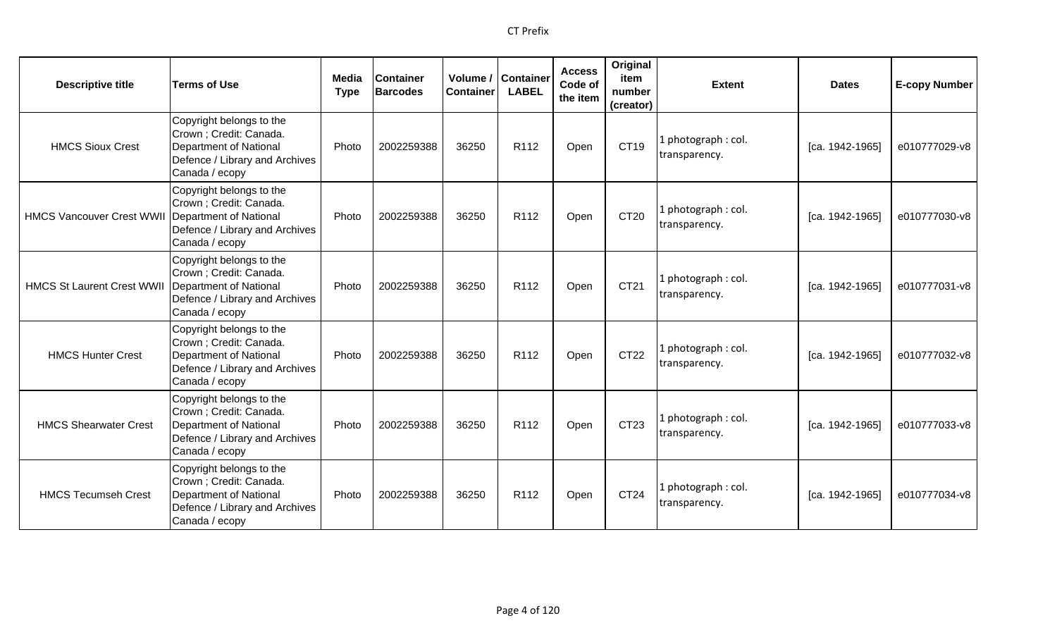| <b>Descriptive title</b>          | <b>Terms of Use</b>                                                                                                                     | <b>Media</b><br><b>Type</b> | <b>Container</b><br><b>Barcodes</b> | <b>Container</b> | Volume / Container<br><b>LABEL</b> | <b>Access</b><br>Code of<br>the item | Original<br>item<br>number<br>(creator) | <b>Extent</b>                        | <b>Dates</b>    | <b>E-copy Number</b> |
|-----------------------------------|-----------------------------------------------------------------------------------------------------------------------------------------|-----------------------------|-------------------------------------|------------------|------------------------------------|--------------------------------------|-----------------------------------------|--------------------------------------|-----------------|----------------------|
| <b>HMCS Sioux Crest</b>           | Copyright belongs to the<br>Crown; Credit: Canada.<br>Department of National<br>Defence / Library and Archives<br>Canada / ecopy        | Photo                       | 2002259388                          | 36250            | R <sub>112</sub>                   | Open                                 | CT19                                    | 1 photograph: col.<br>transparency.  | [ca. 1942-1965] | e010777029-v8        |
| <b>HMCS Vancouver Crest WWII</b>  | Copyright belongs to the<br>Crown; Credit: Canada.<br>Department of National<br>Defence / Library and Archives<br>Canada / ecopy        | Photo                       | 2002259388                          | 36250            | R112                               | Open                                 | CT20                                    | 1 photograph: col.<br>transparency.  | [ca. 1942-1965] | e010777030-v8        |
| <b>HMCS St Laurent Crest WWII</b> | Copyright belongs to the<br>Crown ; Credit: Canada.<br>Department of National<br>Defence / Library and Archives<br>Canada / ecopy       | Photo                       | 2002259388                          | 36250            | R <sub>112</sub>                   | Open                                 | CT21                                    | 1 photograph: col.<br>transparency.  | [ca. 1942-1965] | e010777031-v8        |
| <b>HMCS Hunter Crest</b>          | Copyright belongs to the<br>Crown; Credit: Canada.<br><b>Department of National</b><br>Defence / Library and Archives<br>Canada / ecopy | Photo                       | 2002259388                          | 36250            | R <sub>112</sub>                   | Open                                 | CT22                                    | 1 photograph: col.<br>transparency.  | [ca. 1942-1965] | e010777032-v8        |
| <b>HMCS Shearwater Crest</b>      | Copyright belongs to the<br>Crown; Credit: Canada.<br>Department of National<br>Defence / Library and Archives<br>Canada / ecopy        | Photo                       | 2002259388                          | 36250            | R112                               | Open                                 | CT23                                    | 1 photograph : col.<br>transparency. | [ca. 1942-1965] | e010777033-v8        |
| <b>HMCS Tecumseh Crest</b>        | Copyright belongs to the<br>Crown; Credit: Canada.<br><b>Department of National</b><br>Defence / Library and Archives<br>Canada / ecopy | Photo                       | 2002259388                          | 36250            | R <sub>112</sub>                   | Open                                 | CT24                                    | 1 photograph: col.<br>transparency.  | [ca. 1942-1965] | e010777034-v8        |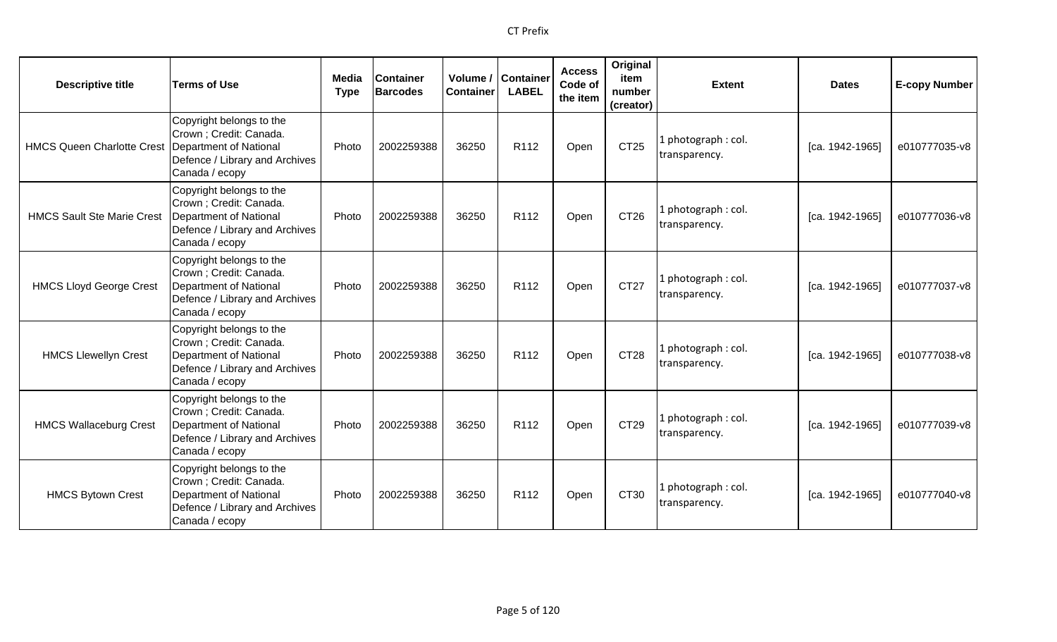| <b>Descriptive title</b>          | <b>Terms of Use</b>                                                                                                                     | <b>Media</b><br><b>Type</b> | <b>Container</b><br><b>Barcodes</b> | <b>Container</b> | Volume / Container<br><b>LABEL</b> | <b>Access</b><br>Code of<br>the item | Original<br>item<br>number<br>(creator) | <b>Extent</b>                       | <b>Dates</b>    | <b>E-copy Number</b> |
|-----------------------------------|-----------------------------------------------------------------------------------------------------------------------------------------|-----------------------------|-------------------------------------|------------------|------------------------------------|--------------------------------------|-----------------------------------------|-------------------------------------|-----------------|----------------------|
| <b>HMCS Queen Charlotte Crest</b> | Copyright belongs to the<br>Crown ; Credit: Canada.<br>Department of National<br>Defence / Library and Archives<br>Canada / ecopy       | Photo                       | 2002259388                          | 36250            | R112                               | Open                                 | CT25                                    | 1 photograph: col.<br>transparency. | [ca. 1942-1965] | e010777035-v8        |
| <b>HMCS Sault Ste Marie Crest</b> | Copyright belongs to the<br>Crown; Credit: Canada.<br><b>Department of National</b><br>Defence / Library and Archives<br>Canada / ecopy | Photo                       | 2002259388                          | 36250            | R <sub>112</sub>                   | Open                                 | CT26                                    | 1 photograph: col.<br>transparency. | [ca. 1942-1965] | e010777036-v8        |
| <b>HMCS Lloyd George Crest</b>    | Copyright belongs to the<br>Crown; Credit: Canada.<br>Department of National<br>Defence / Library and Archives<br>Canada / ecopy        | Photo                       | 2002259388                          | 36250            | R112                               | Open                                 | CT27                                    | 1 photograph: col.<br>transparency. | [ca. 1942-1965] | e010777037-v8        |
| <b>HMCS Llewellyn Crest</b>       | Copyright belongs to the<br>Crown; Credit: Canada.<br>Department of National<br>Defence / Library and Archives<br>Canada / ecopy        | Photo                       | 2002259388                          | 36250            | R112                               | Open                                 | CT28                                    | 1 photograph: col.<br>transparency. | [ca. 1942-1965] | e010777038-v8        |
| <b>HMCS Wallaceburg Crest</b>     | Copyright belongs to the<br>Crown; Credit: Canada.<br><b>Department of National</b><br>Defence / Library and Archives<br>Canada / ecopy | Photo                       | 2002259388                          | 36250            | R <sub>112</sub>                   | Open                                 | CT29                                    | 1 photograph: col.<br>transparency. | [ca. 1942-1965] | e010777039-v8        |
| <b>HMCS Bytown Crest</b>          | Copyright belongs to the<br>Crown ; Credit: Canada.<br>Department of National<br>Defence / Library and Archives<br>Canada / ecopy       | Photo                       | 2002259388                          | 36250            | R112                               | Open                                 | CT30                                    | 1 photograph: col.<br>transparency. | [ca. 1942-1965] | e010777040-v8        |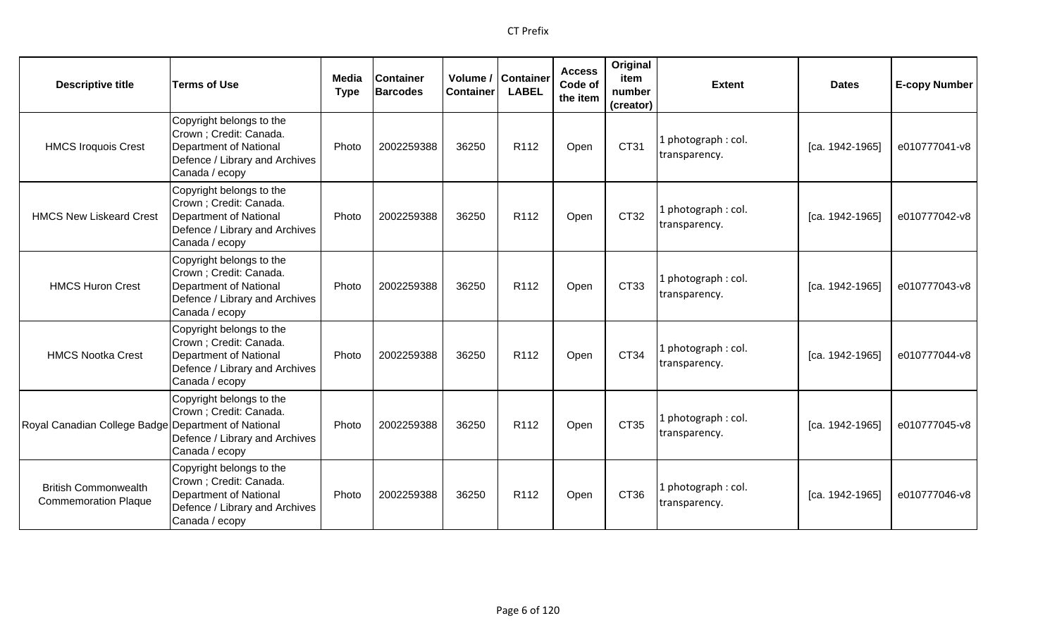| <b>Descriptive title</b>                                   | <b>Terms of Use</b>                                                                                                               | Media<br><b>Type</b> | <b>Container</b><br><b>Barcodes</b> | <b>Container</b> | Volume / Container<br><b>LABEL</b> | <b>Access</b><br>Code of<br>the item | Original<br>item<br>number<br>(creator) | <b>Extent</b>                        | <b>Dates</b>    | <b>E-copy Number</b> |
|------------------------------------------------------------|-----------------------------------------------------------------------------------------------------------------------------------|----------------------|-------------------------------------|------------------|------------------------------------|--------------------------------------|-----------------------------------------|--------------------------------------|-----------------|----------------------|
| <b>HMCS Iroquois Crest</b>                                 | Copyright belongs to the<br>Crown ; Credit: Canada.<br>Department of National<br>Defence / Library and Archives<br>Canada / ecopy | Photo                | 2002259388                          | 36250            | R <sub>112</sub>                   | Open                                 | CT31                                    | 1 photograph: col.<br>transparency.  | [ca. 1942-1965] | e010777041-v8        |
| <b>HMCS New Liskeard Crest</b>                             | Copyright belongs to the<br>Crown ; Credit: Canada.<br>Department of National<br>Defence / Library and Archives<br>Canada / ecopy | Photo                | 2002259388                          | 36250            | R112                               | Open                                 | CT32                                    | 1 photograph : col.<br>transparency. | [ca. 1942-1965] | e010777042-v8        |
| <b>HMCS Huron Crest</b>                                    | Copyright belongs to the<br>Crown ; Credit: Canada.<br>Department of National<br>Defence / Library and Archives<br>Canada / ecopy | Photo                | 2002259388                          | 36250            | R <sub>112</sub>                   | Open                                 | CT33                                    | 1 photograph: col.<br>transparency.  | [ca. 1942-1965] | e010777043-v8        |
| <b>HMCS Nootka Crest</b>                                   | Copyright belongs to the<br>Crown ; Credit: Canada.<br>Department of National<br>Defence / Library and Archives<br>Canada / ecopy | Photo                | 2002259388                          | 36250            | R <sub>112</sub>                   | Open                                 | CT34                                    | 1 photograph: col.<br>transparency.  | [ca. 1942-1965] | e010777044-v8        |
| Royal Canadian College Badge Department of National        | Copyright belongs to the<br>Crown ; Credit: Canada.<br>Defence / Library and Archives<br>Canada / ecopy                           | Photo                | 2002259388                          | 36250            | R112                               | Open                                 | CT35                                    | 1 photograph : col.<br>transparency. | [ca. 1942-1965] | e010777045-v8        |
| <b>British Commonwealth</b><br><b>Commemoration Plaque</b> | Copyright belongs to the<br>Crown; Credit: Canada.<br>Department of National<br>Defence / Library and Archives<br>Canada / ecopy  | Photo                | 2002259388                          | 36250            | R <sub>112</sub>                   | Open                                 | CT36                                    | 1 photograph: col.<br>transparency.  | [ca. 1942-1965] | e010777046-v8        |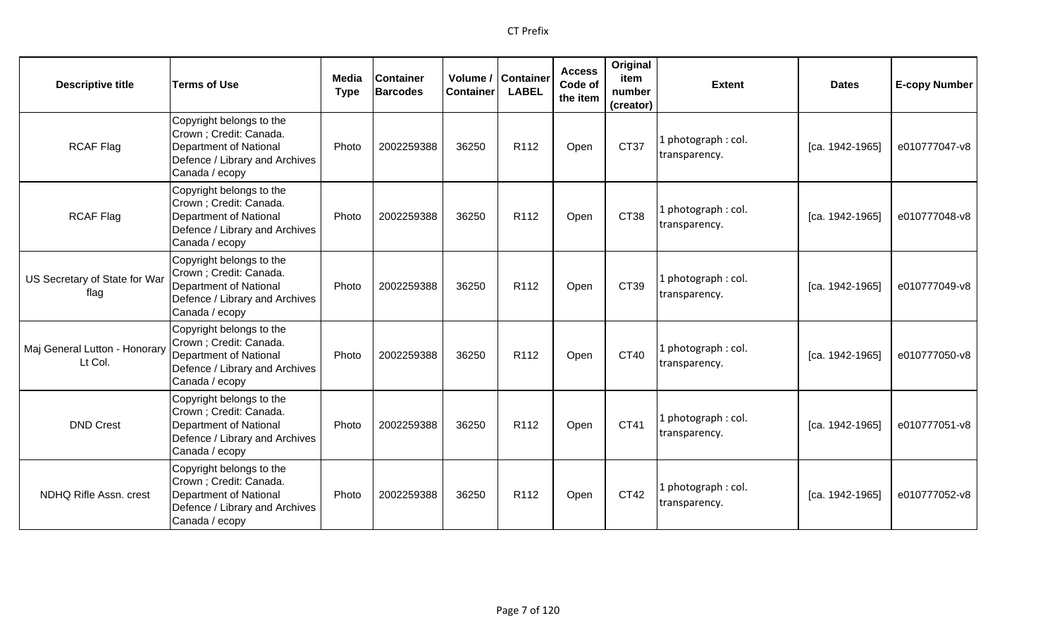| <b>Descriptive title</b>                 | <b>Terms of Use</b>                                                                                                                      | Media<br><b>Type</b> | <b>Container</b><br><b>Barcodes</b> | Volume /<br><b>Container</b> | <b>Container</b><br><b>LABEL</b> | <b>Access</b><br>Code of<br>the item | Original<br>item<br>number<br>(creator) | <b>Extent</b>                        | <b>Dates</b>      | <b>E-copy Number</b> |
|------------------------------------------|------------------------------------------------------------------------------------------------------------------------------------------|----------------------|-------------------------------------|------------------------------|----------------------------------|--------------------------------------|-----------------------------------------|--------------------------------------|-------------------|----------------------|
| <b>RCAF Flag</b>                         | Copyright belongs to the<br>Crown; Credit: Canada.<br>Department of National<br>Defence / Library and Archives<br>Canada / ecopy         | Photo                | 2002259388                          | 36250                        | R112                             | Open                                 | CT37                                    | 1 photograph: col.<br>transparency.  | [ca. 1942-1965]   | e010777047-v8        |
| <b>RCAF Flag</b>                         | Copyright belongs to the<br>Crown ; Credit: Canada.<br><b>Department of National</b><br>Defence / Library and Archives<br>Canada / ecopy | Photo                | 2002259388                          | 36250                        | R112                             | Open                                 | CT38                                    | 1 photograph: col.<br>transparency.  | $[ca. 1942-1965]$ | e010777048-v8        |
| US Secretary of State for War<br>flag    | Copyright belongs to the<br>Crown; Credit: Canada.<br>Department of National<br>Defence / Library and Archives<br>Canada / ecopy         | Photo                | 2002259388                          | 36250                        | R112                             | Open                                 | CT39                                    | 1 photograph : col.<br>transparency. | [ca. 1942-1965]   | e010777049-v8        |
| Maj General Lutton - Honorary<br>Lt Col. | Copyright belongs to the<br>Crown ; Credit: Canada.<br>Department of National<br>Defence / Library and Archives<br>Canada / ecopy        | Photo                | 2002259388                          | 36250                        | R112                             | Open                                 | CT40                                    | 1 photograph: col.<br>transparency.  | [ca. 1942-1965]   | e010777050-v8        |
| <b>DND Crest</b>                         | Copyright belongs to the<br>Crown ; Credit: Canada.<br>Department of National<br>Defence / Library and Archives<br>Canada / ecopy        | Photo                | 2002259388                          | 36250                        | R <sub>112</sub>                 | Open                                 | CT41                                    | 1 photograph: col.<br>transparency.  | [ca. 1942-1965]   | e010777051-v8        |
| NDHQ Rifle Assn. crest                   | Copyright belongs to the<br>Crown ; Credit: Canada.<br>Department of National<br>Defence / Library and Archives<br>Canada / ecopy        | Photo                | 2002259388                          | 36250                        | R <sub>112</sub>                 | Open                                 | CT42                                    | 1 photograph: col.<br>transparency.  | [ca. 1942-1965]   | e010777052-v8        |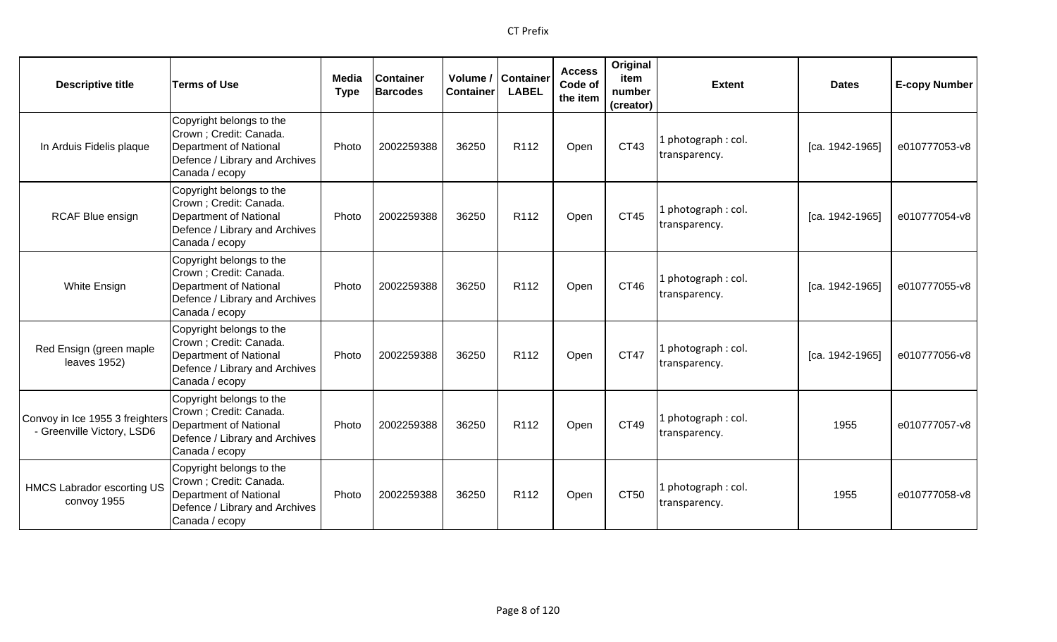| <b>Descriptive title</b>                                      | <b>Terms of Use</b>                                                                                                               | Media<br><b>Type</b> | <b>Container</b><br><b>Barcodes</b> | Volume /<br><b>Container</b> | <b>Container</b><br><b>LABEL</b> | <b>Access</b><br>Code of<br>the item | Original<br>item<br>number<br>(creator) | <b>Extent</b>                        | <b>Dates</b>    | <b>E-copy Number</b> |
|---------------------------------------------------------------|-----------------------------------------------------------------------------------------------------------------------------------|----------------------|-------------------------------------|------------------------------|----------------------------------|--------------------------------------|-----------------------------------------|--------------------------------------|-----------------|----------------------|
| In Arduis Fidelis plaque                                      | Copyright belongs to the<br>Crown ; Credit: Canada.<br>Department of National<br>Defence / Library and Archives<br>Canada / ecopy | Photo                | 2002259388                          | 36250                        | R <sub>112</sub>                 | Open                                 | CT43                                    | 1 photograph: col.<br>transparency.  | [ca. 1942-1965] | e010777053-v8        |
| <b>RCAF Blue ensign</b>                                       | Copyright belongs to the<br>Crown; Credit: Canada.<br>Department of National<br>Defence / Library and Archives<br>Canada / ecopy  | Photo                | 2002259388                          | 36250                        | R112                             | Open                                 | CT45                                    | 1 photograph: col.<br>transparency.  | [ca. 1942-1965] | e010777054-v8        |
| White Ensign                                                  | Copyright belongs to the<br>Crown ; Credit: Canada.<br>Department of National<br>Defence / Library and Archives<br>Canada / ecopy | Photo                | 2002259388                          | 36250                        | R <sub>112</sub>                 | Open                                 | CT46                                    | 1 photograph: col.<br>transparency.  | [ca. 1942-1965] | e010777055-v8        |
| Red Ensign (green maple<br>leaves 1952)                       | Copyright belongs to the<br>Crown ; Credit: Canada.<br>Department of National<br>Defence / Library and Archives<br>Canada / ecopy | Photo                | 2002259388                          | 36250                        | R <sub>112</sub>                 | Open                                 | CT47                                    | 1 photograph: col.<br>transparency.  | [ca. 1942-1965] | e010777056-v8        |
| Convoy in Ice 1955 3 freighters<br>- Greenville Victory, LSD6 | Copyright belongs to the<br>Crown ; Credit: Canada.<br>Department of National<br>Defence / Library and Archives<br>Canada / ecopy | Photo                | 2002259388                          | 36250                        | R112                             | Open                                 | CT49                                    | 1 photograph : col.<br>transparency. | 1955            | e010777057-v8        |
| <b>HMCS Labrador escorting US</b><br>convoy 1955              | Copyright belongs to the<br>Crown ; Credit: Canada.<br>Department of National<br>Defence / Library and Archives<br>Canada / ecopy | Photo                | 2002259388                          | 36250                        | R112                             | Open                                 | CT50                                    | 1 photograph: col.<br>transparency.  | 1955            | e010777058-v8        |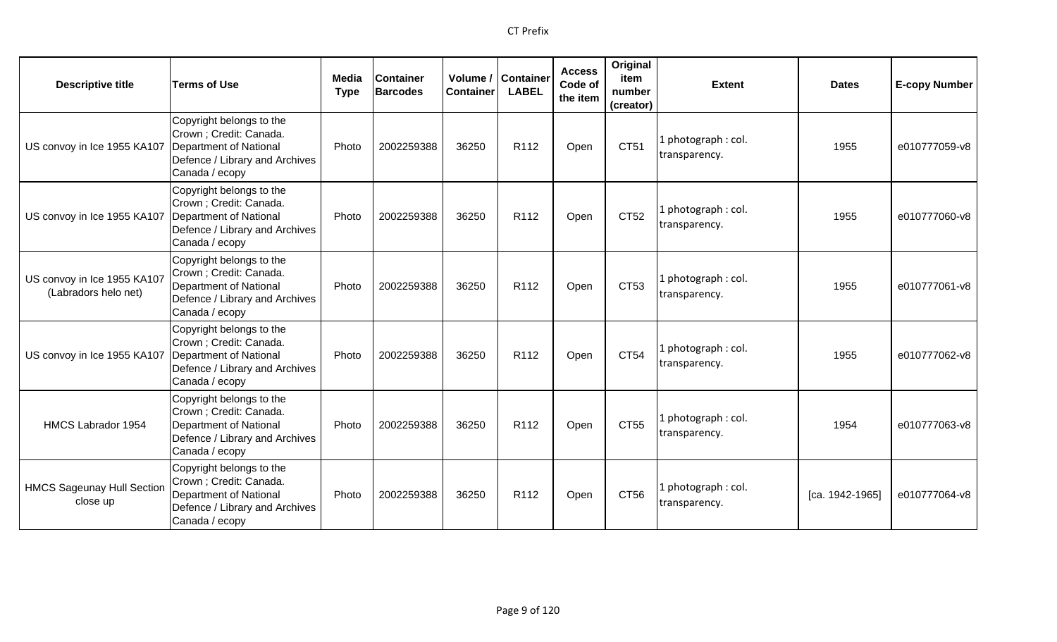| <b>Descriptive title</b>                            | <b>Terms of Use</b>                                                                                                               | Media<br><b>Type</b> | <b>Container</b><br><b>Barcodes</b> | Volume /  <br><b>Container</b> | <b>Container</b><br><b>LABEL</b> | <b>Access</b><br>Code of<br>the item | Original<br>item<br>number<br>(creator) | <b>Extent</b>                        | <b>Dates</b>    | <b>E-copy Number</b> |
|-----------------------------------------------------|-----------------------------------------------------------------------------------------------------------------------------------|----------------------|-------------------------------------|--------------------------------|----------------------------------|--------------------------------------|-----------------------------------------|--------------------------------------|-----------------|----------------------|
| US convoy in Ice 1955 KA107                         | Copyright belongs to the<br>Crown ; Credit: Canada.<br>Department of National<br>Defence / Library and Archives<br>Canada / ecopy | Photo                | 2002259388                          | 36250                          | R112                             | Open                                 | CT51                                    | L photograph: col.<br>transparency.  | 1955            | e010777059-v8        |
| US convoy in Ice 1955 KA107                         | Copyright belongs to the<br>Crown ; Credit: Canada.<br>Department of National<br>Defence / Library and Archives<br>Canada / ecopy | Photo                | 2002259388                          | 36250                          | R112                             | Open                                 | CT52                                    | 1 photograph : col.<br>transparency. | 1955            | e010777060-v8        |
| US convoy in Ice 1955 KA107<br>(Labradors helo net) | Copyright belongs to the<br>Crown ; Credit: Canada.<br>Department of National<br>Defence / Library and Archives<br>Canada / ecopy | Photo                | 2002259388                          | 36250                          | R <sub>112</sub>                 | Open                                 | CT53                                    | 1 photograph: col.<br>transparency.  | 1955            | e010777061-v8        |
| US convoy in Ice 1955 KA107                         | Copyright belongs to the<br>Crown ; Credit: Canada.<br>Department of National<br>Defence / Library and Archives<br>Canada / ecopy | Photo                | 2002259388                          | 36250                          | R112                             | Open                                 | CT54                                    | 1 photograph: col.<br>transparency.  | 1955            | e010777062-v8        |
| HMCS Labrador 1954                                  | Copyright belongs to the<br>Crown ; Credit: Canada.<br>Department of National<br>Defence / Library and Archives<br>Canada / ecopy | Photo                | 2002259388                          | 36250                          | R112                             | Open                                 | CT55                                    | L photograph: col.<br>transparency.  | 1954            | e010777063-v8        |
| <b>HMCS Sageunay Hull Section</b><br>close up       | Copyright belongs to the<br>Crown ; Credit: Canada.<br>Department of National<br>Defence / Library and Archives<br>Canada / ecopy | Photo                | 2002259388                          | 36250                          | R <sub>112</sub>                 | Open                                 | CT56                                    | 1 photograph: col.<br>transparency.  | [ca. 1942-1965] | e010777064-v8        |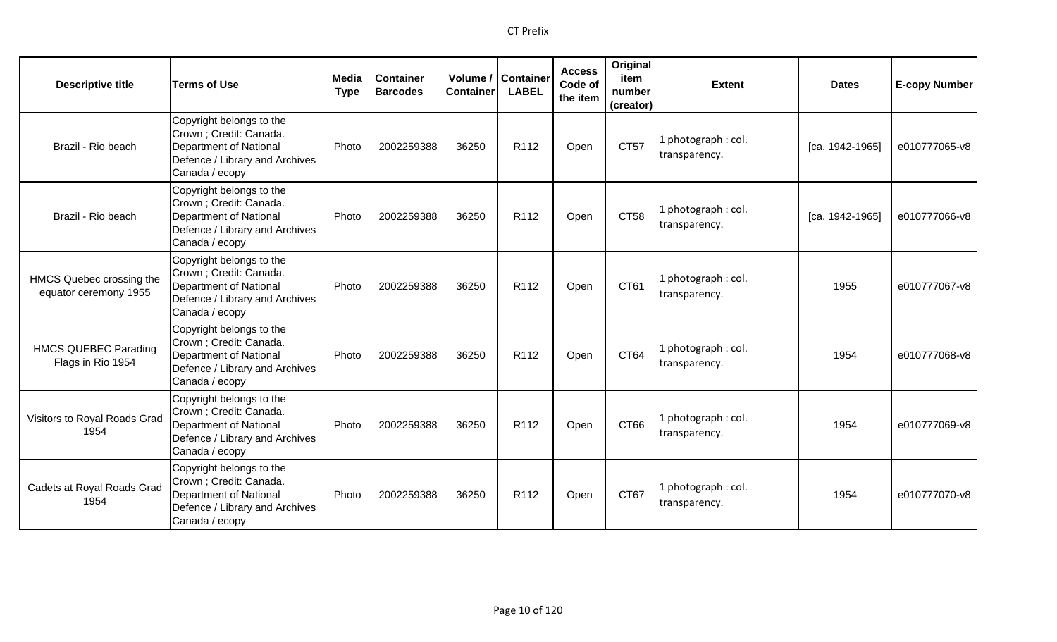| <b>Descriptive title</b>                          | <b>Terms of Use</b>                                                                                                                      | Media<br><b>Type</b> | <b>Container</b><br><b>Barcodes</b> | Volume /<br><b>Container</b> | Container<br><b>LABEL</b> | <b>Access</b><br>Code of<br>the item | Original<br>item<br>number<br>(creator) | <b>Extent</b>                        | <b>Dates</b>    | <b>E-copy Number</b> |
|---------------------------------------------------|------------------------------------------------------------------------------------------------------------------------------------------|----------------------|-------------------------------------|------------------------------|---------------------------|--------------------------------------|-----------------------------------------|--------------------------------------|-----------------|----------------------|
| Brazil - Rio beach                                | Copyright belongs to the<br>Crown ; Credit: Canada.<br><b>Department of National</b><br>Defence / Library and Archives<br>Canada / ecopy | Photo                | 2002259388                          | 36250                        | R112                      | Open                                 | <b>CT57</b>                             | . photograph: col.<br>transparency.  | [ca. 1942-1965] | e010777065-v8        |
| Brazil - Rio beach                                | Copyright belongs to the<br>Crown ; Credit: Canada.<br><b>Department of National</b><br>Defence / Library and Archives<br>Canada / ecopy | Photo                | 2002259388                          | 36250                        | R <sub>112</sub>          | Open                                 | CT58                                    | photograph: col.<br>transparency.    | [ca. 1942-1965] | e010777066-v8        |
| HMCS Quebec crossing the<br>equator ceremony 1955 | Copyright belongs to the<br>Crown; Credit: Canada.<br><b>Department of National</b><br>Defence / Library and Archives<br>Canada / ecopy  | Photo                | 2002259388                          | 36250                        | R112                      | Open                                 | CT61                                    | . photograph: col.<br>transparency.  | 1955            | e010777067-v8        |
| <b>HMCS QUEBEC Parading</b><br>Flags in Rio 1954  | Copyright belongs to the<br>Crown; Credit: Canada.<br><b>Department of National</b><br>Defence / Library and Archives<br>Canada / ecopy  | Photo                | 2002259388                          | 36250                        | R112                      | Open                                 | CT64                                    | l photograph : col.<br>transparency. | 1954            | e010777068-v8        |
| Visitors to Royal Roads Grad<br>1954              | Copyright belongs to the<br>Crown; Credit: Canada.<br><b>Department of National</b><br>Defence / Library and Archives<br>Canada / ecopy  | Photo                | 2002259388                          | 36250                        | R <sub>112</sub>          | Open                                 | CT <sub>66</sub>                        | photograph: col.<br>transparency.    | 1954            | e010777069-v8        |
| Cadets at Royal Roads Grad<br>1954                | Copyright belongs to the<br>Crown ; Credit: Canada.<br><b>Department of National</b><br>Defence / Library and Archives<br>Canada / ecopy | Photo                | 2002259388                          | 36250                        | R <sub>112</sub>          | Open                                 | CT67                                    | . photograph: col.<br>transparency.  | 1954            | e010777070-v8        |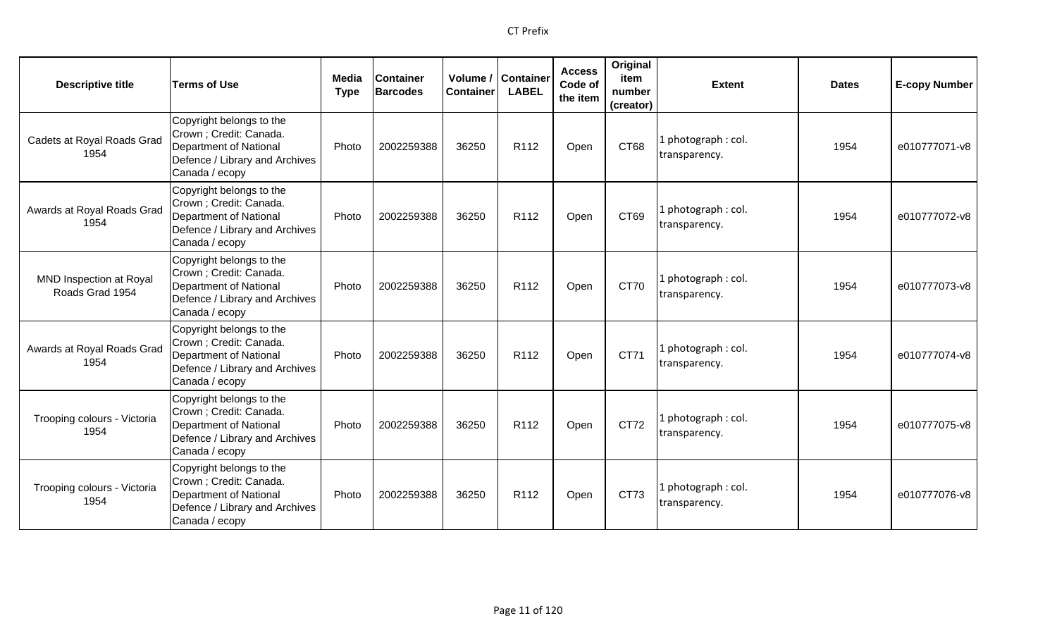| <b>Descriptive title</b>                   | <b>Terms of Use</b>                                                                                                               | Media<br><b>Type</b> | <b>Container</b><br><b>Barcodes</b> | Volume /<br><b>Container</b> | Container<br><b>LABEL</b> | <b>Access</b><br>Code of<br>the item | Original<br>item<br>number<br>(creator) | <b>Extent</b>                        | <b>Dates</b> | <b>E-copy Number</b> |
|--------------------------------------------|-----------------------------------------------------------------------------------------------------------------------------------|----------------------|-------------------------------------|------------------------------|---------------------------|--------------------------------------|-----------------------------------------|--------------------------------------|--------------|----------------------|
| Cadets at Royal Roads Grad<br>1954         | Copyright belongs to the<br>Crown ; Credit: Canada.<br>Department of National<br>Defence / Library and Archives<br>Canada / ecopy | Photo                | 2002259388                          | 36250                        | R112                      | Open                                 | CT68                                    | photograph: col.<br>transparency.    | 1954         | e010777071-v8        |
| Awards at Royal Roads Grad<br>1954         | Copyright belongs to the<br>Crown ; Credit: Canada.<br>Department of National<br>Defence / Library and Archives<br>Canada / ecopy | Photo                | 2002259388                          | 36250                        | R <sub>112</sub>          | Open                                 | CT69                                    | I photograph: col.<br>transparency.  | 1954         | e010777072-v8        |
| MND Inspection at Royal<br>Roads Grad 1954 | Copyright belongs to the<br>Crown ; Credit: Canada.<br>Department of National<br>Defence / Library and Archives<br>Canada / ecopy | Photo                | 2002259388                          | 36250                        | R112                      | Open                                 | <b>CT70</b>                             | I photograph: col.<br>transparency.  | 1954         | e010777073-v8        |
| Awards at Royal Roads Grad<br>1954         | Copyright belongs to the<br>Crown ; Credit: Canada.<br>Department of National<br>Defence / Library and Archives<br>Canada / ecopy | Photo                | 2002259388                          | 36250                        | R <sub>112</sub>          | Open                                 | CT71                                    | 1 photograph : col.<br>transparency. | 1954         | e010777074-v8        |
| Trooping colours - Victoria<br>1954        | Copyright belongs to the<br>Crown ; Credit: Canada.<br>Department of National<br>Defence / Library and Archives<br>Canada / ecopy | Photo                | 2002259388                          | 36250                        | R <sub>112</sub>          | Open                                 | CT72                                    | photograph: col.<br>transparency.    | 1954         | e010777075-v8        |
| Trooping colours - Victoria<br>1954        | Copyright belongs to the<br>Crown ; Credit: Canada.<br>Department of National<br>Defence / Library and Archives<br>Canada / ecopy | Photo                | 2002259388                          | 36250                        | R <sub>112</sub>          | Open                                 | CT73                                    | 1 photograph: col.<br>transparency.  | 1954         | e010777076-v8        |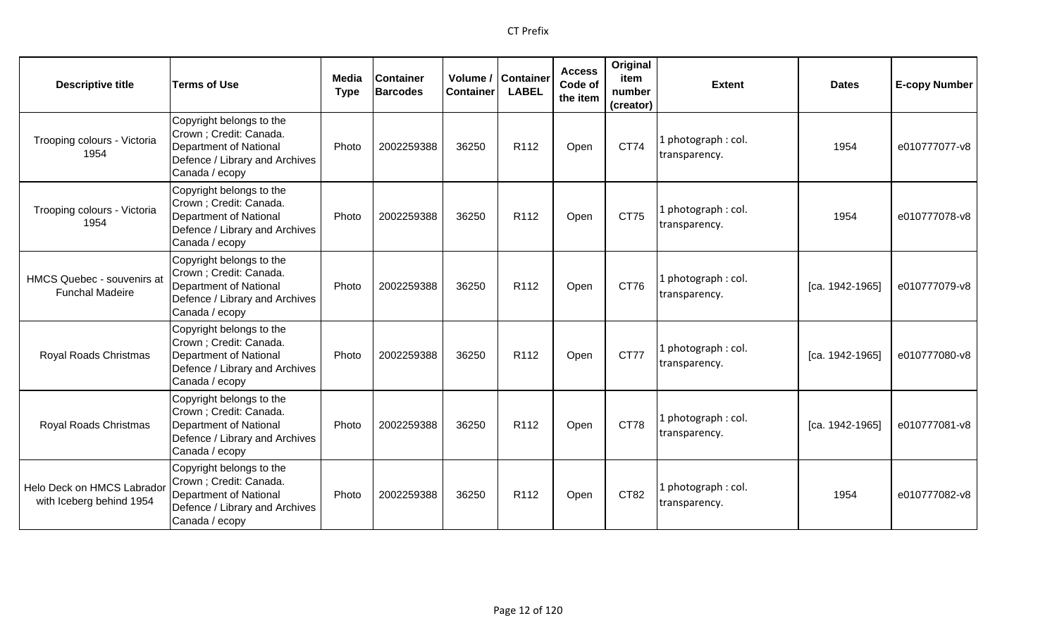| <b>Descriptive title</b>                               | <b>Terms of Use</b>                                                                                                                      | Media<br><b>Type</b> | <b>Container</b><br><b>Barcodes</b> | Volume /<br><b>Container</b> | Container<br><b>LABEL</b> | <b>Access</b><br>Code of<br>the item | Original<br>item<br>number<br>(creator) | <b>Extent</b>                        | <b>Dates</b>      | <b>E-copy Number</b> |
|--------------------------------------------------------|------------------------------------------------------------------------------------------------------------------------------------------|----------------------|-------------------------------------|------------------------------|---------------------------|--------------------------------------|-----------------------------------------|--------------------------------------|-------------------|----------------------|
| Trooping colours - Victoria<br>1954                    | Copyright belongs to the<br>Crown ; Credit: Canada.<br><b>Department of National</b><br>Defence / Library and Archives<br>Canada / ecopy | Photo                | 2002259388                          | 36250                        | R112                      | Open                                 | CT74                                    | photograph: col.<br>transparency.    | 1954              | e010777077-v8        |
| Trooping colours - Victoria<br>1954                    | Copyright belongs to the<br>Crown ; Credit: Canada.<br>Department of National<br>Defence / Library and Archives<br>Canada / ecopy        | Photo                | 2002259388                          | 36250                        | R <sub>112</sub>          | Open                                 | CT75                                    | l photograph : col.<br>transparency. | 1954              | e010777078-v8        |
| HMCS Quebec - souvenirs at<br><b>Funchal Madeire</b>   | Copyright belongs to the<br>Crown ; Credit: Canada.<br>Department of National<br>Defence / Library and Archives<br>Canada / ecopy        | Photo                | 2002259388                          | 36250                        | R <sub>112</sub>          | Open                                 | CT76                                    | photograph: col.<br>transparency.    | [ca. 1942-1965]   | e010777079-v8        |
| Royal Roads Christmas                                  | Copyright belongs to the<br>Crown ; Credit: Canada.<br><b>Department of National</b><br>Defence / Library and Archives<br>Canada / ecopy | Photo                | 2002259388                          | 36250                        | R112                      | Open                                 | <b>CT77</b>                             | I photograph: col.<br>transparency.  | [ca. 1942-1965]   | e010777080-v8        |
| Royal Roads Christmas                                  | Copyright belongs to the<br>Crown ; Credit: Canada.<br><b>Department of National</b><br>Defence / Library and Archives<br>Canada / ecopy | Photo                | 2002259388                          | 36250                        | R112                      | Open                                 | <b>CT78</b>                             | L photograph : col.<br>transparency. | $[ca. 1942-1965]$ | e010777081-v8        |
| Helo Deck on HMCS Labrador<br>with Iceberg behind 1954 | Copyright belongs to the<br>Crown ; Credit: Canada.<br><b>Department of National</b><br>Defence / Library and Archives<br>Canada / ecopy | Photo                | 2002259388                          | 36250                        | R <sub>112</sub>          | Open                                 | CT82                                    | . photograph: col.<br>transparency.  | 1954              | e010777082-v8        |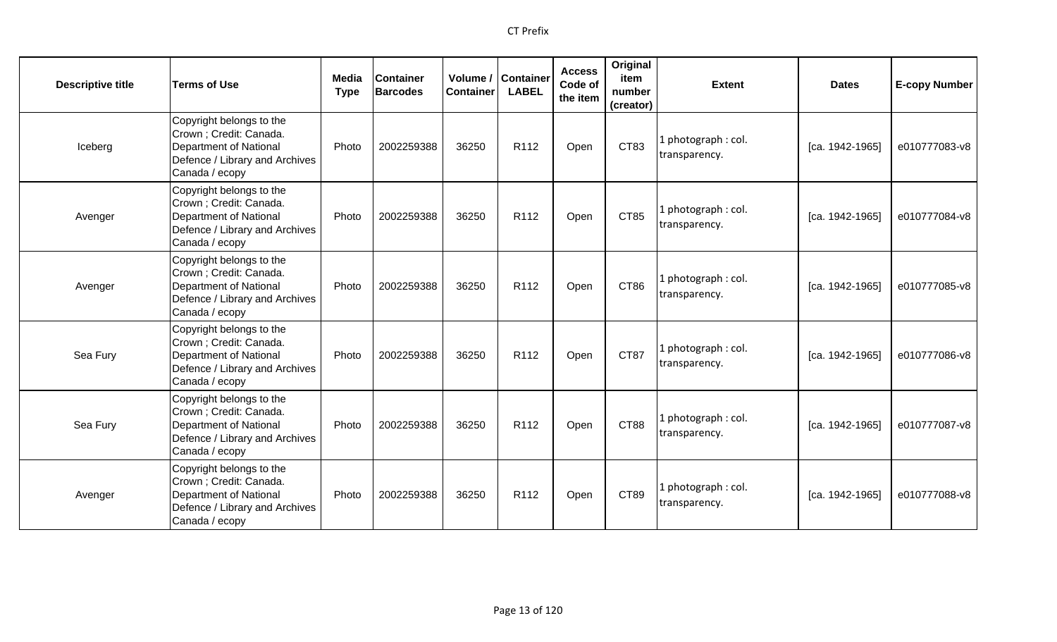| <b>Descriptive title</b> | <b>Terms of Use</b>                                                                                                                      | <b>Media</b><br><b>Type</b> | <b>Container</b><br><b>Barcodes</b> | Volume /<br><b>Container</b> | <b>Container</b><br><b>LABEL</b> | <b>Access</b><br>Code of<br>the item | Original<br>item<br>number<br>(creator) | <b>Extent</b>                        | <b>Dates</b>      | <b>E-copy Number</b> |
|--------------------------|------------------------------------------------------------------------------------------------------------------------------------------|-----------------------------|-------------------------------------|------------------------------|----------------------------------|--------------------------------------|-----------------------------------------|--------------------------------------|-------------------|----------------------|
| Iceberg                  | Copyright belongs to the<br>Crown ; Credit: Canada.<br><b>Department of National</b><br>Defence / Library and Archives<br>Canada / ecopy | Photo                       | 2002259388                          | 36250                        | R112                             | Open                                 | CT83                                    | 1 photograph: col.<br>transparency.  | [ca. 1942-1965]   | e010777083-v8        |
| Avenger                  | Copyright belongs to the<br>Crown ; Credit: Canada.<br><b>Department of National</b><br>Defence / Library and Archives<br>Canada / ecopy | Photo                       | 2002259388                          | 36250                        | R <sub>112</sub>                 | Open                                 | CT85                                    | 1 photograph: col.<br>transparency.  | [ca. 1942-1965]   | e010777084-v8        |
| Avenger                  | Copyright belongs to the<br>Crown ; Credit: Canada.<br><b>Department of National</b><br>Defence / Library and Archives<br>Canada / ecopy | Photo                       | 2002259388                          | 36250                        | R <sub>112</sub>                 | Open                                 | CT86                                    | 1 photograph : col.<br>transparency. | [ca. 1942-1965]   | e010777085-v8        |
| Sea Fury                 | Copyright belongs to the<br>Crown ; Credit: Canada.<br><b>Department of National</b><br>Defence / Library and Archives<br>Canada / ecopy | Photo                       | 2002259388                          | 36250                        | R112                             | Open                                 | CT87                                    | 1 photograph: col.<br>transparency.  | $[ca. 1942-1965]$ | e010777086-v8        |
| Sea Fury                 | Copyright belongs to the<br>Crown ; Credit: Canada.<br>Department of National<br>Defence / Library and Archives<br>Canada / ecopy        | Photo                       | 2002259388                          | 36250                        | R <sub>112</sub>                 | Open                                 | CT88                                    | 1 photograph: col.<br>transparency.  | [ca. 1942-1965]   | e010777087-v8        |
| Avenger                  | Copyright belongs to the<br>Crown ; Credit: Canada.<br><b>Department of National</b><br>Defence / Library and Archives<br>Canada / ecopy | Photo                       | 2002259388                          | 36250                        | R <sub>112</sub>                 | Open                                 | CT89                                    | 1 photograph: col.<br>transparency.  | [ca. 1942-1965]   | e010777088-v8        |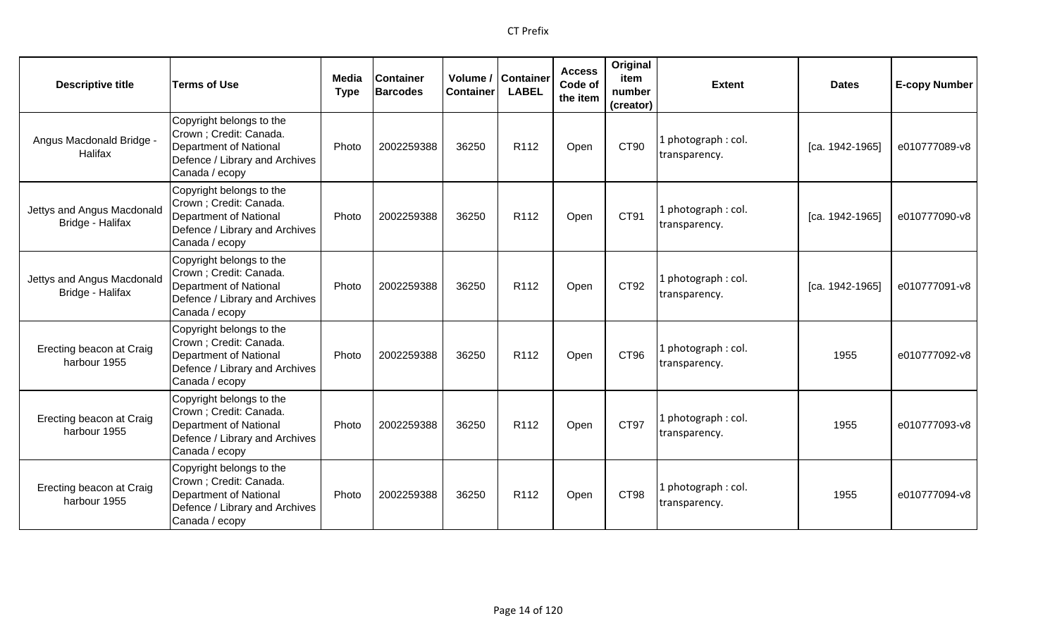| <b>Descriptive title</b>                       | <b>Terms of Use</b>                                                                                                                      | Media<br><b>Type</b> | <b>Container</b><br><b>Barcodes</b> | Volume /<br><b>Container</b> | Container<br><b>LABEL</b> | <b>Access</b><br>Code of<br>the item | Original<br>item<br>number<br>(creator) | <b>Extent</b>                        | <b>Dates</b>      | <b>E-copy Number</b> |
|------------------------------------------------|------------------------------------------------------------------------------------------------------------------------------------------|----------------------|-------------------------------------|------------------------------|---------------------------|--------------------------------------|-----------------------------------------|--------------------------------------|-------------------|----------------------|
| Angus Macdonald Bridge -<br><b>Halifax</b>     | Copyright belongs to the<br>Crown ; Credit: Canada.<br><b>Department of National</b><br>Defence / Library and Archives<br>Canada / ecopy | Photo                | 2002259388                          | 36250                        | R112                      | Open                                 | CT90                                    | photograph: col.<br>transparency.    | [ca. 1942-1965]   | e010777089-v8        |
| Jettys and Angus Macdonald<br>Bridge - Halifax | Copyright belongs to the<br>Crown ; Credit: Canada.<br><b>Department of National</b><br>Defence / Library and Archives<br>Canada / ecopy | Photo                | 2002259388                          | 36250                        | R112                      | Open                                 | CT91                                    | photograph: col.<br>transparency.    | [ca. 1942-1965]   | e010777090-v8        |
| Jettys and Angus Macdonald<br>Bridge - Halifax | Copyright belongs to the<br>Crown; Credit: Canada.<br><b>Department of National</b><br>Defence / Library and Archives<br>Canada / ecopy  | Photo                | 2002259388                          | 36250                        | R <sub>112</sub>          | Open                                 | CT92                                    | l photograph : col.<br>transparency. | $[ca. 1942-1965]$ | e010777091-v8        |
| Erecting beacon at Craig<br>harbour 1955       | Copyright belongs to the<br>Crown ; Credit: Canada.<br><b>Department of National</b><br>Defence / Library and Archives<br>Canada / ecopy | Photo                | 2002259388                          | 36250                        | R <sub>112</sub>          | Open                                 | CT <sub>96</sub>                        | L photograph : col.<br>transparency. | 1955              | e010777092-v8        |
| Erecting beacon at Craig<br>harbour 1955       | Copyright belongs to the<br>Crown ; Credit: Canada.<br><b>Department of National</b><br>Defence / Library and Archives<br>Canada / ecopy | Photo                | 2002259388                          | 36250                        | R <sub>112</sub>          | Open                                 | CT97                                    | photograph: col.<br>transparency.    | 1955              | e010777093-v8        |
| Erecting beacon at Craig<br>harbour 1955       | Copyright belongs to the<br>Crown ; Credit: Canada.<br><b>Department of National</b><br>Defence / Library and Archives<br>Canada / ecopy | Photo                | 2002259388                          | 36250                        | R <sub>112</sub>          | Open                                 | CT98                                    | photograph: col.<br>transparency.    | 1955              | e010777094-v8        |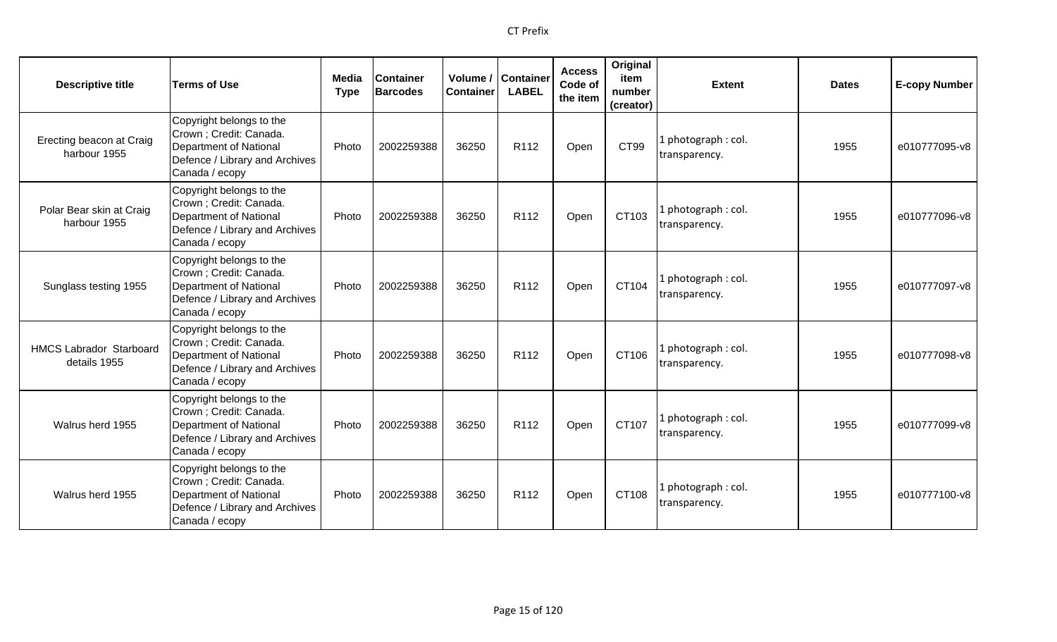| <b>Descriptive title</b>                       | <b>Terms of Use</b>                                                                                                                      | Media<br><b>Type</b> | <b>Container</b><br><b>Barcodes</b> | <b>Container</b> | Volume / Container<br><b>LABEL</b> | <b>Access</b><br>Code of<br>the item | Original<br>item<br>number<br>(creator) | <b>Extent</b>                       | <b>Dates</b> | <b>E-copy Number</b> |
|------------------------------------------------|------------------------------------------------------------------------------------------------------------------------------------------|----------------------|-------------------------------------|------------------|------------------------------------|--------------------------------------|-----------------------------------------|-------------------------------------|--------------|----------------------|
| Erecting beacon at Craig<br>harbour 1955       | Copyright belongs to the<br>Crown ; Credit: Canada.<br><b>Department of National</b><br>Defence / Library and Archives<br>Canada / ecopy | Photo                | 2002259388                          | 36250            | R112                               | Open                                 | CT99                                    | 1 photograph: col.<br>transparency. | 1955         | e010777095-v8        |
| Polar Bear skin at Craig<br>harbour 1955       | Copyright belongs to the<br>Crown; Credit: Canada.<br><b>Department of National</b><br>Defence / Library and Archives<br>Canada / ecopy  | Photo                | 2002259388                          | 36250            | R <sub>112</sub>                   | Open                                 | CT103                                   | 1 photograph: col.<br>transparency. | 1955         | e010777096-v8        |
| Sunglass testing 1955                          | Copyright belongs to the<br>Crown ; Credit: Canada.<br>Department of National<br>Defence / Library and Archives<br>Canada / ecopy        | Photo                | 2002259388                          | 36250            | R112                               | Open                                 | CT104                                   | 1 photograph: col.<br>transparency. | 1955         | e010777097-v8        |
| <b>HMCS Labrador Starboard</b><br>details 1955 | Copyright belongs to the<br>Crown ; Credit: Canada.<br>Department of National<br>Defence / Library and Archives<br>Canada / ecopy        | Photo                | 2002259388                          | 36250            | R <sub>112</sub>                   | Open                                 | CT106                                   | 1 photograph: col.<br>transparency. | 1955         | e010777098-v8        |
| Walrus herd 1955                               | Copyright belongs to the<br>Crown ; Credit: Canada.<br>Department of National<br>Defence / Library and Archives<br>Canada / ecopy        | Photo                | 2002259388                          | 36250            | R <sub>112</sub>                   | Open                                 | CT107                                   | 1 photograph: col.<br>transparency. | 1955         | e010777099-v8        |
| Walrus herd 1955                               | Copyright belongs to the<br>Crown; Credit: Canada.<br>Department of National<br>Defence / Library and Archives<br>Canada / ecopy         | Photo                | 2002259388                          | 36250            | R <sub>112</sub>                   | Open                                 | CT108                                   | 1 photograph: col.<br>transparency. | 1955         | e010777100-y8        |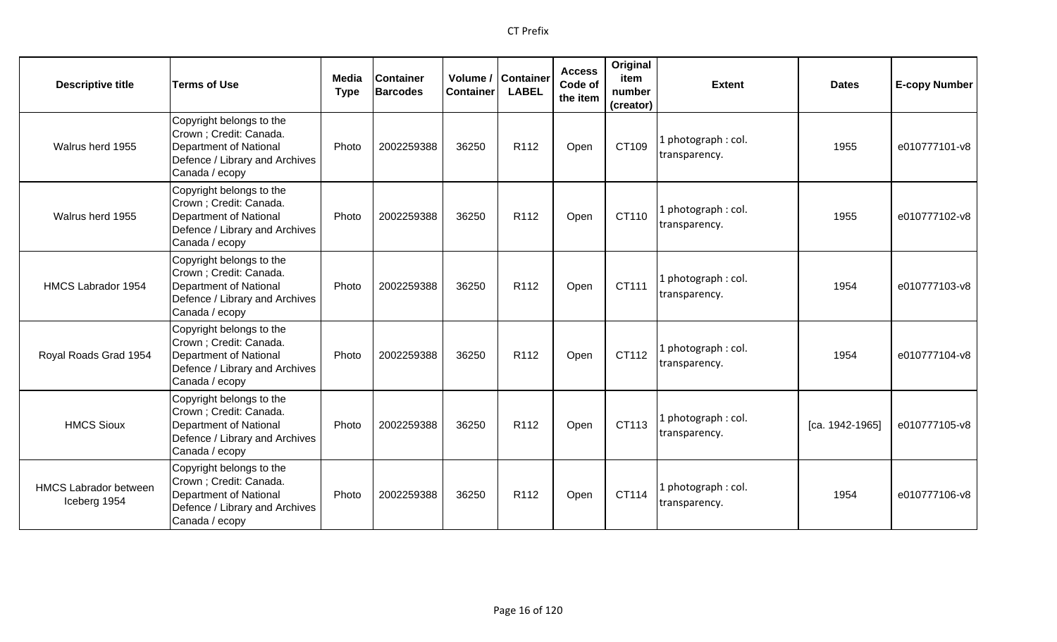| <b>Descriptive title</b>                     | <b>Terms of Use</b>                                                                                                                      | Media<br><b>Type</b> | <b>Container</b><br><b>Barcodes</b> | Volume /<br><b>Container</b> | <b>Container</b><br><b>LABEL</b> | <b>Access</b><br>Code of<br>the item | Original<br>item<br>number<br>(creator) | <b>Extent</b>                       | <b>Dates</b>    | <b>E-copy Number</b> |
|----------------------------------------------|------------------------------------------------------------------------------------------------------------------------------------------|----------------------|-------------------------------------|------------------------------|----------------------------------|--------------------------------------|-----------------------------------------|-------------------------------------|-----------------|----------------------|
| Walrus herd 1955                             | Copyright belongs to the<br>Crown ; Credit: Canada.<br>Department of National<br>Defence / Library and Archives<br>Canada / ecopy        | Photo                | 2002259388                          | 36250                        | R112                             | Open                                 | CT109                                   | 1 photograph: col.<br>transparency. | 1955            | e010777101-v8        |
| Walrus herd 1955                             | Copyright belongs to the<br>Crown ; Credit: Canada.<br>Department of National<br>Defence / Library and Archives<br>Canada / ecopy        | Photo                | 2002259388                          | 36250                        | R112                             | Open                                 | CT110                                   | 1 photograph: col.<br>transparency. | 1955            | e010777102-v8        |
| HMCS Labrador 1954                           | Copyright belongs to the<br>Crown ; Credit: Canada.<br><b>Department of National</b><br>Defence / Library and Archives<br>Canada / ecopy | Photo                | 2002259388                          | 36250                        | R112                             | Open                                 | CT111                                   | 1 photograph: col.<br>transparency. | 1954            | e010777103-v8        |
| Royal Roads Grad 1954                        | Copyright belongs to the<br>Crown ; Credit: Canada.<br>Department of National<br>Defence / Library and Archives<br>Canada / ecopy        | Photo                | 2002259388                          | 36250                        | R <sub>112</sub>                 | Open                                 | CT112                                   | 1 photograph: col.<br>transparency. | 1954            | e010777104-v8        |
| <b>HMCS Sioux</b>                            | Copyright belongs to the<br>Crown ; Credit: Canada.<br>Department of National<br>Defence / Library and Archives<br>Canada / ecopy        | Photo                | 2002259388                          | 36250                        | R112                             | Open                                 | CT113                                   | 1 photograph: col.<br>transparency. | [ca. 1942-1965] | e010777105-v8        |
| <b>HMCS Labrador between</b><br>Iceberg 1954 | Copyright belongs to the<br>Crown; Credit: Canada.<br>Department of National<br>Defence / Library and Archives<br>Canada / ecopy         | Photo                | 2002259388                          | 36250                        | R <sub>112</sub>                 | Open                                 | CT114                                   | 1 photograph: col.<br>transparency. | 1954            | e010777106-v8        |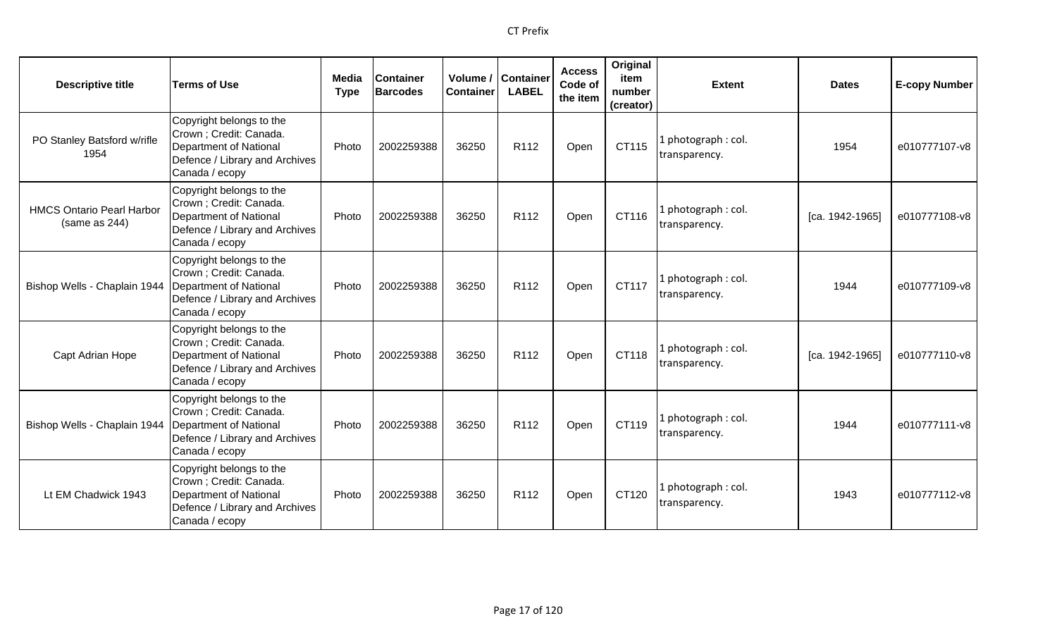| <b>Descriptive title</b>                          | <b>Terms of Use</b>                                                                                                                      | Media<br><b>Type</b> | <b>Container</b><br><b>Barcodes</b> | Volume /<br><b>Container</b> | <b>Container</b><br><b>LABEL</b> | <b>Access</b><br>Code of<br>the item | Original<br>item<br>number<br>(creator) | <b>Extent</b>                        | <b>Dates</b>    | <b>E-copy Number</b> |
|---------------------------------------------------|------------------------------------------------------------------------------------------------------------------------------------------|----------------------|-------------------------------------|------------------------------|----------------------------------|--------------------------------------|-----------------------------------------|--------------------------------------|-----------------|----------------------|
| PO Stanley Batsford w/rifle<br>1954               | Copyright belongs to the<br>Crown; Credit: Canada.<br>Department of National<br>Defence / Library and Archives<br>Canada / ecopy         | Photo                | 2002259388                          | 36250                        | R112                             | Open                                 | CT115                                   | . photograph: col.<br>transparency.  | 1954            | e010777107-v8        |
| <b>HMCS Ontario Pearl Harbor</b><br>(same as 244) | Copyright belongs to the<br>Crown ; Credit: Canada.<br>Department of National<br>Defence / Library and Archives<br>Canada / ecopy        | Photo                | 2002259388                          | 36250                        | R <sub>112</sub>                 | Open                                 | CT116                                   | photograph: col.<br>transparency.    | [ca. 1942-1965] | e010777108-v8        |
| Bishop Wells - Chaplain 1944                      | Copyright belongs to the<br>Crown ; Credit: Canada.<br>Department of National<br>Defence / Library and Archives<br>Canada / ecopy        | Photo                | 2002259388                          | 36250                        | R <sub>112</sub>                 | Open                                 | CT117                                   | . photograph: col.<br>transparency.  | 1944            | e010777109-v8        |
| Capt Adrian Hope                                  | Copyright belongs to the<br>Crown; Credit: Canada.<br><b>Department of National</b><br>Defence / Library and Archives<br>Canada / ecopy  | Photo                | 2002259388                          | 36250                        | R112                             | Open                                 | CT118                                   | 1 photograph: col.<br>transparency.  | [ca. 1942-1965] | e010777110-v8        |
| Bishop Wells - Chaplain 1944                      | Copyright belongs to the<br>Crown ; Credit: Canada.<br>Department of National<br>Defence / Library and Archives<br>Canada / ecopy        | Photo                | 2002259388                          | 36250                        | R <sub>112</sub>                 | Open                                 | CT119                                   | photograph: col.<br>transparency.    | 1944            | e010777111-v8        |
| Lt EM Chadwick 1943                               | Copyright belongs to the<br>Crown ; Credit: Canada.<br><b>Department of National</b><br>Defence / Library and Archives<br>Canada / ecopy | Photo                | 2002259388                          | 36250                        | R <sub>112</sub>                 | Open                                 | CT120                                   | l photograph : col.<br>transparency. | 1943            | e010777112-v8        |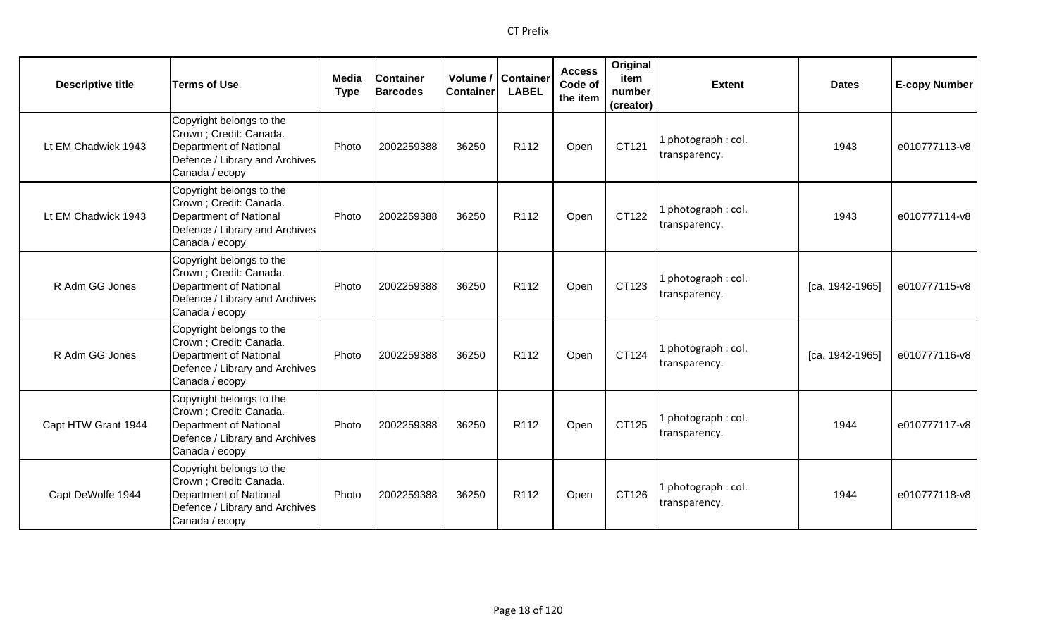| <b>Descriptive title</b> | <b>Terms of Use</b>                                                                                                                      | <b>Media</b><br><b>Type</b> | <b>Container</b><br><b>Barcodes</b> | <b>Container</b> | Volume / Container<br><b>LABEL</b> | <b>Access</b><br>Code of<br>the item | Original<br>item<br>number<br>(creator) | <b>Extent</b>                       | <b>Dates</b>    | <b>E-copy Number</b> |
|--------------------------|------------------------------------------------------------------------------------------------------------------------------------------|-----------------------------|-------------------------------------|------------------|------------------------------------|--------------------------------------|-----------------------------------------|-------------------------------------|-----------------|----------------------|
| Lt EM Chadwick 1943      | Copyright belongs to the<br>Crown ; Credit: Canada.<br><b>Department of National</b><br>Defence / Library and Archives<br>Canada / ecopy | Photo                       | 2002259388                          | 36250            | R <sub>112</sub>                   | Open                                 | CT121                                   | 1 photograph: col.<br>transparency. | 1943            | e010777113-v8        |
| Lt EM Chadwick 1943      | Copyright belongs to the<br>Crown; Credit: Canada.<br><b>Department of National</b><br>Defence / Library and Archives<br>Canada / ecopy  | Photo                       | 2002259388                          | 36250            | R112                               | Open                                 | CT122                                   | 1 photograph: col.<br>transparency. | 1943            | e010777114-v8        |
| R Adm GG Jones           | Copyright belongs to the<br>Crown ; Credit: Canada.<br><b>Department of National</b><br>Defence / Library and Archives<br>Canada / ecopy | Photo                       | 2002259388                          | 36250            | R <sub>112</sub>                   | Open                                 | CT123                                   | 1 photograph: col.<br>transparency. | [ca. 1942-1965] | e010777115-v8        |
| R Adm GG Jones           | Copyright belongs to the<br>Crown; Credit: Canada.<br><b>Department of National</b><br>Defence / Library and Archives<br>Canada / ecopy  | Photo                       | 2002259388                          | 36250            | R <sub>112</sub>                   | Open                                 | CT124                                   | 1 photograph: col.<br>transparency. | [ca. 1942-1965] | e010777116-v8        |
| Capt HTW Grant 1944      | Copyright belongs to the<br>Crown ; Credit: Canada.<br><b>Department of National</b><br>Defence / Library and Archives<br>Canada / ecopy | Photo                       | 2002259388                          | 36250            | R112                               | Open                                 | CT125                                   | 1 photograph: col.<br>transparency. | 1944            | e010777117-v8        |
| Capt DeWolfe 1944        | Copyright belongs to the<br>Crown ; Credit: Canada.<br><b>Department of National</b><br>Defence / Library and Archives<br>Canada / ecopy | Photo                       | 2002259388                          | 36250            | R <sub>112</sub>                   | Open                                 | CT126                                   | 1 photograph: col.<br>transparency. | 1944            | e010777118-v8        |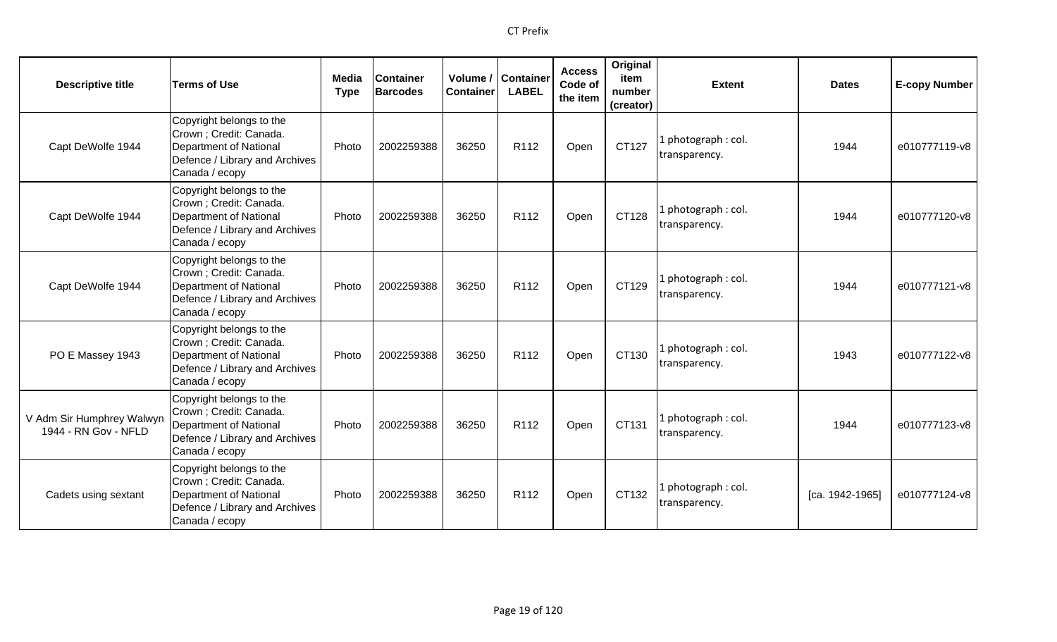| <b>Descriptive title</b>                          | <b>Terms of Use</b>                                                                                                               | Media<br><b>Type</b> | <b>Container</b><br><b>Barcodes</b> | Volume /<br><b>Container</b> | <b>Container</b><br><b>LABEL</b> | <b>Access</b><br>Code of<br>the item | Original<br>item<br>number<br>(creator) | <b>Extent</b>                       | <b>Dates</b>    | <b>E-copy Number</b> |
|---------------------------------------------------|-----------------------------------------------------------------------------------------------------------------------------------|----------------------|-------------------------------------|------------------------------|----------------------------------|--------------------------------------|-----------------------------------------|-------------------------------------|-----------------|----------------------|
| Capt DeWolfe 1944                                 | Copyright belongs to the<br>Crown ; Credit: Canada.<br>Department of National<br>Defence / Library and Archives<br>Canada / ecopy | Photo                | 2002259388                          | 36250                        | R112                             | Open                                 | CT127                                   | . photograph: col.<br>transparency. | 1944            | e010777119-v8        |
| Capt DeWolfe 1944                                 | Copyright belongs to the<br>Crown ; Credit: Canada.<br>Department of National<br>Defence / Library and Archives<br>Canada / ecopy | Photo                | 2002259388                          | 36250                        | R112                             | Open                                 | CT128                                   | L photograph: col.<br>transparency. | 1944            | e010777120-v8        |
| Capt DeWolfe 1944                                 | Copyright belongs to the<br>Crown ; Credit: Canada.<br>Department of National<br>Defence / Library and Archives<br>Canada / ecopy | Photo                | 2002259388                          | 36250                        | R <sub>112</sub>                 | Open                                 | CT129                                   | photograph: col.<br>transparency.   | 1944            | e010777121-v8        |
| PO E Massey 1943                                  | Copyright belongs to the<br>Crown ; Credit: Canada.<br>Department of National<br>Defence / Library and Archives<br>Canada / ecopy | Photo                | 2002259388                          | 36250                        | R <sub>112</sub>                 | Open                                 | CT130                                   | 1 photograph: col.<br>transparency. | 1943            | e010777122-v8        |
| V Adm Sir Humphrey Walwyn<br>1944 - RN Gov - NFLD | Copyright belongs to the<br>Crown ; Credit: Canada.<br>Department of National<br>Defence / Library and Archives<br>Canada / ecopy | Photo                | 2002259388                          | 36250                        | R <sub>112</sub>                 | Open                                 | CT131                                   | photograph: col.<br>transparency.   | 1944            | e010777123-v8        |
| Cadets using sextant                              | Copyright belongs to the<br>Crown ; Credit: Canada.<br>Department of National<br>Defence / Library and Archives<br>Canada / ecopy | Photo                | 2002259388                          | 36250                        | R <sub>112</sub>                 | Open                                 | CT132                                   | l photograph: col.<br>transparency. | [ca. 1942-1965] | e010777124-v8        |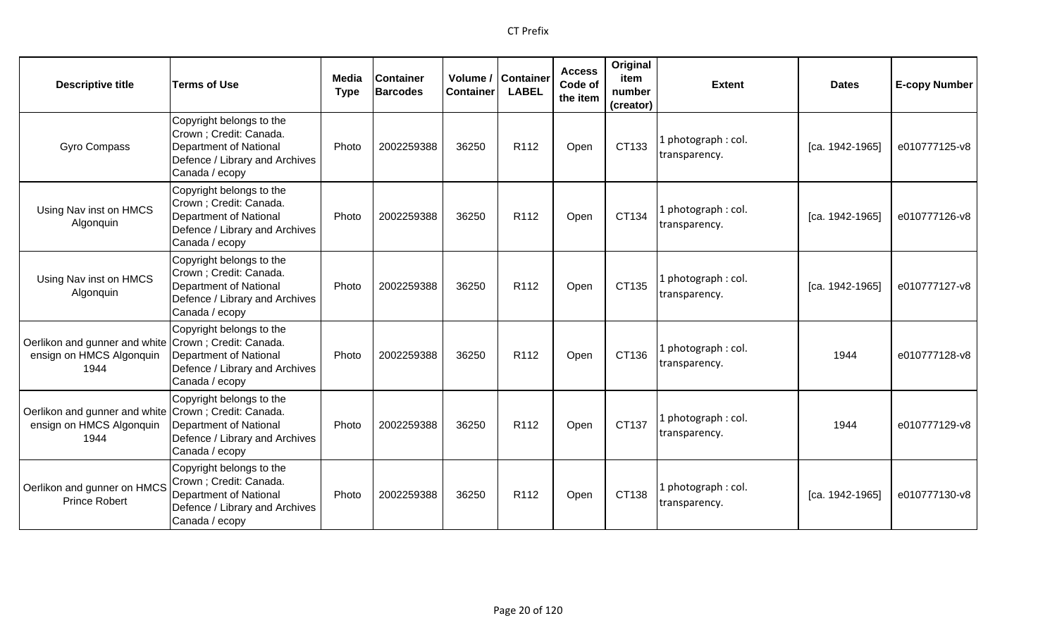| <b>Descriptive title</b>                                                                 | <b>Terms of Use</b>                                                                                                                      | Media<br><b>Type</b> | <b>Container</b><br><b>Barcodes</b> | Volume /<br><b>Container</b> | <b>Container</b><br><b>LABEL</b> | <b>Access</b><br>Code of<br>the item | Original<br>item<br>number<br>(creator) | <b>Extent</b>                        | <b>Dates</b>    | <b>E-copy Number</b> |
|------------------------------------------------------------------------------------------|------------------------------------------------------------------------------------------------------------------------------------------|----------------------|-------------------------------------|------------------------------|----------------------------------|--------------------------------------|-----------------------------------------|--------------------------------------|-----------------|----------------------|
| <b>Gyro Compass</b>                                                                      | Copyright belongs to the<br>Crown ; Credit: Canada.<br><b>Department of National</b><br>Defence / Library and Archives<br>Canada / ecopy | Photo                | 2002259388                          | 36250                        | R <sub>112</sub>                 | Open                                 | CT133                                   | . photograph: col.<br>transparency.  | [ca. 1942-1965] | e010777125-v8        |
| Using Nav inst on HMCS<br>Algonquin                                                      | Copyright belongs to the<br>Crown; Credit: Canada.<br><b>Department of National</b><br>Defence / Library and Archives<br>Canada / ecopy  | Photo                | 2002259388                          | 36250                        | R112                             | Open                                 | CT134                                   | l photograph : col.<br>transparency. | [ca. 1942-1965] | e010777126-v8        |
| Using Nav inst on HMCS<br>Algonquin                                                      | Copyright belongs to the<br>Crown; Credit: Canada.<br><b>Department of National</b><br>Defence / Library and Archives<br>Canada / ecopy  | Photo                | 2002259388                          | 36250                        | R112                             | Open                                 | CT135                                   | . photograph: col.<br>transparency.  | [ca. 1942-1965] | e010777127-v8        |
| Oerlikon and gunner and white Crown; Credit: Canada.<br>ensign on HMCS Algonquin<br>1944 | Copyright belongs to the<br><b>Department of National</b><br>Defence / Library and Archives<br>Canada / ecopy                            | Photo                | 2002259388                          | 36250                        | R <sub>112</sub>                 | Open                                 | CT136                                   | photograph: col.<br>transparency.    | 1944            | e010777128-v8        |
| Oerlikon and gunner and white Crown; Credit: Canada.<br>ensign on HMCS Algonquin<br>1944 | Copyright belongs to the<br>Department of National<br>Defence / Library and Archives<br>Canada / ecopy                                   | Photo                | 2002259388                          | 36250                        | R112                             | Open                                 | CT137                                   | . photograph: col.<br>transparency.  | 1944            | e010777129-v8        |
| Oerlikon and gunner on HMCS<br><b>Prince Robert</b>                                      | Copyright belongs to the<br>Crown ; Credit: Canada.<br><b>Department of National</b><br>Defence / Library and Archives<br>Canada / ecopy | Photo                | 2002259388                          | 36250                        | R112                             | Open                                 | CT138                                   | photograph: col.<br>transparency.    | [ca. 1942-1965] | e010777130-v8        |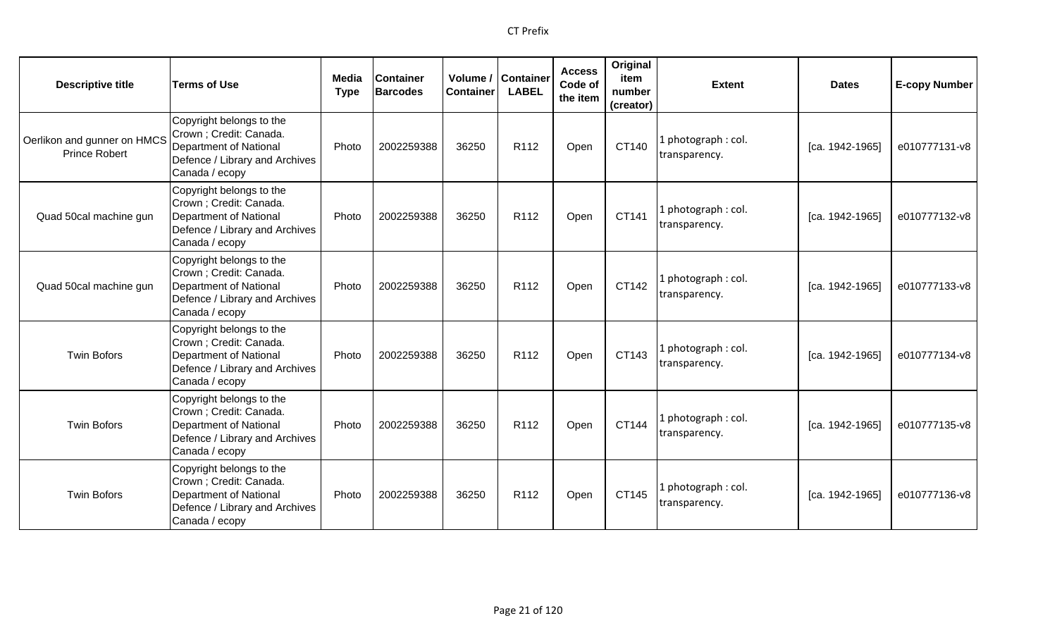| <b>Descriptive title</b>                            | <b>Terms of Use</b>                                                                                                               | Media<br><b>Type</b> | <b>Container</b><br><b>Barcodes</b> | <b>Container</b> | Volume / Container<br><b>LABEL</b> | <b>Access</b><br>Code of<br>the item | Original<br>item<br>number<br>(creator) | <b>Extent</b>                       | <b>Dates</b>    | <b>E-copy Number</b> |
|-----------------------------------------------------|-----------------------------------------------------------------------------------------------------------------------------------|----------------------|-------------------------------------|------------------|------------------------------------|--------------------------------------|-----------------------------------------|-------------------------------------|-----------------|----------------------|
| Oerlikon and gunner on HMCS<br><b>Prince Robert</b> | Copyright belongs to the<br>Crown ; Credit: Canada.<br>Department of National<br>Defence / Library and Archives<br>Canada / ecopy | Photo                | 2002259388                          | 36250            | R112                               | Open                                 | CT140                                   | 1 photograph: col.<br>transparency. | [ca. 1942-1965] | e010777131-v8        |
| Quad 50cal machine gun                              | Copyright belongs to the<br>Crown ; Credit: Canada.<br>Department of National<br>Defence / Library and Archives<br>Canada / ecopy | Photo                | 2002259388                          | 36250            | R <sub>112</sub>                   | Open                                 | CT141                                   | 1 photograph: col.<br>transparency. | [ca. 1942-1965] | e010777132-v8        |
| Quad 50cal machine gun                              | Copyright belongs to the<br>Crown ; Credit: Canada.<br>Department of National<br>Defence / Library and Archives<br>Canada / ecopy | Photo                | 2002259388                          | 36250            | R <sub>112</sub>                   | Open                                 | CT142                                   | 1 photograph: col.<br>transparency. | [ca. 1942-1965] | e010777133-v8        |
| <b>Twin Bofors</b>                                  | Copyright belongs to the<br>Crown ; Credit: Canada.<br>Department of National<br>Defence / Library and Archives<br>Canada / ecopy | Photo                | 2002259388                          | 36250            | R112                               | Open                                 | CT143                                   | 1 photograph: col.<br>transparency. | [ca. 1942-1965] | e010777134-v8        |
| <b>Twin Bofors</b>                                  | Copyright belongs to the<br>Crown ; Credit: Canada.<br>Department of National<br>Defence / Library and Archives<br>Canada / ecopy | Photo                | 2002259388                          | 36250            | R <sub>112</sub>                   | Open                                 | CT144                                   | 1 photograph: col.<br>transparency. | [ca. 1942-1965] | e010777135-v8        |
| <b>Twin Bofors</b>                                  | Copyright belongs to the<br>Crown ; Credit: Canada.<br>Department of National<br>Defence / Library and Archives<br>Canada / ecopy | Photo                | 2002259388                          | 36250            | R <sub>112</sub>                   | Open                                 | CT145                                   | 1 photograph: col.<br>transparency. | [ca. 1942-1965] | e010777136-v8        |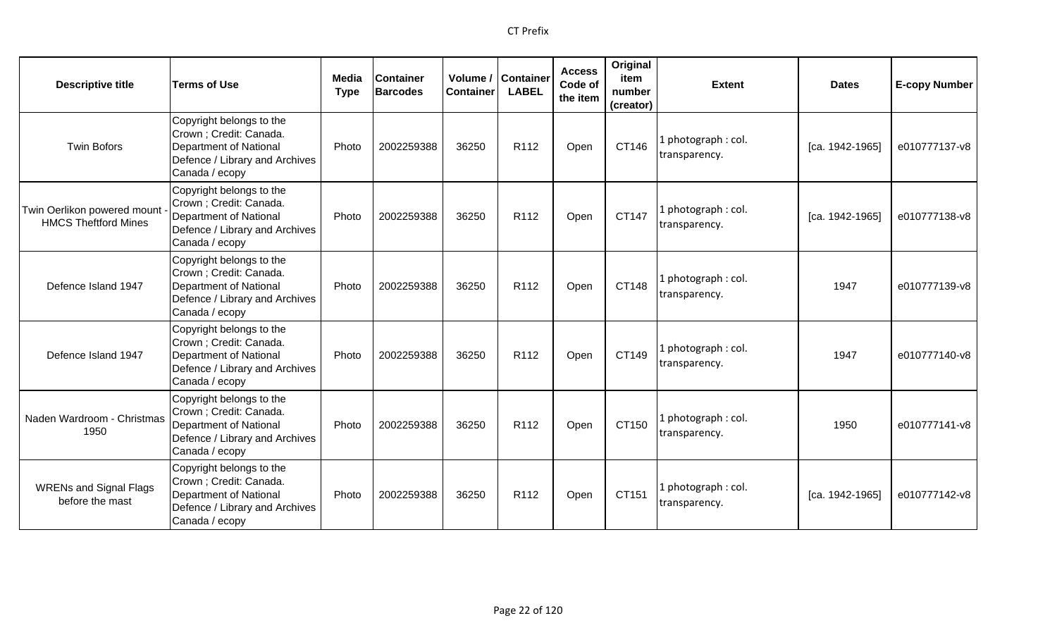| <b>Descriptive title</b>                                   | <b>Terms of Use</b>                                                                                                               | Media<br><b>Type</b> | <b>Container</b><br><b>Barcodes</b> | <b>Container</b> | Volume / Container<br><b>LABEL</b> | <b>Access</b><br>Code of<br>the item | Original<br>item<br>number<br>(creator) | <b>Extent</b>                        | <b>Dates</b>      | <b>E-copy Number</b> |
|------------------------------------------------------------|-----------------------------------------------------------------------------------------------------------------------------------|----------------------|-------------------------------------|------------------|------------------------------------|--------------------------------------|-----------------------------------------|--------------------------------------|-------------------|----------------------|
| <b>Twin Bofors</b>                                         | Copyright belongs to the<br>Crown ; Credit: Canada.<br>Department of National<br>Defence / Library and Archives<br>Canada / ecopy | Photo                | 2002259388                          | 36250            | R <sub>112</sub>                   | Open                                 | CT146                                   | L photograph : col.<br>transparency. | $[ca. 1942-1965]$ | e010777137-v8        |
| Twin Oerlikon powered mount<br><b>HMCS Theftford Mines</b> | Copyright belongs to the<br>Crown; Credit: Canada.<br>Department of National<br>Defence / Library and Archives<br>Canada / ecopy  | Photo                | 2002259388                          | 36250            | R112                               | Open                                 | CT147                                   | 1 photograph : col.<br>transparency. | [ca. 1942-1965]   | e010777138-v8        |
| Defence Island 1947                                        | Copyright belongs to the<br>Crown ; Credit: Canada.<br>Department of National<br>Defence / Library and Archives<br>Canada / ecopy | Photo                | 2002259388                          | 36250            | R <sub>112</sub>                   | Open                                 | CT148                                   | 1 photograph: col.<br>transparency.  | 1947              | e010777139-v8        |
| Defence Island 1947                                        | Copyright belongs to the<br>Crown; Credit: Canada.<br>Department of National<br>Defence / Library and Archives<br>Canada / ecopy  | Photo                | 2002259388                          | 36250            | R <sub>112</sub>                   | Open                                 | CT149                                   | 1 photograph: col.<br>transparency.  | 1947              | e010777140-v8        |
| Naden Wardroom - Christmas<br>1950                         | Copyright belongs to the<br>Crown ; Credit: Canada.<br>Department of National<br>Defence / Library and Archives<br>Canada / ecopy | Photo                | 2002259388                          | 36250            | R112                               | Open                                 | CT150                                   | L photograph : col.<br>transparency. | 1950              | e010777141-v8        |
| <b>WRENs and Signal Flags</b><br>before the mast           | Copyright belongs to the<br>Crown; Credit: Canada.<br>Department of National<br>Defence / Library and Archives<br>Canada / ecopy  | Photo                | 2002259388                          | 36250            | R <sub>112</sub>                   | Open                                 | CT151                                   | 1 photograph: col.<br>transparency.  | [ca. 1942-1965]   | e010777142-v8        |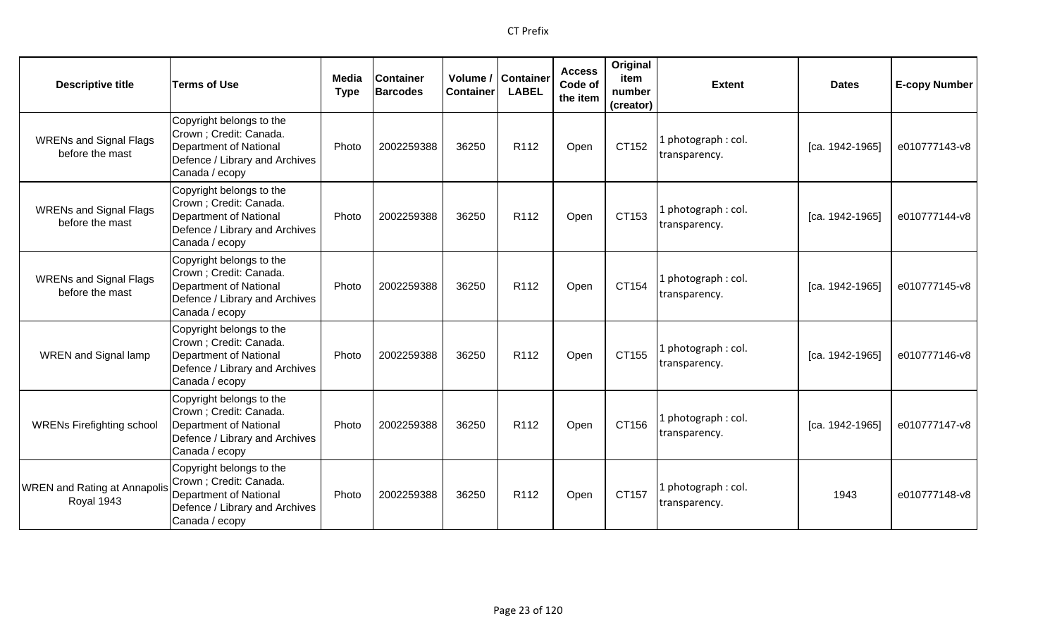| <b>Descriptive title</b>                          | <b>Terms of Use</b>                                                                                                                      | Media<br><b>Type</b> | <b>Container</b><br><b>Barcodes</b> | Volume /<br><b>Container</b> | Container<br><b>LABEL</b> | <b>Access</b><br>Code of<br>the item | Original<br>item<br>number<br>(creator) | <b>Extent</b>                        | <b>Dates</b>      | <b>E-copy Number</b> |
|---------------------------------------------------|------------------------------------------------------------------------------------------------------------------------------------------|----------------------|-------------------------------------|------------------------------|---------------------------|--------------------------------------|-----------------------------------------|--------------------------------------|-------------------|----------------------|
| <b>WRENs and Signal Flags</b><br>before the mast  | Copyright belongs to the<br>Crown ; Credit: Canada.<br><b>Department of National</b><br>Defence / Library and Archives<br>Canada / ecopy | Photo                | 2002259388                          | 36250                        | R112                      | Open                                 | CT152                                   | photograph: col.<br>transparency.    | [ca. 1942-1965]   | e010777143-v8        |
| <b>WRENs and Signal Flags</b><br>before the mast  | Copyright belongs to the<br>Crown ; Credit: Canada.<br><b>Department of National</b><br>Defence / Library and Archives<br>Canada / ecopy | Photo                | 2002259388                          | 36250                        | R112                      | Open                                 | CT153                                   | photograph: col.<br>transparency.    | [ca. 1942-1965]   | e010777144-v8        |
| <b>WRENs and Signal Flags</b><br>before the mast  | Copyright belongs to the<br>Crown ; Credit: Canada.<br><b>Department of National</b><br>Defence / Library and Archives<br>Canada / ecopy | Photo                | 2002259388                          | 36250                        | R <sub>112</sub>          | Open                                 | CT154                                   | l photograph : col.<br>transparency. | $[ca. 1942-1965]$ | e010777145-v8        |
| <b>WREN</b> and Signal lamp                       | Copyright belongs to the<br>Crown ; Credit: Canada.<br><b>Department of National</b><br>Defence / Library and Archives<br>Canada / ecopy | Photo                | 2002259388                          | 36250                        | R <sub>112</sub>          | Open                                 | CT155                                   | l photograph : col.<br>transparency. | [ca. 1942-1965]   | e010777146-v8        |
| <b>WRENs Firefighting school</b>                  | Copyright belongs to the<br>Crown ; Credit: Canada.<br><b>Department of National</b><br>Defence / Library and Archives<br>Canada / ecopy | Photo                | 2002259388                          | 36250                        | R112                      | Open                                 | CT156                                   | photograph: col.<br>transparency.    | [ca. 1942-1965]   | e010777147-v8        |
| <b>WREN</b> and Rating at Annapolis<br>Royal 1943 | Copyright belongs to the<br>Crown ; Credit: Canada.<br><b>Department of National</b><br>Defence / Library and Archives<br>Canada / ecopy | Photo                | 2002259388                          | 36250                        | R <sub>112</sub>          | Open                                 | CT157                                   | photograph: col.<br>transparency.    | 1943              | e010777148-v8        |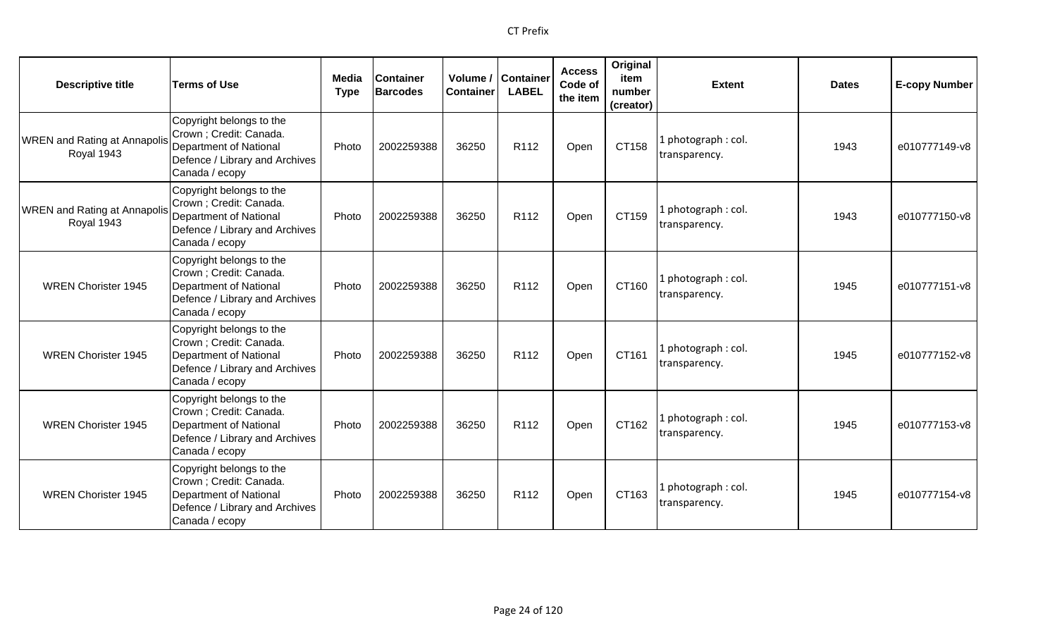| <b>Descriptive title</b>                          | <b>Terms of Use</b>                                                                                                               | Media<br><b>Type</b> | <b>Container</b><br><b>Barcodes</b> | <b>Container</b> | Volume / Container<br><b>LABEL</b> | <b>Access</b><br>Code of<br>the item | Original<br>item<br>number<br>(creator) | <b>Extent</b>                        | <b>Dates</b> | <b>E-copy Number</b> |
|---------------------------------------------------|-----------------------------------------------------------------------------------------------------------------------------------|----------------------|-------------------------------------|------------------|------------------------------------|--------------------------------------|-----------------------------------------|--------------------------------------|--------------|----------------------|
| <b>WREN</b> and Rating at Annapolis<br>Royal 1943 | Copyright belongs to the<br>Crown ; Credit: Canada.<br>Department of National<br>Defence / Library and Archives<br>Canada / ecopy | Photo                | 2002259388                          | 36250            | R <sub>112</sub>                   | Open                                 | CT158                                   | 1 photograph: col.<br>transparency.  | 1943         | e010777149-v8        |
| <b>WREN and Rating at Annapolis</b><br>Royal 1943 | Copyright belongs to the<br>Crown ; Credit: Canada.<br>Department of National<br>Defence / Library and Archives<br>Canada / ecopy | Photo                | 2002259388                          | 36250            | R112                               | Open                                 | CT159                                   | 1 photograph: col.<br>transparency.  | 1943         | e010777150-v8        |
| <b>WREN Chorister 1945</b>                        | Copyright belongs to the<br>Crown ; Credit: Canada.<br>Department of National<br>Defence / Library and Archives<br>Canada / ecopy | Photo                | 2002259388                          | 36250            | R <sub>112</sub>                   | Open                                 | CT160                                   | 1 photograph: col.<br>transparency.  | 1945         | e010777151-v8        |
| <b>WREN Chorister 1945</b>                        | Copyright belongs to the<br>Crown ; Credit: Canada.<br>Department of National<br>Defence / Library and Archives<br>Canada / ecopy | Photo                | 2002259388                          | 36250            | R112                               | Open                                 | CT161                                   | 1 photograph: col.<br>transparency.  | 1945         | e010777152-v8        |
| <b>WREN Chorister 1945</b>                        | Copyright belongs to the<br>Crown ; Credit: Canada.<br>Department of National<br>Defence / Library and Archives<br>Canada / ecopy | Photo                | 2002259388                          | 36250            | R112                               | Open                                 | CT162                                   | 1 photograph : col.<br>transparency. | 1945         | e010777153-v8        |
| <b>WREN Chorister 1945</b>                        | Copyright belongs to the<br>Crown ; Credit: Canada.<br>Department of National<br>Defence / Library and Archives<br>Canada / ecopy | Photo                | 2002259388                          | 36250            | R <sub>112</sub>                   | Open                                 | CT163                                   | 1 photograph: col.<br>transparency.  | 1945         | e010777154-v8        |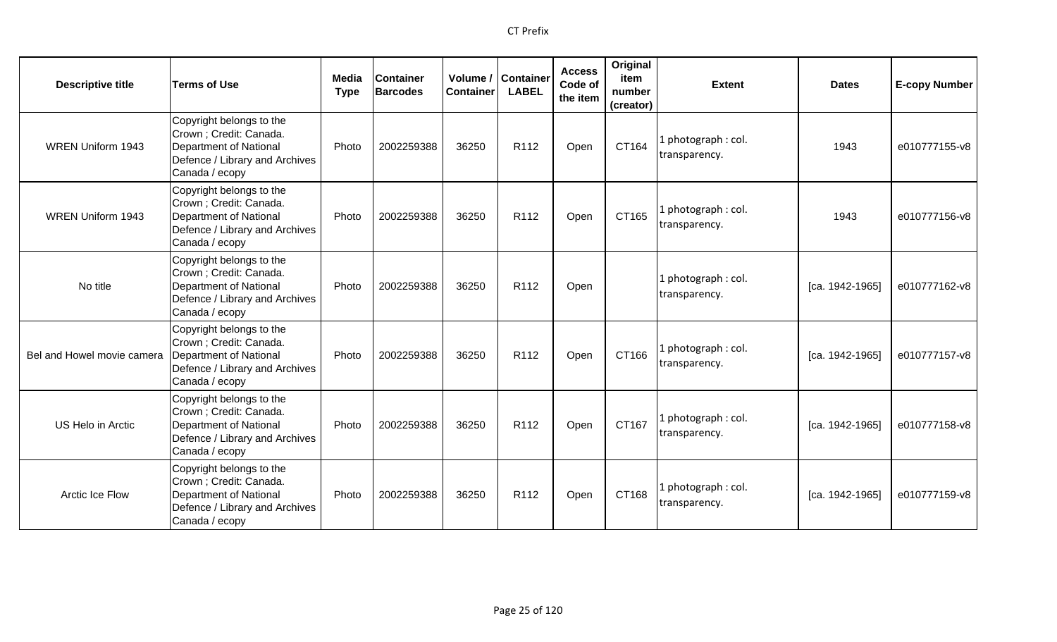| <b>Descriptive title</b>   | <b>Terms of Use</b>                                                                                                                      | <b>Media</b><br><b>Type</b> | <b>Container</b><br><b>Barcodes</b> | <b>Container</b> | Volume / Container<br><b>LABEL</b> | <b>Access</b><br>Code of<br>the item | Original<br>item<br>number<br>(creator) | <b>Extent</b>                       | <b>Dates</b>      | <b>E-copy Number</b> |
|----------------------------|------------------------------------------------------------------------------------------------------------------------------------------|-----------------------------|-------------------------------------|------------------|------------------------------------|--------------------------------------|-----------------------------------------|-------------------------------------|-------------------|----------------------|
| <b>WREN Uniform 1943</b>   | Copyright belongs to the<br>Crown ; Credit: Canada.<br><b>Department of National</b><br>Defence / Library and Archives<br>Canada / ecopy | Photo                       | 2002259388                          | 36250            | R112                               | Open                                 | CT164                                   | 1 photograph: col.<br>transparency. | 1943              | e010777155-v8        |
| <b>WREN Uniform 1943</b>   | Copyright belongs to the<br>Crown; Credit: Canada.<br><b>Department of National</b><br>Defence / Library and Archives<br>Canada / ecopy  | Photo                       | 2002259388                          | 36250            | R <sub>112</sub>                   | Open                                 | CT165                                   | 1 photograph: col.<br>transparency. | 1943              | e010777156-v8        |
| No title                   | Copyright belongs to the<br>Crown; Credit: Canada.<br>Department of National<br>Defence / Library and Archives<br>Canada / ecopy         | Photo                       | 2002259388                          | 36250            | R112                               | Open                                 |                                         | 1 photograph: col.<br>transparency. | $[ca. 1942-1965]$ | e010777162-v8        |
| Bel and Howel movie camera | Copyright belongs to the<br>Crown; Credit: Canada.<br><b>Department of National</b><br>Defence / Library and Archives<br>Canada / ecopy  | Photo                       | 2002259388                          | 36250            | R112                               | Open                                 | CT166                                   | 1 photograph: col.<br>transparency. | [ca. 1942-1965]   | e010777157-v8        |
| US Helo in Arctic          | Copyright belongs to the<br>Crown ; Credit: Canada.<br><b>Department of National</b><br>Defence / Library and Archives<br>Canada / ecopy | Photo                       | 2002259388                          | 36250            | R <sub>112</sub>                   | Open                                 | CT167                                   | 1 photograph: col.<br>transparency. | [ca. 1942-1965]   | e010777158-v8        |
| <b>Arctic Ice Flow</b>     | Copyright belongs to the<br>Crown; Credit: Canada.<br><b>Department of National</b><br>Defence / Library and Archives<br>Canada / ecopy  | Photo                       | 2002259388                          | 36250            | R112                               | Open                                 | CT168                                   | 1 photograph: col.<br>transparency. | [ca. 1942-1965]   | e010777159-v8        |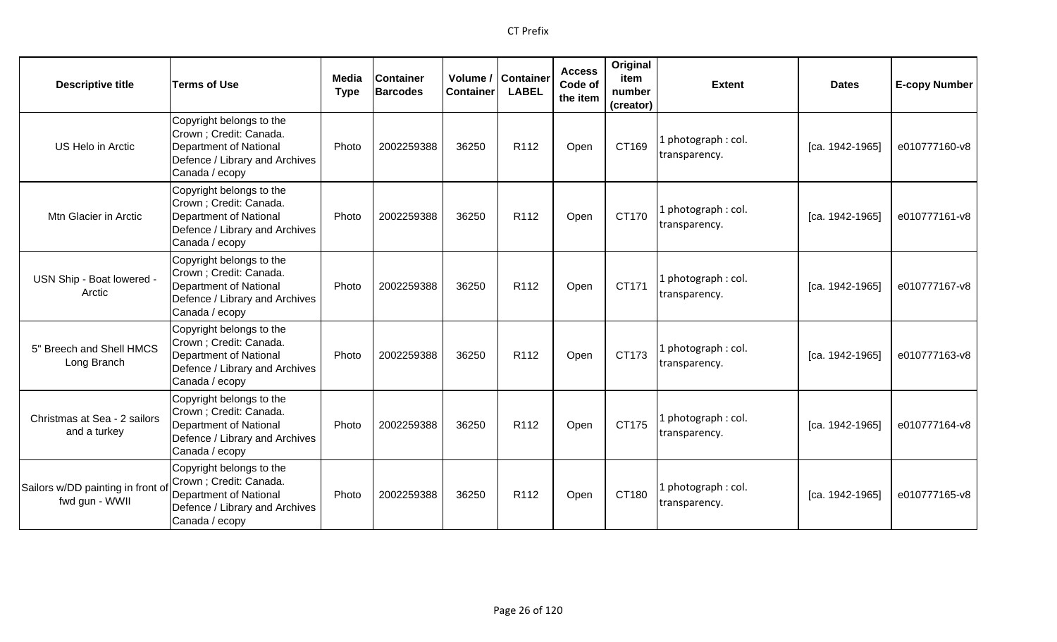| <b>Descriptive title</b>                           | <b>Terms of Use</b>                                                                                                                      | Media<br><b>Type</b> | <b>Container</b><br><b>Barcodes</b> | Volume /<br><b>Container</b> | <b>Container</b><br><b>LABEL</b> | <b>Access</b><br>Code of<br>the item | Original<br>item<br>number<br>(creator) | <b>Extent</b>                        | <b>Dates</b>      | <b>E-copy Number</b> |
|----------------------------------------------------|------------------------------------------------------------------------------------------------------------------------------------------|----------------------|-------------------------------------|------------------------------|----------------------------------|--------------------------------------|-----------------------------------------|--------------------------------------|-------------------|----------------------|
| US Helo in Arctic                                  | Copyright belongs to the<br>Crown ; Credit: Canada.<br><b>Department of National</b><br>Defence / Library and Archives<br>Canada / ecopy | Photo                | 2002259388                          | 36250                        | R <sub>112</sub>                 | Open                                 | CT169                                   | . photograph: col.<br>transparency.  | [ca. 1942-1965]   | e010777160-v8        |
| Mtn Glacier in Arctic                              | Copyright belongs to the<br>Crown ; Credit: Canada.<br><b>Department of National</b><br>Defence / Library and Archives<br>Canada / ecopy | Photo                | 2002259388                          | 36250                        | R112                             | Open                                 | CT170                                   | L photograph : col.<br>transparency. | [ca. 1942-1965]   | e010777161-v8        |
| USN Ship - Boat lowered -<br>Arctic                | Copyright belongs to the<br>Crown; Credit: Canada.<br><b>Department of National</b><br>Defence / Library and Archives<br>Canada / ecopy  | Photo                | 2002259388                          | 36250                        | R112                             | Open                                 | CT171                                   | photograph: col.<br>transparency.    | [ca. 1942-1965]   | e010777167-v8        |
| 5" Breech and Shell HMCS<br>Long Branch            | Copyright belongs to the<br>Crown; Credit: Canada.<br><b>Department of National</b><br>Defence / Library and Archives<br>Canada / ecopy  | Photo                | 2002259388                          | 36250                        | R <sub>112</sub>                 | Open                                 | CT173                                   | l photograph : col.<br>transparency. | [ca. 1942-1965]   | e010777163-v8        |
| Christmas at Sea - 2 sailors<br>and a turkey       | Copyright belongs to the<br>Crown ; Credit: Canada.<br><b>Department of National</b><br>Defence / Library and Archives<br>Canada / ecopy | Photo                | 2002259388                          | 36250                        | R112                             | Open                                 | CT175                                   | I photograph: col.<br>transparency.  | $[ca. 1942-1965]$ | e010777164-v8        |
| Sailors w/DD painting in front o<br>fwd gun - WWII | Copyright belongs to the<br>Crown ; Credit: Canada.<br><b>Department of National</b><br>Defence / Library and Archives<br>Canada / ecopy | Photo                | 2002259388                          | 36250                        | R112                             | Open                                 | CT180                                   | I photograph: col.<br>transparency.  | [ca. 1942-1965]   | e010777165-v8        |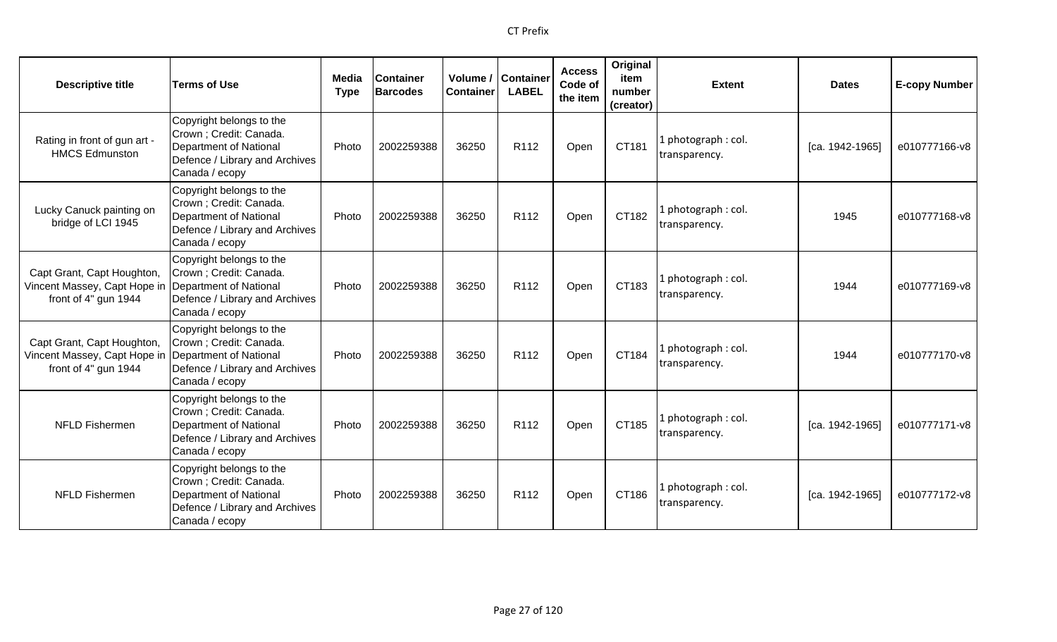| <b>Descriptive title</b>                                                           | <b>Terms of Use</b>                                                                                                               | Media<br><b>Type</b> | <b>Container</b><br><b>Barcodes</b> | Volume /<br><b>Container</b> | <b>Container</b><br><b>LABEL</b> | <b>Access</b><br>Code of<br>the item | Original<br>item<br>number<br>(creator) | <b>Extent</b>                        | <b>Dates</b>      | <b>E-copy Number</b> |
|------------------------------------------------------------------------------------|-----------------------------------------------------------------------------------------------------------------------------------|----------------------|-------------------------------------|------------------------------|----------------------------------|--------------------------------------|-----------------------------------------|--------------------------------------|-------------------|----------------------|
| Rating in front of gun art -<br><b>HMCS Edmunston</b>                              | Copyright belongs to the<br>Crown ; Credit: Canada.<br>Department of National<br>Defence / Library and Archives<br>Canada / ecopy | Photo                | 2002259388                          | 36250                        | R112                             | Open                                 | CT181                                   | 1 photograph : col.<br>transparency. | $[ca. 1942-1965]$ | e010777166-v8        |
| Lucky Canuck painting on<br>bridge of LCI 1945                                     | Copyright belongs to the<br>Crown; Credit: Canada.<br>Department of National<br>Defence / Library and Archives<br>Canada / ecopy  | Photo                | 2002259388                          | 36250                        | R112                             | Open                                 | CT182                                   | 1 photograph: col.<br>transparency.  | 1945              | e010777168-v8        |
| Capt Grant, Capt Houghton,<br>Vincent Massey, Capt Hope in<br>front of 4" gun 1944 | Copyright belongs to the<br>Crown ; Credit: Canada.<br>Department of National<br>Defence / Library and Archives<br>Canada / ecopy | Photo                | 2002259388                          | 36250                        | R <sub>112</sub>                 | Open                                 | CT183                                   | 1 photograph: col.<br>transparency.  | 1944              | e010777169-v8        |
| Capt Grant, Capt Houghton,<br>Vincent Massey, Capt Hope in<br>front of 4" gun 1944 | Copyright belongs to the<br>Crown ; Credit: Canada.<br>Department of National<br>Defence / Library and Archives<br>Canada / ecopy | Photo                | 2002259388                          | 36250                        | R <sub>112</sub>                 | Open                                 | CT184                                   | 1 photograph: col.<br>transparency.  | 1944              | e010777170-v8        |
| <b>NFLD Fishermen</b>                                                              | Copyright belongs to the<br>Crown; Credit: Canada.<br>Department of National<br>Defence / Library and Archives<br>Canada / ecopy  | Photo                | 2002259388                          | 36250                        | R <sub>112</sub>                 | Open                                 | CT185                                   | 1 photograph: col.<br>transparency.  | $[ca. 1942-1965]$ | e010777171-v8        |
| NFLD Fishermen                                                                     | Copyright belongs to the<br>Crown ; Credit: Canada.<br>Department of National<br>Defence / Library and Archives<br>Canada / ecopy | Photo                | 2002259388                          | 36250                        | R112                             | Open                                 | CT186                                   | 1 photograph: col.<br>transparency.  | [ca. 1942-1965]   | e010777172-v8        |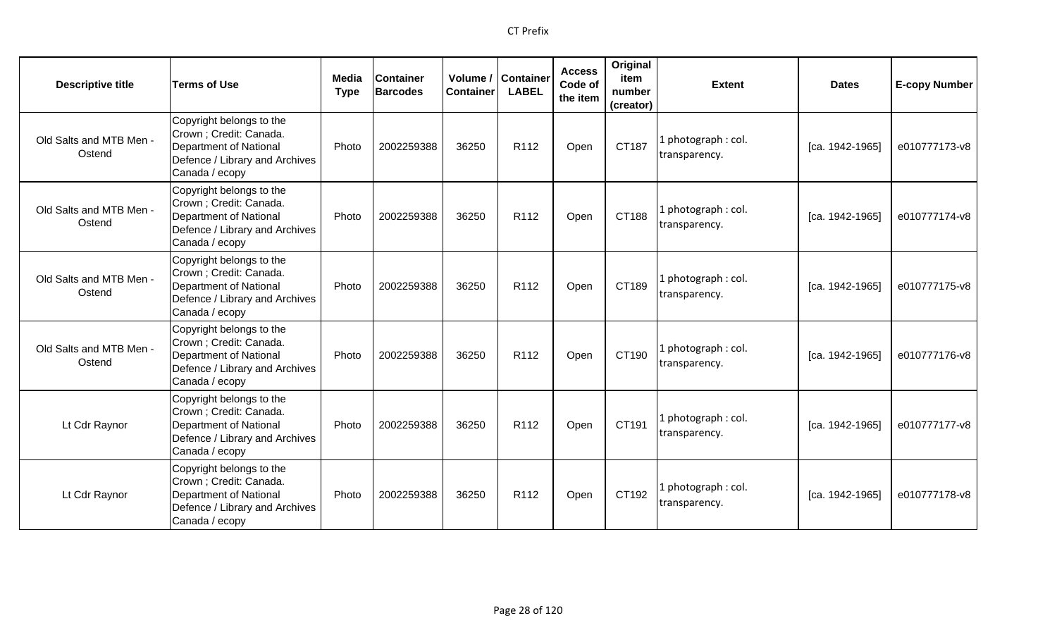| <b>Descriptive title</b>          | <b>Terms of Use</b>                                                                                                                      | Media<br><b>Type</b> | <b>Container</b><br><b>Barcodes</b> | <b>Container</b> | Volume / Container<br><b>LABEL</b> | <b>Access</b><br>Code of<br>the item | Original<br>item<br>number<br>(creator) | <b>Extent</b>                        | <b>Dates</b>      | <b>E-copy Number</b> |
|-----------------------------------|------------------------------------------------------------------------------------------------------------------------------------------|----------------------|-------------------------------------|------------------|------------------------------------|--------------------------------------|-----------------------------------------|--------------------------------------|-------------------|----------------------|
| Old Salts and MTB Men -<br>Ostend | Copyright belongs to the<br>Crown ; Credit: Canada.<br><b>Department of National</b><br>Defence / Library and Archives<br>Canada / ecopy | Photo                | 2002259388                          | 36250            | R <sub>112</sub>                   | Open                                 | CT187                                   | . photograph: col.<br>transparency.  | [ca. 1942-1965]   | e010777173-v8        |
| Old Salts and MTB Men -<br>Ostend | Copyright belongs to the<br>Crown ; Credit: Canada.<br><b>Department of National</b><br>Defence / Library and Archives<br>Canada / ecopy | Photo                | 2002259388                          | 36250            | R112                               | Open                                 | CT188                                   | l photograph : col.<br>transparency. | $[ca. 1942-1965]$ | e010777174-v8        |
| Old Salts and MTB Men -<br>Ostend | Copyright belongs to the<br>Crown ; Credit: Canada.<br><b>Department of National</b><br>Defence / Library and Archives<br>Canada / ecopy | Photo                | 2002259388                          | 36250            | R <sub>112</sub>                   | Open                                 | CT189                                   | photograph: col.<br>transparency.    | [ca. 1942-1965]   | e010777175-v8        |
| Old Salts and MTB Men -<br>Ostend | Copyright belongs to the<br>Crown ; Credit: Canada.<br><b>Department of National</b><br>Defence / Library and Archives<br>Canada / ecopy | Photo                | 2002259388                          | 36250            | R <sub>112</sub>                   | Open                                 | CT190                                   | photograph: col.<br>transparency.    | [ca. 1942-1965]   | e010777176-v8        |
| Lt Cdr Raynor                     | Copyright belongs to the<br>Crown ; Credit: Canada.<br>Department of National<br>Defence / Library and Archives<br>Canada / ecopy        | Photo                | 2002259388                          | 36250            | R112                               | Open                                 | CT191                                   | L photograph : col.<br>transparency. | $[ca. 1942-1965]$ | e010777177-v8        |
| Lt Cdr Raynor                     | Copyright belongs to the<br>Crown ; Credit: Canada.<br><b>Department of National</b><br>Defence / Library and Archives<br>Canada / ecopy | Photo                | 2002259388                          | 36250            | R <sub>112</sub>                   | Open                                 | CT192                                   | l photograph : col.<br>transparency. | [ca. 1942-1965]   | e010777178-v8        |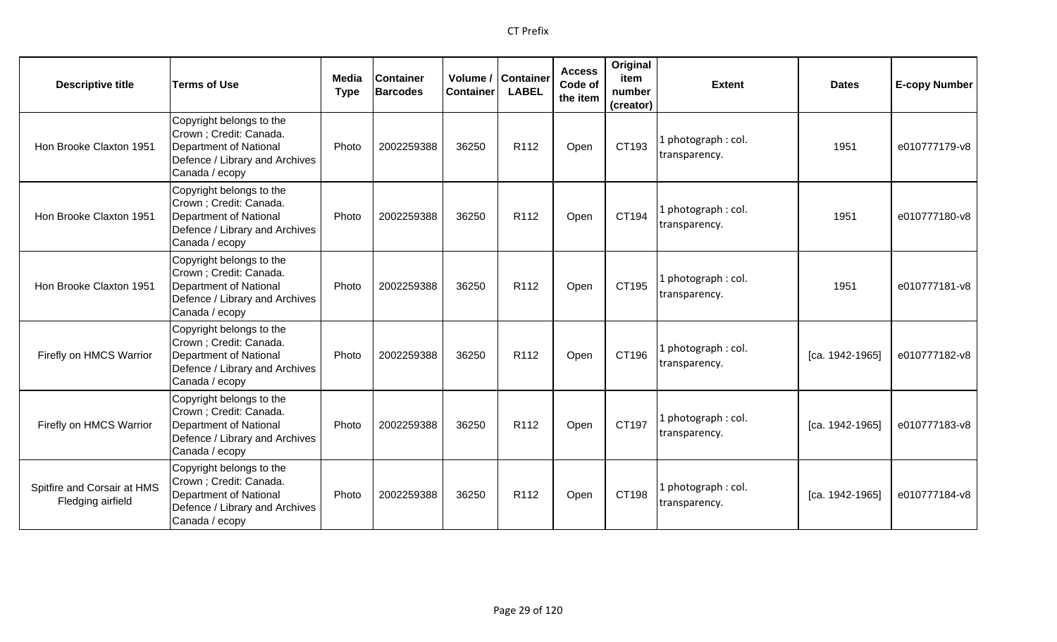| <b>Descriptive title</b>                         | <b>Terms of Use</b>                                                                                                               | Media<br><b>Type</b> | <b>Container</b><br><b>Barcodes</b> | Volume /<br><b>Container</b> | <b>Container</b><br><b>LABEL</b> | <b>Access</b><br>Code of<br>the item | Original<br>item<br>number<br>(creator) | <b>Extent</b>                       | <b>Dates</b>    | <b>E-copy Number</b> |
|--------------------------------------------------|-----------------------------------------------------------------------------------------------------------------------------------|----------------------|-------------------------------------|------------------------------|----------------------------------|--------------------------------------|-----------------------------------------|-------------------------------------|-----------------|----------------------|
| Hon Brooke Claxton 1951                          | Copyright belongs to the<br>Crown ; Credit: Canada.<br>Department of National<br>Defence / Library and Archives<br>Canada / ecopy | Photo                | 2002259388                          | 36250                        | R <sub>112</sub>                 | Open                                 | CT193                                   | 1 photograph: col.<br>transparency. | 1951            | e010777179-v8        |
| Hon Brooke Claxton 1951                          | Copyright belongs to the<br>Crown ; Credit: Canada.<br>Department of National<br>Defence / Library and Archives<br>Canada / ecopy | Photo                | 2002259388                          | 36250                        | R112                             | Open                                 | CT194                                   | 1 photograph: col.<br>transparency. | 1951            | e010777180-v8        |
| Hon Brooke Claxton 1951                          | Copyright belongs to the<br>Crown ; Credit: Canada.<br>Department of National<br>Defence / Library and Archives<br>Canada / ecopy | Photo                | 2002259388                          | 36250                        | R112                             | Open                                 | CT195                                   | 1 photograph: col.<br>transparency. | 1951            | e010777181-v8        |
| Firefly on HMCS Warrior                          | Copyright belongs to the<br>Crown ; Credit: Canada.<br>Department of National<br>Defence / Library and Archives<br>Canada / ecopy | Photo                | 2002259388                          | 36250                        | R <sub>112</sub>                 | Open                                 | CT196                                   | 1 photograph: col.<br>transparency. | [ca. 1942-1965] | e010777182-v8        |
| Firefly on HMCS Warrior                          | Copyright belongs to the<br>Crown ; Credit: Canada.<br>Department of National<br>Defence / Library and Archives<br>Canada / ecopy | Photo                | 2002259388                          | 36250                        | R112                             | Open                                 | CT197                                   | 1 photograph: col.<br>transparency. | [ca. 1942-1965] | e010777183-v8        |
| Spitfire and Corsair at HMS<br>Fledging airfield | Copyright belongs to the<br>Crown ; Credit: Canada.<br>Department of National<br>Defence / Library and Archives<br>Canada / ecopy | Photo                | 2002259388                          | 36250                        | R112                             | Open                                 | CT198                                   | 1 photograph: col.<br>transparency. | [ca. 1942-1965] | e010777184-v8        |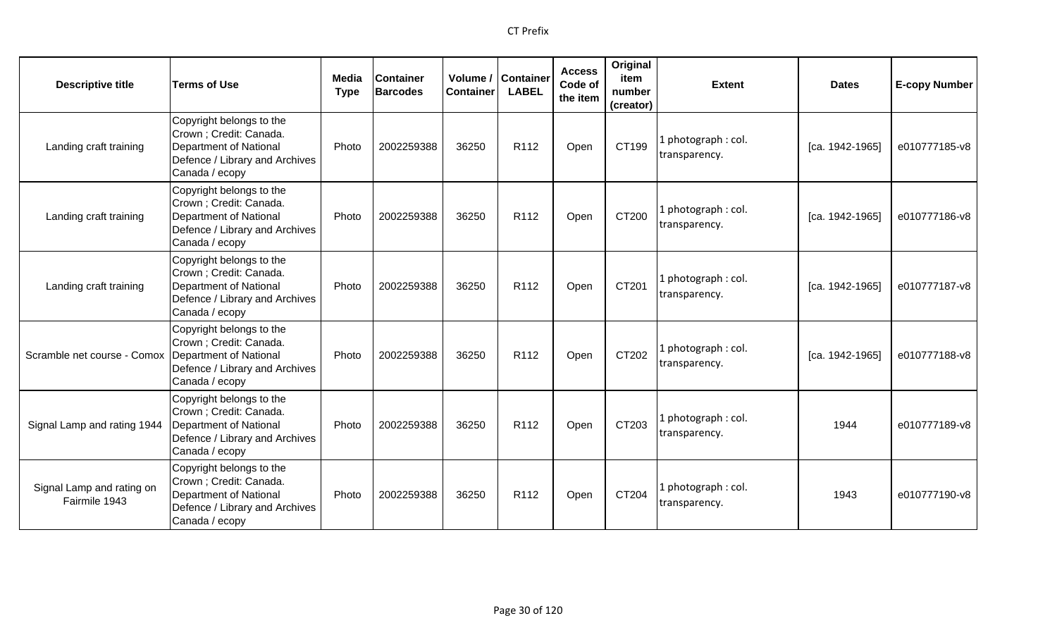| <b>Descriptive title</b>                   | <b>Terms of Use</b>                                                                                                               | Media<br><b>Type</b> | <b>Container</b><br><b>Barcodes</b> | Volume /<br><b>Container</b> | <b>Container</b><br><b>LABEL</b> | <b>Access</b><br>Code of<br>the item | Original<br>item<br>number<br>(creator) | <b>Extent</b>                       | <b>Dates</b>    | <b>E-copy Number</b> |
|--------------------------------------------|-----------------------------------------------------------------------------------------------------------------------------------|----------------------|-------------------------------------|------------------------------|----------------------------------|--------------------------------------|-----------------------------------------|-------------------------------------|-----------------|----------------------|
| Landing craft training                     | Copyright belongs to the<br>Crown ; Credit: Canada.<br>Department of National<br>Defence / Library and Archives<br>Canada / ecopy | Photo                | 2002259388                          | 36250                        | R <sub>112</sub>                 | Open                                 | CT199                                   | . photograph: col.<br>transparency. | [ca. 1942-1965] | e010777185-v8        |
| Landing craft training                     | Copyright belongs to the<br>Crown ; Credit: Canada.<br>Department of National<br>Defence / Library and Archives<br>Canada / ecopy | Photo                | 2002259388                          | 36250                        | R112                             | Open                                 | CT200                                   | l photograph: col.<br>transparency. | [ca. 1942-1965] | e010777186-v8        |
| Landing craft training                     | Copyright belongs to the<br>Crown ; Credit: Canada.<br>Department of National<br>Defence / Library and Archives<br>Canada / ecopy | Photo                | 2002259388                          | 36250                        | R <sub>112</sub>                 | Open                                 | CT201                                   | photograph: col.<br>transparency.   | [ca. 1942-1965] | e010777187-v8        |
| Scramble net course - Comox                | Copyright belongs to the<br>Crown ; Credit: Canada.<br>Department of National<br>Defence / Library and Archives<br>Canada / ecopy | Photo                | 2002259388                          | 36250                        | R <sub>112</sub>                 | Open                                 | CT202                                   | l photograph: col.<br>transparency. | [ca. 1942-1965] | e010777188-v8        |
| Signal Lamp and rating 1944                | Copyright belongs to the<br>Crown ; Credit: Canada.<br>Department of National<br>Defence / Library and Archives<br>Canada / ecopy | Photo                | 2002259388                          | 36250                        | R112                             | Open                                 | CT203                                   | I photograph: col.<br>transparency. | 1944            | e010777189-v8        |
| Signal Lamp and rating on<br>Fairmile 1943 | Copyright belongs to the<br>Crown ; Credit: Canada.<br>Department of National<br>Defence / Library and Archives<br>Canada / ecopy | Photo                | 2002259388                          | 36250                        | R <sub>112</sub>                 | Open                                 | CT204                                   | photograph: col.<br>transparency.   | 1943            | e010777190-v8        |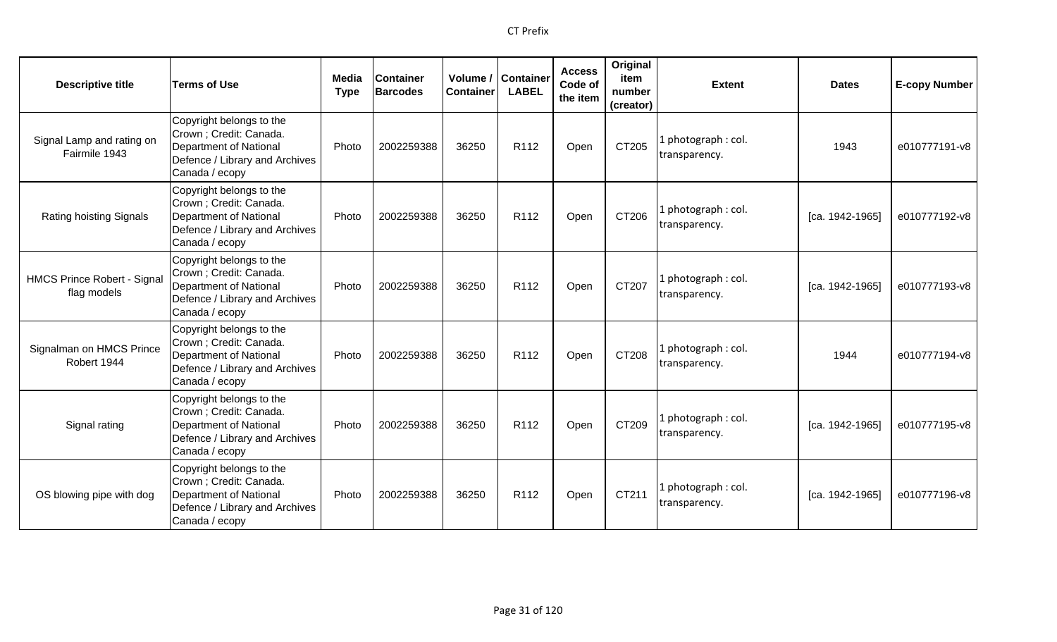| <b>Descriptive title</b>                          | <b>Terms of Use</b>                                                                                                                      | Media<br><b>Type</b> | <b>Container</b><br><b>Barcodes</b> | Volume /<br><b>Container</b> | <b>Container</b><br><b>LABEL</b> | <b>Access</b><br>Code of<br>the item | Original<br>item<br>number<br>(creator) | <b>Extent</b>                        | <b>Dates</b>      | <b>E-copy Number</b> |
|---------------------------------------------------|------------------------------------------------------------------------------------------------------------------------------------------|----------------------|-------------------------------------|------------------------------|----------------------------------|--------------------------------------|-----------------------------------------|--------------------------------------|-------------------|----------------------|
| Signal Lamp and rating on<br>Fairmile 1943        | Copyright belongs to the<br>Crown ; Credit: Canada.<br><b>Department of National</b><br>Defence / Library and Archives<br>Canada / ecopy | Photo                | 2002259388                          | 36250                        | R112                             | Open                                 | CT205                                   | . photograph: col.<br>transparency.  | 1943              | e010777191-v8        |
| Rating hoisting Signals                           | Copyright belongs to the<br>Crown ; Credit: Canada.<br><b>Department of National</b><br>Defence / Library and Archives<br>Canada / ecopy | Photo                | 2002259388                          | 36250                        | R112                             | Open                                 | CT206                                   | photograph: col.<br>transparency.    | [ca. 1942-1965]   | e010777192-v8        |
| <b>HMCS Prince Robert - Signal</b><br>flag models | Copyright belongs to the<br>Crown ; Credit: Canada.<br><b>Department of National</b><br>Defence / Library and Archives<br>Canada / ecopy | Photo                | 2002259388                          | 36250                        | R112                             | Open                                 | CT207                                   | photograph: col.<br>transparency.    | [ca. 1942-1965]   | e010777193-v8        |
| Signalman on HMCS Prince<br>Robert 1944           | Copyright belongs to the<br>Crown ; Credit: Canada.<br><b>Department of National</b><br>Defence / Library and Archives<br>Canada / ecopy | Photo                | 2002259388                          | 36250                        | R <sub>112</sub>                 | Open                                 | CT208                                   | l photograph : col.<br>transparency. | 1944              | e010777194-v8        |
| Signal rating                                     | Copyright belongs to the<br>Crown ; Credit: Canada.<br>Department of National<br>Defence / Library and Archives<br>Canada / ecopy        | Photo                | 2002259388                          | 36250                        | R112                             | Open                                 | CT209                                   | I photograph: col.<br>transparency.  | $[ca. 1942-1965]$ | e010777195-v8        |
| OS blowing pipe with dog                          | Copyright belongs to the<br>Crown ; Credit: Canada.<br><b>Department of National</b><br>Defence / Library and Archives<br>Canada / ecopy | Photo                | 2002259388                          | 36250                        | R112                             | Open                                 | CT211                                   | photograph: col.<br>transparency.    | [ca. 1942-1965]   | e010777196-v8        |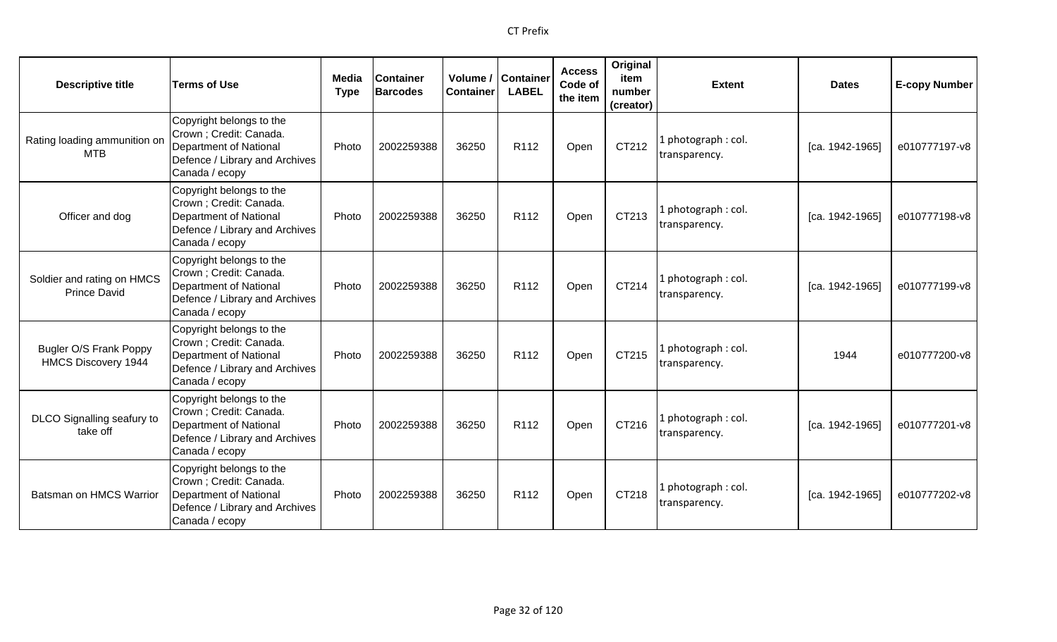| <b>Descriptive title</b>                                    | <b>Terms of Use</b>                                                                                                               | Media<br><b>Type</b> | <b>Container</b><br><b>Barcodes</b> | Container | Volume / Container<br><b>LABEL</b> | <b>Access</b><br>Code of<br>the item | Original<br>item<br>number<br>(creator) | <b>Extent</b>                        | <b>Dates</b>    | <b>E-copy Number</b> |
|-------------------------------------------------------------|-----------------------------------------------------------------------------------------------------------------------------------|----------------------|-------------------------------------|-----------|------------------------------------|--------------------------------------|-----------------------------------------|--------------------------------------|-----------------|----------------------|
| Rating loading ammunition on<br><b>MTB</b>                  | Copyright belongs to the<br>Crown ; Credit: Canada.<br>Department of National<br>Defence / Library and Archives<br>Canada / ecopy | Photo                | 2002259388                          | 36250     | R112                               | Open                                 | CT212                                   | l photograph : col.<br>transparency. | [ca. 1942-1965] | e010777197-v8        |
| Officer and dog                                             | Copyright belongs to the<br>Crown ; Credit: Canada.<br>Department of National<br>Defence / Library and Archives<br>Canada / ecopy | Photo                | 2002259388                          | 36250     | R112                               | Open                                 | CT213                                   | 1 photograph: col.<br>transparency.  | [ca. 1942-1965] | e010777198-v8        |
| Soldier and rating on HMCS<br><b>Prince David</b>           | Copyright belongs to the<br>Crown ; Credit: Canada.<br>Department of National<br>Defence / Library and Archives<br>Canada / ecopy | Photo                | 2002259388                          | 36250     | R <sub>112</sub>                   | Open                                 | CT214                                   | 1 photograph: col.<br>transparency.  | [ca. 1942-1965] | e010777199-v8        |
| <b>Bugler O/S Frank Poppy</b><br><b>HMCS Discovery 1944</b> | Copyright belongs to the<br>Crown ; Credit: Canada.<br>Department of National<br>Defence / Library and Archives<br>Canada / ecopy | Photo                | 2002259388                          | 36250     | R <sub>112</sub>                   | Open                                 | CT215                                   | 1 photograph: col.<br>transparency.  | 1944            | e010777200-v8        |
| DLCO Signalling seafury to<br>take off                      | Copyright belongs to the<br>Crown ; Credit: Canada.<br>Department of National<br>Defence / Library and Archives<br>Canada / ecopy | Photo                | 2002259388                          | 36250     | R112                               | Open                                 | CT216                                   | 1 photograph : col.<br>transparency. | [ca. 1942-1965] | e010777201-v8        |
| Batsman on HMCS Warrior                                     | Copyright belongs to the<br>Crown ; Credit: Canada.<br>Department of National<br>Defence / Library and Archives<br>Canada / ecopy | Photo                | 2002259388                          | 36250     | R <sub>112</sub>                   | Open                                 | CT218                                   | 1 photograph: col.<br>transparency.  | [ca. 1942-1965] | e010777202-v8        |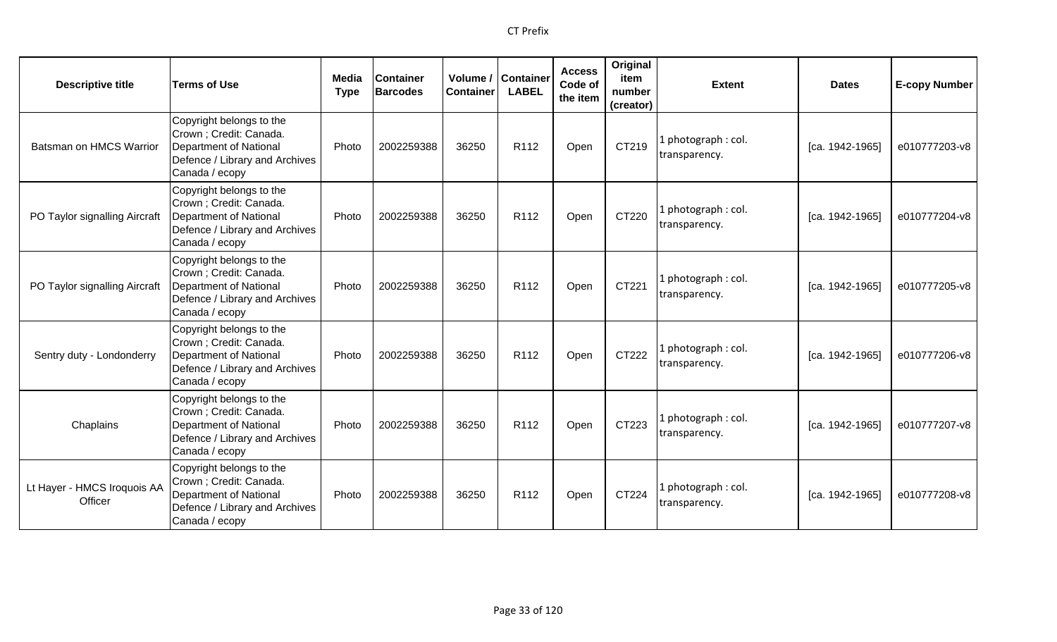| <b>Descriptive title</b>               | <b>Terms of Use</b>                                                                                                                      | <b>Media</b><br><b>Type</b> | <b>Container</b><br><b>Barcodes</b> | <b>Container</b> | Volume / Container<br><b>LABEL</b> | <b>Access</b><br>Code of<br>the item | Original<br>item<br>number<br>(creator) | <b>Extent</b>                        | <b>Dates</b>    | <b>E-copy Number</b> |
|----------------------------------------|------------------------------------------------------------------------------------------------------------------------------------------|-----------------------------|-------------------------------------|------------------|------------------------------------|--------------------------------------|-----------------------------------------|--------------------------------------|-----------------|----------------------|
| Batsman on HMCS Warrior                | Copyright belongs to the<br>Crown; Credit: Canada.<br><b>Department of National</b><br>Defence / Library and Archives<br>Canada / ecopy  | Photo                       | 2002259388                          | 36250            | R <sub>112</sub>                   | Open                                 | CT219                                   | L photograph: col.<br>transparency.  | [ca. 1942-1965] | e010777203-v8        |
| PO Taylor signalling Aircraft          | Copyright belongs to the<br>Crown; Credit: Canada.<br><b>Department of National</b><br>Defence / Library and Archives<br>Canada / ecopy  | Photo                       | 2002259388                          | 36250            | R112                               | Open                                 | CT220                                   | 1 photograph: col.<br>transparency.  | [ca. 1942-1965] | e010777204-v8        |
| PO Taylor signalling Aircraft          | Copyright belongs to the<br>Crown ; Credit: Canada.<br><b>Department of National</b><br>Defence / Library and Archives<br>Canada / ecopy | Photo                       | 2002259388                          | 36250            | R112                               | Open                                 | CT221                                   | 1 photograph: col.<br>transparency.  | [ca. 1942-1965] | e010777205-v8        |
| Sentry duty - Londonderry              | Copyright belongs to the<br>Crown; Credit: Canada.<br><b>Department of National</b><br>Defence / Library and Archives<br>Canada / ecopy  | Photo                       | 2002259388                          | 36250            | R <sub>112</sub>                   | Open                                 | CT222                                   | 1 photograph: col.<br>transparency.  | [ca. 1942-1965] | e010777206-v8        |
| Chaplains                              | Copyright belongs to the<br>Crown; Credit: Canada.<br>Department of National<br>Defence / Library and Archives<br>Canada / ecopy         | Photo                       | 2002259388                          | 36250            | R112                               | Open                                 | CT223                                   | 1 photograph : col.<br>transparency. | [ca. 1942-1965] | e010777207-v8        |
| Lt Hayer - HMCS Iroquois AA<br>Officer | Copyright belongs to the<br>Crown; Credit: Canada.<br>Department of National<br>Defence / Library and Archives<br>Canada / ecopy         | Photo                       | 2002259388                          | 36250            | R <sub>112</sub>                   | Open                                 | CT224                                   | 1 photograph: col.<br>transparency.  | [ca. 1942-1965] | e010777208-v8        |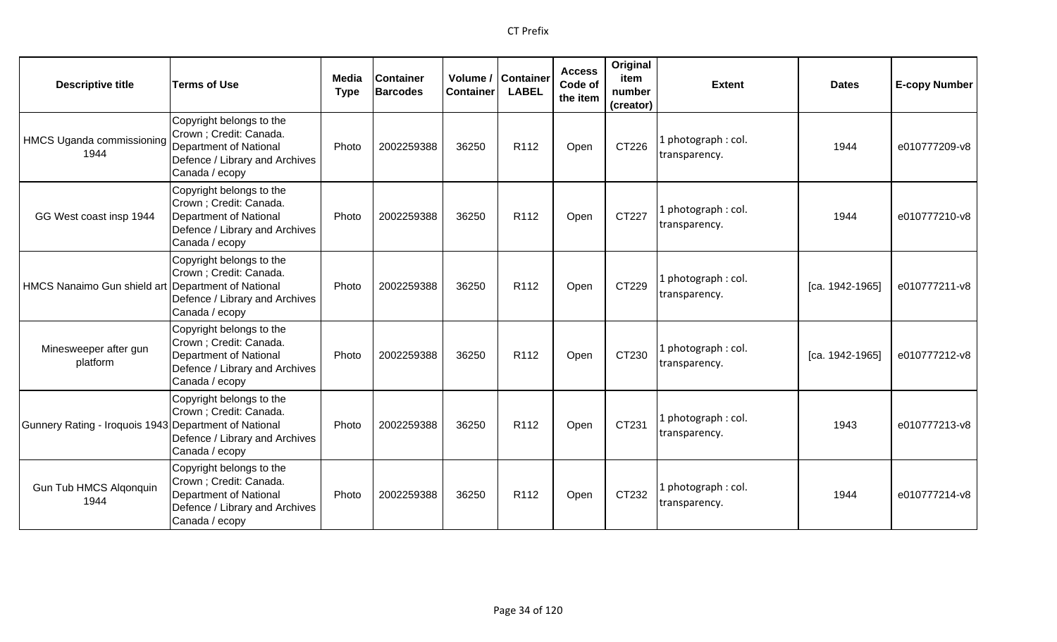| <b>Descriptive title</b>                              | <b>Terms of Use</b>                                                                                                               | Media<br><b>Type</b> | <b>Container</b><br><b>Barcodes</b> | Volume /<br><b>Container</b> | <b>Container</b><br><b>LABEL</b> | <b>Access</b><br>Code of<br>the item | Original<br>item<br>number<br>(creator) | <b>Extent</b>                       | <b>Dates</b>    | <b>E-copy Number</b> |
|-------------------------------------------------------|-----------------------------------------------------------------------------------------------------------------------------------|----------------------|-------------------------------------|------------------------------|----------------------------------|--------------------------------------|-----------------------------------------|-------------------------------------|-----------------|----------------------|
| HMCS Uganda commissioning<br>1944                     | Copyright belongs to the<br>Crown ; Credit: Canada.<br>Department of National<br>Defence / Library and Archives<br>Canada / ecopy | Photo                | 2002259388                          | 36250                        | R112                             | Open                                 | CT226                                   | L photograph: col.<br>transparency. | 1944            | e010777209-v8        |
| GG West coast insp 1944                               | Copyright belongs to the<br>Crown ; Credit: Canada.<br>Department of National<br>Defence / Library and Archives<br>Canada / ecopy | Photo                | 2002259388                          | 36250                        | R112                             | Open                                 | CT227                                   | L photograph: col.<br>transparency. | 1944            | e010777210-v8        |
| HMCS Nanaimo Gun shield art Department of National    | Copyright belongs to the<br>Crown ; Credit: Canada.<br>Defence / Library and Archives<br>Canada / ecopy                           | Photo                | 2002259388                          | 36250                        | R <sub>112</sub>                 | Open                                 | CT229                                   | I photograph: col.<br>transparency. | [ca. 1942-1965] | e010777211-v8        |
| Minesweeper after gun<br>platform                     | Copyright belongs to the<br>Crown ; Credit: Canada.<br>Department of National<br>Defence / Library and Archives<br>Canada / ecopy | Photo                | 2002259388                          | 36250                        | R112                             | Open                                 | CT230                                   | 1 photograph: col.<br>transparency. | [ca. 1942-1965] | e010777212-v8        |
| Gunnery Rating - Iroquois 1943 Department of National | Copyright belongs to the<br>Crown ; Credit: Canada.<br>Defence / Library and Archives<br>Canada / ecopy                           | Photo                | 2002259388                          | 36250                        | R112                             | Open                                 | CT231                                   | L photograph: col.<br>transparency. | 1943            | e010777213-v8        |
| <b>Gun Tub HMCS Algonquin</b><br>1944                 | Copyright belongs to the<br>Crown ; Credit: Canada.<br>Department of National<br>Defence / Library and Archives<br>Canada / ecopy | Photo                | 2002259388                          | 36250                        | R <sub>112</sub>                 | Open                                 | CT232                                   | 1 photograph: col.<br>transparency. | 1944            | e010777214-v8        |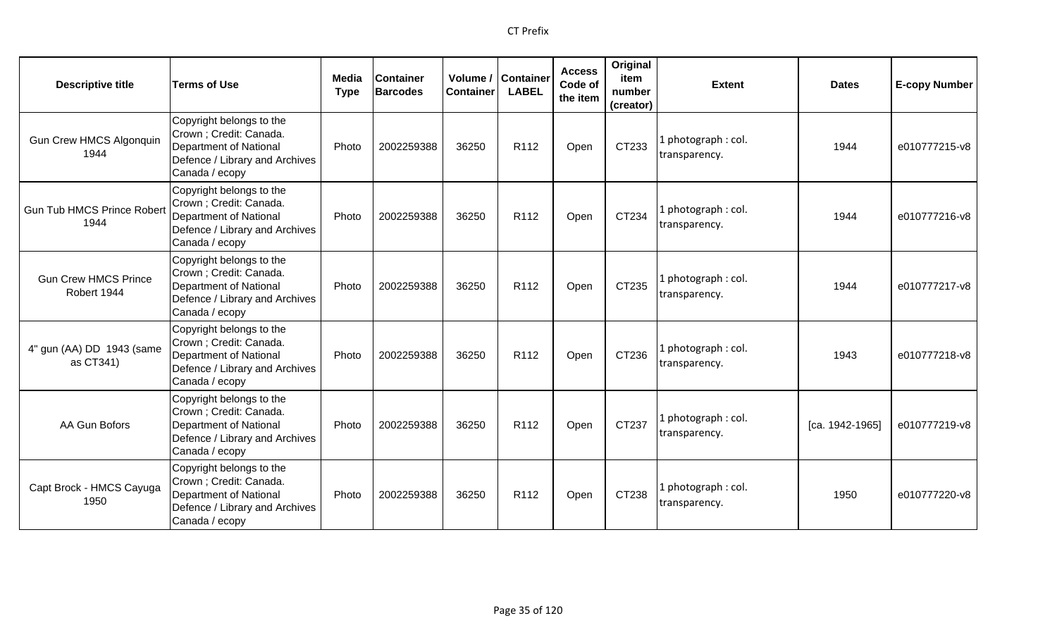| <b>Descriptive title</b>                   | <b>Terms of Use</b>                                                                                                               | Media<br><b>Type</b> | <b>Container</b><br><b>Barcodes</b> | Volume /<br><b>Container</b> | <b>Container</b><br><b>LABEL</b> | <b>Access</b><br>Code of<br>the item | Original<br>item<br>number<br>(creator) | <b>Extent</b>                       | <b>Dates</b>    | <b>E-copy Number</b> |
|--------------------------------------------|-----------------------------------------------------------------------------------------------------------------------------------|----------------------|-------------------------------------|------------------------------|----------------------------------|--------------------------------------|-----------------------------------------|-------------------------------------|-----------------|----------------------|
| <b>Gun Crew HMCS Algonquin</b><br>1944     | Copyright belongs to the<br>Crown; Credit: Canada.<br>Department of National<br>Defence / Library and Archives<br>Canada / ecopy  | Photo                | 2002259388                          | 36250                        | R112                             | Open                                 | CT233                                   | photograph: col.<br>transparency.   | 1944            | e010777215-v8        |
| <b>Gun Tub HMCS Prince Robert</b><br>1944  | Copyright belongs to the<br>Crown ; Credit: Canada.<br>Department of National<br>Defence / Library and Archives<br>Canada / ecopy | Photo                | 2002259388                          | 36250                        | R <sub>112</sub>                 | Open                                 | CT234                                   | I photograph: col.<br>transparency. | 1944            | e010777216-v8        |
| <b>Gun Crew HMCS Prince</b><br>Robert 1944 | Copyright belongs to the<br>Crown ; Credit: Canada.<br>Department of National<br>Defence / Library and Archives<br>Canada / ecopy | Photo                | 2002259388                          | 36250                        | R <sub>112</sub>                 | Open                                 | CT235                                   | I photograph: col.<br>transparency. | 1944            | e010777217-v8        |
| 4" gun (AA) DD 1943 (same<br>as CT341)     | Copyright belongs to the<br>Crown ; Credit: Canada.<br>Department of National<br>Defence / Library and Archives<br>Canada / ecopy | Photo                | 2002259388                          | 36250                        | R112                             | Open                                 | CT236                                   | 1 photograph: col.<br>transparency. | 1943            | e010777218-v8        |
| AA Gun Bofors                              | Copyright belongs to the<br>Crown ; Credit: Canada.<br>Department of National<br>Defence / Library and Archives<br>Canada / ecopy | Photo                | 2002259388                          | 36250                        | R <sub>112</sub>                 | Open                                 | CT237                                   | photograph: col.<br>transparency.   | [ca. 1942-1965] | e010777219-v8        |
| Capt Brock - HMCS Cayuga<br>1950           | Copyright belongs to the<br>Crown ; Credit: Canada.<br>Department of National<br>Defence / Library and Archives<br>Canada / ecopy | Photo                | 2002259388                          | 36250                        | R <sub>112</sub>                 | Open                                 | CT238                                   | 1 photograph: col.<br>transparency. | 1950            | e010777220-v8        |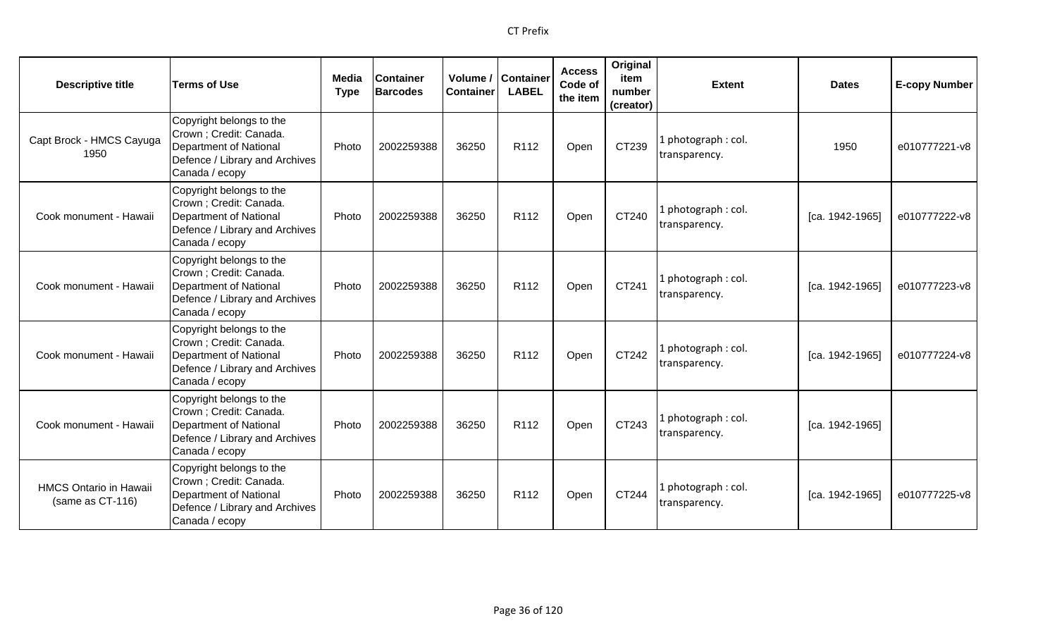| <b>Descriptive title</b>                          | <b>Terms of Use</b>                                                                                                               | Media<br><b>Type</b> | <b>Container</b><br><b>Barcodes</b> | <b>Container</b> | Volume / Container<br><b>LABEL</b> | <b>Access</b><br>Code of<br>the item | Original<br>item<br>number<br>(creator) | <b>Extent</b>                       | <b>Dates</b>    | <b>E-copy Number</b> |
|---------------------------------------------------|-----------------------------------------------------------------------------------------------------------------------------------|----------------------|-------------------------------------|------------------|------------------------------------|--------------------------------------|-----------------------------------------|-------------------------------------|-----------------|----------------------|
| Capt Brock - HMCS Cayuga<br>1950                  | Copyright belongs to the<br>Crown ; Credit: Canada.<br>Department of National<br>Defence / Library and Archives<br>Canada / ecopy | Photo                | 2002259388                          | 36250            | R112                               | Open                                 | CT239                                   | . photograph: col.<br>transparency. | 1950            | e010777221-v8        |
| Cook monument - Hawaii                            | Copyright belongs to the<br>Crown ; Credit: Canada.<br>Department of National<br>Defence / Library and Archives<br>Canada / ecopy | Photo                | 2002259388                          | 36250            | R112                               | Open                                 | CT240                                   | L photograph: col.<br>transparency. | [ca. 1942-1965] | e010777222-v8        |
| Cook monument - Hawaii                            | Copyright belongs to the<br>Crown ; Credit: Canada.<br>Department of National<br>Defence / Library and Archives<br>Canada / ecopy | Photo                | 2002259388                          | 36250            | R112                               | Open                                 | CT241                                   | I photograph: col.<br>transparency. | [ca. 1942-1965] | e010777223-v8        |
| Cook monument - Hawaii                            | Copyright belongs to the<br>Crown ; Credit: Canada.<br>Department of National<br>Defence / Library and Archives<br>Canada / ecopy | Photo                | 2002259388                          | 36250            | R <sub>112</sub>                   | Open                                 | CT242                                   | 1 photograph: col.<br>transparency. | [ca. 1942-1965] | e010777224-v8        |
| Cook monument - Hawaii                            | Copyright belongs to the<br>Crown ; Credit: Canada.<br>Department of National<br>Defence / Library and Archives<br>Canada / ecopy | Photo                | 2002259388                          | 36250            | R112                               | Open                                 | CT243                                   | I photograph: col.<br>transparency. | [ca. 1942-1965] |                      |
| <b>HMCS Ontario in Hawaii</b><br>(same as CT-116) | Copyright belongs to the<br>Crown ; Credit: Canada.<br>Department of National<br>Defence / Library and Archives<br>Canada / ecopy | Photo                | 2002259388                          | 36250            | R <sub>112</sub>                   | Open                                 | CT244                                   | . photograph: col.<br>transparency. | [ca. 1942-1965] | e010777225-v8        |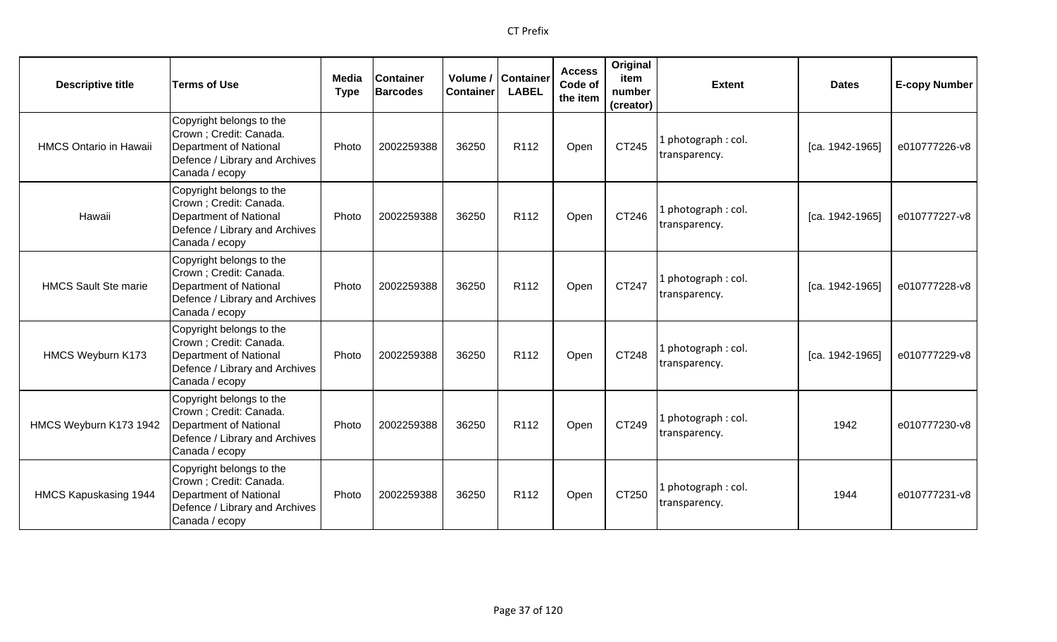| <b>Descriptive title</b>      | <b>Terms of Use</b>                                                                                                                     | Media<br><b>Type</b> | Container<br><b>Barcodes</b> | Volume /<br><b>Container</b> | <b>Container</b><br><b>LABEL</b> | <b>Access</b><br>Code of<br>the item | Original<br>item<br>number<br>(creator) | <b>Extent</b>                        | <b>Dates</b>    | <b>E-copy Number</b> |
|-------------------------------|-----------------------------------------------------------------------------------------------------------------------------------------|----------------------|------------------------------|------------------------------|----------------------------------|--------------------------------------|-----------------------------------------|--------------------------------------|-----------------|----------------------|
| <b>HMCS Ontario in Hawaii</b> | Copyright belongs to the<br>Crown ; Credit: Canada.<br>Department of National<br>Defence / Library and Archives<br>Canada / ecopy       | Photo                | 2002259388                   | 36250                        | R112                             | Open                                 | CT245                                   | . photograph: col.<br>transparency.  | [ca. 1942-1965] | e010777226-v8        |
| Hawaii                        | Copyright belongs to the<br>Crown; Credit: Canada.<br><b>Department of National</b><br>Defence / Library and Archives<br>Canada / ecopy | Photo                | 2002259388                   | 36250                        | R <sub>112</sub>                 | Open                                 | CT246                                   | 1 photograph: col.<br>transparency.  | [ca. 1942-1965] | e010777227-v8        |
| <b>HMCS Sault Ste marie</b>   | Copyright belongs to the<br>Crown ; Credit: Canada.<br>Department of National<br>Defence / Library and Archives<br>Canada / ecopy       | Photo                | 2002259388                   | 36250                        | R <sub>112</sub>                 | Open                                 | CT247                                   | photograph: col.<br>transparency.    | [ca. 1942-1965] | e010777228-v8        |
| <b>HMCS Weyburn K173</b>      | Copyright belongs to the<br>Crown ; Credit: Canada.<br>Department of National<br>Defence / Library and Archives<br>Canada / ecopy       | Photo                | 2002259388                   | 36250                        | R <sub>112</sub>                 | Open                                 | CT248                                   | 1 photograph: col.<br>transparency.  | [ca. 1942-1965] | e010777229-v8        |
| HMCS Weyburn K173 1942        | Copyright belongs to the<br>Crown ; Credit: Canada.<br>Department of National<br>Defence / Library and Archives<br>Canada / ecopy       | Photo                | 2002259388                   | 36250                        | R112                             | Open                                 | CT249                                   | I photograph: col.<br>transparency.  | 1942            | e010777230-v8        |
| HMCS Kapuskasing 1944         | Copyright belongs to the<br>Crown ; Credit: Canada.<br>Department of National<br>Defence / Library and Archives<br>Canada / ecopy       | Photo                | 2002259388                   | 36250                        | R <sub>112</sub>                 | Open                                 | CT250                                   | l photograph : col.<br>transparency. | 1944            | e010777231-v8        |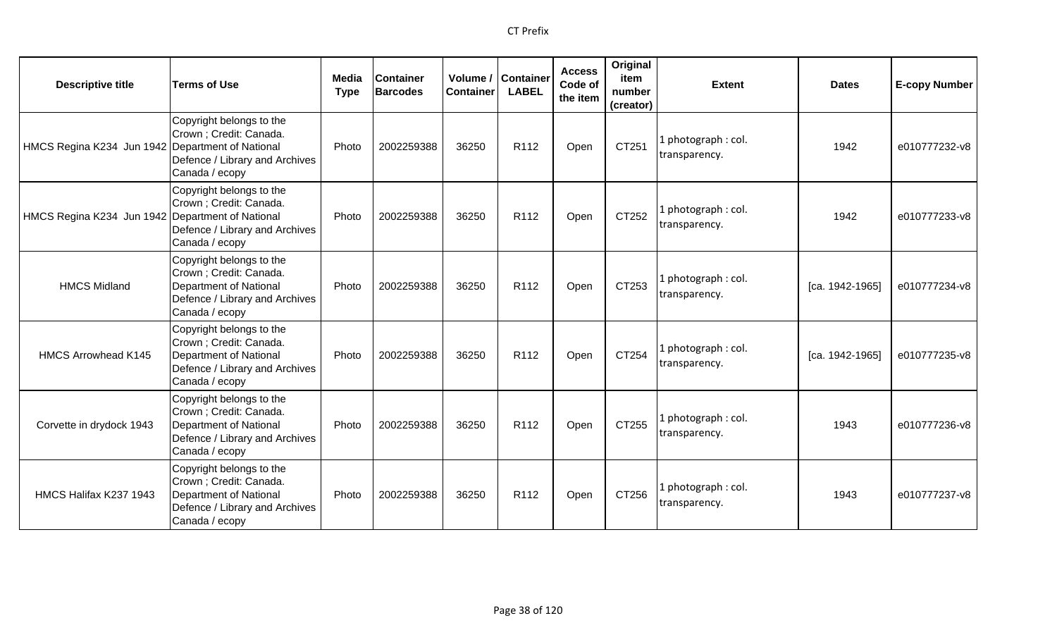| <b>Descriptive title</b>                         | <b>Terms of Use</b>                                                                                                               | Media<br><b>Type</b> | <b>Container</b><br><b>Barcodes</b> | Volume /  <br><b>Container</b> | <b>Container</b><br><b>LABEL</b> | <b>Access</b><br>Code of<br>the item | Original<br>item<br>number<br>(creator) | <b>Extent</b>                       | <b>Dates</b>    | <b>E-copy Number</b> |
|--------------------------------------------------|-----------------------------------------------------------------------------------------------------------------------------------|----------------------|-------------------------------------|--------------------------------|----------------------------------|--------------------------------------|-----------------------------------------|-------------------------------------|-----------------|----------------------|
| HMCS Regina K234 Jun 1942 Department of National | Copyright belongs to the<br>Crown ; Credit: Canada.<br>Defence / Library and Archives<br>Canada / ecopy                           | Photo                | 2002259388                          | 36250                          | R112                             | Open                                 | CT251                                   | L photograph: col.<br>transparency. | 1942            | e010777232-v8        |
| HMCS Regina K234 Jun 1942 Department of National | Copyright belongs to the<br>Crown ; Credit: Canada.<br>Defence / Library and Archives<br>Canada / ecopy                           | Photo                | 2002259388                          | 36250                          | R112                             | Open                                 | CT252                                   | L photograph: col.<br>transparency. | 1942            | e010777233-v8        |
| <b>HMCS Midland</b>                              | Copyright belongs to the<br>Crown ; Credit: Canada.<br>Department of National<br>Defence / Library and Archives<br>Canada / ecopy | Photo                | 2002259388                          | 36250                          | R <sub>112</sub>                 | Open                                 | CT253                                   | I photograph: col.<br>transparency. | [ca. 1942-1965] | e010777234-v8        |
| <b>HMCS Arrowhead K145</b>                       | Copyright belongs to the<br>Crown ; Credit: Canada.<br>Department of National<br>Defence / Library and Archives<br>Canada / ecopy | Photo                | 2002259388                          | 36250                          | R112                             | Open                                 | CT254                                   | 1 photograph: col.<br>transparency. | [ca. 1942-1965] | e010777235-v8        |
| Corvette in drydock 1943                         | Copyright belongs to the<br>Crown ; Credit: Canada.<br>Department of National<br>Defence / Library and Archives<br>Canada / ecopy | Photo                | 2002259388                          | 36250                          | R112                             | Open                                 | CT255                                   | L photograph: col.<br>transparency. | 1943            | e010777236-v8        |
| HMCS Halifax K237 1943                           | Copyright belongs to the<br>Crown ; Credit: Canada.<br>Department of National<br>Defence / Library and Archives<br>Canada / ecopy | Photo                | 2002259388                          | 36250                          | R <sub>112</sub>                 | Open                                 | CT256                                   | 1 photograph: col.<br>transparency. | 1943            | e010777237-v8        |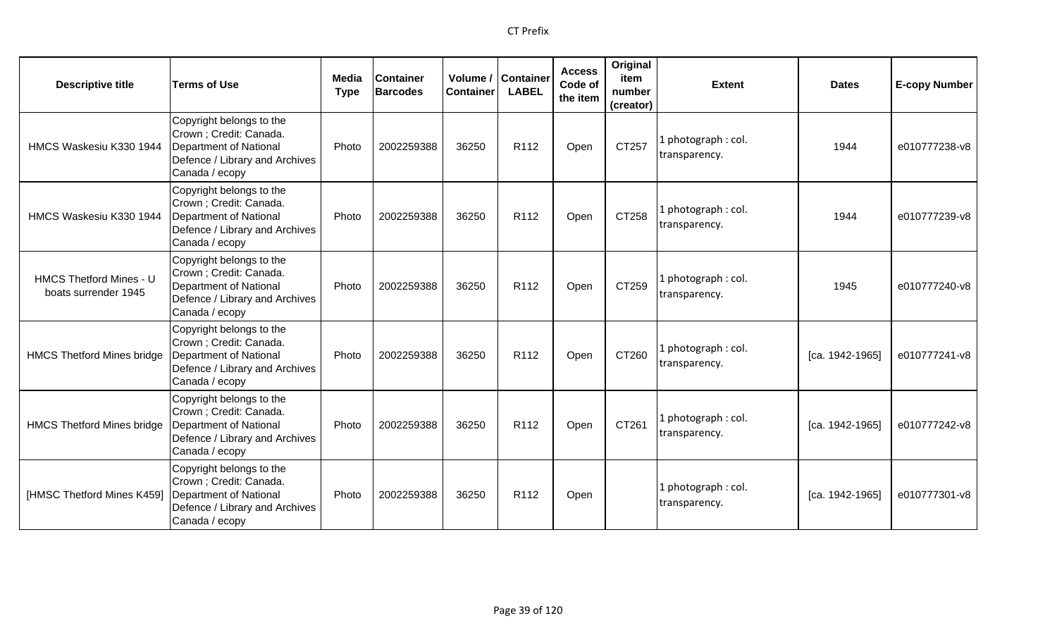| <b>Descriptive title</b>                               | <b>Terms of Use</b>                                                                                                               | Media<br><b>Type</b> | <b>Container</b><br><b>Barcodes</b> | Volume /<br><b>Container</b> | Container<br><b>LABEL</b> | <b>Access</b><br>Code of<br>the item | Original<br>item<br>number<br>(creator) | <b>Extent</b>                        | <b>Dates</b>    | <b>E-copy Number</b> |
|--------------------------------------------------------|-----------------------------------------------------------------------------------------------------------------------------------|----------------------|-------------------------------------|------------------------------|---------------------------|--------------------------------------|-----------------------------------------|--------------------------------------|-----------------|----------------------|
| HMCS Waskesiu K330 1944                                | Copyright belongs to the<br>Crown ; Credit: Canada.<br>Department of National<br>Defence / Library and Archives<br>Canada / ecopy | Photo                | 2002259388                          | 36250                        | R112                      | Open                                 | CT257                                   | 1 photograph: col.<br>transparency.  | 1944            | e010777238-v8        |
| HMCS Waskesiu K330 1944                                | Copyright belongs to the<br>Crown ; Credit: Canada.<br>Department of National<br>Defence / Library and Archives<br>Canada / ecopy | Photo                | 2002259388                          | 36250                        | R112                      | Open                                 | CT258                                   | 1 photograph: col.<br>transparency.  | 1944            | e010777239-v8        |
| <b>HMCS Thetford Mines - U</b><br>boats surrender 1945 | Copyright belongs to the<br>Crown ; Credit: Canada.<br>Department of National<br>Defence / Library and Archives<br>Canada / ecopy | Photo                | 2002259388                          | 36250                        | R112                      | Open                                 | CT259                                   | 1 photograph: col.<br>transparency.  | 1945            | e010777240-v8        |
| <b>HMCS Thetford Mines bridge</b>                      | Copyright belongs to the<br>Crown ; Credit: Canada.<br>Department of National<br>Defence / Library and Archives<br>Canada / ecopy | Photo                | 2002259388                          | 36250                        | R <sub>112</sub>          | Open                                 | CT260                                   | 1 photograph: col.<br>transparency.  | [ca. 1942-1965] | e010777241-v8        |
| <b>HMCS Thetford Mines bridge</b>                      | Copyright belongs to the<br>Crown ; Credit: Canada.<br>Department of National<br>Defence / Library and Archives<br>Canada / ecopy | Photo                | 2002259388                          | 36250                        | R112                      | Open                                 | CT261                                   | 1 photograph : col.<br>transparency. | [ca. 1942-1965] | e010777242-v8        |
| [HMSC Thetford Mines K459]                             | Copyright belongs to the<br>Crown ; Credit: Canada.<br>Department of National<br>Defence / Library and Archives<br>Canada / ecopy | Photo                | 2002259388                          | 36250                        | R <sub>112</sub>          | Open                                 |                                         | 1 photograph: col.<br>transparency.  | [ca. 1942-1965] | e010777301-v8        |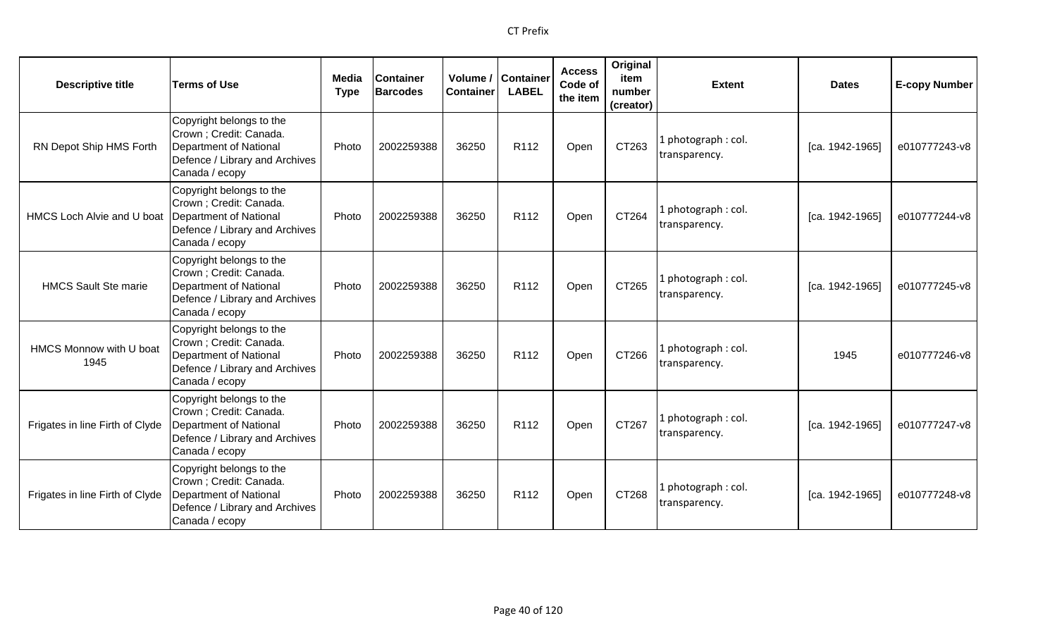| <b>Descriptive title</b>        | <b>Terms of Use</b>                                                                                                               | Media<br><b>Type</b> | <b>Container</b><br><b>Barcodes</b> | Container | Volume / Container<br><b>LABEL</b> | <b>Access</b><br>Code of<br>the item | Original<br>item<br>number<br>(creator) | <b>Extent</b>                        | <b>Dates</b>    | <b>E-copy Number</b> |
|---------------------------------|-----------------------------------------------------------------------------------------------------------------------------------|----------------------|-------------------------------------|-----------|------------------------------------|--------------------------------------|-----------------------------------------|--------------------------------------|-----------------|----------------------|
| RN Depot Ship HMS Forth         | Copyright belongs to the<br>Crown ; Credit: Canada.<br>Department of National<br>Defence / Library and Archives<br>Canada / ecopy | Photo                | 2002259388                          | 36250     | R112                               | Open                                 | CT263                                   | Lphotograph: col.<br>transparency.   | [ca. 1942-1965] | e010777243-v8        |
| HMCS Loch Alvie and U boat      | Copyright belongs to the<br>Crown ; Credit: Canada.<br>Department of National<br>Defence / Library and Archives<br>Canada / ecopy | Photo                | 2002259388                          | 36250     | R112                               | Open                                 | CT264                                   | 1 photograph: col.<br>transparency.  | [ca. 1942-1965] | e010777244-v8        |
| <b>HMCS Sault Ste marie</b>     | Copyright belongs to the<br>Crown ; Credit: Canada.<br>Department of National<br>Defence / Library and Archives<br>Canada / ecopy | Photo                | 2002259388                          | 36250     | R <sub>112</sub>                   | Open                                 | CT265                                   | 1 photograph: col.<br>transparency.  | [ca. 1942-1965] | e010777245-v8        |
| HMCS Monnow with U boat<br>1945 | Copyright belongs to the<br>Crown ; Credit: Canada.<br>Department of National<br>Defence / Library and Archives<br>Canada / ecopy | Photo                | 2002259388                          | 36250     | R <sub>112</sub>                   | Open                                 | CT266                                   | 1 photograph: col.<br>transparency.  | 1945            | e010777246-v8        |
| Frigates in line Firth of Clyde | Copyright belongs to the<br>Crown ; Credit: Canada.<br>Department of National<br>Defence / Library and Archives<br>Canada / ecopy | Photo                | 2002259388                          | 36250     | R112                               | Open                                 | CT267                                   | L photograph : col.<br>transparency. | [ca. 1942-1965] | e010777247-v8        |
| Frigates in line Firth of Clyde | Copyright belongs to the<br>Crown ; Credit: Canada.<br>Department of National<br>Defence / Library and Archives<br>Canada / ecopy | Photo                | 2002259388                          | 36250     | R <sub>112</sub>                   | Open                                 | CT268                                   | 1 photograph: col.<br>transparency.  | [ca. 1942-1965] | e010777248-v8        |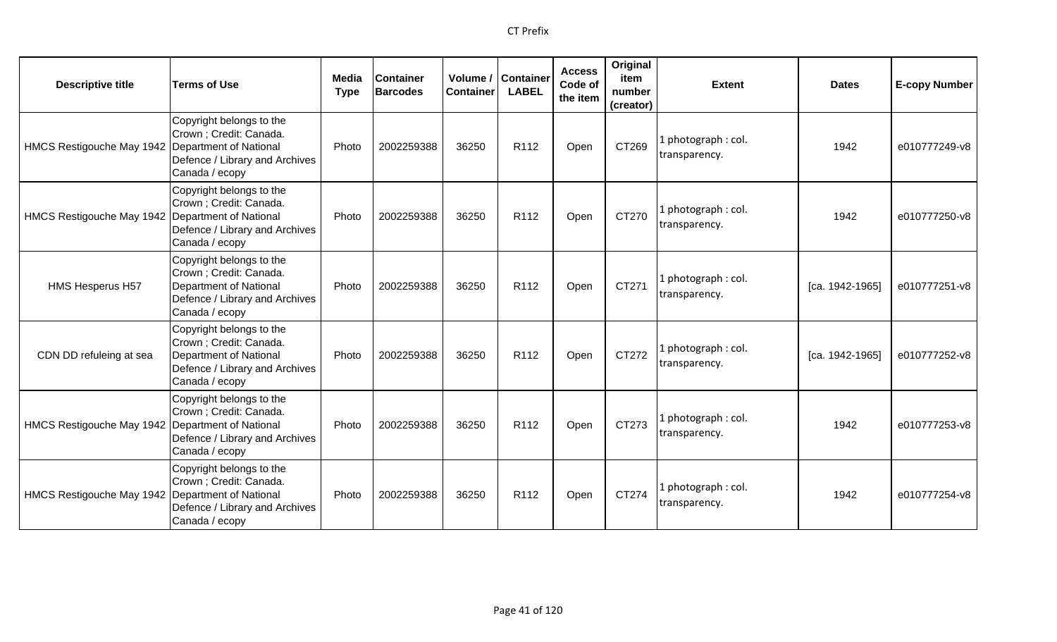| <b>Descriptive title</b>                           | <b>Terms of Use</b>                                                                                                               | Media<br><b>Type</b> | Container<br><b>Barcodes</b> | Volume /<br><b>Container</b> | <b>Container</b><br><b>LABEL</b> | <b>Access</b><br>Code of<br>the item | Original<br>item<br>number<br>(creator) | <b>Extent</b>                        | <b>Dates</b>    | <b>E-copy Number</b> |
|----------------------------------------------------|-----------------------------------------------------------------------------------------------------------------------------------|----------------------|------------------------------|------------------------------|----------------------------------|--------------------------------------|-----------------------------------------|--------------------------------------|-----------------|----------------------|
| HMCS Restigouche May 1942                          | Copyright belongs to the<br>Crown ; Credit: Canada.<br>Department of National<br>Defence / Library and Archives<br>Canada / ecopy | Photo                | 2002259388                   | 36250                        | R112                             | Open                                 | CT269                                   | 1 photograph : col.<br>transparency. | 1942            | e010777249-v8        |
| HMCS Restigouche May 1942   Department of National | Copyright belongs to the<br>Crown ; Credit: Canada.<br>Defence / Library and Archives<br>Canada / ecopy                           | Photo                | 2002259388                   | 36250                        | R112                             | Open                                 | CT270                                   | L photograph: col.<br>transparency.  | 1942            | e010777250-v8        |
| <b>HMS Hesperus H57</b>                            | Copyright belongs to the<br>Crown ; Credit: Canada.<br>Department of National<br>Defence / Library and Archives<br>Canada / ecopy | Photo                | 2002259388                   | 36250                        | R112                             | Open                                 | CT271                                   | L photograph: col.<br>transparency.  | [ca. 1942-1965] | e010777251-v8        |
| CDN DD refuleing at sea                            | Copyright belongs to the<br>Crown ; Credit: Canada.<br>Department of National<br>Defence / Library and Archives<br>Canada / ecopy | Photo                | 2002259388                   | 36250                        | R <sub>112</sub>                 | Open                                 | CT272                                   | 1 photograph: col.<br>transparency.  | [ca. 1942-1965] | e010777252-v8        |
| HMCS Restigouche May 1942   Department of National | Copyright belongs to the<br>Crown ; Credit: Canada.<br>Defence / Library and Archives<br>Canada / ecopy                           | Photo                | 2002259388                   | 36250                        | R112                             | Open                                 | CT273                                   | L photograph: col.<br>transparency.  | 1942            | e010777253-v8        |
| HMCS Restigouche May 1942   Department of National | Copyright belongs to the<br>Crown ; Credit: Canada.<br>Defence / Library and Archives<br>Canada / ecopy                           | Photo                | 2002259388                   | 36250                        | R <sub>112</sub>                 | Open                                 | CT274                                   | 1 photograph: col.<br>transparency.  | 1942            | e010777254-v8        |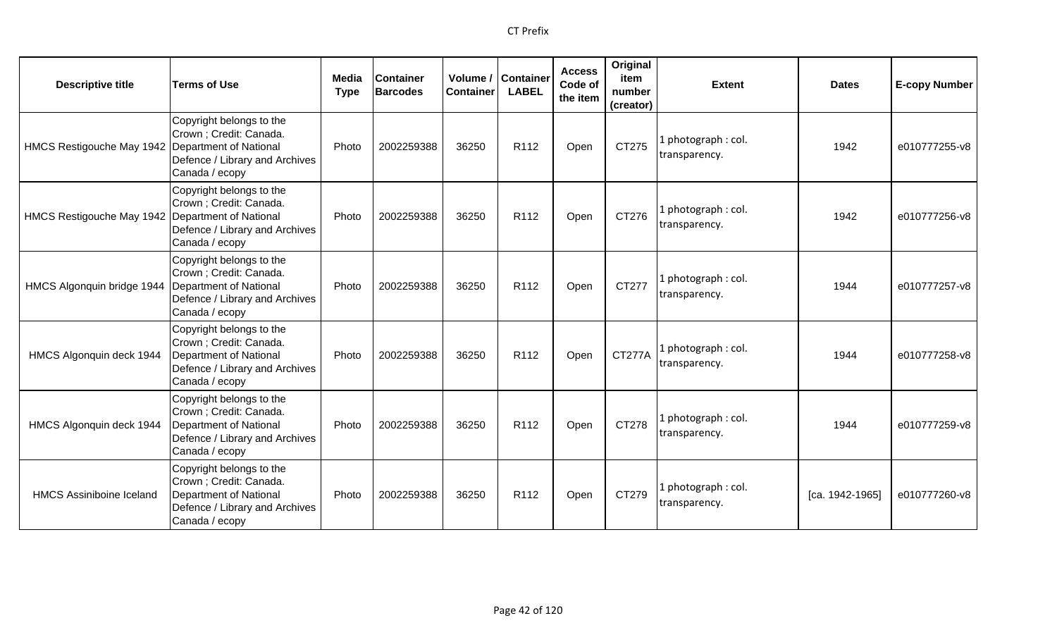| <b>Descriptive title</b>        | <b>Terms of Use</b>                                                                                                               | <b>Media</b><br><b>Type</b> | <b>Container</b><br><b>Barcodes</b> | <b>Container</b> | Volume / Container<br><b>LABEL</b> | <b>Access</b><br>Code of<br>the item | Original<br>item<br>number<br>(creator) | <b>Extent</b>                        | <b>Dates</b>    | <b>E-copy Number</b> |
|---------------------------------|-----------------------------------------------------------------------------------------------------------------------------------|-----------------------------|-------------------------------------|------------------|------------------------------------|--------------------------------------|-----------------------------------------|--------------------------------------|-----------------|----------------------|
| HMCS Restigouche May 1942       | Copyright belongs to the<br>Crown; Credit: Canada.<br>Department of National<br>Defence / Library and Archives<br>Canada / ecopy  | Photo                       | 2002259388                          | 36250            | R <sub>112</sub>                   | Open                                 | CT275                                   | 1 photograph: col.<br>transparency.  | 1942            | e010777255-v8        |
| HMCS Restigouche May 1942       | Copyright belongs to the<br>Crown ; Credit: Canada.<br>Department of National<br>Defence / Library and Archives<br>Canada / ecopy | Photo                       | 2002259388                          | 36250            | R112                               | Open                                 | CT276                                   | 1 photograph: col.<br>transparency.  | 1942            | e010777256-v8        |
| HMCS Algonquin bridge 1944      | Copyright belongs to the<br>Crown ; Credit: Canada.<br>Department of National<br>Defence / Library and Archives<br>Canada / ecopy | Photo                       | 2002259388                          | 36250            | R112                               | Open                                 | CT277                                   | 1 photograph : col.<br>transparency. | 1944            | e010777257-v8        |
| HMCS Algonquin deck 1944        | Copyright belongs to the<br>Crown ; Credit: Canada.<br>Department of National<br>Defence / Library and Archives<br>Canada / ecopy | Photo                       | 2002259388                          | 36250            | R <sub>112</sub>                   | Open                                 | <b>CT277A</b>                           | 1 photograph: col.<br>transparency.  | 1944            | e010777258-v8        |
| HMCS Algonquin deck 1944        | Copyright belongs to the<br>Crown; Credit: Canada.<br>Department of National<br>Defence / Library and Archives<br>Canada / ecopy  | Photo                       | 2002259388                          | 36250            | R112                               | Open                                 | CT278                                   | L photograph: col.<br>transparency.  | 1944            | e010777259-v8        |
| <b>HMCS Assiniboine Iceland</b> | Copyright belongs to the<br>Crown; Credit: Canada.<br>Department of National<br>Defence / Library and Archives<br>Canada / ecopy  | Photo                       | 2002259388                          | 36250            | R <sub>112</sub>                   | Open                                 | CT279                                   | 1 photograph: col.<br>transparency.  | [ca. 1942-1965] | e010777260-v8        |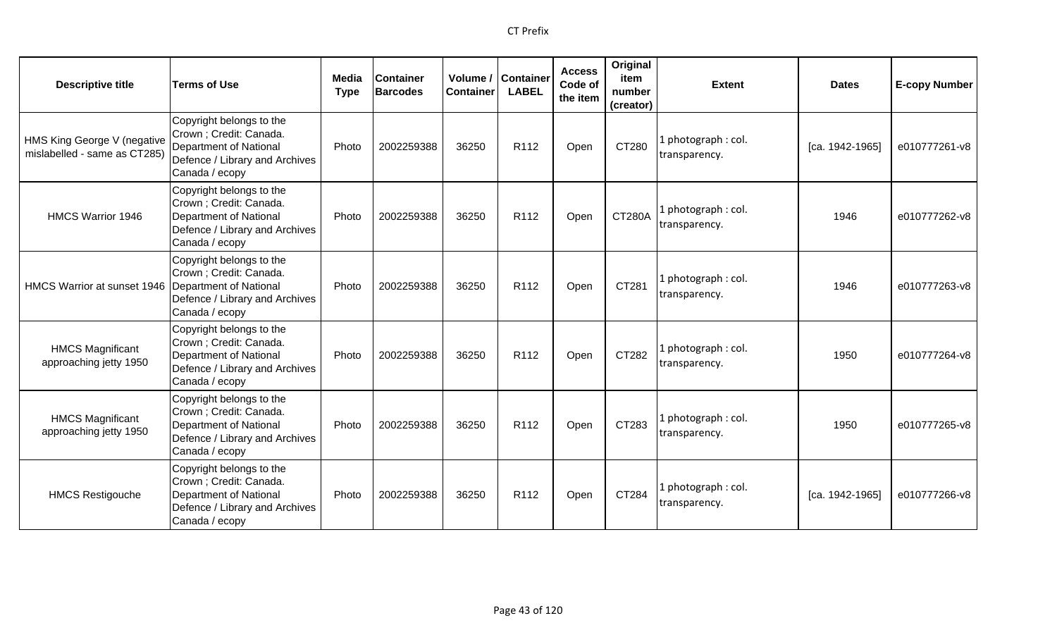| <b>Descriptive title</b>                                    | <b>Terms of Use</b>                                                                                                               | Media<br><b>Type</b> | <b>Container</b><br><b>Barcodes</b> | Volume /<br><b>Container</b> | <b>Container</b><br><b>LABEL</b> | <b>Access</b><br>Code of<br>the item | Original<br>item<br>number<br>(creator) | <b>Extent</b>                       | <b>Dates</b>    | <b>E-copy Number</b> |
|-------------------------------------------------------------|-----------------------------------------------------------------------------------------------------------------------------------|----------------------|-------------------------------------|------------------------------|----------------------------------|--------------------------------------|-----------------------------------------|-------------------------------------|-----------------|----------------------|
| HMS King George V (negative<br>mislabelled - same as CT285) | Copyright belongs to the<br>Crown ; Credit: Canada.<br>Department of National<br>Defence / Library and Archives<br>Canada / ecopy | Photo                | 2002259388                          | 36250                        | R112                             | Open                                 | CT280                                   | L photograph: col.<br>transparency. | [ca. 1942-1965] | e010777261-v8        |
| <b>HMCS Warrior 1946</b>                                    | Copyright belongs to the<br>Crown ; Credit: Canada.<br>Department of National<br>Defence / Library and Archives<br>Canada / ecopy | Photo                | 2002259388                          | 36250                        | R112                             | Open                                 | <b>CT280A</b>                           | L photograph: col.<br>transparency. | 1946            | e010777262-v8        |
| HMCS Warrior at sunset 1946 Department of National          | Copyright belongs to the<br>Crown ; Credit: Canada.<br>Defence / Library and Archives<br>Canada / ecopy                           | Photo                | 2002259388                          | 36250                        | R <sub>112</sub>                 | Open                                 | CT281                                   | L photograph: col.<br>transparency. | 1946            | e010777263-v8        |
| <b>HMCS Magnificant</b><br>approaching jetty 1950           | Copyright belongs to the<br>Crown ; Credit: Canada.<br>Department of National<br>Defence / Library and Archives<br>Canada / ecopy | Photo                | 2002259388                          | 36250                        | R112                             | Open                                 | CT282                                   | 1 photograph: col.<br>transparency. | 1950            | e010777264-v8        |
| <b>HMCS Magnificant</b><br>approaching jetty 1950           | Copyright belongs to the<br>Crown ; Credit: Canada.<br>Department of National<br>Defence / Library and Archives<br>Canada / ecopy | Photo                | 2002259388                          | 36250                        | R112                             | Open                                 | CT283                                   | L photograph: col.<br>transparency. | 1950            | e010777265-v8        |
| <b>HMCS Restigouche</b>                                     | Copyright belongs to the<br>Crown ; Credit: Canada.<br>Department of National<br>Defence / Library and Archives<br>Canada / ecopy | Photo                | 2002259388                          | 36250                        | R <sub>112</sub>                 | Open                                 | CT284                                   | 1 photograph: col.<br>transparency. | [ca. 1942-1965] | e010777266-v8        |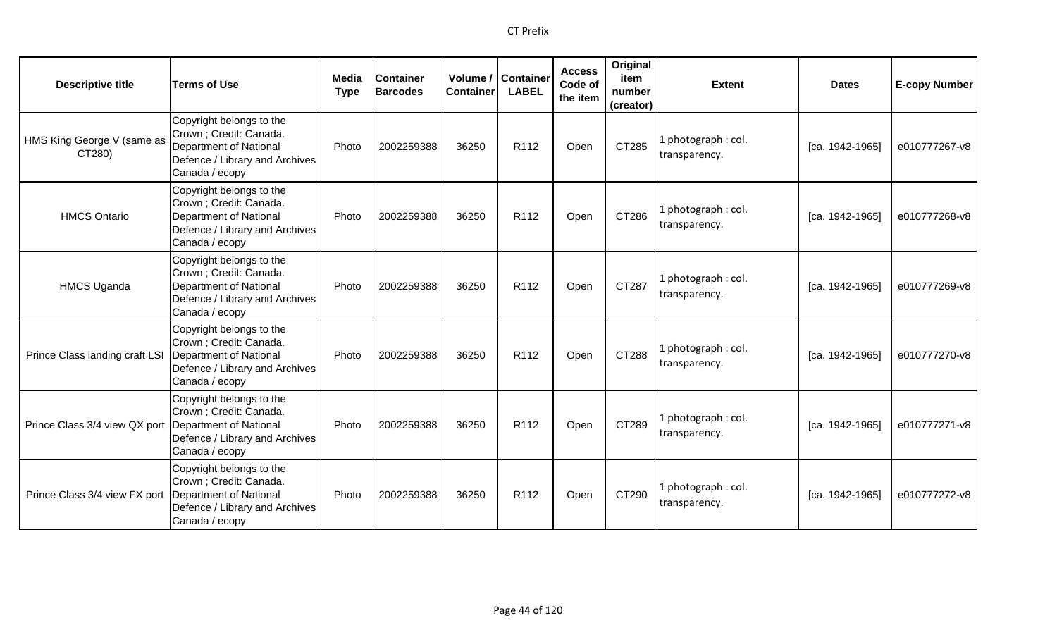| <b>Descriptive title</b>                               | <b>Terms of Use</b>                                                                                                                      | Media<br><b>Type</b> | <b>Container</b><br><b>Barcodes</b> | <b>Container</b> | Volume / Container<br><b>LABEL</b> | <b>Access</b><br>Code of<br>the item | Original<br>item<br>number<br>(creator) | <b>Extent</b>                        | <b>Dates</b>      | <b>E-copy Number</b> |
|--------------------------------------------------------|------------------------------------------------------------------------------------------------------------------------------------------|----------------------|-------------------------------------|------------------|------------------------------------|--------------------------------------|-----------------------------------------|--------------------------------------|-------------------|----------------------|
| HMS King George V (same as<br>CT280)                   | Copyright belongs to the<br>Crown; Credit: Canada.<br><b>Department of National</b><br>Defence / Library and Archives<br>Canada / ecopy  | Photo                | 2002259388                          | 36250            | R112                               | Open                                 | CT285                                   | 1 photograph: col.<br>transparency.  | [ca. 1942-1965]   | e010777267-v8        |
| <b>HMCS Ontario</b>                                    | Copyright belongs to the<br>Crown ; Credit: Canada.<br><b>Department of National</b><br>Defence / Library and Archives<br>Canada / ecopy | Photo                | 2002259388                          | 36250            | R <sub>112</sub>                   | Open                                 | CT286                                   | 1 photograph: col.<br>transparency.  | [ca. 1942-1965]   | e010777268-v8        |
| <b>HMCS Uganda</b>                                     | Copyright belongs to the<br>Crown; Credit: Canada.<br><b>Department of National</b><br>Defence / Library and Archives<br>Canada / ecopy  | Photo                | 2002259388                          | 36250            | R112                               | Open                                 | CT287                                   | l photograph : col.<br>transparency. | [ca. 1942-1965]   | e010777269-v8        |
| Prince Class landing craft LSI                         | Copyright belongs to the<br>Crown; Credit: Canada.<br><b>Department of National</b><br>Defence / Library and Archives<br>Canada / ecopy  | Photo                | 2002259388                          | 36250            | R112                               | Open                                 | CT288                                   | 1 photograph: col.<br>transparency.  | $[ca. 1942-1965]$ | e010777270-v8        |
| Prince Class 3/4 view QX port   Department of National | Copyright belongs to the<br>Crown ; Credit: Canada.<br>Defence / Library and Archives<br>Canada / ecopy                                  | Photo                | 2002259388                          | 36250            | R112                               | Open                                 | CT289                                   | 1 photograph: col.<br>transparency.  | [ca. 1942-1965]   | e010777271-v8        |
| Prince Class 3/4 view FX port                          | Copyright belongs to the<br>Crown ; Credit: Canada.<br><b>Department of National</b><br>Defence / Library and Archives<br>Canada / ecopy | Photo                | 2002259388                          | 36250            | R <sub>112</sub>                   | Open                                 | CT290                                   | 1 photograph: col.<br>transparency.  | [ca. 1942-1965]   | e010777272-v8        |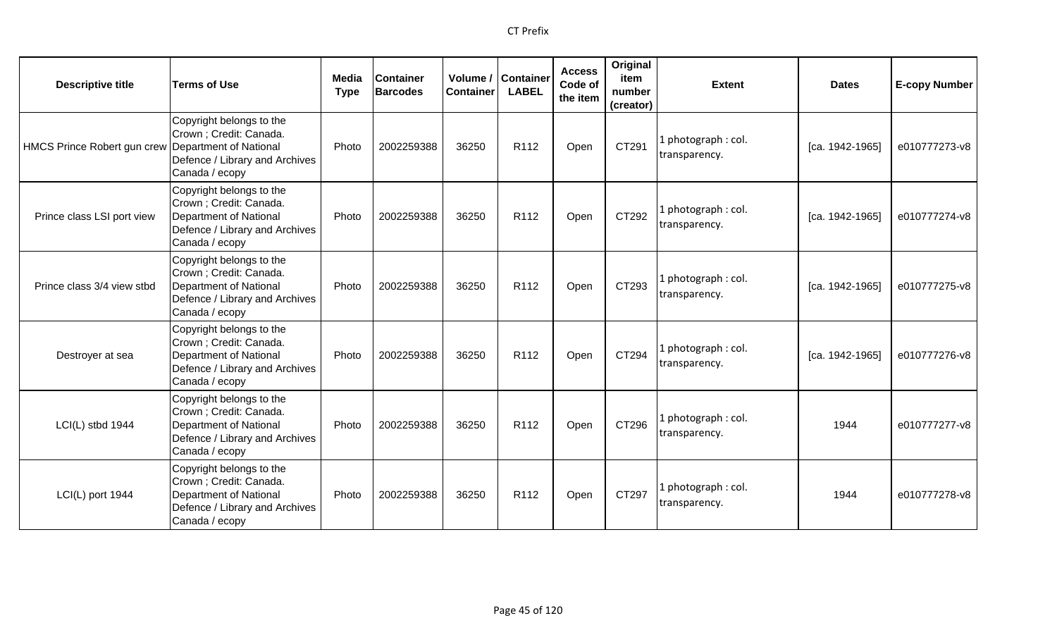| <b>Descriptive title</b>                           | <b>Terms of Use</b>                                                                                                               | Media<br><b>Type</b> | <b>Container</b><br><b>Barcodes</b> | Volume /<br><b>Container</b> | <b>Container</b><br><b>LABEL</b> | <b>Access</b><br>Code of<br>the item | Original<br>item<br>number<br>(creator) | <b>Extent</b>                        | <b>Dates</b>    | <b>E-copy Number</b> |
|----------------------------------------------------|-----------------------------------------------------------------------------------------------------------------------------------|----------------------|-------------------------------------|------------------------------|----------------------------------|--------------------------------------|-----------------------------------------|--------------------------------------|-----------------|----------------------|
| HMCS Prince Robert gun crew Department of National | Copyright belongs to the<br>Crown ; Credit: Canada.<br>Defence / Library and Archives<br>Canada / ecopy                           | Photo                | 2002259388                          | 36250                        | R <sub>112</sub>                 | Open                                 | CT291                                   | 1 photograph: col.<br>transparency.  | [ca. 1942-1965] | e010777273-v8        |
| Prince class LSI port view                         | Copyright belongs to the<br>Crown ; Credit: Canada.<br>Department of National<br>Defence / Library and Archives<br>Canada / ecopy | Photo                | 2002259388                          | 36250                        | R112                             | Open                                 | CT292                                   | 1 photograph: col.<br>transparency.  | [ca. 1942-1965] | e010777274-v8        |
| Prince class 3/4 view stbd                         | Copyright belongs to the<br>Crown ; Credit: Canada.<br>Department of National<br>Defence / Library and Archives<br>Canada / ecopy | Photo                | 2002259388                          | 36250                        | R <sub>112</sub>                 | Open                                 | CT293                                   | 1 photograph: col.<br>transparency.  | [ca. 1942-1965] | e010777275-v8        |
| Destroyer at sea                                   | Copyright belongs to the<br>Crown ; Credit: Canada.<br>Department of National<br>Defence / Library and Archives<br>Canada / ecopy | Photo                | 2002259388                          | 36250                        | R112                             | Open                                 | CT294                                   | 1 photograph : col.<br>transparency. | [ca. 1942-1965] | e010777276-v8        |
| LCI(L) stbd 1944                                   | Copyright belongs to the<br>Crown ; Credit: Canada.<br>Department of National<br>Defence / Library and Archives<br>Canada / ecopy | Photo                | 2002259388                          | 36250                        | R112                             | Open                                 | CT296                                   | 1 photograph: col.<br>transparency.  | 1944            | e010777277-v8        |
| LCI(L) port 1944                                   | Copyright belongs to the<br>Crown ; Credit: Canada.<br>Department of National<br>Defence / Library and Archives<br>Canada / ecopy | Photo                | 2002259388                          | 36250                        | R <sub>112</sub>                 | Open                                 | CT297                                   | 1 photograph: col.<br>transparency.  | 1944            | e010777278-v8        |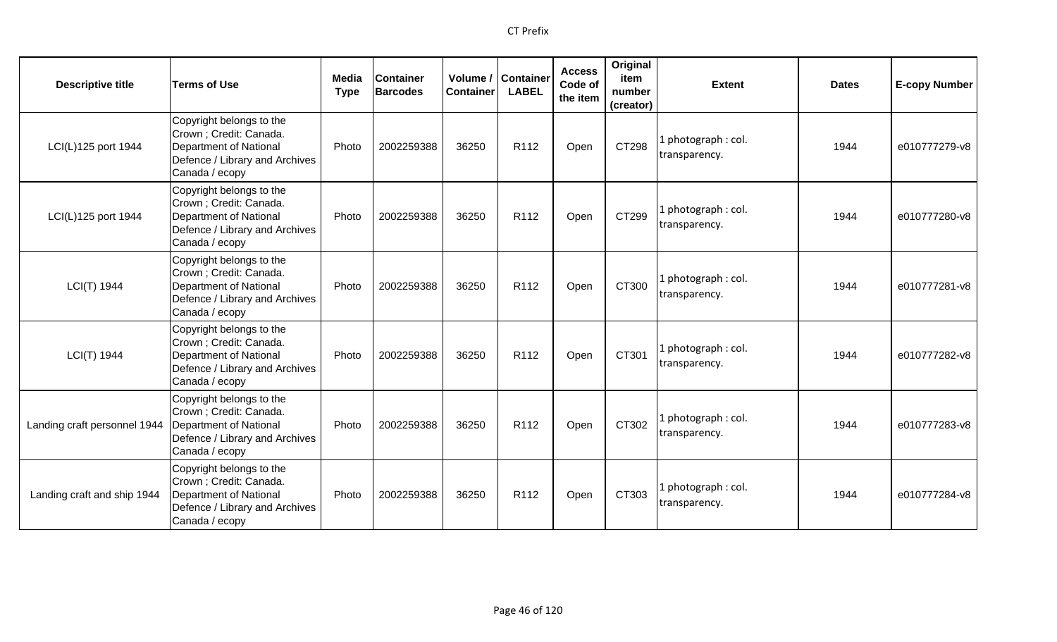| <b>Descriptive title</b>     | <b>Terms of Use</b>                                                                                                               | Media<br><b>Type</b> | <b>Container</b><br><b>Barcodes</b> | Volume /<br><b>Container</b> | <b>Container</b><br><b>LABEL</b> | <b>Access</b><br>Code of<br>the item | Original<br>item<br>number<br>(creator) | <b>Extent</b>                        | <b>Dates</b> | <b>E-copy Number</b> |
|------------------------------|-----------------------------------------------------------------------------------------------------------------------------------|----------------------|-------------------------------------|------------------------------|----------------------------------|--------------------------------------|-----------------------------------------|--------------------------------------|--------------|----------------------|
| LCI(L)125 port 1944          | Copyright belongs to the<br>Crown ; Credit: Canada.<br>Department of National<br>Defence / Library and Archives<br>Canada / ecopy | Photo                | 2002259388                          | 36250                        | R112                             | Open                                 | CT298                                   | photograph: col.<br>transparency.    | 1944         | e010777279-v8        |
| LCI(L)125 port 1944          | Copyright belongs to the<br>Crown ; Credit: Canada.<br>Department of National<br>Defence / Library and Archives<br>Canada / ecopy | Photo                | 2002259388                          | 36250                        | R112                             | Open                                 | CT299                                   | l photograph : col.<br>transparency. | 1944         | e010777280-v8        |
| LCI(T) 1944                  | Copyright belongs to the<br>Crown ; Credit: Canada.<br>Department of National<br>Defence / Library and Archives<br>Canada / ecopy | Photo                | 2002259388                          | 36250                        | R112                             | Open                                 | CT300                                   | l photograph : col.<br>transparency. | 1944         | e010777281-v8        |
| LCI(T) 1944                  | Copyright belongs to the<br>Crown ; Credit: Canada.<br>Department of National<br>Defence / Library and Archives<br>Canada / ecopy | Photo                | 2002259388                          | 36250                        | R112                             | Open                                 | CT301                                   | l photograph : col.<br>transparency. | 1944         | e010777282-v8        |
| Landing craft personnel 1944 | Copyright belongs to the<br>Crown ; Credit: Canada.<br>Department of National<br>Defence / Library and Archives<br>Canada / ecopy | Photo                | 2002259388                          | 36250                        | R <sub>112</sub>                 | Open                                 | CT302                                   | l photograph : col.<br>transparency. | 1944         | e010777283-v8        |
| Landing craft and ship 1944  | Copyright belongs to the<br>Crown ; Credit: Canada.<br>Department of National<br>Defence / Library and Archives<br>Canada / ecopy | Photo                | 2002259388                          | 36250                        | R <sub>112</sub>                 | Open                                 | CT303                                   | photograph: col.<br>transparency.    | 1944         | e010777284-v8        |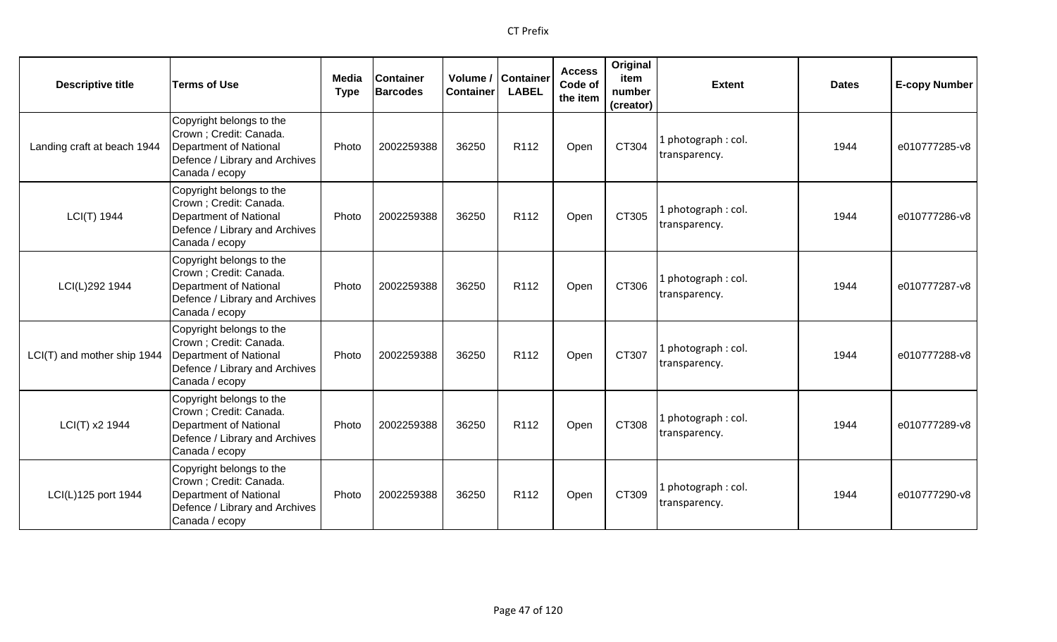| <b>Descriptive title</b>    | <b>Terms of Use</b>                                                                                                                      | <b>Media</b><br><b>Type</b> | <b>Container</b><br><b>Barcodes</b> | <b>Container</b> | Volume / Container<br><b>LABEL</b> | <b>Access</b><br>Code of<br>the item | Original<br>item<br>number<br>(creator) | <b>Extent</b>                        | <b>Dates</b> | <b>E-copy Number</b> |
|-----------------------------|------------------------------------------------------------------------------------------------------------------------------------------|-----------------------------|-------------------------------------|------------------|------------------------------------|--------------------------------------|-----------------------------------------|--------------------------------------|--------------|----------------------|
| Landing craft at beach 1944 | Copyright belongs to the<br>Crown; Credit: Canada.<br>Department of National<br>Defence / Library and Archives<br>Canada / ecopy         | Photo                       | 2002259388                          | 36250            | R112                               | Open                                 | CT304                                   | 1 photograph : col.<br>transparency. | 1944         | e010777285-v8        |
| LCI(T) 1944                 | Copyright belongs to the<br>Crown ; Credit: Canada.<br>Department of National<br>Defence / Library and Archives<br>Canada / ecopy        | Photo                       | 2002259388                          | 36250            | R112                               | Open                                 | CT305                                   | 1 photograph: col.<br>transparency.  | 1944         | e010777286-v8        |
| LCI(L)292 1944              | Copyright belongs to the<br>Crown ; Credit: Canada.<br><b>Department of National</b><br>Defence / Library and Archives<br>Canada / ecopy | Photo                       | 2002259388                          | 36250            | R <sub>112</sub>                   | Open                                 | CT306                                   | 1 photograph: col.<br>transparency.  | 1944         | e010777287-v8        |
| LCI(T) and mother ship 1944 | Copyright belongs to the<br>Crown ; Credit: Canada.<br><b>Department of National</b><br>Defence / Library and Archives<br>Canada / ecopy | Photo                       | 2002259388                          | 36250            | R <sub>112</sub>                   | Open                                 | CT307                                   | 1 photograph: col.<br>transparency.  | 1944         | e010777288-v8        |
| LCI(T) x2 1944              | Copyright belongs to the<br>Crown; Credit: Canada.<br>Department of National<br>Defence / Library and Archives<br>Canada / ecopy         | Photo                       | 2002259388                          | 36250            | R <sub>112</sub>                   | Open                                 | CT308                                   | 1 photograph: col.<br>transparency.  | 1944         | e010777289-v8        |
| LCI(L)125 port 1944         | Copyright belongs to the<br>Crown; Credit: Canada.<br>Department of National<br>Defence / Library and Archives<br>Canada / ecopy         | Photo                       | 2002259388                          | 36250            | R <sub>112</sub>                   | Open                                 | CT309                                   | 1 photograph: col.<br>transparency.  | 1944         | e010777290-v8        |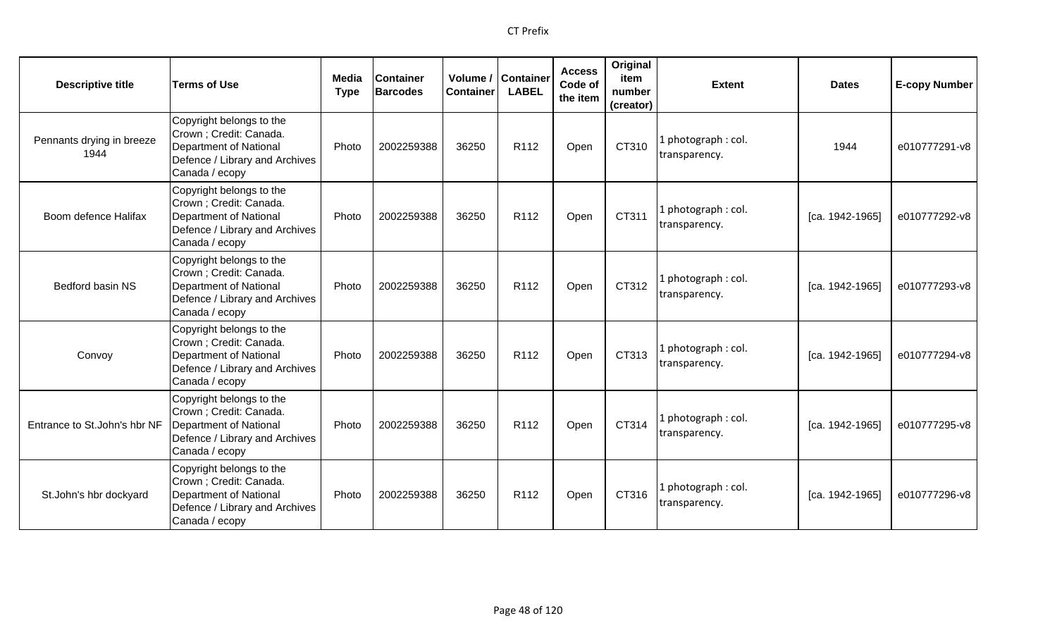| <b>Descriptive title</b>          | <b>Terms of Use</b>                                                                                                                      | <b>Media</b><br><b>Type</b> | <b>Container</b><br><b>Barcodes</b> | <b>Container</b> | Volume / Container<br><b>LABEL</b> | <b>Access</b><br>Code of<br>the item | Original<br>item<br>number<br>(creator) | <b>Extent</b>                       | <b>Dates</b>      | <b>E-copy Number</b> |
|-----------------------------------|------------------------------------------------------------------------------------------------------------------------------------------|-----------------------------|-------------------------------------|------------------|------------------------------------|--------------------------------------|-----------------------------------------|-------------------------------------|-------------------|----------------------|
| Pennants drying in breeze<br>1944 | Copyright belongs to the<br>Crown ; Credit: Canada.<br><b>Department of National</b><br>Defence / Library and Archives<br>Canada / ecopy | Photo                       | 2002259388                          | 36250            | R112                               | Open                                 | CT310                                   | 1 photograph: col.<br>transparency. | 1944              | e010777291-v8        |
| Boom defence Halifax              | Copyright belongs to the<br>Crown; Credit: Canada.<br><b>Department of National</b><br>Defence / Library and Archives<br>Canada / ecopy  | Photo                       | 2002259388                          | 36250            | R <sub>112</sub>                   | Open                                 | CT311                                   | 1 photograph: col.<br>transparency. | [ca. 1942-1965]   | e010777292-v8        |
| Bedford basin NS                  | Copyright belongs to the<br>Crown; Credit: Canada.<br><b>Department of National</b><br>Defence / Library and Archives<br>Canada / ecopy  | Photo                       | 2002259388                          | 36250            | R112                               | Open                                 | CT312                                   | 1 photograph: col.<br>transparency. | $[ca. 1942-1965]$ | e010777293-v8        |
| Convoy                            | Copyright belongs to the<br>Crown ; Credit: Canada.<br>Department of National<br>Defence / Library and Archives<br>Canada / ecopy        | Photo                       | 2002259388                          | 36250            | R112                               | Open                                 | CT313                                   | 1 photograph: col.<br>transparency. | [ca. 1942-1965]   | e010777294-v8        |
| Entrance to St.John's hbr NF      | Copyright belongs to the<br>Crown ; Credit: Canada.<br><b>Department of National</b><br>Defence / Library and Archives<br>Canada / ecopy | Photo                       | 2002259388                          | 36250            | R <sub>112</sub>                   | Open                                 | CT314                                   | 1 photograph: col.<br>transparency. | [ca. 1942-1965]   | e010777295-v8        |
| St.John's hbr dockyard            | Copyright belongs to the<br>Crown ; Credit: Canada.<br><b>Department of National</b><br>Defence / Library and Archives<br>Canada / ecopy | Photo                       | 2002259388                          | 36250            | R112                               | Open                                 | CT316                                   | 1 photograph: col.<br>transparency. | [ca. 1942-1965]   | e010777296-v8        |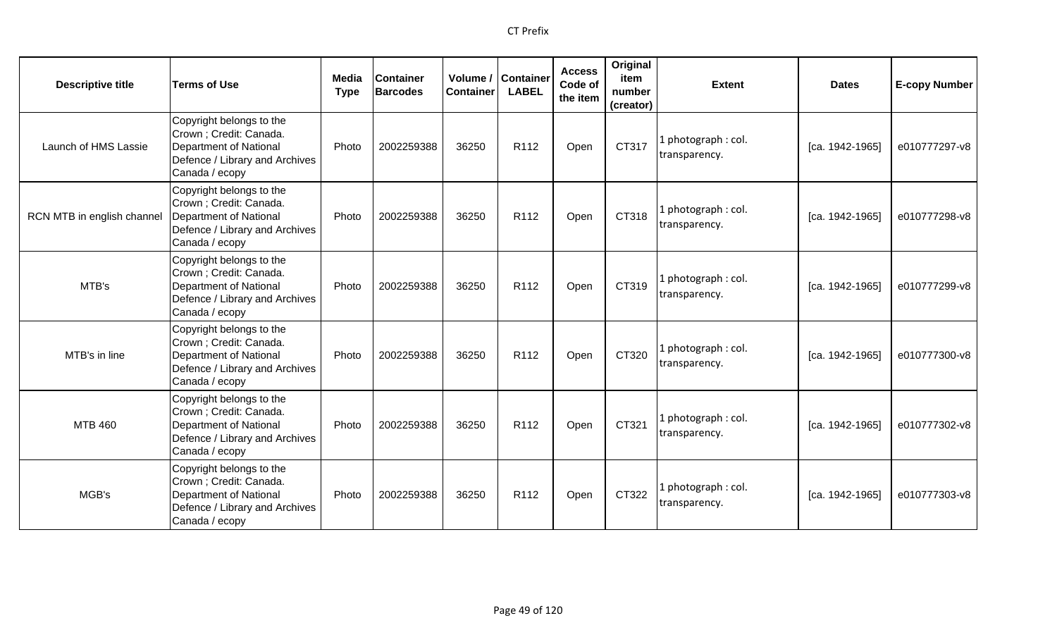| <b>Descriptive title</b>   | <b>Terms of Use</b>                                                                                                                      | <b>Media</b><br><b>Type</b> | <b>Container</b><br><b>Barcodes</b> | <b>Container</b> | Volume / Container<br><b>LABEL</b> | <b>Access</b><br>Code of<br>the item | Original<br>item<br>number<br>(creator) | <b>Extent</b>                        | <b>Dates</b>      | <b>E-copy Number</b> |
|----------------------------|------------------------------------------------------------------------------------------------------------------------------------------|-----------------------------|-------------------------------------|------------------|------------------------------------|--------------------------------------|-----------------------------------------|--------------------------------------|-------------------|----------------------|
| Launch of HMS Lassie       | Copyright belongs to the<br>Crown ; Credit: Canada.<br>Department of National<br>Defence / Library and Archives<br>Canada / ecopy        | Photo                       | 2002259388                          | 36250            | R112                               | Open                                 | CT317                                   | l photograph : col.<br>transparency. | $[ca. 1942-1965]$ | e010777297-v8        |
| RCN MTB in english channel | Copyright belongs to the<br>Crown ; Credit: Canada.<br><b>Department of National</b><br>Defence / Library and Archives<br>Canada / ecopy | Photo                       | 2002259388                          | 36250            | R112                               | Open                                 | CT318                                   | 1 photograph: col.<br>transparency.  | [ca. 1942-1965]   | e010777298-v8        |
| MTB's                      | Copyright belongs to the<br>Crown ; Credit: Canada.<br><b>Department of National</b><br>Defence / Library and Archives<br>Canada / ecopy | Photo                       | 2002259388                          | 36250            | R <sub>112</sub>                   | Open                                 | CT319                                   | 1 photograph: col.<br>transparency.  | [ca. 1942-1965]   | e010777299-v8        |
| MTB's in line              | Copyright belongs to the<br>Crown ; Credit: Canada.<br><b>Department of National</b><br>Defence / Library and Archives<br>Canada / ecopy | Photo                       | 2002259388                          | 36250            | R <sub>112</sub>                   | Open                                 | CT320                                   | 1 photograph: col.<br>transparency.  | [ca. 1942-1965]   | e010777300-v8        |
| <b>MTB 460</b>             | Copyright belongs to the<br>Crown; Credit: Canada.<br>Department of National<br>Defence / Library and Archives<br>Canada / ecopy         | Photo                       | 2002259388                          | 36250            | R <sub>112</sub>                   | Open                                 | CT321                                   | 1 photograph: col.<br>transparency.  | [ca. 1942-1965]   | e010777302-v8        |
| MGB's                      | Copyright belongs to the<br>Crown; Credit: Canada.<br>Department of National<br>Defence / Library and Archives<br>Canada / ecopy         | Photo                       | 2002259388                          | 36250            | R <sub>112</sub>                   | Open                                 | CT322                                   | 1 photograph: col.<br>transparency.  | [ca. 1942-1965]   | e010777303-v8        |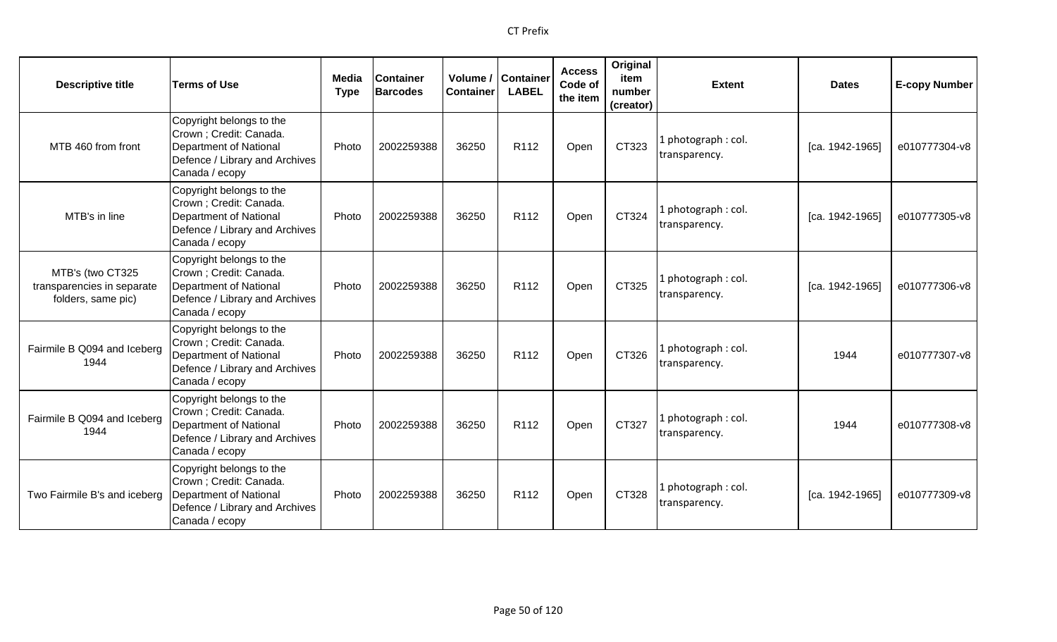| <b>Descriptive title</b>                                             | <b>Terms of Use</b>                                                                                                               | Media<br><b>Type</b> | <b>Container</b><br><b>Barcodes</b> | Volume /<br><b>Container</b> | <b>Container</b><br><b>LABEL</b> | <b>Access</b><br>Code of<br>the item | Original<br>item<br>number<br>(creator) | <b>Extent</b>                        | <b>Dates</b>      | <b>E-copy Number</b> |
|----------------------------------------------------------------------|-----------------------------------------------------------------------------------------------------------------------------------|----------------------|-------------------------------------|------------------------------|----------------------------------|--------------------------------------|-----------------------------------------|--------------------------------------|-------------------|----------------------|
| MTB 460 from front                                                   | Copyright belongs to the<br>Crown ; Credit: Canada.<br>Department of National<br>Defence / Library and Archives<br>Canada / ecopy | Photo                | 2002259388                          | 36250                        | R112                             | Open                                 | CT323                                   | 1 photograph : col.<br>transparency. | $[ca. 1942-1965]$ | e010777304-v8        |
| MTB's in line                                                        | Copyright belongs to the<br>Crown ; Credit: Canada.<br>Department of National<br>Defence / Library and Archives<br>Canada / ecopy | Photo                | 2002259388                          | 36250                        | R112                             | Open                                 | CT324                                   | 1 photograph: col.<br>transparency.  | [ca. 1942-1965]   | e010777305-v8        |
| MTB's (two CT325<br>transparencies in separate<br>folders, same pic) | Copyright belongs to the<br>Crown ; Credit: Canada.<br>Department of National<br>Defence / Library and Archives<br>Canada / ecopy | Photo                | 2002259388                          | 36250                        | R <sub>112</sub>                 | Open                                 | CT325                                   | 1 photograph: col.<br>transparency.  | [ca. 1942-1965]   | e010777306-v8        |
| Fairmile B Q094 and Iceberg<br>1944                                  | Copyright belongs to the<br>Crown ; Credit: Canada.<br>Department of National<br>Defence / Library and Archives<br>Canada / ecopy | Photo                | 2002259388                          | 36250                        | R <sub>112</sub>                 | Open                                 | CT326                                   | 1 photograph: col.<br>transparency.  | 1944              | e010777307-v8        |
| Fairmile B Q094 and Iceberg<br>1944                                  | Copyright belongs to the<br>Crown ; Credit: Canada.<br>Department of National<br>Defence / Library and Archives<br>Canada / ecopy | Photo                | 2002259388                          | 36250                        | R <sub>112</sub>                 | Open                                 | CT327                                   | 1 photograph: col.<br>transparency.  | 1944              | e010777308-v8        |
| Two Fairmile B's and iceberg                                         | Copyright belongs to the<br>Crown ; Credit: Canada.<br>Department of National<br>Defence / Library and Archives<br>Canada / ecopy | Photo                | 2002259388                          | 36250                        | R <sub>112</sub>                 | Open                                 | CT328                                   | 1 photograph: col.<br>transparency.  | [ca. 1942-1965]   | e010777309-v8        |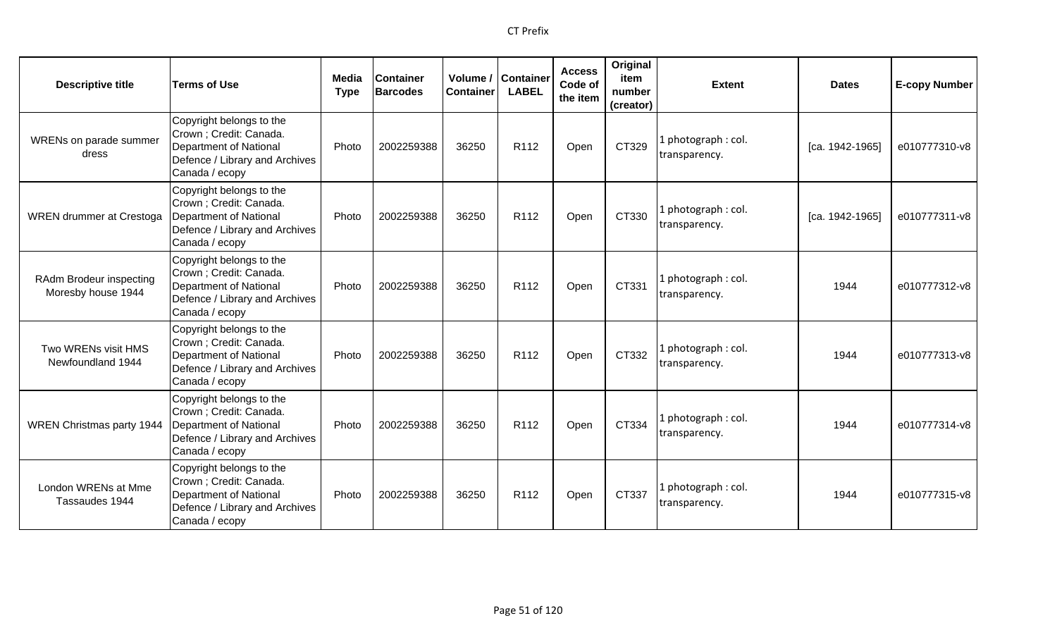| <b>Descriptive title</b>                      | <b>Terms of Use</b>                                                                                                               | Media<br><b>Type</b> | <b>Container</b><br><b>Barcodes</b> | Volume /<br><b>Container</b> | <b>Container</b><br><b>LABEL</b> | <b>Access</b><br>Code of<br>the item | Original<br>item<br>number<br>(creator) | <b>Extent</b>                        | <b>Dates</b>    | <b>E-copy Number</b> |
|-----------------------------------------------|-----------------------------------------------------------------------------------------------------------------------------------|----------------------|-------------------------------------|------------------------------|----------------------------------|--------------------------------------|-----------------------------------------|--------------------------------------|-----------------|----------------------|
| WRENs on parade summer<br>dress               | Copyright belongs to the<br>Crown; Credit: Canada.<br>Department of National<br>Defence / Library and Archives<br>Canada / ecopy  | Photo                | 2002259388                          | 36250                        | R <sub>112</sub>                 | Open                                 | CT329                                   | 1 photograph: col.<br>transparency.  | [ca. 1942-1965] | e010777310-v8        |
| <b>WREN</b> drummer at Crestoga               | Copyright belongs to the<br>Crown ; Credit: Canada.<br>Department of National<br>Defence / Library and Archives<br>Canada / ecopy | Photo                | 2002259388                          | 36250                        | R112                             | Open                                 | CT330                                   | 1 photograph: col.<br>transparency.  | [ca. 1942-1965] | e010777311-v8        |
| RAdm Brodeur inspecting<br>Moresby house 1944 | Copyright belongs to the<br>Crown ; Credit: Canada.<br>Department of National<br>Defence / Library and Archives<br>Canada / ecopy | Photo                | 2002259388                          | 36250                        | R <sub>112</sub>                 | Open                                 | CT331                                   | 1 photograph: col.<br>transparency.  | 1944            | e010777312-v8        |
| Two WRENs visit HMS<br>Newfoundland 1944      | Copyright belongs to the<br>Crown; Credit: Canada.<br>Department of National<br>Defence / Library and Archives<br>Canada / ecopy  | Photo                | 2002259388                          | 36250                        | R <sub>112</sub>                 | Open                                 | CT332                                   | 1 photograph: col.<br>transparency.  | 1944            | e010777313-v8        |
| <b>WREN Christmas party 1944</b>              | Copyright belongs to the<br>Crown ; Credit: Canada.<br>Department of National<br>Defence / Library and Archives<br>Canada / ecopy | Photo                | 2002259388                          | 36250                        | R112                             | Open                                 | CT334                                   | 1 photograph : col.<br>transparency. | 1944            | e010777314-v8        |
| London WRENs at Mme<br>Tassaudes 1944         | Copyright belongs to the<br>Crown ; Credit: Canada.<br>Department of National<br>Defence / Library and Archives<br>Canada / ecopy | Photo                | 2002259388                          | 36250                        | R <sub>112</sub>                 | Open                                 | CT337                                   | 1 photograph: col.<br>transparency.  | 1944            | e010777315-v8        |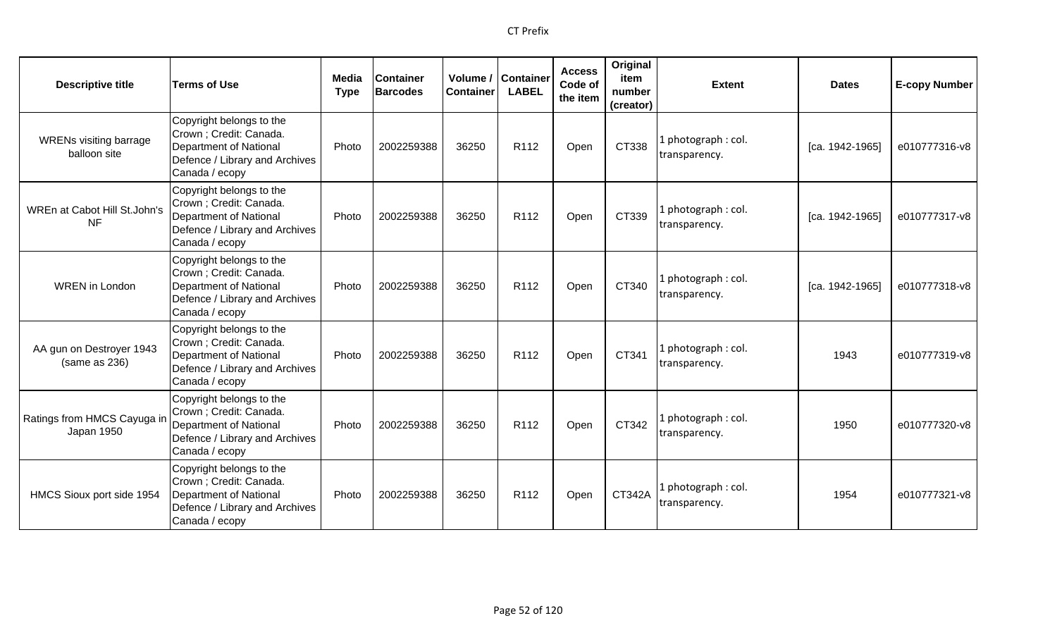| <b>Descriptive title</b>                      | <b>Terms of Use</b>                                                                                                                      | Media<br><b>Type</b> | <b>Container</b><br><b>Barcodes</b> | Volume /<br><b>Container</b> | <b>Container</b><br><b>LABEL</b> | <b>Access</b><br>Code of<br>the item | Original<br>item<br>number<br>(creator) | <b>Extent</b>                        | <b>Dates</b>      | <b>E-copy Number</b> |
|-----------------------------------------------|------------------------------------------------------------------------------------------------------------------------------------------|----------------------|-------------------------------------|------------------------------|----------------------------------|--------------------------------------|-----------------------------------------|--------------------------------------|-------------------|----------------------|
| <b>WRENs visiting barrage</b><br>balloon site | Copyright belongs to the<br>Crown ; Credit: Canada.<br>Department of National<br>Defence / Library and Archives<br>Canada / ecopy        | Photo                | 2002259388                          | 36250                        | R112                             | Open                                 | CT338                                   | photograph: col.<br>transparency.    | [ca. 1942-1965]   | e010777316-v8        |
| WREn at Cabot Hill St.John's<br><b>NF</b>     | Copyright belongs to the<br>Crown ; Credit: Canada.<br><b>Department of National</b><br>Defence / Library and Archives<br>Canada / ecopy | Photo                | 2002259388                          | 36250                        | R112                             | Open                                 | CT339                                   | I photograph: col.<br>transparency.  | [ca. 1942-1965]   | e010777317-v8        |
| <b>WREN</b> in London                         | Copyright belongs to the<br>Crown ; Credit: Canada.<br><b>Department of National</b><br>Defence / Library and Archives<br>Canada / ecopy | Photo                | 2002259388                          | 36250                        | R <sub>112</sub>                 | Open                                 | CT340                                   | L photograph : col.<br>transparency. | $[ca. 1942-1965]$ | e010777318-v8        |
| AA gun on Destroyer 1943<br>(same as 236)     | Copyright belongs to the<br>Crown ; Credit: Canada.<br><b>Department of National</b><br>Defence / Library and Archives<br>Canada / ecopy | Photo                | 2002259388                          | 36250                        | R <sub>112</sub>                 | Open                                 | CT341                                   | L photograph : col.<br>transparency. | 1943              | e010777319-v8        |
| Ratings from HMCS Cayuga ir<br>Japan 1950     | Copyright belongs to the<br>Crown ; Credit: Canada.<br>Department of National<br>Defence / Library and Archives<br>Canada / ecopy        | Photo                | 2002259388                          | 36250                        | R <sub>112</sub>                 | Open                                 | CT342                                   | photograph: col.<br>transparency.    | 1950              | e010777320-v8        |
| HMCS Sioux port side 1954                     | Copyright belongs to the<br>Crown ; Credit: Canada.<br><b>Department of National</b><br>Defence / Library and Archives<br>Canada / ecopy | Photo                | 2002259388                          | 36250                        | R <sub>112</sub>                 | Open                                 | <b>CT342A</b>                           | photograph: col.<br>transparency.    | 1954              | e010777321-v8        |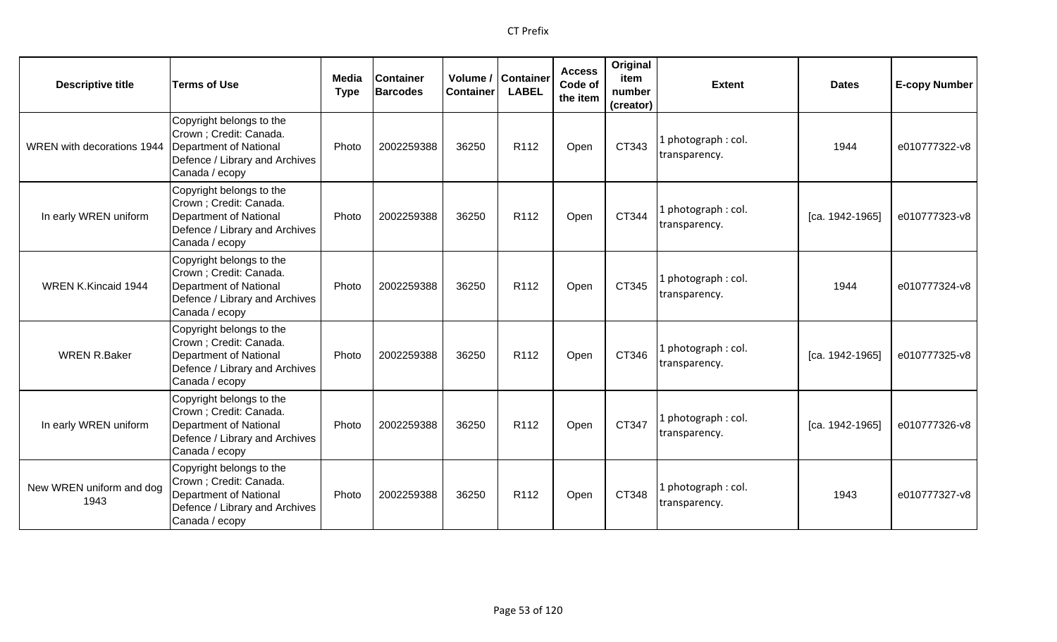| <b>Descriptive title</b>          | <b>Terms of Use</b>                                                                                                                      | <b>Media</b><br><b>Type</b> | <b>Container</b><br><b>Barcodes</b> | <b>Container</b> | Volume / Container<br><b>LABEL</b> | <b>Access</b><br>Code of<br>the item | Original<br>item<br>number<br>(creator) | <b>Extent</b>                        | <b>Dates</b>    | <b>E-copy Number</b> |
|-----------------------------------|------------------------------------------------------------------------------------------------------------------------------------------|-----------------------------|-------------------------------------|------------------|------------------------------------|--------------------------------------|-----------------------------------------|--------------------------------------|-----------------|----------------------|
| <b>WREN</b> with decorations 1944 | Copyright belongs to the<br>Crown ; Credit: Canada.<br><b>Department of National</b><br>Defence / Library and Archives<br>Canada / ecopy | Photo                       | 2002259388                          | 36250            | R <sub>112</sub>                   | Open                                 | CT343                                   | 1 photograph: col.<br>transparency.  | 1944            | e010777322-v8        |
| In early WREN uniform             | Copyright belongs to the<br>Crown ; Credit: Canada.<br>Department of National<br>Defence / Library and Archives<br>Canada / ecopy        | Photo                       | 2002259388                          | 36250            | R112                               | Open                                 | CT344                                   | 1 photograph: col.<br>transparency.  | [ca. 1942-1965] | e010777323-v8        |
| WREN K.Kincaid 1944               | Copyright belongs to the<br>Crown; Credit: Canada.<br>Department of National<br>Defence / Library and Archives<br>Canada / ecopy         | Photo                       | 2002259388                          | 36250            | R112                               | Open                                 | CT345                                   | 1 photograph: col.<br>transparency.  | 1944            | e010777324-v8        |
| <b>WREN R.Baker</b>               | Copyright belongs to the<br>Crown ; Credit: Canada.<br><b>Department of National</b><br>Defence / Library and Archives<br>Canada / ecopy | Photo                       | 2002259388                          | 36250            | R <sub>112</sub>                   | Open                                 | CT346                                   | 1 photograph: col.<br>transparency.  | [ca. 1942-1965] | e010777325-v8        |
| In early WREN uniform             | Copyright belongs to the<br>Crown ; Credit: Canada.<br>Department of National<br>Defence / Library and Archives<br>Canada / ecopy        | Photo                       | 2002259388                          | 36250            | R112                               | Open                                 | CT347                                   | l photograph : col.<br>transparency. | [ca. 1942-1965] | e010777326-v8        |
| New WREN uniform and dog<br>1943  | Copyright belongs to the<br>Crown ; Credit: Canada.<br><b>Department of National</b><br>Defence / Library and Archives<br>Canada / ecopy | Photo                       | 2002259388                          | 36250            | R <sub>112</sub>                   | Open                                 | CT348                                   | 1 photograph: col.<br>transparency.  | 1943            | e010777327-v8        |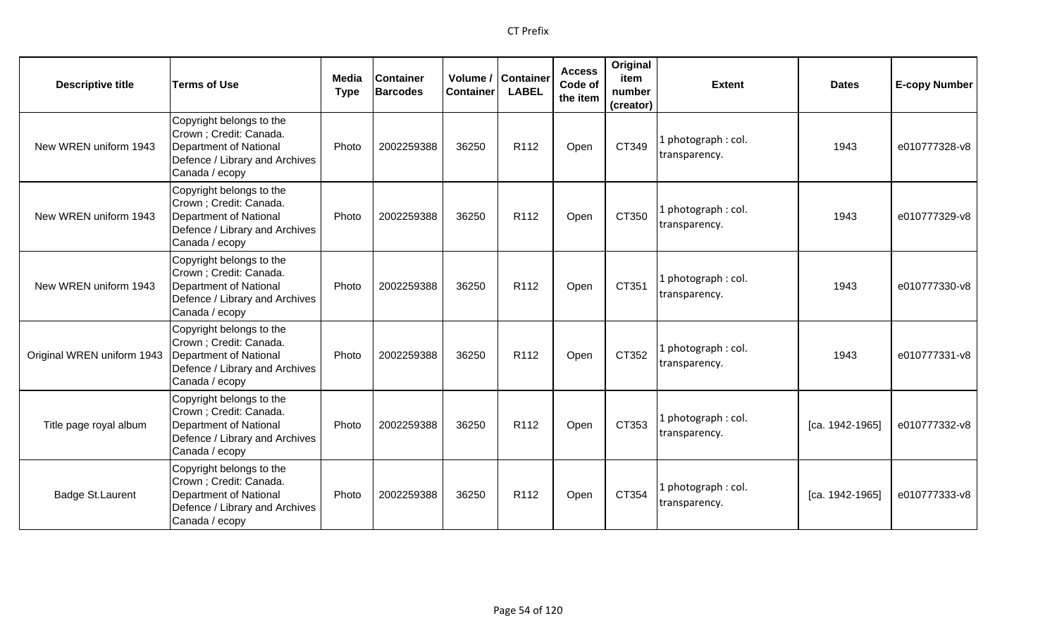| <b>Descriptive title</b>   | <b>Terms of Use</b>                                                                                                               | Media<br><b>Type</b> | <b>Container</b><br><b>Barcodes</b> | <b>Container</b> | Volume / Container<br><b>LABEL</b> | <b>Access</b><br>Code of<br>the item | Original<br>item<br>number<br>(creator) | <b>Extent</b>                        | <b>Dates</b>    | <b>E-copy Number</b> |
|----------------------------|-----------------------------------------------------------------------------------------------------------------------------------|----------------------|-------------------------------------|------------------|------------------------------------|--------------------------------------|-----------------------------------------|--------------------------------------|-----------------|----------------------|
| New WREN uniform 1943      | Copyright belongs to the<br>Crown ; Credit: Canada.<br>Department of National<br>Defence / Library and Archives<br>Canada / ecopy | Photo                | 2002259388                          | 36250            | R112                               | Open                                 | CT349                                   | l photograph : col.<br>transparency. | 1943            | e010777328-v8        |
| New WREN uniform 1943      | Copyright belongs to the<br>Crown ; Credit: Canada.<br>Department of National<br>Defence / Library and Archives<br>Canada / ecopy | Photo                | 2002259388                          | 36250            | R112                               | Open                                 | CT350                                   | 1 photograph: col.<br>transparency.  | 1943            | e010777329-v8        |
| New WREN uniform 1943      | Copyright belongs to the<br>Crown ; Credit: Canada.<br>Department of National<br>Defence / Library and Archives<br>Canada / ecopy | Photo                | 2002259388                          | 36250            | R <sub>112</sub>                   | Open                                 | CT351                                   | 1 photograph: col.<br>transparency.  | 1943            | e010777330-v8        |
| Original WREN uniform 1943 | Copyright belongs to the<br>Crown ; Credit: Canada.<br>Department of National<br>Defence / Library and Archives<br>Canada / ecopy | Photo                | 2002259388                          | 36250            | R <sub>112</sub>                   | Open                                 | CT352                                   | 1 photograph: col.<br>transparency.  | 1943            | e010777331-v8        |
| Title page royal album     | Copyright belongs to the<br>Crown ; Credit: Canada.<br>Department of National<br>Defence / Library and Archives<br>Canada / ecopy | Photo                | 2002259388                          | 36250            | R112                               | Open                                 | CT353                                   | 1 photograph : col.<br>transparency. | [ca. 1942-1965] | e010777332-v8        |
| Badge St.Laurent           | Copyright belongs to the<br>Crown ; Credit: Canada.<br>Department of National<br>Defence / Library and Archives<br>Canada / ecopy | Photo                | 2002259388                          | 36250            | R <sub>112</sub>                   | Open                                 | CT354                                   | 1 photograph: col.<br>transparency.  | [ca. 1942-1965] | e010777333-v8        |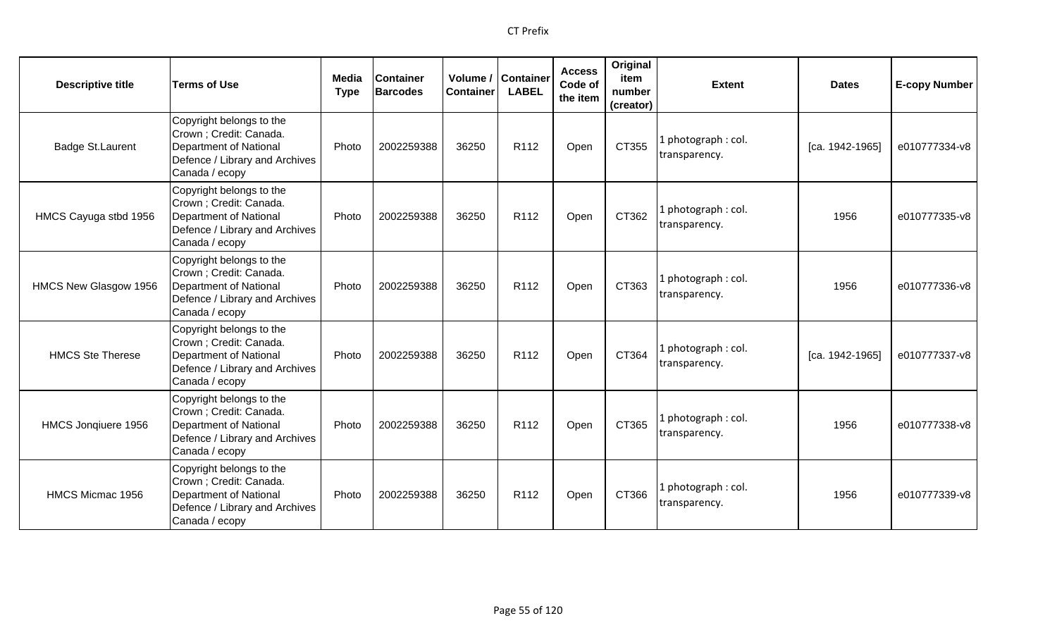| <b>Descriptive title</b> | <b>Terms of Use</b>                                                                                                               | <b>Media</b><br><b>Type</b> | <b>Container</b><br><b>Barcodes</b> | <b>Container</b> | Volume / Container<br><b>LABEL</b> | <b>Access</b><br>Code of<br>the item | Original<br>item<br>number<br>(creator) | <b>Extent</b>                        | <b>Dates</b>    | <b>E-copy Number</b> |
|--------------------------|-----------------------------------------------------------------------------------------------------------------------------------|-----------------------------|-------------------------------------|------------------|------------------------------------|--------------------------------------|-----------------------------------------|--------------------------------------|-----------------|----------------------|
| <b>Badge St.Laurent</b>  | Copyright belongs to the<br>Crown ; Credit: Canada.<br>Department of National<br>Defence / Library and Archives<br>Canada / ecopy | Photo                       | 2002259388                          | 36250            | R112                               | Open                                 | CT355                                   | l photograph : col.<br>transparency. | [ca. 1942-1965] | e010777334-v8        |
| HMCS Cayuga stbd 1956    | Copyright belongs to the<br>Crown ; Credit: Canada.<br>Department of National<br>Defence / Library and Archives<br>Canada / ecopy | Photo                       | 2002259388                          | 36250            | R <sub>112</sub>                   | Open                                 | CT362                                   | 1 photograph: col.<br>transparency.  | 1956            | e010777335-v8        |
| HMCS New Glasgow 1956    | Copyright belongs to the<br>Crown ; Credit: Canada.<br>Department of National<br>Defence / Library and Archives<br>Canada / ecopy | Photo                       | 2002259388                          | 36250            | R112                               | Open                                 | CT363                                   | 1 photograph: col.<br>transparency.  | 1956            | e010777336-v8        |
| <b>HMCS Ste Therese</b>  | Copyright belongs to the<br>Crown ; Credit: Canada.<br>Department of National<br>Defence / Library and Archives<br>Canada / ecopy | Photo                       | 2002259388                          | 36250            | R112                               | Open                                 | CT364                                   | 1 photograph: col.<br>transparency.  | [ca. 1942-1965] | e010777337-v8        |
| HMCS Jonqiuere 1956      | Copyright belongs to the<br>Crown ; Credit: Canada.<br>Department of National<br>Defence / Library and Archives<br>Canada / ecopy | Photo                       | 2002259388                          | 36250            | R <sub>112</sub>                   | Open                                 | CT365                                   | 1 photograph: col.<br>transparency.  | 1956            | e010777338-v8        |
| HMCS Micmac 1956         | Copyright belongs to the<br>Crown ; Credit: Canada.<br>Department of National<br>Defence / Library and Archives<br>Canada / ecopy | Photo                       | 2002259388                          | 36250            | R112                               | Open                                 | CT366                                   | 1 photograph: col.<br>transparency.  | 1956            | e010777339-v8        |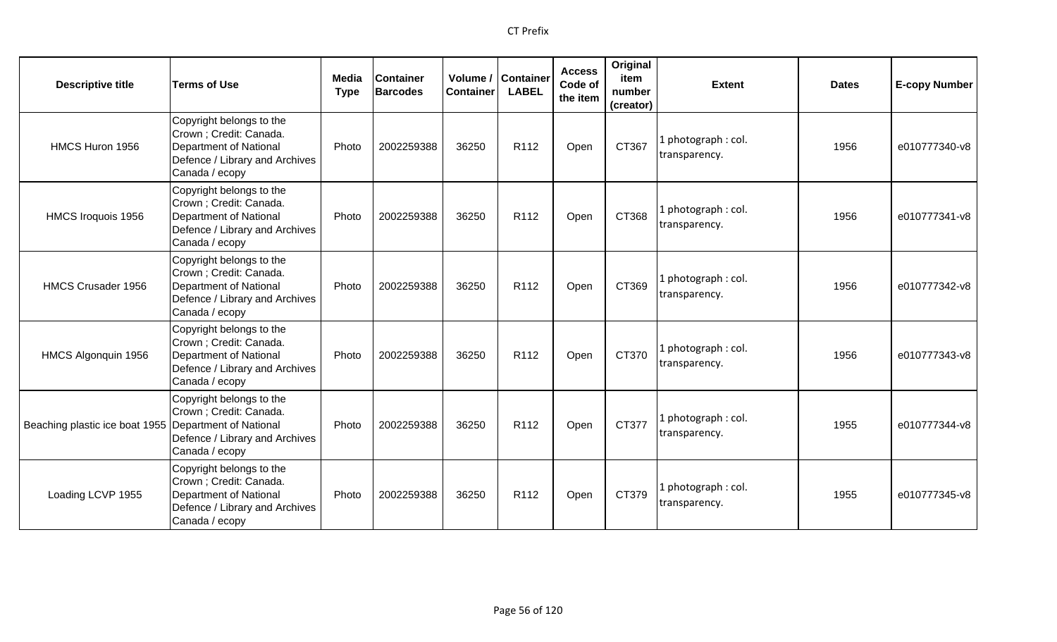| <b>Descriptive title</b>                                | <b>Terms of Use</b>                                                                                                               | Media<br><b>Type</b> | <b>Container</b><br><b>Barcodes</b> | Volume /<br><b>Container</b> | <b>Container</b><br><b>LABEL</b> | <b>Access</b><br>Code of<br>the item | Original<br>item<br>number<br>(creator) | <b>Extent</b>                        | <b>Dates</b> | <b>E-copy Number</b> |
|---------------------------------------------------------|-----------------------------------------------------------------------------------------------------------------------------------|----------------------|-------------------------------------|------------------------------|----------------------------------|--------------------------------------|-----------------------------------------|--------------------------------------|--------------|----------------------|
| HMCS Huron 1956                                         | Copyright belongs to the<br>Crown ; Credit: Canada.<br>Department of National<br>Defence / Library and Archives<br>Canada / ecopy | Photo                | 2002259388                          | 36250                        | R112                             | Open                                 | CT367                                   | . photograph: col.<br>transparency.  | 1956         | e010777340-v8        |
| HMCS Iroquois 1956                                      | Copyright belongs to the<br>Crown ; Credit: Canada.<br>Department of National<br>Defence / Library and Archives<br>Canada / ecopy | Photo                | 2002259388                          | 36250                        | R112                             | Open                                 | CT368                                   | l photograph : col.<br>transparency. | 1956         | e010777341-v8        |
| HMCS Crusader 1956                                      | Copyright belongs to the<br>Crown ; Credit: Canada.<br>Department of National<br>Defence / Library and Archives<br>Canada / ecopy | Photo                | 2002259388                          | 36250                        | R112                             | Open                                 | CT369                                   | I photograph: col.<br>transparency.  | 1956         | e010777342-v8        |
| HMCS Algonquin 1956                                     | Copyright belongs to the<br>Crown ; Credit: Canada.<br>Department of National<br>Defence / Library and Archives<br>Canada / ecopy | Photo                | 2002259388                          | 36250                        | R <sub>112</sub>                 | Open                                 | CT370                                   | I photograph: col.<br>transparency.  | 1956         | e010777343-v8        |
| Beaching plastic ice boat 1955   Department of National | Copyright belongs to the<br>Crown ; Credit: Canada.<br>Defence / Library and Archives<br>Canada / ecopy                           | Photo                | 2002259388                          | 36250                        | R <sub>112</sub>                 | Open                                 | CT377                                   | photograph: col.<br>transparency.    | 1955         | e010777344-v8        |
| Loading LCVP 1955                                       | Copyright belongs to the<br>Crown ; Credit: Canada.<br>Department of National<br>Defence / Library and Archives<br>Canada / ecopy | Photo                | 2002259388                          | 36250                        | R <sub>112</sub>                 | Open                                 | CT379                                   | photograph: col.<br>transparency.    | 1955         | e010777345-v8        |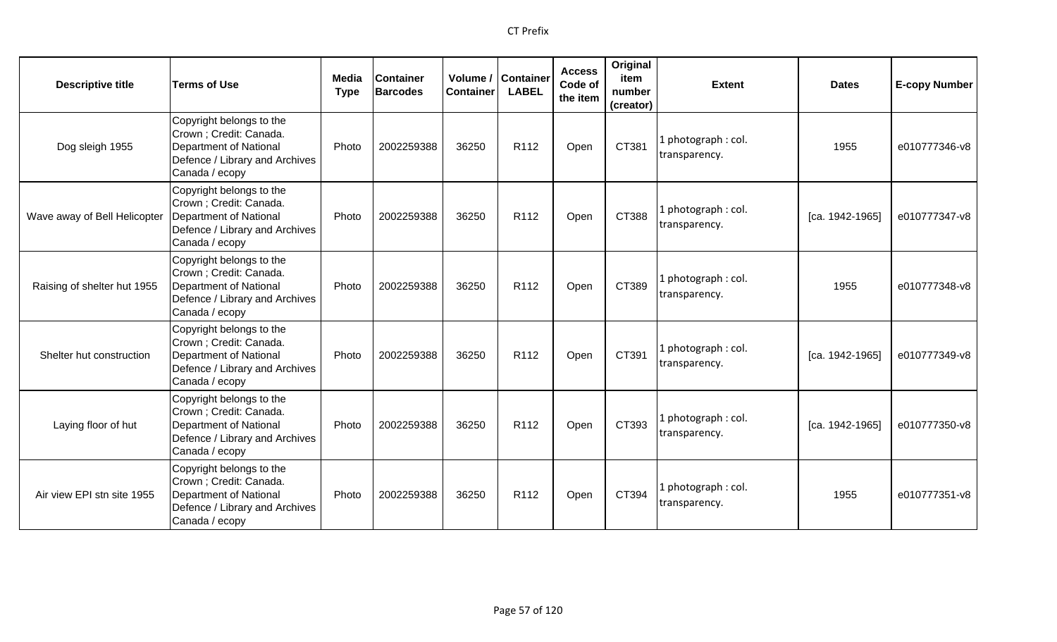| <b>Descriptive title</b>     | <b>Terms of Use</b>                                                                                                               | <b>Media</b><br><b>Type</b> | <b>Container</b><br><b>Barcodes</b> | <b>Container</b> | Volume / Container<br><b>LABEL</b> | <b>Access</b><br>Code of<br>the item | Original<br>item<br>number<br>(creator) | <b>Extent</b>                        | <b>Dates</b>    | <b>E-copy Number</b> |
|------------------------------|-----------------------------------------------------------------------------------------------------------------------------------|-----------------------------|-------------------------------------|------------------|------------------------------------|--------------------------------------|-----------------------------------------|--------------------------------------|-----------------|----------------------|
| Dog sleigh 1955              | Copyright belongs to the<br>Crown ; Credit: Canada.<br>Department of National<br>Defence / Library and Archives<br>Canada / ecopy | Photo                       | 2002259388                          | 36250            | R112                               | Open                                 | CT381                                   | l photograph : col.<br>transparency. | 1955            | e010777346-v8        |
| Wave away of Bell Helicopter | Copyright belongs to the<br>Crown ; Credit: Canada.<br>Department of National<br>Defence / Library and Archives<br>Canada / ecopy | Photo                       | 2002259388                          | 36250            | R112                               | Open                                 | CT388                                   | 1 photograph: col.<br>transparency.  | [ca. 1942-1965] | e010777347-v8        |
| Raising of shelter hut 1955  | Copyright belongs to the<br>Crown ; Credit: Canada.<br>Department of National<br>Defence / Library and Archives<br>Canada / ecopy | Photo                       | 2002259388                          | 36250            | R112                               | Open                                 | CT389                                   | 1 photograph: col.<br>transparency.  | 1955            | e010777348-v8        |
| Shelter hut construction     | Copyright belongs to the<br>Crown ; Credit: Canada.<br>Department of National<br>Defence / Library and Archives<br>Canada / ecopy | Photo                       | 2002259388                          | 36250            | R112                               | Open                                 | CT391                                   | 1 photograph: col.<br>transparency.  | [ca. 1942-1965] | e010777349-v8        |
| Laying floor of hut          | Copyright belongs to the<br>Crown ; Credit: Canada.<br>Department of National<br>Defence / Library and Archives<br>Canada / ecopy | Photo                       | 2002259388                          | 36250            | R <sub>112</sub>                   | Open                                 | CT393                                   | 1 photograph: col.<br>transparency.  | [ca. 1942-1965] | e010777350-v8        |
| Air view EPI stn site 1955   | Copyright belongs to the<br>Crown ; Credit: Canada.<br>Department of National<br>Defence / Library and Archives<br>Canada / ecopy | Photo                       | 2002259388                          | 36250            | R112                               | Open                                 | CT394                                   | 1 photograph: col.<br>transparency.  | 1955            | e010777351-v8        |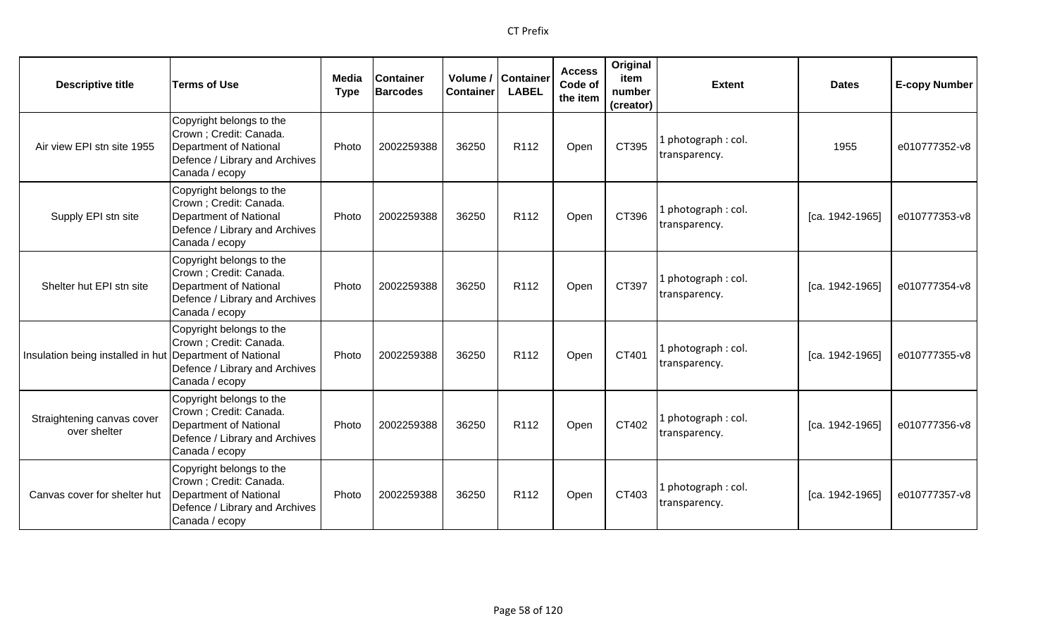| <b>Descriptive title</b>                                 | <b>Terms of Use</b>                                                                                                               | Media<br><b>Type</b> | <b>Container</b><br><b>Barcodes</b> | <b>Container</b> | Volume / Container<br><b>LABEL</b> | <b>Access</b><br>Code of<br>the item | Original<br>item<br>number<br>(creator) | <b>Extent</b>                        | <b>Dates</b>    | <b>E-copy Number</b> |
|----------------------------------------------------------|-----------------------------------------------------------------------------------------------------------------------------------|----------------------|-------------------------------------|------------------|------------------------------------|--------------------------------------|-----------------------------------------|--------------------------------------|-----------------|----------------------|
| Air view EPI stn site 1955                               | Copyright belongs to the<br>Crown ; Credit: Canada.<br>Department of National<br>Defence / Library and Archives<br>Canada / ecopy | Photo                | 2002259388                          | 36250            | R112                               | Open                                 | CT395                                   | l photograph : col.<br>transparency. | 1955            | e010777352-v8        |
| Supply EPI stn site                                      | Copyright belongs to the<br>Crown ; Credit: Canada.<br>Department of National<br>Defence / Library and Archives<br>Canada / ecopy | Photo                | 2002259388                          | 36250            | R <sub>112</sub>                   | Open                                 | CT396                                   | 1 photograph: col.<br>transparency.  | [ca. 1942-1965] | e010777353-v8        |
| Shelter hut EPI stn site                                 | Copyright belongs to the<br>Crown ; Credit: Canada.<br>Department of National<br>Defence / Library and Archives<br>Canada / ecopy | Photo                | 2002259388                          | 36250            | R112                               | Open                                 | CT397                                   | 1 photograph: col.<br>transparency.  | [ca. 1942-1965] | e010777354-v8        |
| Insulation being installed in hut Department of National | Copyright belongs to the<br>Crown ; Credit: Canada.<br>Defence / Library and Archives<br>Canada / ecopy                           | Photo                | 2002259388                          | 36250            | R112                               | Open                                 | CT401                                   | 1 photograph: col.<br>transparency.  | [ca. 1942-1965] | e010777355-v8        |
| Straightening canvas cover<br>over shelter               | Copyright belongs to the<br>Crown ; Credit: Canada.<br>Department of National<br>Defence / Library and Archives<br>Canada / ecopy | Photo                | 2002259388                          | 36250            | R <sub>112</sub>                   | Open                                 | CT402                                   | 1 photograph: col.<br>transparency.  | [ca. 1942-1965] | e010777356-v8        |
| Canvas cover for shelter hut                             | Copyright belongs to the<br>Crown ; Credit: Canada.<br>Department of National<br>Defence / Library and Archives<br>Canada / ecopy | Photo                | 2002259388                          | 36250            | R112                               | Open                                 | CT403                                   | 1 photograph: col.<br>transparency.  | [ca. 1942-1965] | e010777357-v8        |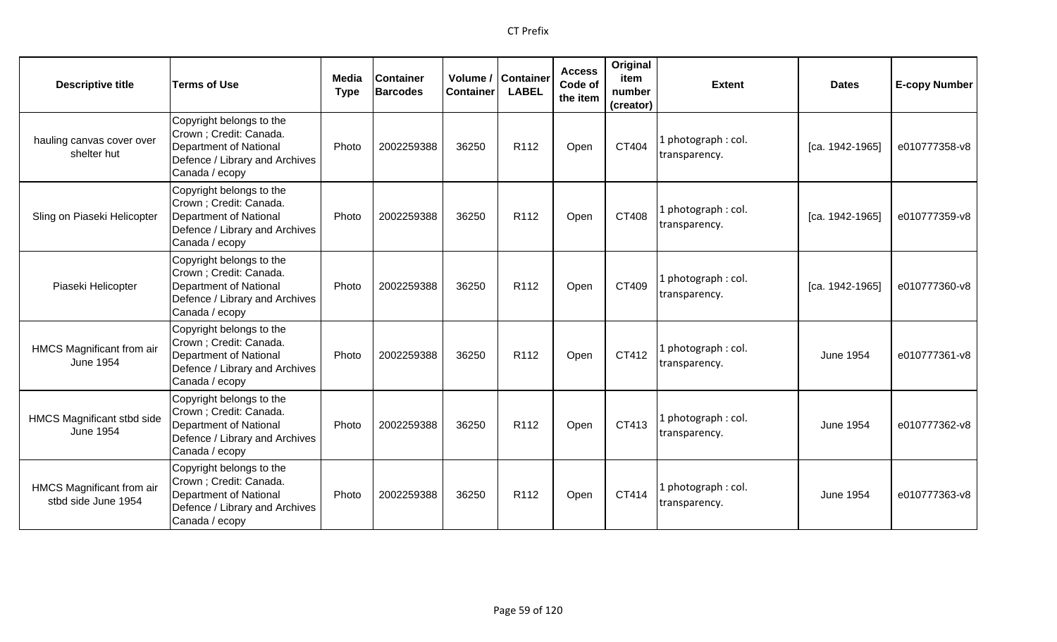| <b>Descriptive title</b>                              | <b>Terms of Use</b>                                                                                                               | Media<br><b>Type</b> | <b>Container</b><br><b>Barcodes</b> | Volume /<br><b>Container</b> | <b>Container</b><br><b>LABEL</b> | <b>Access</b><br>Code of<br>the item | Original<br>item<br>number<br>(creator) | <b>Extent</b>                        | <b>Dates</b>     | <b>E-copy Number</b> |
|-------------------------------------------------------|-----------------------------------------------------------------------------------------------------------------------------------|----------------------|-------------------------------------|------------------------------|----------------------------------|--------------------------------------|-----------------------------------------|--------------------------------------|------------------|----------------------|
| hauling canvas cover over<br>shelter hut              | Copyright belongs to the<br>Crown ; Credit: Canada.<br>Department of National<br>Defence / Library and Archives<br>Canada / ecopy | Photo                | 2002259388                          | 36250                        | R112                             | Open                                 | CT404                                   | 1 photograph: col.<br>transparency.  | [ca. 1942-1965]  | e010777358-v8        |
| Sling on Piaseki Helicopter                           | Copyright belongs to the<br>Crown ; Credit: Canada.<br>Department of National<br>Defence / Library and Archives<br>Canada / ecopy | Photo                | 2002259388                          | 36250                        | R <sub>112</sub>                 | Open                                 | CT408                                   | 1 photograph: col.<br>transparency.  | [ca. 1942-1965]  | e010777359-v8        |
| Piaseki Helicopter                                    | Copyright belongs to the<br>Crown ; Credit: Canada.<br>Department of National<br>Defence / Library and Archives<br>Canada / ecopy | Photo                | 2002259388                          | 36250                        | R112                             | Open                                 | CT409                                   | 1 photograph: col.<br>transparency.  | [ca. 1942-1965]  | e010777360-v8        |
| HMCS Magnificant from air<br><b>June 1954</b>         | Copyright belongs to the<br>Crown ; Credit: Canada.<br>Department of National<br>Defence / Library and Archives<br>Canada / ecopy | Photo                | 2002259388                          | 36250                        | R112                             | Open                                 | CT412                                   | 1 photograph : col.<br>transparency. | June 1954        | e010777361-v8        |
| <b>HMCS Magnificant stbd side</b><br><b>June 1954</b> | Copyright belongs to the<br>Crown ; Credit: Canada.<br>Department of National<br>Defence / Library and Archives<br>Canada / ecopy | Photo                | 2002259388                          | 36250                        | R112                             | Open                                 | CT413                                   | 1 photograph: col.<br>transparency.  | <b>June 1954</b> | e010777362-v8        |
| HMCS Magnificant from air<br>stbd side June 1954      | Copyright belongs to the<br>Crown ; Credit: Canada.<br>Department of National<br>Defence / Library and Archives<br>Canada / ecopy | Photo                | 2002259388                          | 36250                        | R <sub>112</sub>                 | Open                                 | CT414                                   | 1 photograph: col.<br>transparency.  | <b>June 1954</b> | e010777363-v8        |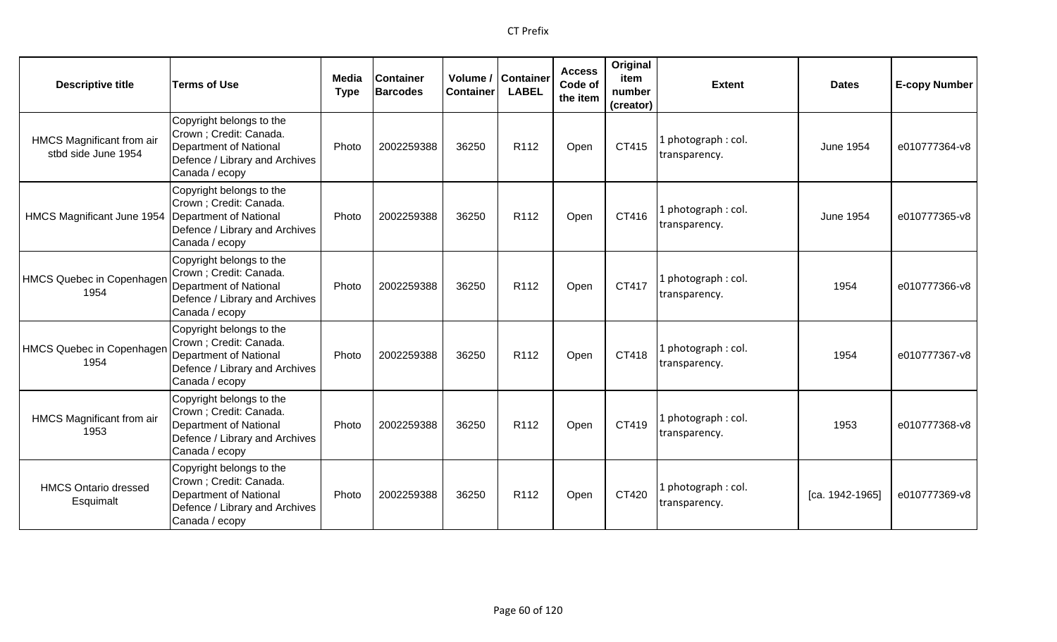| <b>Descriptive title</b>                          | <b>Terms of Use</b>                                                                                                                     | Media<br><b>Type</b> | <b>Container</b><br><b>Barcodes</b> | Volume /<br><b>Container</b> | <b>Container</b><br><b>LABEL</b> | <b>Access</b><br>Code of<br>the item | Original<br>item<br>number<br>(creator) | <b>Extent</b>                        | <b>Dates</b>     | <b>E-copy Number</b> |
|---------------------------------------------------|-----------------------------------------------------------------------------------------------------------------------------------------|----------------------|-------------------------------------|------------------------------|----------------------------------|--------------------------------------|-----------------------------------------|--------------------------------------|------------------|----------------------|
| HMCS Magnificant from air<br>stbd side June 1954  | Copyright belongs to the<br>Crown; Credit: Canada.<br>Department of National<br>Defence / Library and Archives<br>Canada / ecopy        | Photo                | 2002259388                          | 36250                        | R112                             | Open                                 | CT415                                   | 1 photograph: col.<br>transparency.  | <b>June 1954</b> | e010777364-v8        |
| HMCS Magnificant June 1954 Department of National | Copyright belongs to the<br>Crown ; Credit: Canada.<br>Defence / Library and Archives<br>Canada / ecopy                                 | Photo                | 2002259388                          | 36250                        | R112                             | Open                                 | CT416                                   | 1 photograph: col.<br>transparency.  | <b>June 1954</b> | e010777365-v8        |
| <b>HMCS Quebec in Copenhager</b><br>1954          | Copyright belongs to the<br>Crown ; Credit: Canada.<br>Department of National<br>Defence / Library and Archives<br>Canada / ecopy       | Photo                | 2002259388                          | 36250                        | R <sub>112</sub>                 | Open                                 | CT417                                   | 1 photograph : col.<br>transparency. | 1954             | e010777366-v8        |
| <b>HMCS Quebec in Copenhager</b><br>1954          | Copyright belongs to the<br>Crown; Credit: Canada.<br><b>Department of National</b><br>Defence / Library and Archives<br>Canada / ecopy | Photo                | 2002259388                          | 36250                        | R112                             | Open                                 | CT418                                   | 1 photograph: col.<br>transparency.  | 1954             | e010777367-v8        |
| HMCS Magnificant from air<br>1953                 | Copyright belongs to the<br>Crown ; Credit: Canada.<br>Department of National<br>Defence / Library and Archives<br>Canada / ecopy       | Photo                | 2002259388                          | 36250                        | R <sub>112</sub>                 | Open                                 | CT419                                   | 1 photograph: col.<br>transparency.  | 1953             | e010777368-v8        |
| <b>HMCS Ontario dressed</b><br>Esquimalt          | Copyright belongs to the<br>Crown ; Credit: Canada.<br>Department of National<br>Defence / Library and Archives<br>Canada / ecopy       | Photo                | 2002259388                          | 36250                        | R <sub>112</sub>                 | Open                                 | CT420                                   | 1 photograph: col.<br>transparency.  | [ca. 1942-1965]  | e010777369-v8        |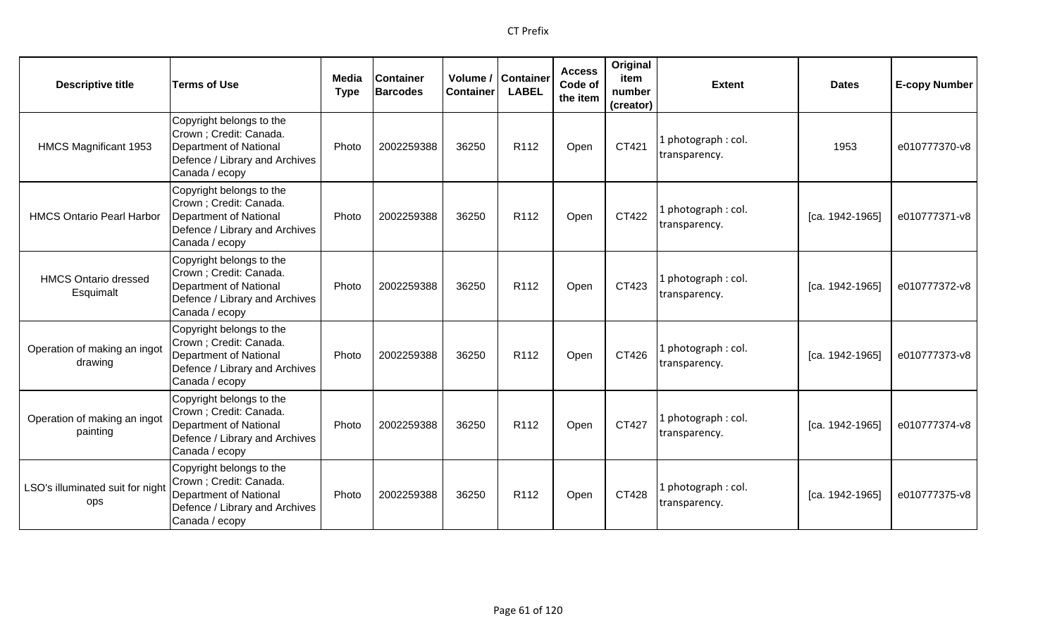| <b>Descriptive title</b>                 | <b>Terms of Use</b>                                                                                                               | Media<br><b>Type</b> | <b>Container</b><br><b>Barcodes</b> | Volume /<br><b>Container</b> | <b>Container</b><br><b>LABEL</b> | <b>Access</b><br>Code of<br>the item | Original<br>item<br>number<br>(creator) | <b>Extent</b>                       | <b>Dates</b>      | <b>E-copy Number</b> |
|------------------------------------------|-----------------------------------------------------------------------------------------------------------------------------------|----------------------|-------------------------------------|------------------------------|----------------------------------|--------------------------------------|-----------------------------------------|-------------------------------------|-------------------|----------------------|
| HMCS Magnificant 1953                    | Copyright belongs to the<br>Crown ; Credit: Canada.<br>Department of National<br>Defence / Library and Archives<br>Canada / ecopy | Photo                | 2002259388                          | 36250                        | R112                             | Open                                 | CT421                                   | 1 photograph: col.<br>transparency. | 1953              | e010777370-v8        |
| <b>HMCS Ontario Pearl Harbor</b>         | Copyright belongs to the<br>Crown ; Credit: Canada.<br>Department of National<br>Defence / Library and Archives<br>Canada / ecopy | Photo                | 2002259388                          | 36250                        | R <sub>112</sub>                 | Open                                 | CT422                                   | 1 photograph: col.<br>transparency. | [ca. 1942-1965]   | e010777371-v8        |
| <b>HMCS Ontario dressed</b><br>Esquimalt | Copyright belongs to the<br>Crown ; Credit: Canada.<br>Department of National<br>Defence / Library and Archives<br>Canada / ecopy | Photo                | 2002259388                          | 36250                        | R112                             | Open                                 | CT423                                   | 1 photograph: col.<br>transparency. | $[ca. 1942-1965]$ | e010777372-v8        |
| Operation of making an ingot<br>drawing  | Copyright belongs to the<br>Crown ; Credit: Canada.<br>Department of National<br>Defence / Library and Archives<br>Canada / ecopy | Photo                | 2002259388                          | 36250                        | R112                             | Open                                 | CT426                                   | 1 photograph: col.<br>transparency. | [ca. 1942-1965]   | e010777373-v8        |
| Operation of making an ingot<br>painting | Copyright belongs to the<br>Crown ; Credit: Canada.<br>Department of National<br>Defence / Library and Archives<br>Canada / ecopy | Photo                | 2002259388                          | 36250                        | R112                             | Open                                 | CT427                                   | 1 photograph: col.<br>transparency. | [ca. 1942-1965]   | e010777374-v8        |
| LSO's illuminated suit for night<br>ops  | Copyright belongs to the<br>Crown ; Credit: Canada.<br>Department of National<br>Defence / Library and Archives<br>Canada / ecopy | Photo                | 2002259388                          | 36250                        | R112                             | Open                                 | CT428                                   | 1 photograph: col.<br>transparency. | [ca. 1942-1965]   | e010777375-v8        |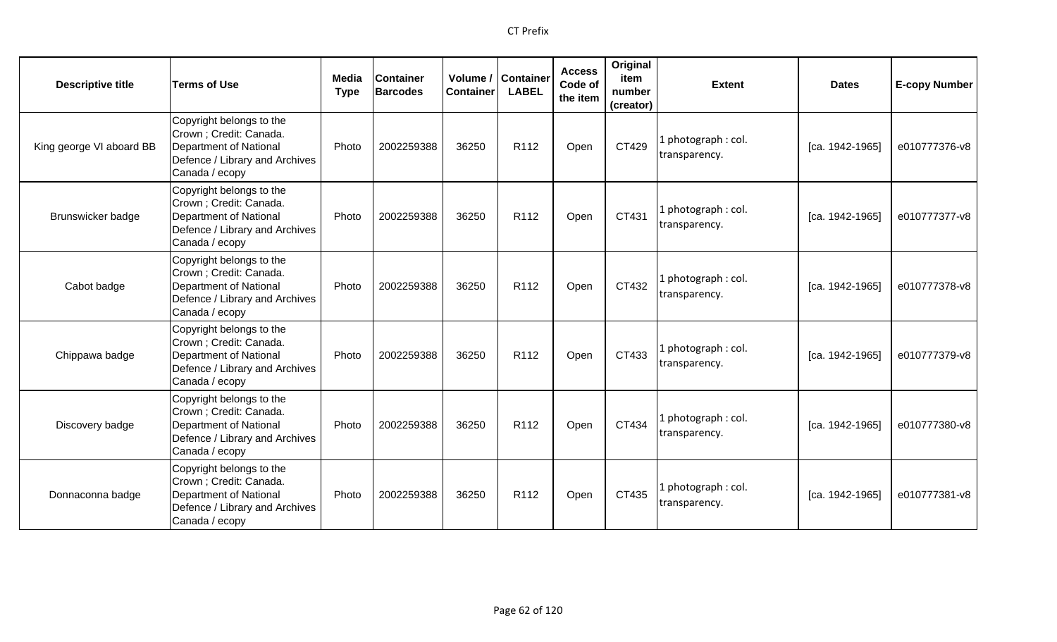| <b>Descriptive title</b> | <b>Terms of Use</b>                                                                                                                      | <b>Media</b><br><b>Type</b> | <b>Container</b><br><b>Barcodes</b> | <b>Container</b> | Volume / Container<br><b>LABEL</b> | <b>Access</b><br>Code of<br>the item | Original<br>item<br>number<br>(creator) | <b>Extent</b>                       | <b>Dates</b>      | <b>E-copy Number</b> |
|--------------------------|------------------------------------------------------------------------------------------------------------------------------------------|-----------------------------|-------------------------------------|------------------|------------------------------------|--------------------------------------|-----------------------------------------|-------------------------------------|-------------------|----------------------|
| King george VI aboard BB | Copyright belongs to the<br>Crown ; Credit: Canada.<br><b>Department of National</b><br>Defence / Library and Archives<br>Canada / ecopy | Photo                       | 2002259388                          | 36250            | R112                               | Open                                 | CT429                                   | 1 photograph: col.<br>transparency. | [ca. 1942-1965]   | e010777376-v8        |
| Brunswicker badge        | Copyright belongs to the<br>Crown ; Credit: Canada.<br><b>Department of National</b><br>Defence / Library and Archives<br>Canada / ecopy | Photo                       | 2002259388                          | 36250            | R <sub>112</sub>                   | Open                                 | CT431                                   | 1 photograph: col.<br>transparency. | [ca. 1942-1965]   | e010777377-v8        |
| Cabot badge              | Copyright belongs to the<br>Crown ; Credit: Canada.<br><b>Department of National</b><br>Defence / Library and Archives<br>Canada / ecopy | Photo                       | 2002259388                          | 36250            | R112                               | Open                                 | CT432                                   | 1 photograph: col.<br>transparency. | $[ca. 1942-1965]$ | e010777378-v8        |
| Chippawa badge           | Copyright belongs to the<br>Crown ; Credit: Canada.<br><b>Department of National</b><br>Defence / Library and Archives<br>Canada / ecopy | Photo                       | 2002259388                          | 36250            | R112                               | Open                                 | CT433                                   | 1 photograph: col.<br>transparency. | [ca. 1942-1965]   | e010777379-v8        |
| Discovery badge          | Copyright belongs to the<br>Crown; Credit: Canada.<br><b>Department of National</b><br>Defence / Library and Archives<br>Canada / ecopy  | Photo                       | 2002259388                          | 36250            | R <sub>112</sub>                   | Open                                 | CT434                                   | 1 photograph: col.<br>transparency. | [ca. 1942-1965]   | e010777380-v8        |
| Donnaconna badge         | Copyright belongs to the<br>Crown ; Credit: Canada.<br><b>Department of National</b><br>Defence / Library and Archives<br>Canada / ecopy | Photo                       | 2002259388                          | 36250            | R112                               | Open                                 | CT435                                   | 1 photograph: col.<br>transparency. | [ca. 1942-1965]   | e010777381-v8        |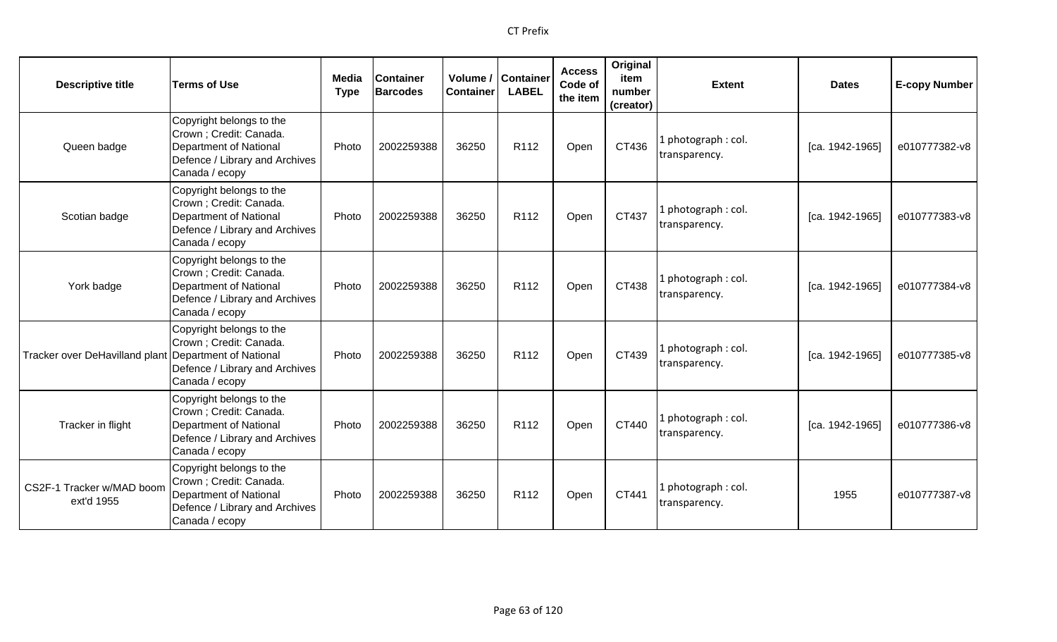| <b>Descriptive title</b>                              | <b>Terms of Use</b>                                                                                                               | Media<br><b>Type</b> | <b>Container</b><br><b>Barcodes</b> | Volume /<br><b>Container</b> | <b>Container</b><br><b>LABEL</b> | <b>Access</b><br>Code of<br>the item | Original<br>item<br>number<br>(creator) | <b>Extent</b>                       | <b>Dates</b>    | <b>E-copy Number</b> |
|-------------------------------------------------------|-----------------------------------------------------------------------------------------------------------------------------------|----------------------|-------------------------------------|------------------------------|----------------------------------|--------------------------------------|-----------------------------------------|-------------------------------------|-----------------|----------------------|
| Queen badge                                           | Copyright belongs to the<br>Crown; Credit: Canada.<br>Department of National<br>Defence / Library and Archives<br>Canada / ecopy  | Photo                | 2002259388                          | 36250                        | R112                             | Open                                 | CT436                                   | 1 photograph: col.<br>transparency. | [ca. 1942-1965] | e010777382-v8        |
| Scotian badge                                         | Copyright belongs to the<br>Crown ; Credit: Canada.<br>Department of National<br>Defence / Library and Archives<br>Canada / ecopy | Photo                | 2002259388                          | 36250                        | R <sub>112</sub>                 | Open                                 | CT437                                   | 1 photograph: col.<br>transparency. | [ca. 1942-1965] | e010777383-v8        |
| York badge                                            | Copyright belongs to the<br>Crown ; Credit: Canada.<br>Department of National<br>Defence / Library and Archives<br>Canada / ecopy | Photo                | 2002259388                          | 36250                        | R <sub>112</sub>                 | Open                                 | CT438                                   | 1 photograph: col.<br>transparency. | [ca. 1942-1965] | e010777384-v8        |
| Tracker over DeHavilland plant Department of National | Copyright belongs to the<br>Crown; Credit: Canada.<br>Defence / Library and Archives<br>Canada / ecopy                            | Photo                | 2002259388                          | 36250                        | R112                             | Open                                 | CT439                                   | 1 photograph: col.<br>transparency. | [ca. 1942-1965] | e010777385-v8        |
| Tracker in flight                                     | Copyright belongs to the<br>Crown ; Credit: Canada.<br>Department of National<br>Defence / Library and Archives<br>Canada / ecopy | Photo                | 2002259388                          | 36250                        | R <sub>112</sub>                 | Open                                 | CT440                                   | 1 photograph: col.<br>transparency. | [ca. 1942-1965] | e010777386-v8        |
| CS2F-1 Tracker w/MAD boom<br>ext'd 1955               | Copyright belongs to the<br>Crown; Credit: Canada.<br>Department of National<br>Defence / Library and Archives<br>Canada / ecopy  | Photo                | 2002259388                          | 36250                        | R <sub>112</sub>                 | Open                                 | CT441                                   | 1 photograph: col.<br>transparency. | 1955            | e010777387-v8        |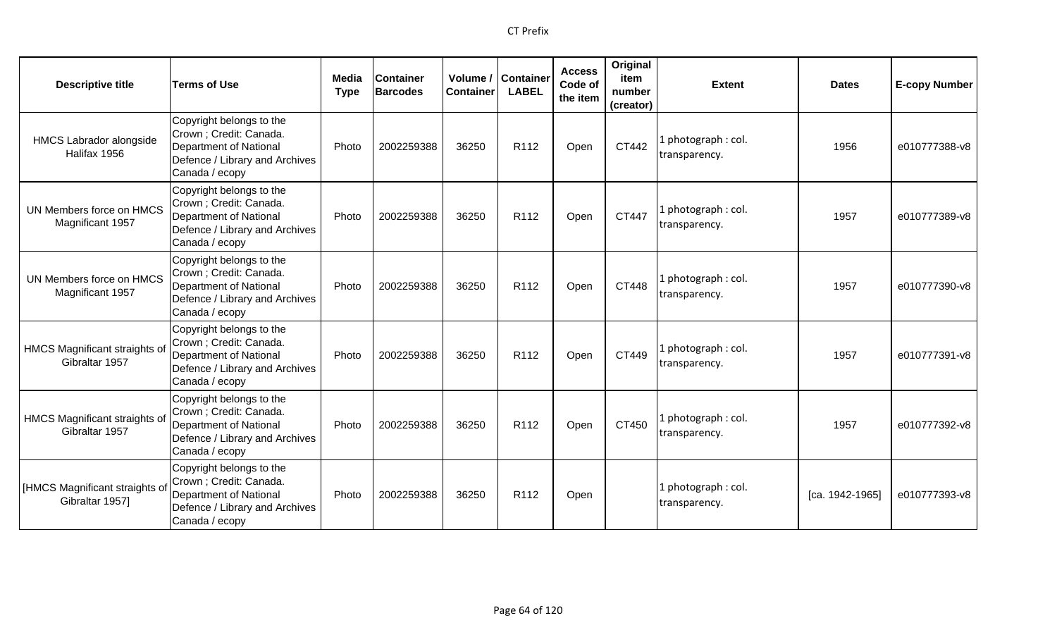| <b>Descriptive title</b>                         | <b>Terms of Use</b>                                                                                                                      | Media<br><b>Type</b> | <b>Container</b><br><b>Barcodes</b> | Volume /<br><b>Container</b> | <b>Container</b><br><b>LABEL</b> | <b>Access</b><br>Code of<br>the item | Original<br>item<br>number<br>(creator) | <b>Extent</b>                        | <b>Dates</b>    | <b>E-copy Number</b> |
|--------------------------------------------------|------------------------------------------------------------------------------------------------------------------------------------------|----------------------|-------------------------------------|------------------------------|----------------------------------|--------------------------------------|-----------------------------------------|--------------------------------------|-----------------|----------------------|
| <b>HMCS Labrador alongside</b><br>Halifax 1956   | Copyright belongs to the<br>Crown ; Credit: Canada.<br><b>Department of National</b><br>Defence / Library and Archives<br>Canada / ecopy | Photo                | 2002259388                          | 36250                        | R112                             | Open                                 | CT442                                   | photograph: col.<br>transparency.    | 1956            | e010777388-v8        |
| UN Members force on HMCS<br>Magnificant 1957     | Copyright belongs to the<br>Crown ; Credit: Canada.<br><b>Department of National</b><br>Defence / Library and Archives<br>Canada / ecopy | Photo                | 2002259388                          | 36250                        | R112                             | Open                                 | CT447                                   | . photograph: col.<br>transparency.  | 1957            | e010777389-v8        |
| UN Members force on HMCS<br>Magnificant 1957     | Copyright belongs to the<br>Crown; Credit: Canada.<br><b>Department of National</b><br>Defence / Library and Archives<br>Canada / ecopy  | Photo                | 2002259388                          | 36250                        | R <sub>112</sub>                 | Open                                 | CT448                                   | l photograph : col.<br>transparency. | 1957            | e010777390-v8        |
| HMCS Magnificant straights of<br>Gibraltar 1957  | Copyright belongs to the<br>Crown ; Credit: Canada.<br><b>Department of National</b><br>Defence / Library and Archives<br>Canada / ecopy | Photo                | 2002259388                          | 36250                        | R <sub>112</sub>                 | Open                                 | CT449                                   | L photograph : col.<br>transparency. | 1957            | e010777391-v8        |
| HMCS Magnificant straights of<br>Gibraltar 1957  | Copyright belongs to the<br>Crown ; Credit: Canada.<br>Department of National<br>Defence / Library and Archives<br>Canada / ecopy        | Photo                | 2002259388                          | 36250                        | R <sub>112</sub>                 | Open                                 | CT450                                   | photograph: col.<br>transparency.    | 1957            | e010777392-v8        |
| [HMCS Magnificant straights o<br>Gibraltar 1957] | Copyright belongs to the<br>Crown ; Credit: Canada.<br><b>Department of National</b><br>Defence / Library and Archives<br>Canada / ecopy | Photo                | 2002259388                          | 36250                        | R <sub>112</sub>                 | Open                                 |                                         | . photograph: col.<br>transparency.  | [ca. 1942-1965] | e010777393-v8        |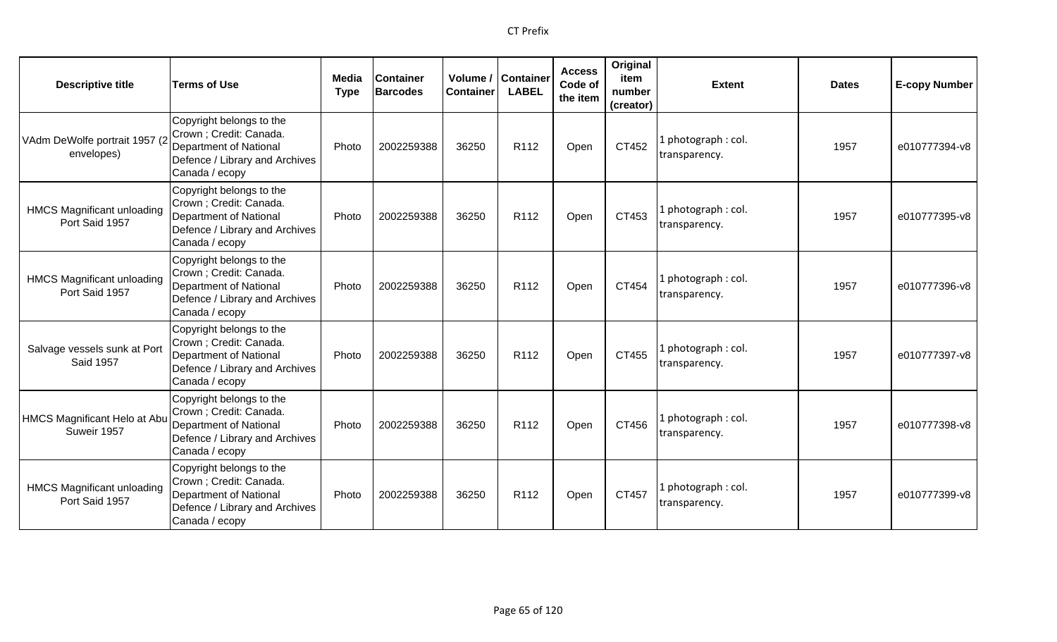| <b>Descriptive title</b>                            | <b>Terms of Use</b>                                                                                                               | Media<br><b>Type</b> | <b>Container</b><br><b>Barcodes</b> | Volume /<br><b>Container</b> | <b>Container</b><br><b>LABEL</b> | <b>Access</b><br>Code of<br>the item | Original<br>item<br>number<br>(creator) | <b>Extent</b>                        | <b>Dates</b> | <b>E-copy Number</b> |
|-----------------------------------------------------|-----------------------------------------------------------------------------------------------------------------------------------|----------------------|-------------------------------------|------------------------------|----------------------------------|--------------------------------------|-----------------------------------------|--------------------------------------|--------------|----------------------|
| VAdm DeWolfe portrait 1957 (2<br>envelopes)         | Copyright belongs to the<br>Crown; Credit: Canada.<br>Department of National<br>Defence / Library and Archives<br>Canada / ecopy  | Photo                | 2002259388                          | 36250                        | R112                             | Open                                 | CT452                                   | 1 photograph: col.<br>transparency.  | 1957         | e010777394-v8        |
| <b>HMCS Magnificant unloading</b><br>Port Said 1957 | Copyright belongs to the<br>Crown; Credit: Canada.<br>Department of National<br>Defence / Library and Archives<br>Canada / ecopy  | Photo                | 2002259388                          | 36250                        | R <sub>112</sub>                 | Open                                 | CT453                                   | 1 photograph: col.<br>transparency.  | 1957         | e010777395-v8        |
| <b>HMCS Magnificant unloading</b><br>Port Said 1957 | Copyright belongs to the<br>Crown ; Credit: Canada.<br>Department of National<br>Defence / Library and Archives<br>Canada / ecopy | Photo                | 2002259388                          | 36250                        | R112                             | Open                                 | CT454                                   | 1 photograph : col.<br>transparency. | 1957         | e010777396-v8        |
| Salvage vessels sunk at Port<br><b>Said 1957</b>    | Copyright belongs to the<br>Crown; Credit: Canada.<br>Department of National<br>Defence / Library and Archives<br>Canada / ecopy  | Photo                | 2002259388                          | 36250                        | R112                             | Open                                 | CT455                                   | 1 photograph: col.<br>transparency.  | 1957         | e010777397-v8        |
| HMCS Magnificant Helo at Abu<br>Suweir 1957         | Copyright belongs to the<br>Crown ; Credit: Canada.<br>Department of National<br>Defence / Library and Archives<br>Canada / ecopy | Photo                | 2002259388                          | 36250                        | R112                             | Open                                 | CT456                                   | 1 photograph: col.<br>transparency.  | 1957         | e010777398-v8        |
| <b>HMCS Magnificant unloading</b><br>Port Said 1957 | Copyright belongs to the<br>Crown; Credit: Canada.<br>Department of National<br>Defence / Library and Archives<br>Canada / ecopy  | Photo                | 2002259388                          | 36250                        | R <sub>112</sub>                 | Open                                 | CT457                                   | 1 photograph: col.<br>transparency.  | 1957         | e010777399-v8        |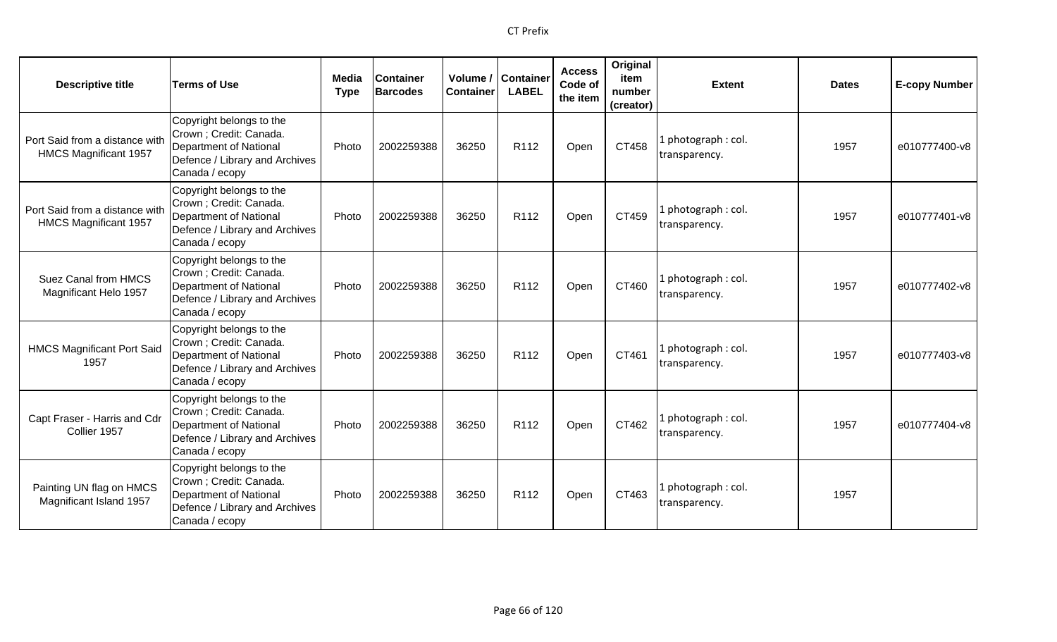| <b>Descriptive title</b>                                       | <b>Terms of Use</b>                                                                                                                      | Media<br><b>Type</b> | <b>Container</b><br><b>Barcodes</b> | Volume /<br><b>Container</b> | <b>Container</b><br><b>LABEL</b> | <b>Access</b><br>Code of<br>the item | Original<br>item<br>number<br>(creator) | <b>Extent</b>                        | <b>Dates</b> | <b>E-copy Number</b> |
|----------------------------------------------------------------|------------------------------------------------------------------------------------------------------------------------------------------|----------------------|-------------------------------------|------------------------------|----------------------------------|--------------------------------------|-----------------------------------------|--------------------------------------|--------------|----------------------|
| Port Said from a distance with<br><b>HMCS Magnificant 1957</b> | Copyright belongs to the<br>Crown; Credit: Canada.<br><b>Department of National</b><br>Defence / Library and Archives<br>Canada / ecopy  | Photo                | 2002259388                          | 36250                        | R <sub>112</sub>                 | Open                                 | CT458                                   | . photograph: col.<br>transparency.  | 1957         | e010777400-v8        |
| Port Said from a distance with<br>HMCS Magnificant 1957        | Copyright belongs to the<br>Crown; Credit: Canada.<br><b>Department of National</b><br>Defence / Library and Archives<br>Canada / ecopy  | Photo                | 2002259388                          | 36250                        | R112                             | Open                                 | CT459                                   | L photograph : col.<br>transparency. | 1957         | e010777401-v8        |
| Suez Canal from HMCS<br>Magnificant Helo 1957                  | Copyright belongs to the<br>Crown ; Credit: Canada.<br><b>Department of National</b><br>Defence / Library and Archives<br>Canada / ecopy | Photo                | 2002259388                          | 36250                        | R112                             | Open                                 | CT460                                   | photograph: col.<br>transparency.    | 1957         | e010777402-v8        |
| <b>HMCS Magnificant Port Said</b><br>1957                      | Copyright belongs to the<br>Crown; Credit: Canada.<br><b>Department of National</b><br>Defence / Library and Archives<br>Canada / ecopy  | Photo                | 2002259388                          | 36250                        | R <sub>112</sub>                 | Open                                 | CT461                                   | photograph: col.<br>transparency.    | 1957         | e010777403-v8        |
| Capt Fraser - Harris and Cdr<br>Collier 1957                   | Copyright belongs to the<br>Crown ; Credit: Canada.<br><b>Department of National</b><br>Defence / Library and Archives<br>Canada / ecopy | Photo                | 2002259388                          | 36250                        | R112                             | Open                                 | CT462                                   | I photograph: col.<br>transparency.  | 1957         | e010777404-v8        |
| Painting UN flag on HMCS<br>Magnificant Island 1957            | Copyright belongs to the<br>Crown ; Credit: Canada.<br><b>Department of National</b><br>Defence / Library and Archives<br>Canada / ecopy | Photo                | 2002259388                          | 36250                        | R <sub>112</sub>                 | Open                                 | CT463                                   | photograph: col.<br>transparency.    | 1957         |                      |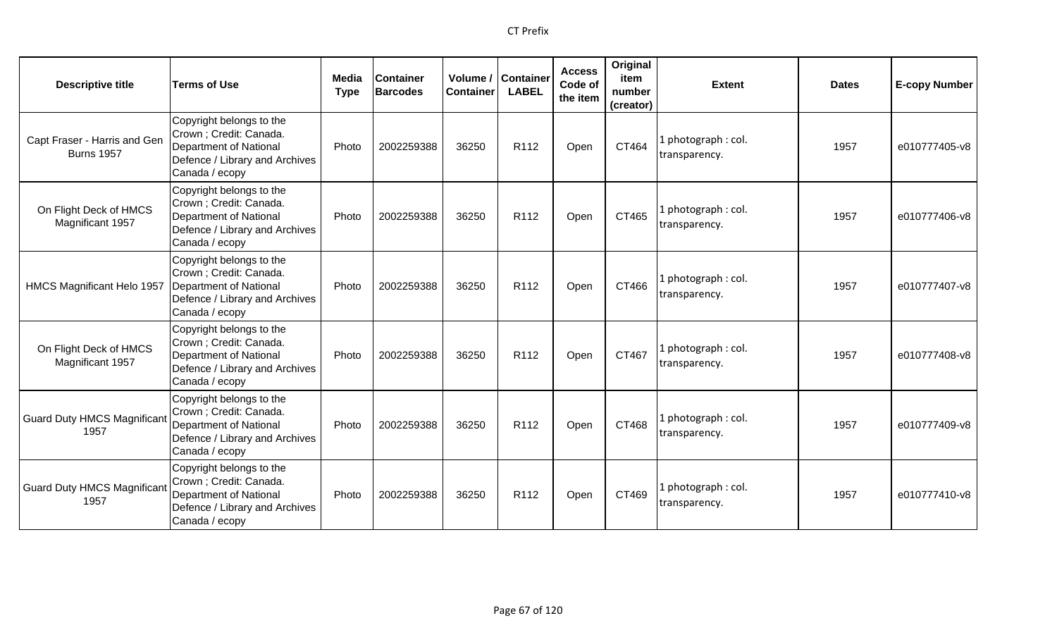| <b>Descriptive title</b>                          | <b>Terms of Use</b>                                                                                                               | Media<br><b>Type</b> | <b>Container</b><br><b>Barcodes</b> | Volume /<br><b>Container</b> | Container<br><b>LABEL</b> | <b>Access</b><br>Code of<br>the item | Original<br>item<br>number<br>(creator) | <b>Extent</b>                        | <b>Dates</b> | <b>E-copy Number</b> |
|---------------------------------------------------|-----------------------------------------------------------------------------------------------------------------------------------|----------------------|-------------------------------------|------------------------------|---------------------------|--------------------------------------|-----------------------------------------|--------------------------------------|--------------|----------------------|
| Capt Fraser - Harris and Gen<br><b>Burns 1957</b> | Copyright belongs to the<br>Crown ; Credit: Canada.<br>Department of National<br>Defence / Library and Archives<br>Canada / ecopy | Photo                | 2002259388                          | 36250                        | R112                      | Open                                 | CT464                                   | 1 photograph: col.<br>transparency.  | 1957         | e010777405-v8        |
| On Flight Deck of HMCS<br>Magnificant 1957        | Copyright belongs to the<br>Crown; Credit: Canada.<br>Department of National<br>Defence / Library and Archives<br>Canada / ecopy  | Photo                | 2002259388                          | 36250                        | R112                      | Open                                 | CT465                                   | 1 photograph: col.<br>transparency.  | 1957         | e010777406-v8        |
| HMCS Magnificant Helo 1957                        | Copyright belongs to the<br>Crown ; Credit: Canada.<br>Department of National<br>Defence / Library and Archives<br>Canada / ecopy | Photo                | 2002259388                          | 36250                        | R112                      | Open                                 | CT466                                   | 1 photograph: col.<br>transparency.  | 1957         | e010777407-v8        |
| On Flight Deck of HMCS<br>Magnificant 1957        | Copyright belongs to the<br>Crown ; Credit: Canada.<br>Department of National<br>Defence / Library and Archives<br>Canada / ecopy | Photo                | 2002259388                          | 36250                        | R <sub>112</sub>          | Open                                 | CT467                                   | 1 photograph: col.<br>transparency.  | 1957         | e010777408-v8        |
| <b>Guard Duty HMCS Magnifican</b><br>1957         | Copyright belongs to the<br>Crown ; Credit: Canada.<br>Department of National<br>Defence / Library and Archives<br>Canada / ecopy | Photo                | 2002259388                          | 36250                        | R112                      | Open                                 | CT468                                   | 1 photograph : col.<br>transparency. | 1957         | e010777409-v8        |
| <b>Guard Duty HMCS Magnifican</b><br>1957         | Copyright belongs to the<br>Crown ; Credit: Canada.<br>Department of National<br>Defence / Library and Archives<br>Canada / ecopy | Photo                | 2002259388                          | 36250                        | R <sub>112</sub>          | Open                                 | CT469                                   | 1 photograph: col.<br>transparency.  | 1957         | e010777410-v8        |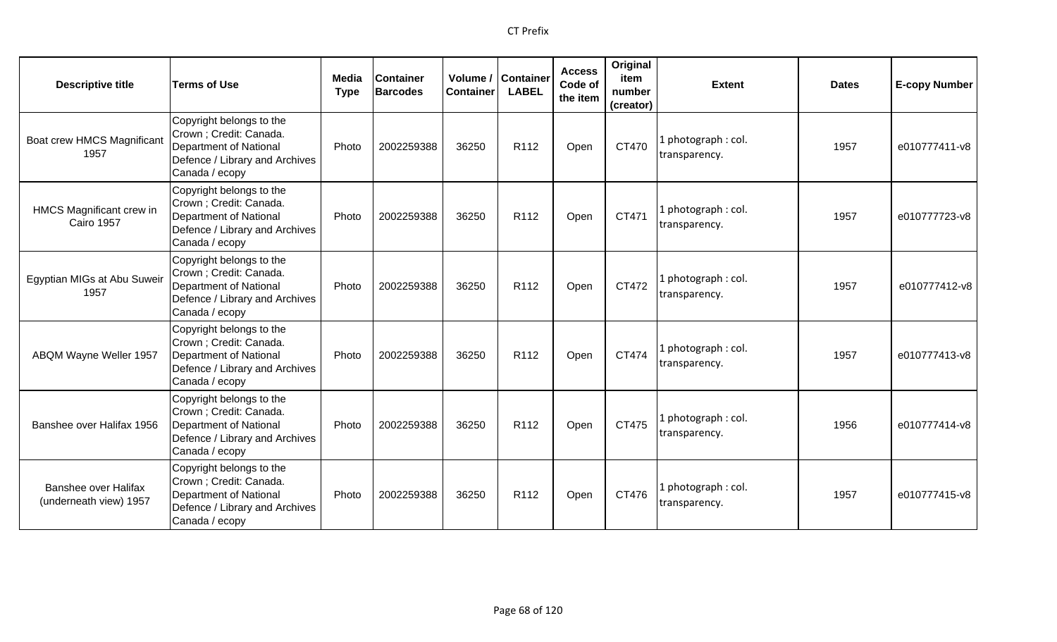| <b>Descriptive title</b>                              | <b>Terms of Use</b>                                                                                                               | Media<br><b>Type</b> | Container<br>Barcodes | Volume /<br><b>Container</b> | <b>Container</b><br><b>LABEL</b> | <b>Access</b><br>Code of<br>the item | Original<br>item<br>number<br>(creator) | <b>Extent</b>                        | <b>Dates</b> | <b>E-copy Number</b> |
|-------------------------------------------------------|-----------------------------------------------------------------------------------------------------------------------------------|----------------------|-----------------------|------------------------------|----------------------------------|--------------------------------------|-----------------------------------------|--------------------------------------|--------------|----------------------|
| Boat crew HMCS Magnificant<br>1957                    | Copyright belongs to the<br>Crown ; Credit: Canada.<br>Department of National<br>Defence / Library and Archives<br>Canada / ecopy | Photo                | 2002259388            | 36250                        | R <sub>112</sub>                 | Open                                 | CT470                                   | photograph: col.<br>transparency.    | 1957         | e010777411-v8        |
| HMCS Magnificant crew in<br><b>Cairo 1957</b>         | Copyright belongs to the<br>Crown ; Credit: Canada.<br>Department of National<br>Defence / Library and Archives<br>Canada / ecopy | Photo                | 2002259388            | 36250                        | R112                             | Open                                 | CT471                                   | photograph: col.<br>transparency.    | 1957         | e010777723-v8        |
| Egyptian MIGs at Abu Suweir<br>1957                   | Copyright belongs to the<br>Crown ; Credit: Canada.<br>Department of National<br>Defence / Library and Archives<br>Canada / ecopy | Photo                | 2002259388            | 36250                        | R <sub>112</sub>                 | Open                                 | CT472                                   | I photograph: col.<br>transparency.  | 1957         | e010777412-v8        |
| ABQM Wayne Weller 1957                                | Copyright belongs to the<br>Crown ; Credit: Canada.<br>Department of National<br>Defence / Library and Archives<br>Canada / ecopy | Photo                | 2002259388            | 36250                        | R112                             | Open                                 | CT474                                   | photograph: col.<br>transparency.    | 1957         | e010777413-v8        |
| Banshee over Halifax 1956                             | Copyright belongs to the<br>Crown ; Credit: Canada.<br>Department of National<br>Defence / Library and Archives<br>Canada / ecopy | Photo                | 2002259388            | 36250                        | R <sub>112</sub>                 | Open                                 | CT475                                   | l photograph : col.<br>transparency. | 1956         | e010777414-v8        |
| <b>Banshee over Halifax</b><br>(underneath view) 1957 | Copyright belongs to the<br>Crown ; Credit: Canada.<br>Department of National<br>Defence / Library and Archives<br>Canada / ecopy | Photo                | 2002259388            | 36250                        | R112                             | Open                                 | CT476                                   | photograph: col.<br>transparency.    | 1957         | e010777415-v8        |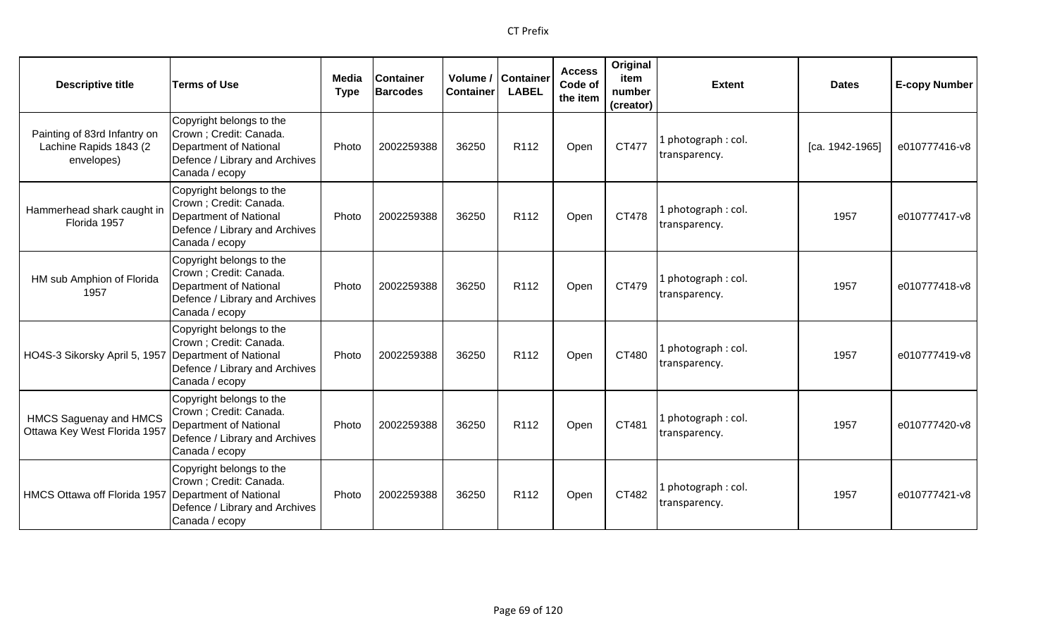| <b>Descriptive title</b>                                             | <b>Terms of Use</b>                                                                                                                      | Media<br><b>Type</b> | <b>Container</b><br><b>Barcodes</b> | Volume /<br><b>Container</b> | <b>Container</b><br><b>LABEL</b> | <b>Access</b><br>Code of<br>the item | Original<br>item<br>number<br>(creator) | <b>Extent</b>                        | <b>Dates</b>    | <b>E-copy Number</b> |
|----------------------------------------------------------------------|------------------------------------------------------------------------------------------------------------------------------------------|----------------------|-------------------------------------|------------------------------|----------------------------------|--------------------------------------|-----------------------------------------|--------------------------------------|-----------------|----------------------|
| Painting of 83rd Infantry on<br>Lachine Rapids 1843 (2<br>envelopes) | Copyright belongs to the<br>Crown ; Credit: Canada.<br><b>Department of National</b><br>Defence / Library and Archives<br>Canada / ecopy | Photo                | 2002259388                          | 36250                        | R112                             | Open                                 | CT477                                   | . photograph: col.<br>transparency.  | [ca. 1942-1965] | e010777416-v8        |
| Hammerhead shark caught in<br>Florida 1957                           | Copyright belongs to the<br>Crown ; Credit: Canada.<br><b>Department of National</b><br>Defence / Library and Archives<br>Canada / ecopy | Photo                | 2002259388                          | 36250                        | R112                             | Open                                 | CT478                                   | I photograph: col.<br>transparency.  | 1957            | e010777417-v8        |
| HM sub Amphion of Florida<br>1957                                    | Copyright belongs to the<br>Crown ; Credit: Canada.<br><b>Department of National</b><br>Defence / Library and Archives<br>Canada / ecopy | Photo                | 2002259388                          | 36250                        | R <sub>112</sub>                 | Open                                 | CT479                                   | L photograph : col.<br>transparency. | 1957            | e010777418-v8        |
| HO4S-3 Sikorsky April 5, 1957                                        | Copyright belongs to the<br>Crown ; Credit: Canada.<br>Department of National<br>Defence / Library and Archives<br>Canada / ecopy        | Photo                | 2002259388                          | 36250                        | R <sub>112</sub>                 | Open                                 | CT480                                   | L photograph : col.<br>transparency. | 1957            | e010777419-v8        |
| <b>HMCS Saguenay and HMCS</b><br>Ottawa Key West Florida 1957        | Copyright belongs to the<br>Crown ; Credit: Canada.<br>Department of National<br>Defence / Library and Archives<br>Canada / ecopy        | Photo                | 2002259388                          | 36250                        | R <sub>112</sub>                 | Open                                 | CT481                                   | photograph: col.<br>transparency.    | 1957            | e010777420-v8        |
| <b>HMCS Ottawa off Florida 1957</b>                                  | Copyright belongs to the<br>Crown ; Credit: Canada.<br>Department of National<br>Defence / Library and Archives<br>Canada / ecopy        | Photo                | 2002259388                          | 36250                        | R <sub>112</sub>                 | Open                                 | CT482                                   | photograph: col.<br>transparency.    | 1957            | e010777421-v8        |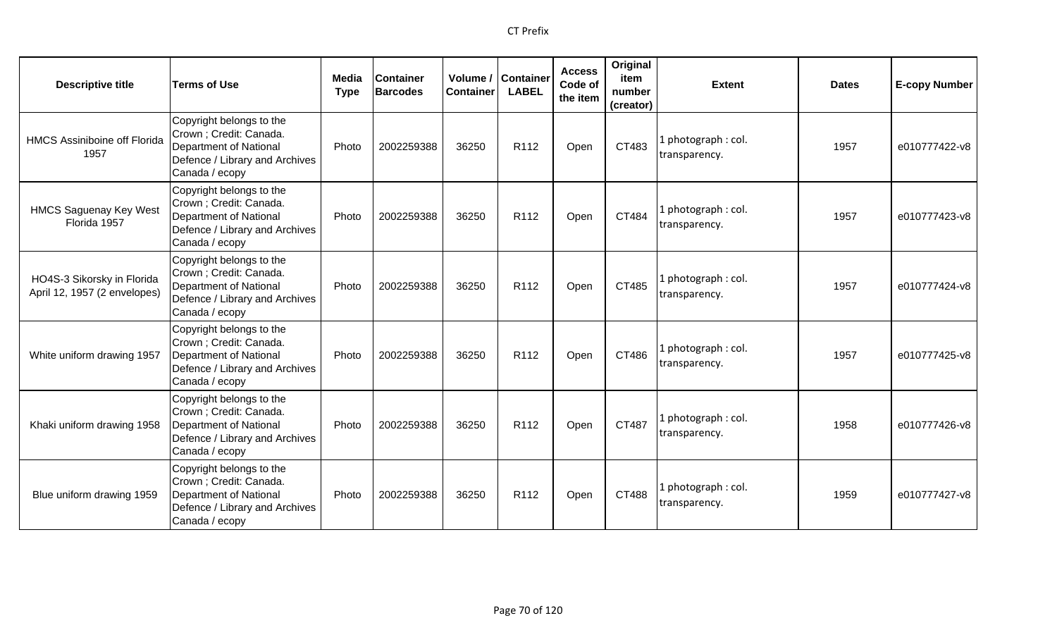| <b>Descriptive title</b>                                   | <b>Terms of Use</b>                                                                                                               | Media<br><b>Type</b> | <b>Container</b><br><b>Barcodes</b> | Volume /<br><b>Container</b> | <b>Container</b><br><b>LABEL</b> | <b>Access</b><br>Code of<br>the item | Original<br>item<br>number<br>(creator) | <b>Extent</b>                       | <b>Dates</b> | <b>E-copy Number</b> |
|------------------------------------------------------------|-----------------------------------------------------------------------------------------------------------------------------------|----------------------|-------------------------------------|------------------------------|----------------------------------|--------------------------------------|-----------------------------------------|-------------------------------------|--------------|----------------------|
| <b>HMCS Assiniboine off Florida</b><br>1957                | Copyright belongs to the<br>Crown ; Credit: Canada.<br>Department of National<br>Defence / Library and Archives<br>Canada / ecopy | Photo                | 2002259388                          | 36250                        | R112                             | Open                                 | CT483                                   | photograph: col.<br>transparency.   | 1957         | e010777422-v8        |
| <b>HMCS Saguenay Key West</b><br>Florida 1957              | Copyright belongs to the<br>Crown ; Credit: Canada.<br>Department of National<br>Defence / Library and Archives<br>Canada / ecopy | Photo                | 2002259388                          | 36250                        | R <sub>112</sub>                 | Open                                 | CT484                                   | photograph: col.<br>transparency.   | 1957         | e010777423-v8        |
| HO4S-3 Sikorsky in Florida<br>April 12, 1957 (2 envelopes) | Copyright belongs to the<br>Crown ; Credit: Canada.<br>Department of National<br>Defence / Library and Archives<br>Canada / ecopy | Photo                | 2002259388                          | 36250                        | R112                             | Open                                 | CT485                                   | I photograph: col.<br>transparency. | 1957         | e010777424-v8        |
| White uniform drawing 1957                                 | Copyright belongs to the<br>Crown ; Credit: Canada.<br>Department of National<br>Defence / Library and Archives<br>Canada / ecopy | Photo                | 2002259388                          | 36250                        | R112                             | Open                                 | CT486                                   | 1 photograph: col.<br>transparency. | 1957         | e010777425-v8        |
| Khaki uniform drawing 1958                                 | Copyright belongs to the<br>Crown ; Credit: Canada.<br>Department of National<br>Defence / Library and Archives<br>Canada / ecopy | Photo                | 2002259388                          | 36250                        | R <sub>112</sub>                 | Open                                 | CT487                                   | I photograph: col.<br>transparency. | 1958         | e010777426-v8        |
| Blue uniform drawing 1959                                  | Copyright belongs to the<br>Crown ; Credit: Canada.<br>Department of National<br>Defence / Library and Archives<br>Canada / ecopy | Photo                | 2002259388                          | 36250                        | R <sub>112</sub>                 | Open                                 | CT488                                   | 1 photograph: col.<br>transparency. | 1959         | e010777427-v8        |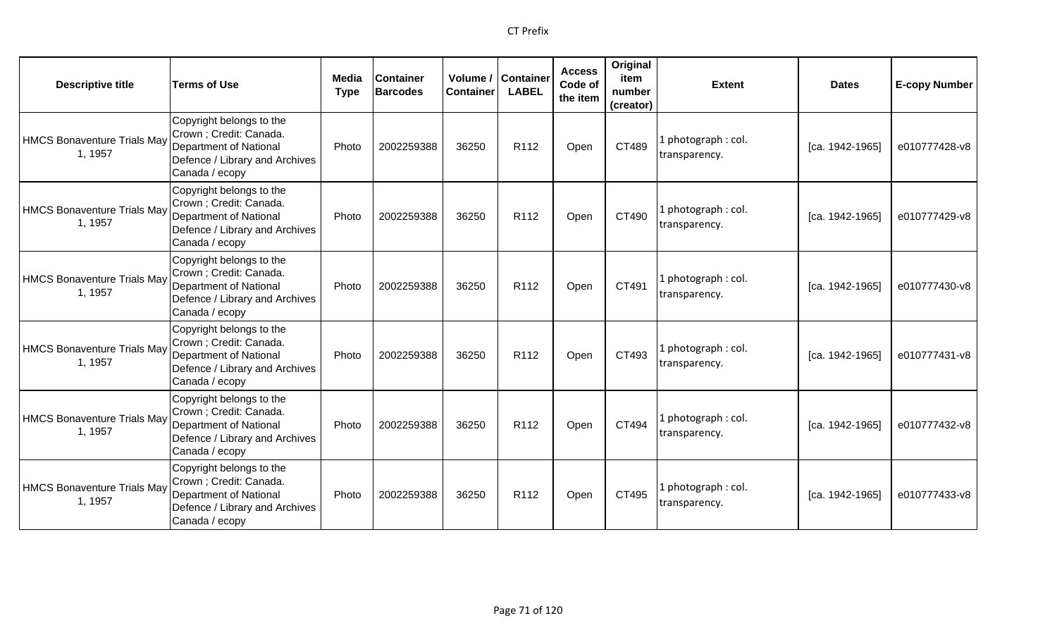| <b>Descriptive title</b>                      | <b>Terms of Use</b>                                                                                                                      | Media<br><b>Type</b> | <b>Container</b><br><b>Barcodes</b> | Volume /<br><b>Container</b> | <b>Container</b><br><b>LABEL</b> | <b>Access</b><br>Code of<br>the item | Original<br>item<br>number<br>(creator) | <b>Extent</b>                        | <b>Dates</b>    | <b>E-copy Number</b> |
|-----------------------------------------------|------------------------------------------------------------------------------------------------------------------------------------------|----------------------|-------------------------------------|------------------------------|----------------------------------|--------------------------------------|-----------------------------------------|--------------------------------------|-----------------|----------------------|
| HMCS Bonaventure Trials May<br>1, 1957        | Copyright belongs to the<br>Crown; Credit: Canada.<br>Department of National<br>Defence / Library and Archives<br>Canada / ecopy         | Photo                | 2002259388                          | 36250                        | R <sub>112</sub>                 | Open                                 | CT489                                   | 1 photograph : col.<br>transparency. | [ca. 1942-1965] | e010777428-v8        |
| HMCS Bonaventure Trials May<br>1, 1957        | Copyright belongs to the<br>Crown; Credit: Canada.<br>Department of National<br>Defence / Library and Archives<br>Canada / ecopy         | Photo                | 2002259388                          | 36250                        | R112                             | Open                                 | CT490                                   | 1 photograph : col.<br>transparency. | [ca. 1942-1965] | e010777429-v8        |
| <b>HMCS Bonaventure Trials May</b><br>1, 1957 | Copyright belongs to the<br>Crown; Credit: Canada.<br><b>Department of National</b><br>Defence / Library and Archives<br>Canada / ecopy  | Photo                | 2002259388                          | 36250                        | R <sub>112</sub>                 | Open                                 | CT491                                   | 1 photograph : col.<br>transparency. | [ca. 1942-1965] | e010777430-v8        |
| HMCS Bonaventure Trials May<br>1, 1957        | Copyright belongs to the<br>Crown ; Credit: Canada.<br>Department of National<br>Defence / Library and Archives<br>Canada / ecopy        | Photo                | 2002259388                          | 36250                        | R <sub>112</sub>                 | Open                                 | CT493                                   | 1 photograph: col.<br>transparency.  | [ca. 1942-1965] | e010777431-v8        |
| HMCS Bonaventure Trials May<br>1, 1957        | Copyright belongs to the<br>Crown ; Credit: Canada.<br><b>Department of National</b><br>Defence / Library and Archives<br>Canada / ecopy | Photo                | 2002259388                          | 36250                        | R112                             | Open                                 | CT494                                   | 1 photograph: col.<br>transparency.  | [ca. 1942-1965] | e010777432-v8        |
| HMCS Bonaventure Trials May<br>1, 1957        | Copyright belongs to the<br>Crown ; Credit: Canada.<br>Department of National<br>Defence / Library and Archives<br>Canada / ecopy        | Photo                | 2002259388                          | 36250                        | R <sub>112</sub>                 | Open                                 | CT495                                   | 1 photograph : col.<br>transparency. | [ca. 1942-1965] | e010777433-v8        |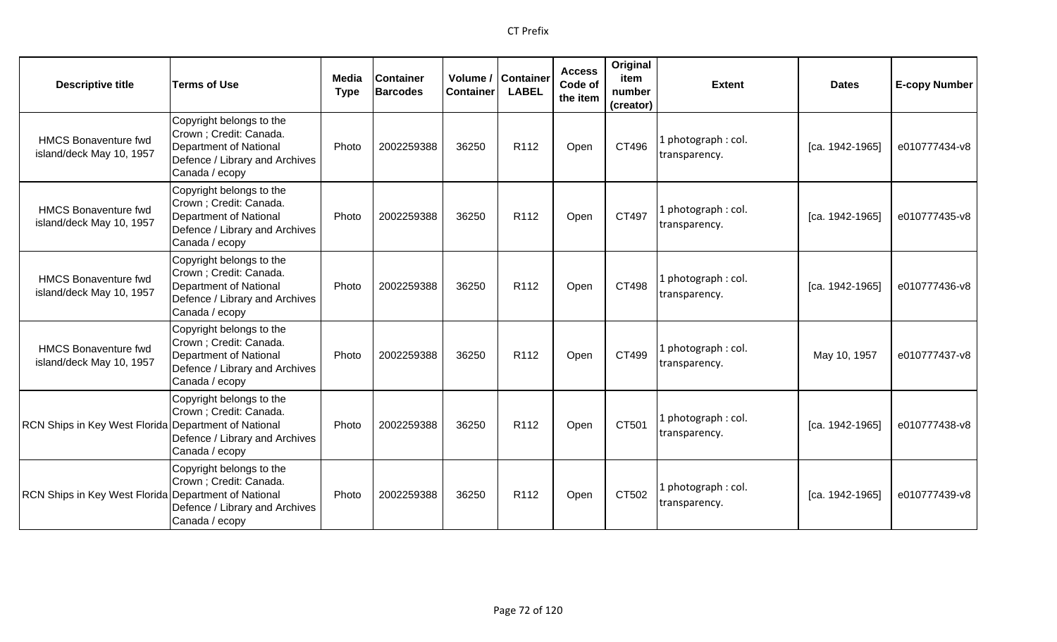| <b>Descriptive title</b>                                | <b>Terms of Use</b>                                                                                                                      | Media<br><b>Type</b> | <b>Container</b><br><b>Barcodes</b> | Volume /<br><b>Container</b> | <b>Container</b><br><b>LABEL</b> | <b>Access</b><br>Code of<br>the item | Original<br>item<br>number<br>(creator) | <b>Extent</b>                        | <b>Dates</b>      | <b>E-copy Number</b> |
|---------------------------------------------------------|------------------------------------------------------------------------------------------------------------------------------------------|----------------------|-------------------------------------|------------------------------|----------------------------------|--------------------------------------|-----------------------------------------|--------------------------------------|-------------------|----------------------|
| <b>HMCS Bonaventure fwd</b><br>island/deck May 10, 1957 | Copyright belongs to the<br>Crown ; Credit: Canada.<br><b>Department of National</b><br>Defence / Library and Archives<br>Canada / ecopy | Photo                | 2002259388                          | 36250                        | R112                             | Open                                 | CT496                                   | photograph: col.<br>transparency.    | [ca. 1942-1965]   | e010777434-v8        |
| <b>HMCS Bonaventure fwd</b><br>island/deck May 10, 1957 | Copyright belongs to the<br>Crown; Credit: Canada.<br><b>Department of National</b><br>Defence / Library and Archives<br>Canada / ecopy  | Photo                | 2002259388                          | 36250                        | R112                             | Open                                 | CT497                                   | photograph: col.<br>transparency.    | [ca. 1942-1965]   | e010777435-v8        |
| <b>HMCS Bonaventure fwd</b><br>island/deck May 10, 1957 | Copyright belongs to the<br>Crown; Credit: Canada.<br><b>Department of National</b><br>Defence / Library and Archives<br>Canada / ecopy  | Photo                | 2002259388                          | 36250                        | R112                             | Open                                 | CT498                                   | L photograph : col.<br>transparency. | $[ca. 1942-1965]$ | e010777436-v8        |
| <b>HMCS Bonaventure fwd</b><br>island/deck May 10, 1957 | Copyright belongs to the<br>Crown ; Credit: Canada.<br><b>Department of National</b><br>Defence / Library and Archives<br>Canada / ecopy | Photo                | 2002259388                          | 36250                        | R112                             | Open                                 | CT499                                   | L photograph : col.<br>transparency. | May 10, 1957      | e010777437-v8        |
| RCN Ships in Key West Florida Department of National    | Copyright belongs to the<br>Crown ; Credit: Canada.<br>Defence / Library and Archives<br>Canada / ecopy                                  | Photo                | 2002259388                          | 36250                        | R112                             | Open                                 | CT501                                   | I photograph: col.<br>transparency.  | [ca. 1942-1965]   | e010777438-v8        |
| RCN Ships in Key West Florida Department of National    | Copyright belongs to the<br>Crown ; Credit: Canada.<br>Defence / Library and Archives<br>Canada / ecopy                                  | Photo                | 2002259388                          | 36250                        | R112                             | Open                                 | CT502                                   | I photograph: col.<br>transparency.  | [ca. 1942-1965]   | e010777439-v8        |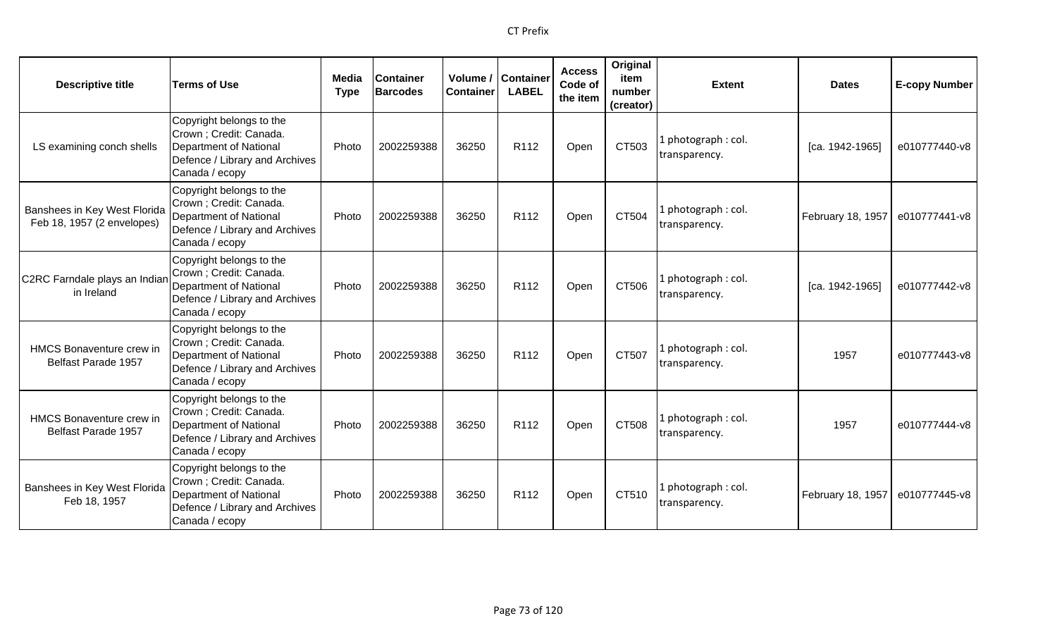| <b>Descriptive title</b>                                   | <b>Terms of Use</b>                                                                                                               | Media<br><b>Type</b> | <b>Container</b><br><b>Barcodes</b> | Volume /<br><b>Container</b> | <b>Container</b><br><b>LABEL</b> | <b>Access</b><br>Code of<br>the item | Original<br>item<br>number<br>(creator) | <b>Extent</b>                        | <b>Dates</b>      | <b>E-copy Number</b> |
|------------------------------------------------------------|-----------------------------------------------------------------------------------------------------------------------------------|----------------------|-------------------------------------|------------------------------|----------------------------------|--------------------------------------|-----------------------------------------|--------------------------------------|-------------------|----------------------|
| LS examining conch shells                                  | Copyright belongs to the<br>Crown; Credit: Canada.<br>Department of National<br>Defence / Library and Archives<br>Canada / ecopy  | Photo                | 2002259388                          | 36250                        | R112                             | Open                                 | CT503                                   | 1 photograph: col.<br>transparency.  | [ca. 1942-1965]   | e010777440-v8        |
| Banshees in Key West Florida<br>Feb 18, 1957 (2 envelopes) | Copyright belongs to the<br>Crown; Credit: Canada.<br>Department of National<br>Defence / Library and Archives<br>Canada / ecopy  | Photo                | 2002259388                          | 36250                        | R <sub>112</sub>                 | Open                                 | CT504                                   | 1 photograph: col.<br>transparency.  | February 18, 1957 | e010777441-v8        |
| C2RC Farndale plays an Indian<br>in Ireland                | Copyright belongs to the<br>Crown ; Credit: Canada.<br>Department of National<br>Defence / Library and Archives<br>Canada / ecopy | Photo                | 2002259388                          | 36250                        | R112                             | Open                                 | CT506                                   | 1 photograph : col.<br>transparency. | [ca. 1942-1965]   | e010777442-v8        |
| HMCS Bonaventure crew in<br>Belfast Parade 1957            | Copyright belongs to the<br>Crown; Credit: Canada.<br>Department of National<br>Defence / Library and Archives<br>Canada / ecopy  | Photo                | 2002259388                          | 36250                        | R112                             | Open                                 | CT507                                   | 1 photograph: col.<br>transparency.  | 1957              | e010777443-v8        |
| <b>HMCS Bonaventure crew in</b><br>Belfast Parade 1957     | Copyright belongs to the<br>Crown ; Credit: Canada.<br>Department of National<br>Defence / Library and Archives<br>Canada / ecopy | Photo                | 2002259388                          | 36250                        | R <sub>112</sub>                 | Open                                 | CT508                                   | 1 photograph: col.<br>transparency.  | 1957              | e010777444-v8        |
| Banshees in Key West Florida<br>Feb 18, 1957               | Copyright belongs to the<br>Crown ; Credit: Canada.<br>Department of National<br>Defence / Library and Archives<br>Canada / ecopy | Photo                | 2002259388                          | 36250                        | R <sub>112</sub>                 | Open                                 | CT510                                   | 1 photograph: col.<br>transparency.  | February 18, 1957 | e010777445-v8        |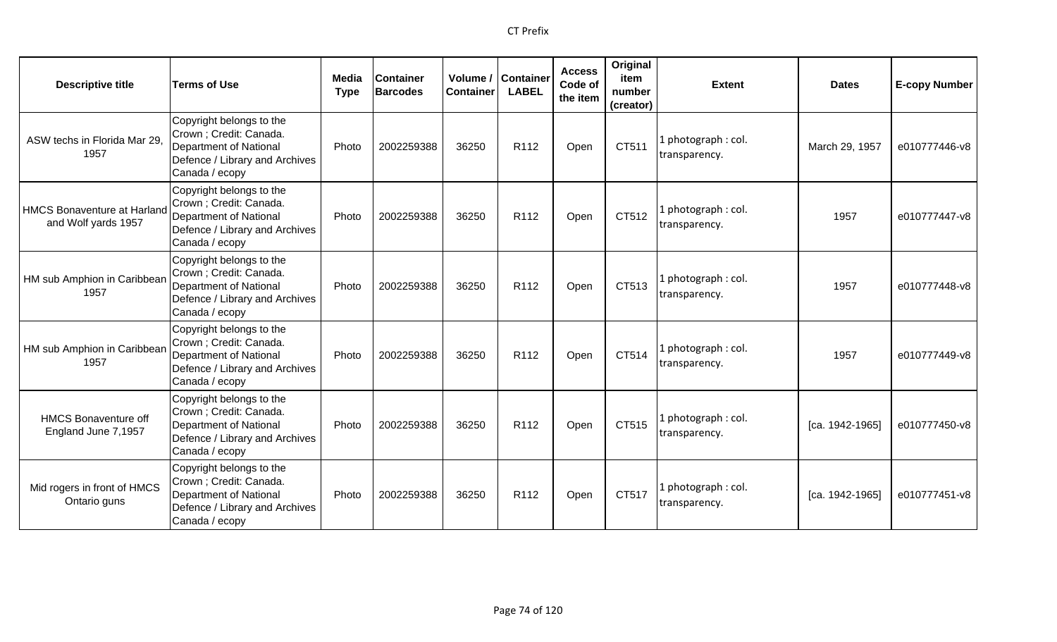| <b>Descriptive title</b>                                  | <b>Terms of Use</b>                                                                                                               | Media<br><b>Type</b> | <b>Container</b><br><b>Barcodes</b> | <b>Container</b> | Volume / Container<br><b>LABEL</b> | <b>Access</b><br>Code of<br>the item | Original<br>item<br>number<br>(creator) | <b>Extent</b>                        | <b>Dates</b>    | <b>E-copy Number</b> |
|-----------------------------------------------------------|-----------------------------------------------------------------------------------------------------------------------------------|----------------------|-------------------------------------|------------------|------------------------------------|--------------------------------------|-----------------------------------------|--------------------------------------|-----------------|----------------------|
| ASW techs in Florida Mar 29<br>1957                       | Copyright belongs to the<br>Crown ; Credit: Canada.<br>Department of National<br>Defence / Library and Archives<br>Canada / ecopy | Photo                | 2002259388                          | 36250            | R112                               | Open                                 | CT511                                   | l photograph : col.<br>transparency. | March 29, 1957  | e010777446-v8        |
| <b>HMCS Bonaventure at Harland</b><br>and Wolf yards 1957 | Copyright belongs to the<br>Crown ; Credit: Canada.<br>Department of National<br>Defence / Library and Archives<br>Canada / ecopy | Photo                | 2002259388                          | 36250            | R <sub>112</sub>                   | Open                                 | CT512                                   | 1 photograph: col.<br>transparency.  | 1957            | e010777447-v8        |
| HM sub Amphion in Caribbean<br>1957                       | Copyright belongs to the<br>Crown ; Credit: Canada.<br>Department of National<br>Defence / Library and Archives<br>Canada / ecopy | Photo                | 2002259388                          | 36250            | R <sub>112</sub>                   | Open                                 | CT513                                   | l photograph : col.<br>transparency. | 1957            | e010777448-v8        |
| HM sub Amphion in Caribbean<br>1957                       | Copyright belongs to the<br>Crown ; Credit: Canada.<br>Department of National<br>Defence / Library and Archives<br>Canada / ecopy | Photo                | 2002259388                          | 36250            | R112                               | Open                                 | CT514                                   | 1 photograph: col.<br>transparency.  | 1957            | e010777449-v8        |
| <b>HMCS Bonaventure off</b><br>England June 7,1957        | Copyright belongs to the<br>Crown ; Credit: Canada.<br>Department of National<br>Defence / Library and Archives<br>Canada / ecopy | Photo                | 2002259388                          | 36250            | R <sub>112</sub>                   | Open                                 | CT515                                   | l photograph : col.<br>transparency. | [ca. 1942-1965] | e010777450-v8        |
| Mid rogers in front of HMCS<br>Ontario guns               | Copyright belongs to the<br>Crown ; Credit: Canada.<br>Department of National<br>Defence / Library and Archives<br>Canada / ecopy | Photo                | 2002259388                          | 36250            | R <sub>112</sub>                   | Open                                 | CT517                                   | Lphotograph: col.<br>transparency.   | [ca. 1942-1965] | e010777451-v8        |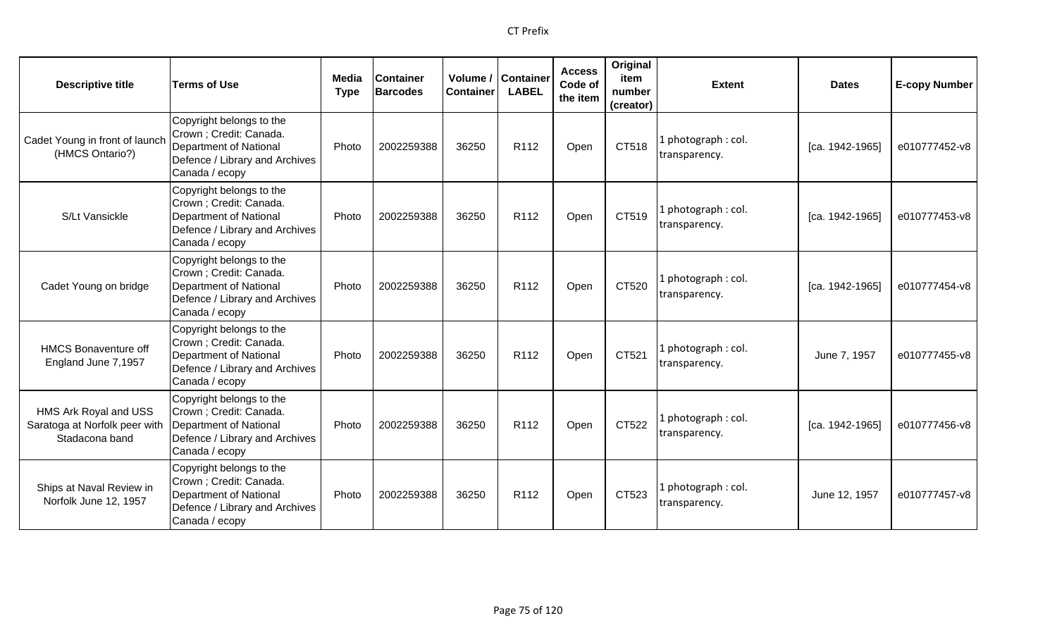| <b>Descriptive title</b>                                                 | <b>Terms of Use</b>                                                                                                               | Media<br><b>Type</b> | <b>Container</b><br><b>Barcodes</b> | Container | Volume / Container<br><b>LABEL</b> | <b>Access</b><br>Code of<br>the item | Original<br>item<br>number<br>(creator) | <b>Extent</b>                        | <b>Dates</b>    | <b>E-copy Number</b> |
|--------------------------------------------------------------------------|-----------------------------------------------------------------------------------------------------------------------------------|----------------------|-------------------------------------|-----------|------------------------------------|--------------------------------------|-----------------------------------------|--------------------------------------|-----------------|----------------------|
| Cadet Young in front of launch<br>(HMCS Ontario?)                        | Copyright belongs to the<br>Crown; Credit: Canada.<br>Department of National<br>Defence / Library and Archives<br>Canada / ecopy  | Photo                | 2002259388                          | 36250     | R <sub>112</sub>                   | Open                                 | CT518                                   | l photograph : col.<br>transparency. | [ca. 1942-1965] | e010777452-v8        |
| S/Lt Vansickle                                                           | Copyright belongs to the<br>Crown; Credit: Canada.<br>Department of National<br>Defence / Library and Archives<br>Canada / ecopy  | Photo                | 2002259388                          | 36250     | R112                               | Open                                 | CT519                                   | 1 photograph: col.<br>transparency.  | [ca. 1942-1965] | e010777453-v8        |
| Cadet Young on bridge                                                    | Copyright belongs to the<br>Crown ; Credit: Canada.<br>Department of National<br>Defence / Library and Archives<br>Canada / ecopy | Photo                | 2002259388                          | 36250     | R <sub>112</sub>                   | Open                                 | CT520                                   | 1 photograph: col.<br>transparency.  | [ca. 1942-1965] | e010777454-v8        |
| <b>HMCS Bonaventure off</b><br>England June 7,1957                       | Copyright belongs to the<br>Crown; Credit: Canada.<br>Department of National<br>Defence / Library and Archives<br>Canada / ecopy  | Photo                | 2002259388                          | 36250     | R <sub>112</sub>                   | Open                                 | CT521                                   | 1 photograph: col.<br>transparency.  | June 7, 1957    | e010777455-v8        |
| HMS Ark Royal and USS<br>Saratoga at Norfolk peer with<br>Stadacona band | Copyright belongs to the<br>Crown ; Credit: Canada.<br>Department of National<br>Defence / Library and Archives<br>Canada / ecopy | Photo                | 2002259388                          | 36250     | R112                               | Open                                 | CT522                                   | 1 photograph : col.<br>transparency. | [ca. 1942-1965] | e010777456-v8        |
| Ships at Naval Review in<br>Norfolk June 12, 1957                        | Copyright belongs to the<br>Crown ; Credit: Canada.<br>Department of National<br>Defence / Library and Archives<br>Canada / ecopy | Photo                | 2002259388                          | 36250     | R <sub>112</sub>                   | Open                                 | CT523                                   | 1 photograph: col.<br>transparency.  | June 12, 1957   | e010777457-v8        |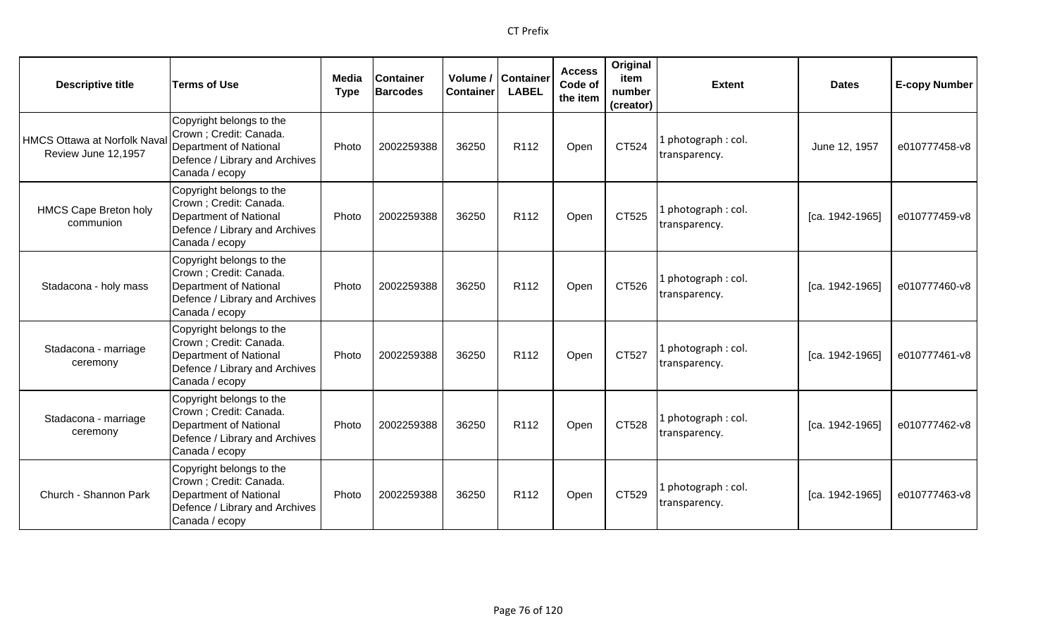| <b>Descriptive title</b>                                  | <b>Terms of Use</b>                                                                                                                      | <b>Media</b><br><b>Type</b> | <b>Container</b><br><b>Barcodes</b> | <b>Container</b> | Volume / Container<br><b>LABEL</b> | <b>Access</b><br>Code of<br>the item | Original<br>item<br>number<br>(creator) | <b>Extent</b>                        | <b>Dates</b>    | <b>E-copy Number</b> |
|-----------------------------------------------------------|------------------------------------------------------------------------------------------------------------------------------------------|-----------------------------|-------------------------------------|------------------|------------------------------------|--------------------------------------|-----------------------------------------|--------------------------------------|-----------------|----------------------|
| <b>HMCS Ottawa at Norfolk Nava</b><br>Review June 12,1957 | Copyright belongs to the<br>Crown; Credit: Canada.<br>Department of National<br>Defence / Library and Archives<br>Canada / ecopy         | Photo                       | 2002259388                          | 36250            | R <sub>112</sub>                   | Open                                 | CT524                                   | 1 photograph : col.<br>transparency. | June 12, 1957   | e010777458-v8        |
| <b>HMCS Cape Breton holy</b><br>communion                 | Copyright belongs to the<br>Crown; Credit: Canada.<br>Department of National<br>Defence / Library and Archives<br>Canada / ecopy         | Photo                       | 2002259388                          | 36250            | R112                               | Open                                 | CT525                                   | 1 photograph: col.<br>transparency.  | [ca. 1942-1965] | e010777459-v8        |
| Stadacona - holy mass                                     | Copyright belongs to the<br>Crown; Credit: Canada.<br>Department of National<br>Defence / Library and Archives<br>Canada / ecopy         | Photo                       | 2002259388                          | 36250            | R <sub>112</sub>                   | Open                                 | CT526                                   | 1 photograph: col.<br>transparency.  | [ca. 1942-1965] | e010777460-v8        |
| Stadacona - marriage<br>ceremony                          | Copyright belongs to the<br>Crown ; Credit: Canada.<br><b>Department of National</b><br>Defence / Library and Archives<br>Canada / ecopy | Photo                       | 2002259388                          | 36250            | R <sub>112</sub>                   | Open                                 | CT527                                   | 1 photograph: col.<br>transparency.  | [ca. 1942-1965] | e010777461-v8        |
| Stadacona - marriage<br>ceremony                          | Copyright belongs to the<br>Crown ; Credit: Canada.<br>Department of National<br>Defence / Library and Archives<br>Canada / ecopy        | Photo                       | 2002259388                          | 36250            | R112                               | Open                                 | CT528                                   | 1 photograph : col.<br>transparency. | [ca. 1942-1965] | e010777462-v8        |
| Church - Shannon Park                                     | Copyright belongs to the<br>Crown ; Credit: Canada.<br>Department of National<br>Defence / Library and Archives<br>Canada / ecopy        | Photo                       | 2002259388                          | 36250            | R <sub>112</sub>                   | Open                                 | CT529                                   | 1 photograph: col.<br>transparency.  | [ca. 1942-1965] | e010777463-v8        |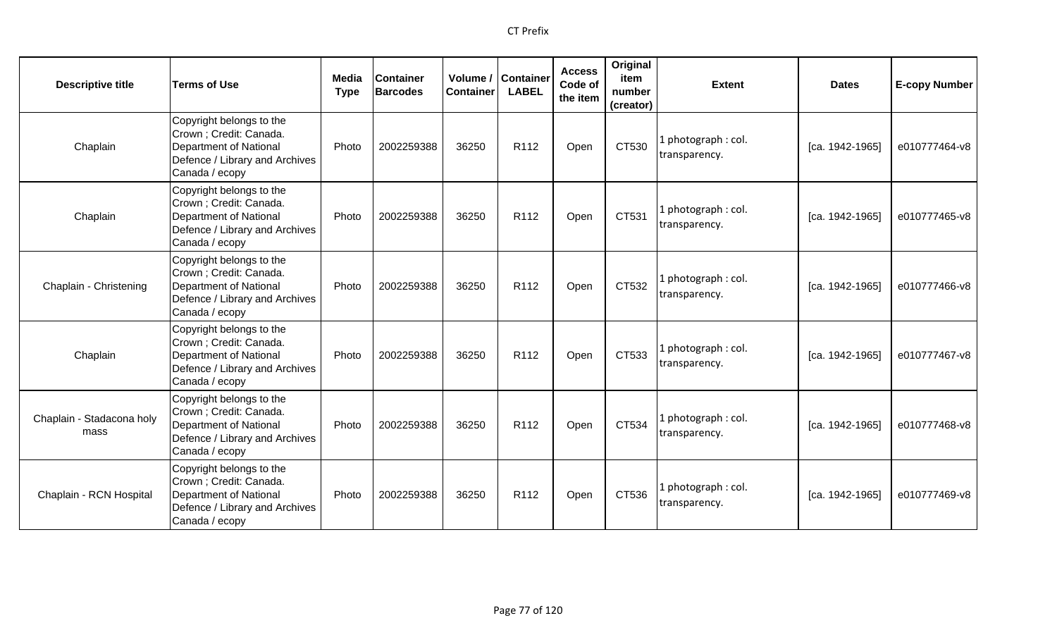| <b>Descriptive title</b>          | <b>Terms of Use</b>                                                                                                                      | <b>Media</b><br><b>Type</b> | <b>Container</b><br><b>Barcodes</b> | Volume /<br><b>Container</b> | <b>Container</b><br><b>LABEL</b> | <b>Access</b><br>Code of<br>the item | Original<br>item<br>number<br>(creator) | <b>Extent</b>                        | <b>Dates</b>      | <b>E-copy Number</b> |
|-----------------------------------|------------------------------------------------------------------------------------------------------------------------------------------|-----------------------------|-------------------------------------|------------------------------|----------------------------------|--------------------------------------|-----------------------------------------|--------------------------------------|-------------------|----------------------|
| Chaplain                          | Copyright belongs to the<br>Crown ; Credit: Canada.<br><b>Department of National</b><br>Defence / Library and Archives<br>Canada / ecopy | Photo                       | 2002259388                          | 36250                        | R112                             | Open                                 | CT530                                   | photograph: col.<br>transparency.    | [ca. 1942-1965]   | e010777464-v8        |
| Chaplain                          | Copyright belongs to the<br>Crown ; Credit: Canada.<br><b>Department of National</b><br>Defence / Library and Archives<br>Canada / ecopy | Photo                       | 2002259388                          | 36250                        | R112                             | Open                                 | CT531                                   | I photograph: col.<br>transparency.  | [ca. 1942-1965]   | e010777465-v8        |
| Chaplain - Christening            | Copyright belongs to the<br>Crown ; Credit: Canada.<br>Department of National<br>Defence / Library and Archives<br>Canada / ecopy        | Photo                       | 2002259388                          | 36250                        | R <sub>112</sub>                 | Open                                 | CT532                                   | L photograph : col.<br>transparency. | $[ca. 1942-1965]$ | e010777466-v8        |
| Chaplain                          | Copyright belongs to the<br>Crown ; Credit: Canada.<br>Department of National<br>Defence / Library and Archives<br>Canada / ecopy        | Photo                       | 2002259388                          | 36250                        | R112                             | Open                                 | CT533                                   | L photograph : col.<br>transparency. | [ca. 1942-1965]   | e010777467-v8        |
| Chaplain - Stadacona holy<br>mass | Copyright belongs to the<br>Crown ; Credit: Canada.<br><b>Department of National</b><br>Defence / Library and Archives<br>Canada / ecopy | Photo                       | 2002259388                          | 36250                        | R <sub>112</sub>                 | Open                                 | CT534                                   | photograph: col.<br>transparency.    | [ca. 1942-1965]   | e010777468-v8        |
| Chaplain - RCN Hospital           | Copyright belongs to the<br>Crown ; Credit: Canada.<br>Department of National<br>Defence / Library and Archives<br>Canada / ecopy        | Photo                       | 2002259388                          | 36250                        | R112                             | Open                                 | CT536                                   | l photograph : col.<br>transparency. | [ca. 1942-1965]   | e010777469-v8        |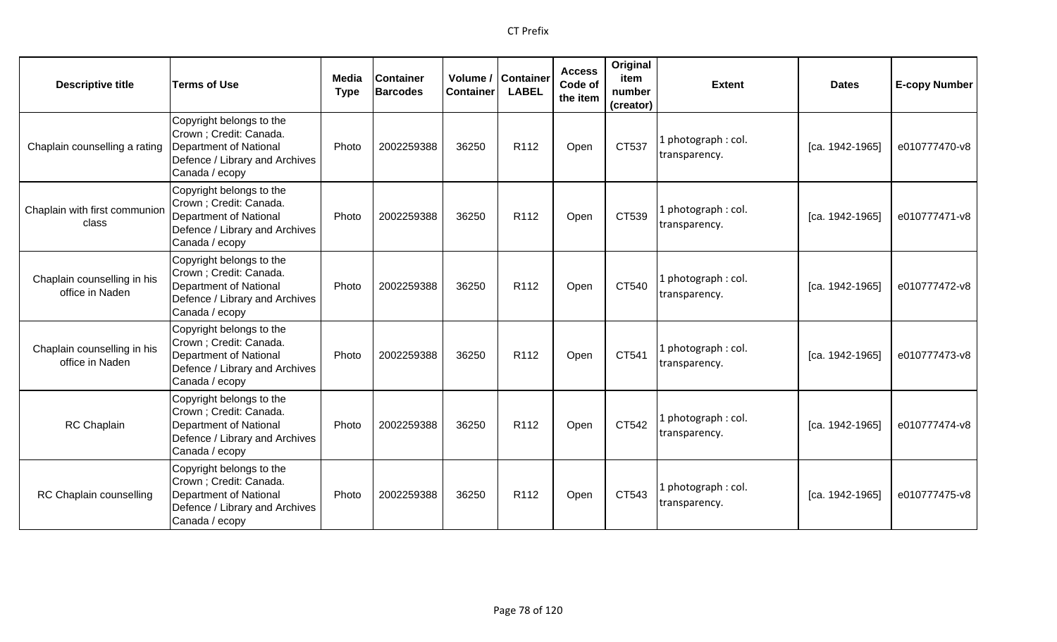| <b>Descriptive title</b>                       | <b>Terms of Use</b>                                                                                                                      | Media<br><b>Type</b> | <b>Container</b><br><b>Barcodes</b> | Volume /<br><b>Container</b> | <b>Container</b><br><b>LABEL</b> | <b>Access</b><br>Code of<br>the item | Original<br>item<br>number<br>(creator) | <b>Extent</b>                       | <b>Dates</b>    | <b>E-copy Number</b> |
|------------------------------------------------|------------------------------------------------------------------------------------------------------------------------------------------|----------------------|-------------------------------------|------------------------------|----------------------------------|--------------------------------------|-----------------------------------------|-------------------------------------|-----------------|----------------------|
| Chaplain counselling a rating                  | Copyright belongs to the<br>Crown ; Credit: Canada.<br><b>Department of National</b><br>Defence / Library and Archives<br>Canada / ecopy | Photo                | 2002259388                          | 36250                        | R112                             | Open                                 | CT537                                   | 1 photograph: col.<br>transparency. | [ca. 1942-1965] | e010777470-v8        |
| Chaplain with first communion<br>class         | Copyright belongs to the<br>Crown; Credit: Canada.<br><b>Department of National</b><br>Defence / Library and Archives<br>Canada / ecopy  | Photo                | 2002259388                          | 36250                        | R112                             | Open                                 | CT539                                   | 1 photograph: col.<br>transparency. | [ca. 1942-1965] | e010777471-v8        |
| Chaplain counselling in his<br>office in Naden | Copyright belongs to the<br>Crown; Credit: Canada.<br><b>Department of National</b><br>Defence / Library and Archives<br>Canada / ecopy  | Photo                | 2002259388                          | 36250                        | R <sub>112</sub>                 | Open                                 | CT540                                   | 1 photograph: col.<br>transparency. | [ca. 1942-1965] | e010777472-v8        |
| Chaplain counselling in his<br>office in Naden | Copyright belongs to the<br>Crown; Credit: Canada.<br><b>Department of National</b><br>Defence / Library and Archives<br>Canada / ecopy  | Photo                | 2002259388                          | 36250                        | R <sub>112</sub>                 | Open                                 | CT541                                   | 1 photograph: col.<br>transparency. | [ca. 1942-1965] | e010777473-v8        |
| <b>RC</b> Chaplain                             | Copyright belongs to the<br>Crown ; Credit: Canada.<br>Department of National<br>Defence / Library and Archives<br>Canada / ecopy        | Photo                | 2002259388                          | 36250                        | R112                             | Open                                 | CT542                                   | 1 photograph: col.<br>transparency. | [ca. 1942-1965] | e010777474-v8        |
| RC Chaplain counselling                        | Copyright belongs to the<br>Crown; Credit: Canada.<br>Department of National<br>Defence / Library and Archives<br>Canada / ecopy         | Photo                | 2002259388                          | 36250                        | R <sub>112</sub>                 | Open                                 | CT543                                   | 1 photograph: col.<br>transparency. | [ca. 1942-1965] | e010777475-v8        |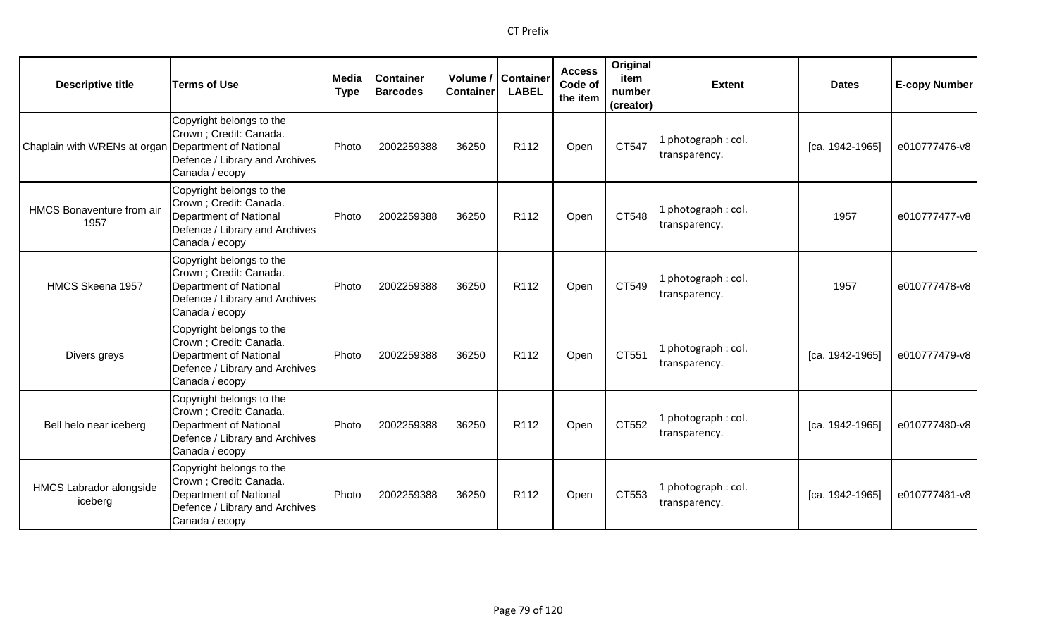| <b>Descriptive title</b>                            | <b>Terms of Use</b>                                                                                                               | Media<br><b>Type</b> | <b>Container</b><br><b>Barcodes</b> | Volume /<br><b>Container</b> | <b>Container</b><br><b>LABEL</b> | <b>Access</b><br>Code of<br>the item | Original<br>item<br>number<br>(creator) | <b>Extent</b>                       | <b>Dates</b>    | <b>E-copy Number</b> |
|-----------------------------------------------------|-----------------------------------------------------------------------------------------------------------------------------------|----------------------|-------------------------------------|------------------------------|----------------------------------|--------------------------------------|-----------------------------------------|-------------------------------------|-----------------|----------------------|
| Chaplain with WRENs at organ Department of National | Copyright belongs to the<br>Crown ; Credit: Canada.<br>Defence / Library and Archives<br>Canada / ecopy                           | Photo                | 2002259388                          | 36250                        | R <sub>112</sub>                 | Open                                 | CT547                                   | L photograph: col.<br>transparency. | [ca. 1942-1965] | e010777476-v8        |
| <b>HMCS Bonaventure from air</b><br>1957            | Copyright belongs to the<br>Crown ; Credit: Canada.<br>Department of National<br>Defence / Library and Archives<br>Canada / ecopy | Photo                | 2002259388                          | 36250                        | R112                             | Open                                 | CT548                                   | L photograph: col.<br>transparency. | 1957            | e010777477-v8        |
| HMCS Skeena 1957                                    | Copyright belongs to the<br>Crown ; Credit: Canada.<br>Department of National<br>Defence / Library and Archives<br>Canada / ecopy | Photo                | 2002259388                          | 36250                        | R <sub>112</sub>                 | Open                                 | CT549                                   | I photograph: col.<br>transparency. | 1957            | e010777478-v8        |
| Divers greys                                        | Copyright belongs to the<br>Crown ; Credit: Canada.<br>Department of National<br>Defence / Library and Archives<br>Canada / ecopy | Photo                | 2002259388                          | 36250                        | R112                             | Open                                 | CT551                                   | 1 photograph: col.<br>transparency. | [ca. 1942-1965] | e010777479-v8        |
| Bell helo near iceberg                              | Copyright belongs to the<br>Crown ; Credit: Canada.<br>Department of National<br>Defence / Library and Archives<br>Canada / ecopy | Photo                | 2002259388                          | 36250                        | R112                             | Open                                 | CT552                                   | L photograph: col.<br>transparency. | [ca. 1942-1965] | e010777480-v8        |
| <b>HMCS Labrador alongside</b><br>iceberg           | Copyright belongs to the<br>Crown ; Credit: Canada.<br>Department of National<br>Defence / Library and Archives<br>Canada / ecopy | Photo                | 2002259388                          | 36250                        | R <sub>112</sub>                 | Open                                 | CT553                                   | 1 photograph: col.<br>transparency. | [ca. 1942-1965] | e010777481-v8        |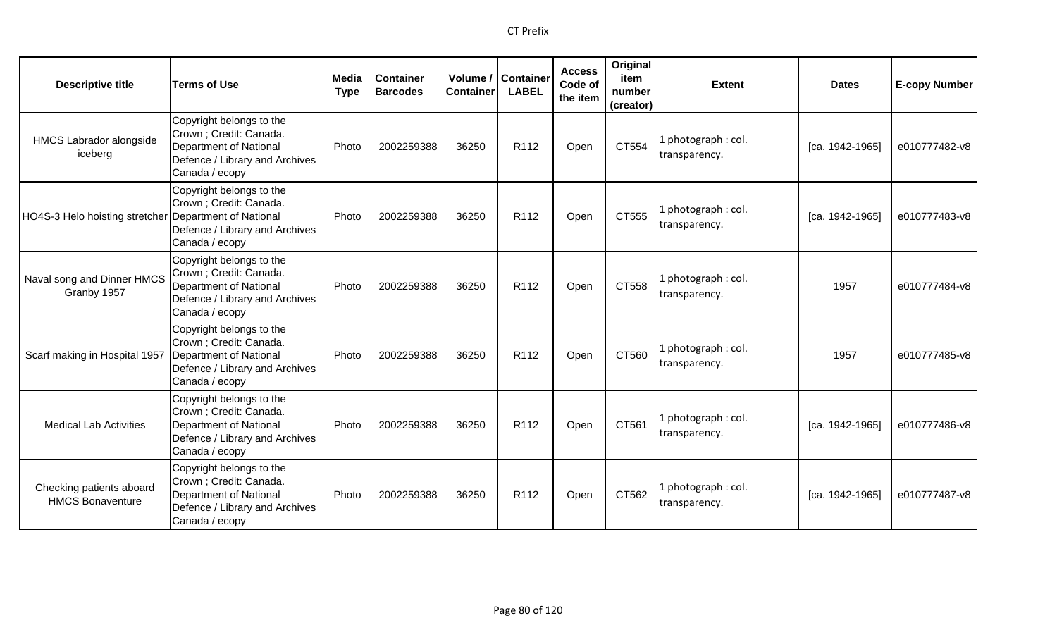| <b>Descriptive title</b>                              | <b>Terms of Use</b>                                                                                                               | Media<br><b>Type</b> | <b>Container</b><br><b>Barcodes</b> | <b>Container</b> | Volume / Container<br><b>LABEL</b> | <b>Access</b><br>Code of<br>the item | Original<br>item<br>number<br>(creator) | <b>Extent</b>                        | <b>Dates</b>    | <b>E-copy Number</b> |
|-------------------------------------------------------|-----------------------------------------------------------------------------------------------------------------------------------|----------------------|-------------------------------------|------------------|------------------------------------|--------------------------------------|-----------------------------------------|--------------------------------------|-----------------|----------------------|
| <b>HMCS Labrador alongside</b><br>iceberg             | Copyright belongs to the<br>Crown; Credit: Canada.<br>Department of National<br>Defence / Library and Archives<br>Canada / ecopy  | Photo                | 2002259388                          | 36250            | R <sub>112</sub>                   | Open                                 | CT554                                   | l photograph : col.<br>transparency. | [ca. 1942-1965] | e010777482-v8        |
| HO4S-3 Helo hoisting stretcher Department of National | Copyright belongs to the<br>Crown ; Credit: Canada.<br>Defence / Library and Archives<br>Canada / ecopy                           | Photo                | 2002259388                          | 36250            | R112                               | Open                                 | CT555                                   | 1 photograph: col.<br>transparency.  | [ca. 1942-1965] | e010777483-v8        |
| Naval song and Dinner HMCS<br>Granby 1957             | Copyright belongs to the<br>Crown ; Credit: Canada.<br>Department of National<br>Defence / Library and Archives<br>Canada / ecopy | Photo                | 2002259388                          | 36250            | R <sub>112</sub>                   | Open                                 | CT558                                   | 1 photograph: col.<br>transparency.  | 1957            | e010777484-v8        |
| Scarf making in Hospital 1957                         | Copyright belongs to the<br>Crown; Credit: Canada.<br>Department of National<br>Defence / Library and Archives<br>Canada / ecopy  | Photo                | 2002259388                          | 36250            | R <sub>112</sub>                   | Open                                 | CT560                                   | 1 photograph: col.<br>transparency.  | 1957            | e010777485-v8        |
| <b>Medical Lab Activities</b>                         | Copyright belongs to the<br>Crown ; Credit: Canada.<br>Department of National<br>Defence / Library and Archives<br>Canada / ecopy | Photo                | 2002259388                          | 36250            | R112                               | Open                                 | CT561                                   | 1 photograph : col.<br>transparency. | [ca. 1942-1965] | e010777486-v8        |
| Checking patients aboard<br><b>HMCS Bonaventure</b>   | Copyright belongs to the<br>Crown; Credit: Canada.<br>Department of National<br>Defence / Library and Archives<br>Canada / ecopy  | Photo                | 2002259388                          | 36250            | R <sub>112</sub>                   | Open                                 | CT562                                   | 1 photograph: col.<br>transparency.  | [ca. 1942-1965] | e010777487-v8        |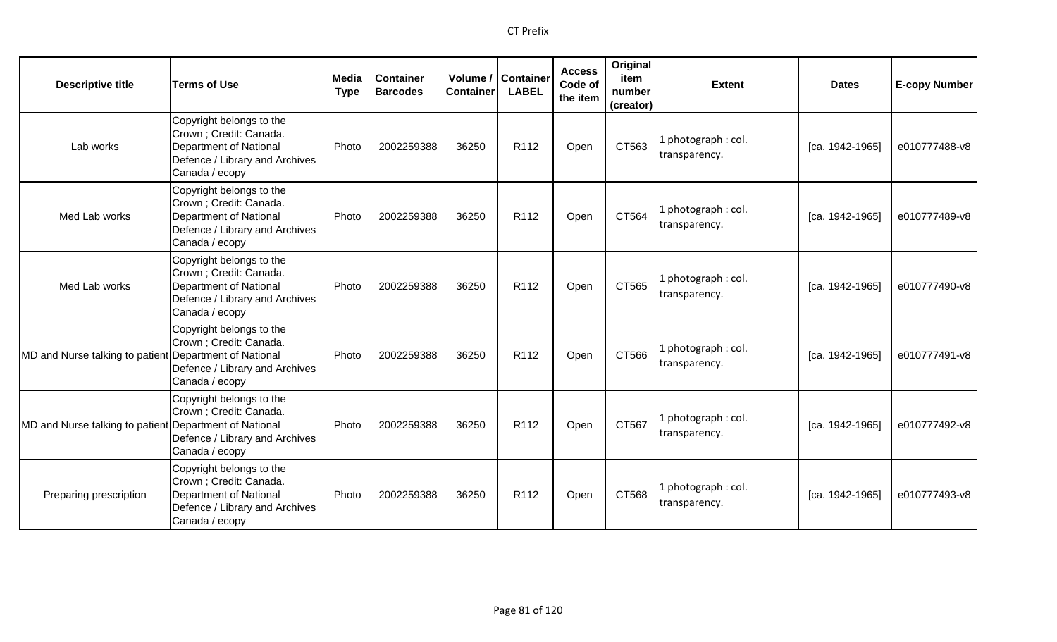| <b>Descriptive title</b>                               | <b>Terms of Use</b>                                                                                                                      | Media<br><b>Type</b> | <b>Container</b><br><b>Barcodes</b> | Volume /<br><b>Container</b> | <b>Container</b><br><b>LABEL</b> | <b>Access</b><br>Code of<br>the item | Original<br>item<br>number<br>(creator) | <b>Extent</b>                        | <b>Dates</b>    | <b>E-copy Number</b> |
|--------------------------------------------------------|------------------------------------------------------------------------------------------------------------------------------------------|----------------------|-------------------------------------|------------------------------|----------------------------------|--------------------------------------|-----------------------------------------|--------------------------------------|-----------------|----------------------|
| Lab works                                              | Copyright belongs to the<br>Crown ; Credit: Canada.<br><b>Department of National</b><br>Defence / Library and Archives<br>Canada / ecopy | Photo                | 2002259388                          | 36250                        | R <sub>112</sub>                 | Open                                 | CT563                                   | . photograph: col.<br>transparency.  | [ca. 1942-1965] | e010777488-v8        |
| Med Lab works                                          | Copyright belongs to the<br>Crown; Credit: Canada.<br>Department of National<br>Defence / Library and Archives<br>Canada / ecopy         | Photo                | 2002259388                          | 36250                        | R112                             | Open                                 | CT564                                   | l photograph: col.<br>transparency.  | [ca. 1942-1965] | e010777489-v8        |
| Med Lab works                                          | Copyright belongs to the<br>Crown ; Credit: Canada.<br>Department of National<br>Defence / Library and Archives<br>Canada / ecopy        | Photo                | 2002259388                          | 36250                        | R112                             | Open                                 | CT565                                   | photograph: col.<br>transparency.    | [ca. 1942-1965] | e010777490-v8        |
| MD and Nurse talking to patient Department of National | Copyright belongs to the<br>Crown ; Credit: Canada.<br>Defence / Library and Archives<br>Canada / ecopy                                  | Photo                | 2002259388                          | 36250                        | R <sub>112</sub>                 | Open                                 | CT566                                   | l photograph: col.<br>transparency.  | [ca. 1942-1965] | e010777491-v8        |
| MD and Nurse talking to patient Department of National | Copyright belongs to the<br>Crown ; Credit: Canada.<br>Defence / Library and Archives<br>Canada / ecopy                                  | Photo                | 2002259388                          | 36250                        | R112                             | Open                                 | CT567                                   | l photograph : col.<br>transparency. | [ca. 1942-1965] | e010777492-v8        |
| Preparing prescription                                 | Copyright belongs to the<br>Crown ; Credit: Canada.<br>Department of National<br>Defence / Library and Archives<br>Canada / ecopy        | Photo                | 2002259388                          | 36250                        | R <sub>112</sub>                 | Open                                 | CT568                                   | l photograph: col.<br>transparency.  | [ca. 1942-1965] | e010777493-v8        |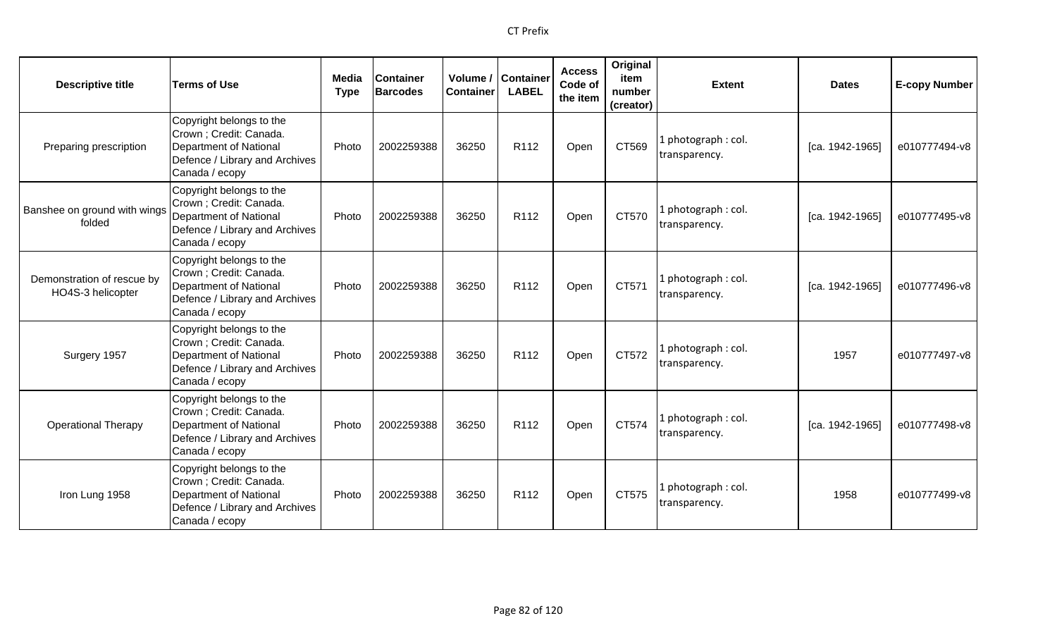| <b>Descriptive title</b>                        | <b>Terms of Use</b>                                                                                                                      | Media<br><b>Type</b> | <b>Container</b><br><b>Barcodes</b> | Container | Volume / Container<br><b>LABEL</b> | <b>Access</b><br>Code of<br>the item | Original<br>item<br>number<br>(creator) | <b>Extent</b>                        | <b>Dates</b>    | <b>E-copy Number</b> |
|-------------------------------------------------|------------------------------------------------------------------------------------------------------------------------------------------|----------------------|-------------------------------------|-----------|------------------------------------|--------------------------------------|-----------------------------------------|--------------------------------------|-----------------|----------------------|
| Preparing prescription                          | Copyright belongs to the<br>Crown ; Credit: Canada.<br><b>Department of National</b><br>Defence / Library and Archives<br>Canada / ecopy | Photo                | 2002259388                          | 36250     | R112                               | Open                                 | CT569                                   | 1 photograph: col.<br>transparency.  | [ca. 1942-1965] | e010777494-v8        |
| Banshee on ground with wings<br>folded          | Copyright belongs to the<br>Crown ; Credit: Canada.<br><b>Department of National</b><br>Defence / Library and Archives<br>Canada / ecopy | Photo                | 2002259388                          | 36250     | R <sub>112</sub>                   | Open                                 | CT570                                   | 1 photograph: col.<br>transparency.  | [ca. 1942-1965] | e010777495-v8        |
| Demonstration of rescue by<br>HO4S-3 helicopter | Copyright belongs to the<br>Crown; Credit: Canada.<br>Department of National<br>Defence / Library and Archives<br>Canada / ecopy         | Photo                | 2002259388                          | 36250     | R <sub>112</sub>                   | Open                                 | CT571                                   | 1 photograph : col.<br>transparency. | [ca. 1942-1965] | e010777496-v8        |
| Surgery 1957                                    | Copyright belongs to the<br>Crown; Credit: Canada.<br><b>Department of National</b><br>Defence / Library and Archives<br>Canada / ecopy  | Photo                | 2002259388                          | 36250     | R112                               | Open                                 | CT572                                   | 1 photograph: col.<br>transparency.  | 1957            | e010777497-v8        |
| <b>Operational Therapy</b>                      | Copyright belongs to the<br>Crown ; Credit: Canada.<br><b>Department of National</b><br>Defence / Library and Archives<br>Canada / ecopy | Photo                | 2002259388                          | 36250     | R <sub>112</sub>                   | Open                                 | CT574                                   | 1 photograph: col.<br>transparency.  | [ca. 1942-1965] | e010777498-v8        |
| Iron Lung 1958                                  | Copyright belongs to the<br>Crown; Credit: Canada.<br><b>Department of National</b><br>Defence / Library and Archives<br>Canada / ecopy  | Photo                | 2002259388                          | 36250     | R <sub>112</sub>                   | Open                                 | CT575                                   | 1 photograph: col.<br>transparency.  | 1958            | e010777499-v8        |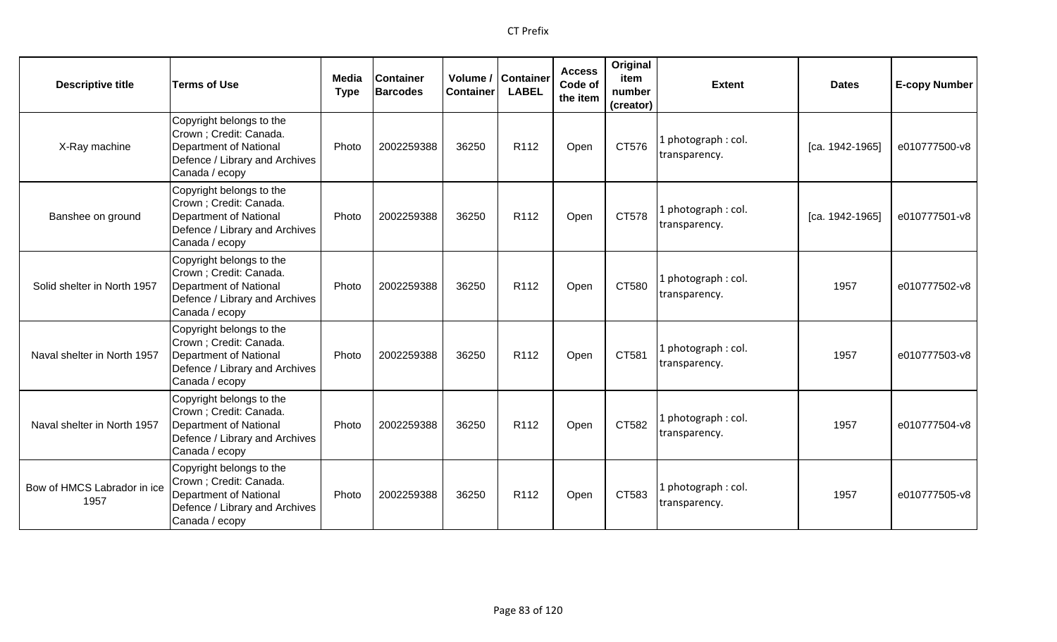| <b>Descriptive title</b>            | <b>Terms of Use</b>                                                                                                               | Media<br><b>Type</b> | <b>Container</b><br><b>Barcodes</b> | Volume /<br><b>Container</b> | Container<br><b>LABEL</b> | <b>Access</b><br>Code of<br>the item | Original<br>item<br>number<br>(creator) | <b>Extent</b>                        | <b>Dates</b>    | <b>E-copy Number</b> |
|-------------------------------------|-----------------------------------------------------------------------------------------------------------------------------------|----------------------|-------------------------------------|------------------------------|---------------------------|--------------------------------------|-----------------------------------------|--------------------------------------|-----------------|----------------------|
| X-Ray machine                       | Copyright belongs to the<br>Crown ; Credit: Canada.<br>Department of National<br>Defence / Library and Archives<br>Canada / ecopy | Photo                | 2002259388                          | 36250                        | R112                      | Open                                 | CT576                                   | 1 photograph: col.<br>transparency.  | [ca. 1942-1965] | e010777500-v8        |
| Banshee on ground                   | Copyright belongs to the<br>Crown ; Credit: Canada.<br>Department of National<br>Defence / Library and Archives<br>Canada / ecopy | Photo                | 2002259388                          | 36250                        | R112                      | Open                                 | CT578                                   | 1 photograph: col.<br>transparency.  | [ca. 1942-1965] | e010777501-v8        |
| Solid shelter in North 1957         | Copyright belongs to the<br>Crown ; Credit: Canada.<br>Department of National<br>Defence / Library and Archives<br>Canada / ecopy | Photo                | 2002259388                          | 36250                        | R112                      | Open                                 | CT580                                   | 1 photograph: col.<br>transparency.  | 1957            | e010777502-v8        |
| Naval shelter in North 1957         | Copyright belongs to the<br>Crown ; Credit: Canada.<br>Department of National<br>Defence / Library and Archives<br>Canada / ecopy | Photo                | 2002259388                          | 36250                        | R <sub>112</sub>          | Open                                 | CT581                                   | 1 photograph: col.<br>transparency.  | 1957            | e010777503-v8        |
| Naval shelter in North 1957         | Copyright belongs to the<br>Crown ; Credit: Canada.<br>Department of National<br>Defence / Library and Archives<br>Canada / ecopy | Photo                | 2002259388                          | 36250                        | R112                      | Open                                 | CT582                                   | 1 photograph : col.<br>transparency. | 1957            | e010777504-v8        |
| Bow of HMCS Labrador in ice<br>1957 | Copyright belongs to the<br>Crown ; Credit: Canada.<br>Department of National<br>Defence / Library and Archives<br>Canada / ecopy | Photo                | 2002259388                          | 36250                        | R112                      | Open                                 | CT583                                   | 1 photograph: col.<br>transparency.  | 1957            | e010777505-v8        |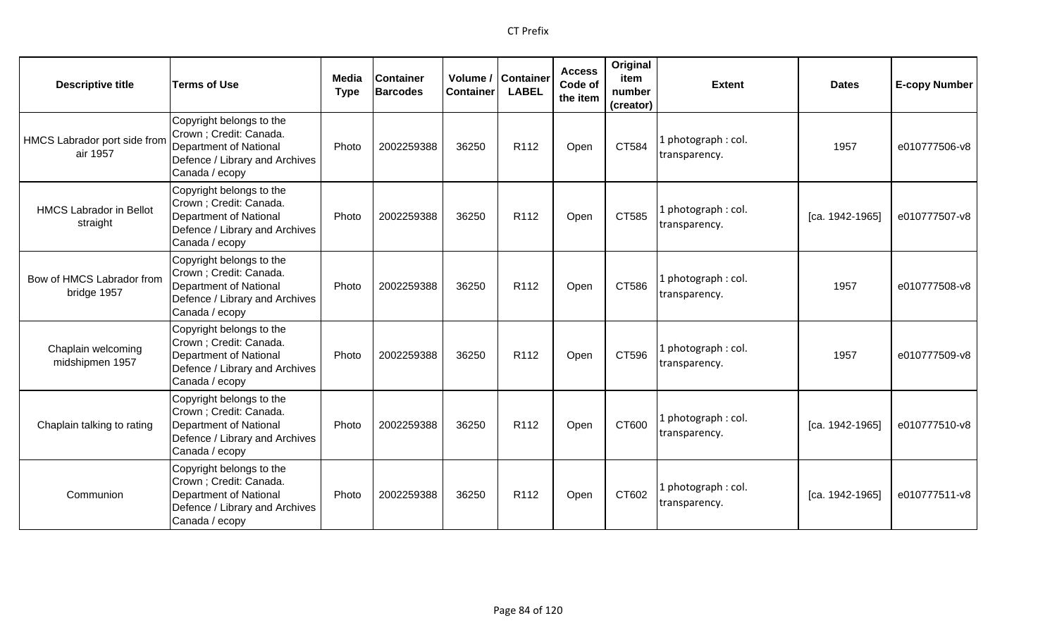| <b>Descriptive title</b>                   | <b>Terms of Use</b>                                                                                                                      | Media<br><b>Type</b> | <b>Container</b><br><b>Barcodes</b> | <b>Container</b> | Volume / Container<br><b>LABEL</b> | <b>Access</b><br>Code of<br>the item | Original<br>item<br>number<br>(creator) | <b>Extent</b>                       | <b>Dates</b>    | <b>E-copy Number</b> |
|--------------------------------------------|------------------------------------------------------------------------------------------------------------------------------------------|----------------------|-------------------------------------|------------------|------------------------------------|--------------------------------------|-----------------------------------------|-------------------------------------|-----------------|----------------------|
| HMCS Labrador port side from<br>air 1957   | Copyright belongs to the<br>Crown ; Credit: Canada.<br><b>Department of National</b><br>Defence / Library and Archives<br>Canada / ecopy | Photo                | 2002259388                          | 36250            | R112                               | Open                                 | CT584                                   | L photograph: col.<br>transparency. | 1957            | e010777506-v8        |
| <b>HMCS Labrador in Bellot</b><br>straight | Copyright belongs to the<br>Crown ; Credit: Canada.<br>Department of National<br>Defence / Library and Archives<br>Canada / ecopy        | Photo                | 2002259388                          | 36250            | R112                               | Open                                 | CT585                                   | 1 photograph: col.<br>transparency. | [ca. 1942-1965] | e010777507-v8        |
| Bow of HMCS Labrador from<br>bridge 1957   | Copyright belongs to the<br>Crown ; Credit: Canada.<br><b>Department of National</b><br>Defence / Library and Archives<br>Canada / ecopy | Photo                | 2002259388                          | 36250            | R <sub>112</sub>                   | Open                                 | CT586                                   | 1 photograph: col.<br>transparency. | 1957            | e010777508-v8        |
| Chaplain welcoming<br>midshipmen 1957      | Copyright belongs to the<br>Crown ; Credit: Canada.<br><b>Department of National</b><br>Defence / Library and Archives<br>Canada / ecopy | Photo                | 2002259388                          | 36250            | R <sub>112</sub>                   | Open                                 | CT596                                   | 1 photograph: col.<br>transparency. | 1957            | e010777509-v8        |
| Chaplain talking to rating                 | Copyright belongs to the<br>Crown; Credit: Canada.<br><b>Department of National</b><br>Defence / Library and Archives<br>Canada / ecopy  | Photo                | 2002259388                          | 36250            | R <sub>112</sub>                   | Open                                 | CT600                                   | 1 photograph: col.<br>transparency. | [ca. 1942-1965] | e010777510-v8        |
| Communion                                  | Copyright belongs to the<br>Crown; Credit: Canada.<br>Department of National<br>Defence / Library and Archives<br>Canada / ecopy         | Photo                | 2002259388                          | 36250            | R112                               | Open                                 | CT602                                   | I photograph: col.<br>transparency. | [ca. 1942-1965] | e010777511-v8        |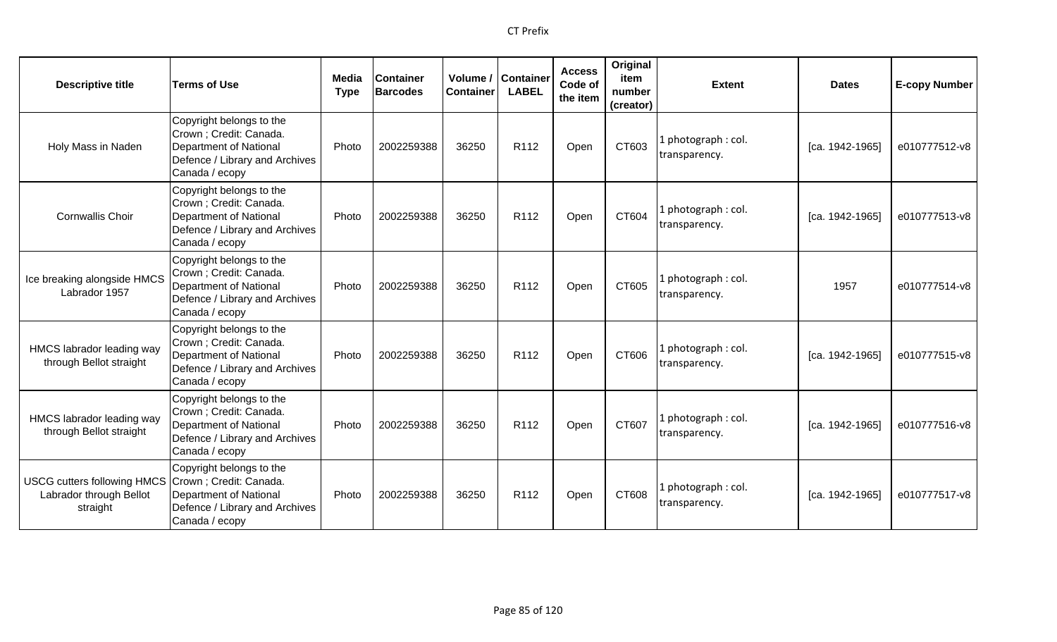| <b>Descriptive title</b>                                                  | <b>Terms of Use</b>                                                                                                               | Media<br><b>Type</b> | <b>Container</b><br><b>Barcodes</b> | Volume /<br><b>Container</b> | <b>Container</b><br><b>LABEL</b> | <b>Access</b><br>Code of<br>the item | Original<br>item<br>number<br>(creator) | <b>Extent</b>                        | <b>Dates</b>    | <b>E-copy Number</b> |
|---------------------------------------------------------------------------|-----------------------------------------------------------------------------------------------------------------------------------|----------------------|-------------------------------------|------------------------------|----------------------------------|--------------------------------------|-----------------------------------------|--------------------------------------|-----------------|----------------------|
| Holy Mass in Naden                                                        | Copyright belongs to the<br>Crown ; Credit: Canada.<br>Department of National<br>Defence / Library and Archives<br>Canada / ecopy | Photo                | 2002259388                          | 36250                        | R112                             | Open                                 | CT603                                   | 1 photograph: col.<br>transparency.  | [ca. 1942-1965] | e010777512-v8        |
| <b>Cornwallis Choir</b>                                                   | Copyright belongs to the<br>Crown ; Credit: Canada.<br>Department of National<br>Defence / Library and Archives<br>Canada / ecopy | Photo                | 2002259388                          | 36250                        | R112                             | Open                                 | CT604                                   | 1 photograph: col.<br>transparency.  | [ca. 1942-1965] | e010777513-v8        |
| Ice breaking alongside HMCS<br>Labrador 1957                              | Copyright belongs to the<br>Crown ; Credit: Canada.<br>Department of National<br>Defence / Library and Archives<br>Canada / ecopy | Photo                | 2002259388                          | 36250                        | R112                             | Open                                 | CT605                                   | 1 photograph : col.<br>transparency. | 1957            | e010777514-v8        |
| HMCS labrador leading way<br>through Bellot straight                      | Copyright belongs to the<br>Crown; Credit: Canada.<br>Department of National<br>Defence / Library and Archives<br>Canada / ecopy  | Photo                | 2002259388                          | 36250                        | R112                             | Open                                 | CT606                                   | 1 photograph: col.<br>transparency.  | [ca. 1942-1965] | e010777515-v8        |
| HMCS labrador leading way<br>through Bellot straight                      | Copyright belongs to the<br>Crown; Credit: Canada.<br>Department of National<br>Defence / Library and Archives<br>Canada / ecopy  | Photo                | 2002259388                          | 36250                        | R <sub>112</sub>                 | Open                                 | CT607                                   | 1 photograph: col.<br>transparency.  | [ca. 1942-1965] | e010777516-v8        |
| <b>USCG cutters following HMCS</b><br>Labrador through Bellot<br>straight | Copyright belongs to the<br>Crown; Credit: Canada.<br>Department of National<br>Defence / Library and Archives<br>Canada / ecopy  | Photo                | 2002259388                          | 36250                        | R <sub>112</sub>                 | Open                                 | CT608                                   | 1 photograph: col.<br>transparency.  | [ca. 1942-1965] | e010777517-v8        |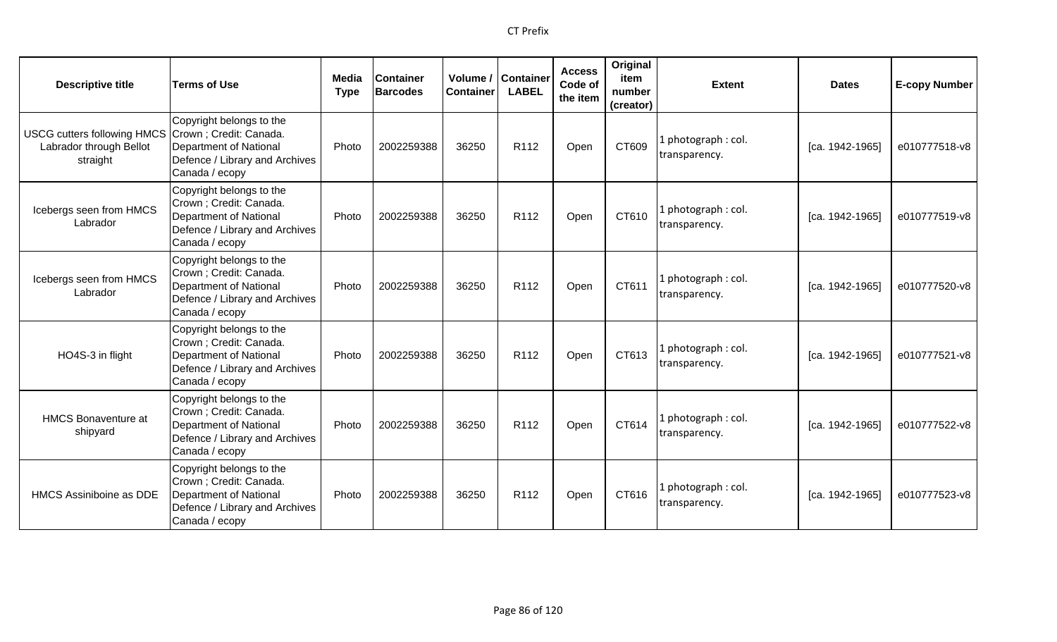| <b>Descriptive title</b>                                                  | <b>Terms of Use</b>                                                                                                                      | Media<br><b>Type</b> | <b>Container</b><br><b>Barcodes</b> | <b>Container</b> | Volume / Container<br><b>LABEL</b> | <b>Access</b><br>Code of<br>the item | Original<br>item<br>number<br>(creator) | <b>Extent</b>                        | <b>Dates</b>      | <b>E-copy Number</b> |
|---------------------------------------------------------------------------|------------------------------------------------------------------------------------------------------------------------------------------|----------------------|-------------------------------------|------------------|------------------------------------|--------------------------------------|-----------------------------------------|--------------------------------------|-------------------|----------------------|
| <b>USCG cutters following HMCS</b><br>Labrador through Bellot<br>straight | Copyright belongs to the<br>Crown; Credit: Canada.<br>Department of National<br>Defence / Library and Archives<br>Canada / ecopy         | Photo                | 2002259388                          | 36250            | R112                               | Open                                 | CT609                                   | 1 photograph: col.<br>transparency.  | [ca. 1942-1965]   | e010777518-v8        |
| Icebergs seen from HMCS<br>Labrador                                       | Copyright belongs to the<br>Crown ; Credit: Canada.<br>Department of National<br>Defence / Library and Archives<br>Canada / ecopy        | Photo                | 2002259388                          | 36250            | R <sub>112</sub>                   | Open                                 | CT610                                   | 1 photograph: col.<br>transparency.  | [ca. 1942-1965]   | e010777519-v8        |
| Icebergs seen from HMCS<br>Labrador                                       | Copyright belongs to the<br>Crown ; Credit: Canada.<br>Department of National<br>Defence / Library and Archives<br>Canada / ecopy        | Photo                | 2002259388                          | 36250            | R112                               | Open                                 | CT611                                   | 1 photograph : col.<br>transparency. | $[ca. 1942-1965]$ | e010777520-v8        |
| HO4S-3 in flight                                                          | Copyright belongs to the<br>Crown ; Credit: Canada.<br><b>Department of National</b><br>Defence / Library and Archives<br>Canada / ecopy | Photo                | 2002259388                          | 36250            | R <sub>112</sub>                   | Open                                 | CT613                                   | 1 photograph : col.<br>transparency. | $[ca. 1942-1965]$ | e010777521-v8        |
| <b>HMCS Bonaventure at</b><br>shipyard                                    | Copyright belongs to the<br>Crown; Credit: Canada.<br>Department of National<br>Defence / Library and Archives<br>Canada / ecopy         | Photo                | 2002259388                          | 36250            | R <sub>112</sub>                   | Open                                 | CT614                                   | 1 photograph: col.<br>transparency.  | [ca. 1942-1965]   | e010777522-v8        |
| <b>HMCS Assiniboine as DDE</b>                                            | Copyright belongs to the<br>Crown ; Credit: Canada.<br><b>Department of National</b><br>Defence / Library and Archives<br>Canada / ecopy | Photo                | 2002259388                          | 36250            | R <sub>112</sub>                   | Open                                 | CT616                                   | 1 photograph: col.<br>transparency.  | [ca. 1942-1965]   | e010777523-v8        |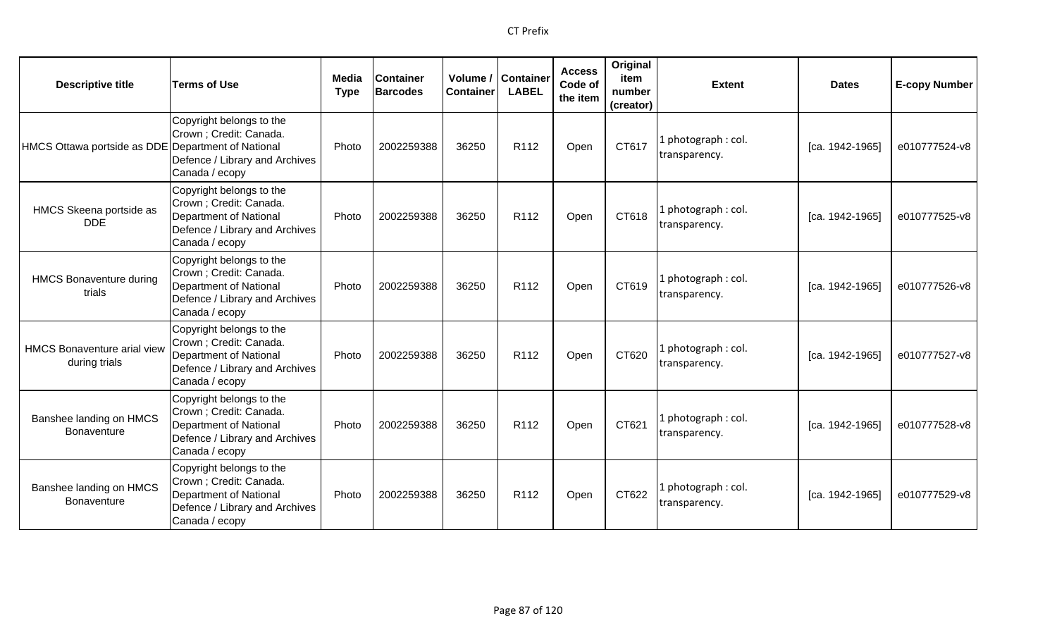| <b>Descriptive title</b>                            | <b>Terms of Use</b>                                                                                                                     | Media<br><b>Type</b> | <b>Container</b><br><b>Barcodes</b> | Volume /<br><b>Container</b> | <b>Container</b><br><b>LABEL</b> | <b>Access</b><br>Code of<br>the item | Original<br>item<br>number<br>(creator) | <b>Extent</b>                        | <b>Dates</b>    | <b>E-copy Number</b> |
|-----------------------------------------------------|-----------------------------------------------------------------------------------------------------------------------------------------|----------------------|-------------------------------------|------------------------------|----------------------------------|--------------------------------------|-----------------------------------------|--------------------------------------|-----------------|----------------------|
| HMCS Ottawa portside as DDE Department of National  | Copyright belongs to the<br>Crown ; Credit: Canada.<br>Defence / Library and Archives<br>Canada / ecopy                                 | Photo                | 2002259388                          | 36250                        | R112                             | Open                                 | CT617                                   | 1 photograph : col.<br>transparency. | [ca. 1942-1965] | e010777524-v8        |
| HMCS Skeena portside as<br><b>DDE</b>               | Copyright belongs to the<br>Crown; Credit: Canada.<br><b>Department of National</b><br>Defence / Library and Archives<br>Canada / ecopy | Photo                | 2002259388                          | 36250                        | R112                             | Open                                 | CT618                                   | 1 photograph: col.<br>transparency.  | [ca. 1942-1965] | e010777525-v8        |
| <b>HMCS Bonaventure during</b><br>trials            | Copyright belongs to the<br>Crown; Credit: Canada.<br><b>Department of National</b><br>Defence / Library and Archives<br>Canada / ecopy | Photo                | 2002259388                          | 36250                        | R <sub>112</sub>                 | Open                                 | CT619                                   | 1 photograph: col.<br>transparency.  | [ca. 1942-1965] | e010777526-v8        |
| <b>HMCS Bonaventure arial view</b><br>during trials | Copyright belongs to the<br>Crown; Credit: Canada.<br><b>Department of National</b><br>Defence / Library and Archives<br>Canada / ecopy | Photo                | 2002259388                          | 36250                        | R <sub>112</sub>                 | Open                                 | CT620                                   | 1 photograph: col.<br>transparency.  | [ca. 1942-1965] | e010777527-v8        |
| Banshee landing on HMCS<br><b>Bonaventure</b>       | Copyright belongs to the<br>Crown ; Credit: Canada.<br>Department of National<br>Defence / Library and Archives<br>Canada / ecopy       | Photo                | 2002259388                          | 36250                        | R112                             | Open                                 | CT621                                   | 1 photograph: col.<br>transparency.  | [ca. 1942-1965] | e010777528-v8        |
| Banshee landing on HMCS<br><b>Bonaventure</b>       | Copyright belongs to the<br>Crown; Credit: Canada.<br><b>Department of National</b><br>Defence / Library and Archives<br>Canada / ecopy | Photo                | 2002259388                          | 36250                        | R <sub>112</sub>                 | Open                                 | CT622                                   | 1 photograph: col.<br>transparency.  | [ca. 1942-1965] | e010777529-v8        |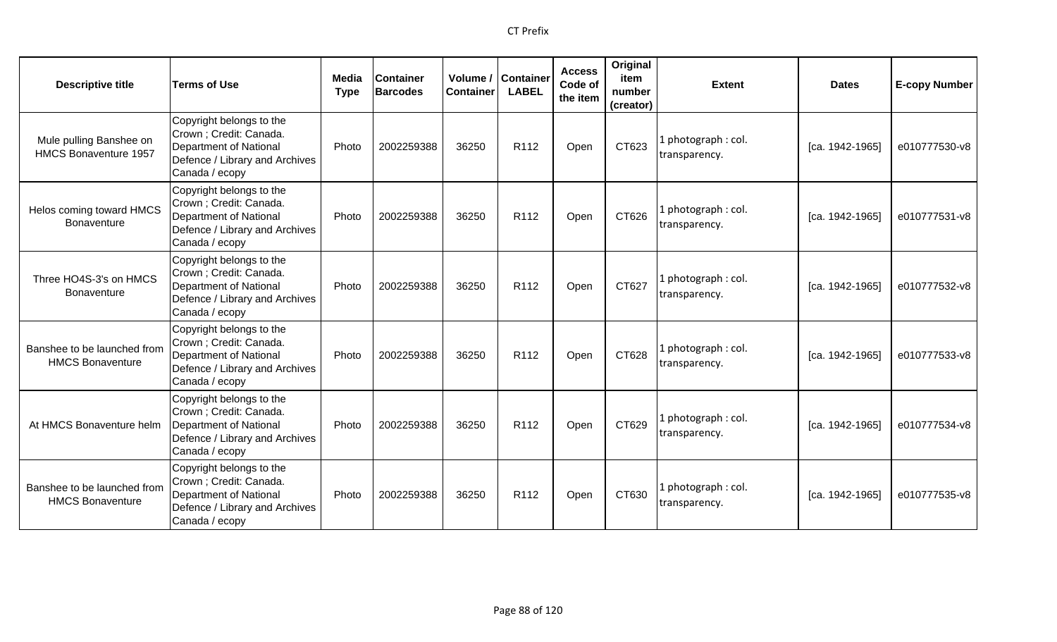| <b>Descriptive title</b>                               | <b>Terms of Use</b>                                                                                                               | Media<br><b>Type</b> | <b>Container</b><br><b>Barcodes</b> | Volume /<br><b>Container</b> | <b>Container</b><br><b>LABEL</b> | <b>Access</b><br>Code of<br>the item | Original<br>item<br>number<br>(creator) | <b>Extent</b>                        | <b>Dates</b>    | <b>E-copy Number</b> |
|--------------------------------------------------------|-----------------------------------------------------------------------------------------------------------------------------------|----------------------|-------------------------------------|------------------------------|----------------------------------|--------------------------------------|-----------------------------------------|--------------------------------------|-----------------|----------------------|
| Mule pulling Banshee on<br>HMCS Bonaventure 1957       | Copyright belongs to the<br>Crown; Credit: Canada.<br>Department of National<br>Defence / Library and Archives<br>Canada / ecopy  | Photo                | 2002259388                          | 36250                        | R112                             | Open                                 | CT623                                   | 1 photograph: col.<br>transparency.  | [ca. 1942-1965] | e010777530-v8        |
| Helos coming toward HMCS<br><b>Bonaventure</b>         | Copyright belongs to the<br>Crown ; Credit: Canada.<br>Department of National<br>Defence / Library and Archives<br>Canada / ecopy | Photo                | 2002259388                          | 36250                        | R <sub>112</sub>                 | Open                                 | CT626                                   | 1 photograph: col.<br>transparency.  | [ca. 1942-1965] | e010777531-v8        |
| Three HO4S-3's on HMCS<br><b>Bonaventure</b>           | Copyright belongs to the<br>Crown; Credit: Canada.<br>Department of National<br>Defence / Library and Archives<br>Canada / ecopy  | Photo                | 2002259388                          | 36250                        | R112                             | Open                                 | CT627                                   | 1 photograph : col.<br>transparency. | [ca. 1942-1965] | e010777532-v8        |
| Banshee to be launched from<br><b>HMCS Bonaventure</b> | Copyright belongs to the<br>Crown ; Credit: Canada.<br>Department of National<br>Defence / Library and Archives<br>Canada / ecopy | Photo                | 2002259388                          | 36250                        | R112                             | Open                                 | CT628                                   | 1 photograph: col.<br>transparency.  | [ca. 1942-1965] | e010777533-v8        |
| At HMCS Bonaventure helm                               | Copyright belongs to the<br>Crown ; Credit: Canada.<br>Department of National<br>Defence / Library and Archives<br>Canada / ecopy | Photo                | 2002259388                          | 36250                        | R <sub>112</sub>                 | Open                                 | CT629                                   | 1 photograph: col.<br>transparency.  | [ca. 1942-1965] | e010777534-v8        |
| Banshee to be launched from<br><b>HMCS Bonaventure</b> | Copyright belongs to the<br>Crown ; Credit: Canada.<br>Department of National<br>Defence / Library and Archives<br>Canada / ecopy | Photo                | 2002259388                          | 36250                        | R <sub>112</sub>                 | Open                                 | CT630                                   | 1 photograph: col.<br>transparency.  | [ca. 1942-1965] | e010777535-v8        |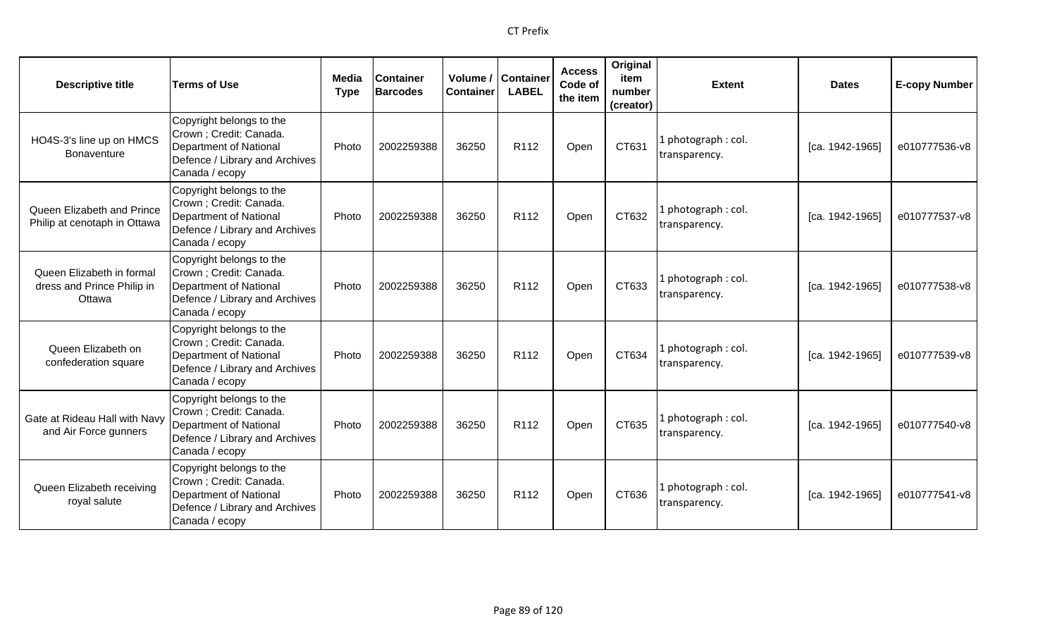| <b>Descriptive title</b>                                          | <b>Terms of Use</b>                                                                                                                      | Media<br><b>Type</b> | <b>Container</b><br><b>Barcodes</b> | Volume /<br><b>Container</b> | <b>Container</b><br><b>LABEL</b> | <b>Access</b><br>Code of<br>the item | Original<br>item<br>number<br>(creator) | <b>Extent</b>                        | <b>Dates</b>      | <b>E-copy Number</b> |
|-------------------------------------------------------------------|------------------------------------------------------------------------------------------------------------------------------------------|----------------------|-------------------------------------|------------------------------|----------------------------------|--------------------------------------|-----------------------------------------|--------------------------------------|-------------------|----------------------|
| HO4S-3's line up on HMCS<br><b>Bonaventure</b>                    | Copyright belongs to the<br>Crown; Credit: Canada.<br><b>Department of National</b><br>Defence / Library and Archives<br>Canada / ecopy  | Photo                | 2002259388                          | 36250                        | R112                             | Open                                 | CT631                                   | photograph: col.<br>transparency.    | [ca. 1942-1965]   | e010777536-v8        |
| Queen Elizabeth and Prince<br>Philip at cenotaph in Ottawa        | Copyright belongs to the<br>Crown ; Credit: Canada.<br><b>Department of National</b><br>Defence / Library and Archives<br>Canada / ecopy | Photo                | 2002259388                          | 36250                        | R112                             | Open                                 | CT632                                   | photograph: col.<br>transparency.    | [ca. 1942-1965]   | e010777537-v8        |
| Queen Elizabeth in formal<br>dress and Prince Philip in<br>Ottawa | Copyright belongs to the<br>Crown; Credit: Canada.<br><b>Department of National</b><br>Defence / Library and Archives<br>Canada / ecopy  | Photo                | 2002259388                          | 36250                        | R112                             | Open                                 | CT633                                   | l photograph : col.<br>transparency. | $[ca. 1942-1965]$ | e010777538-v8        |
| Queen Elizabeth on<br>confederation square                        | Copyright belongs to the<br>Crown ; Credit: Canada.<br><b>Department of National</b><br>Defence / Library and Archives<br>Canada / ecopy | Photo                | 2002259388                          | 36250                        | R112                             | Open                                 | CT634                                   | l photograph : col.<br>transparency. | [ca. 1942-1965]   | e010777539-v8        |
| Gate at Rideau Hall with Navy<br>and Air Force gunners            | Copyright belongs to the<br>Crown ; Credit: Canada.<br>Department of National<br>Defence / Library and Archives<br>Canada / ecopy        | Photo                | 2002259388                          | 36250                        | R <sub>112</sub>                 | Open                                 | CT635                                   | photograph: col.<br>transparency.    | [ca. 1942-1965]   | e010777540-v8        |
| Queen Elizabeth receiving<br>royal salute                         | Copyright belongs to the<br>Crown ; Credit: Canada.<br><b>Department of National</b><br>Defence / Library and Archives<br>Canada / ecopy | Photo                | 2002259388                          | 36250                        | R112                             | Open                                 | CT636                                   | photograph: col.<br>transparency.    | [ca. 1942-1965]   | e010777541-v8        |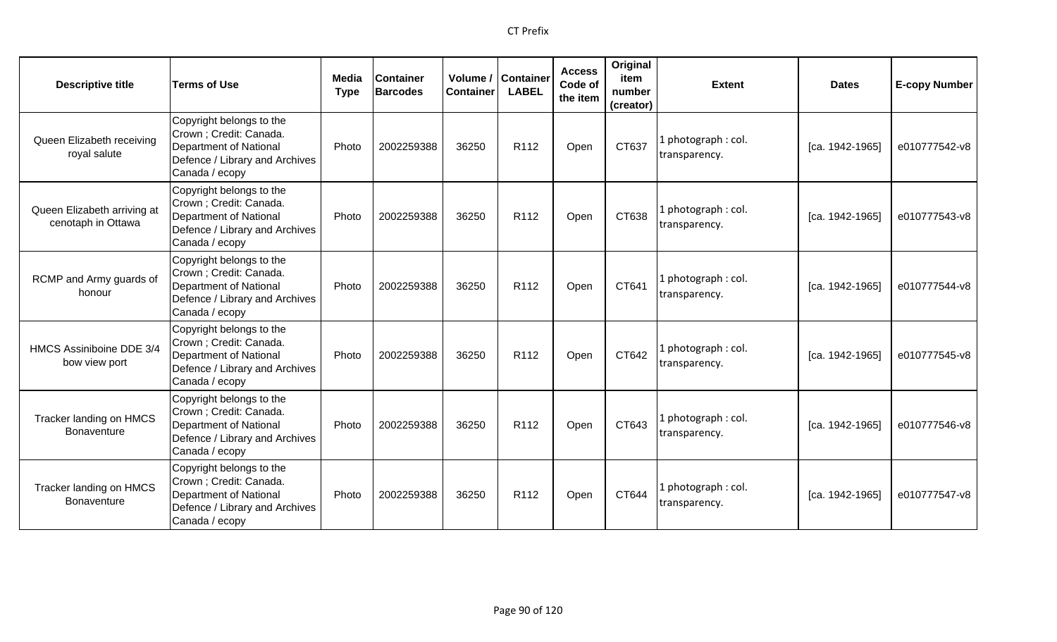| <b>Descriptive title</b>                          | <b>Terms of Use</b>                                                                                                               | Media<br><b>Type</b> | <b>Container</b><br><b>Barcodes</b> | Volume /<br><b>Container</b> | <b>Container</b><br><b>LABEL</b> | <b>Access</b><br>Code of<br>the item | Original<br>item<br>number<br>(creator) | <b>Extent</b>                        | <b>Dates</b>    | <b>E-copy Number</b> |
|---------------------------------------------------|-----------------------------------------------------------------------------------------------------------------------------------|----------------------|-------------------------------------|------------------------------|----------------------------------|--------------------------------------|-----------------------------------------|--------------------------------------|-----------------|----------------------|
| Queen Elizabeth receiving<br>royal salute         | Copyright belongs to the<br>Crown ; Credit: Canada.<br>Department of National<br>Defence / Library and Archives<br>Canada / ecopy | Photo                | 2002259388                          | 36250                        | R112                             | Open                                 | CT637                                   | 1 photograph: col.<br>transparency.  | [ca. 1942-1965] | e010777542-v8        |
| Queen Elizabeth arriving at<br>cenotaph in Ottawa | Copyright belongs to the<br>Crown ; Credit: Canada.<br>Department of National<br>Defence / Library and Archives<br>Canada / ecopy | Photo                | 2002259388                          | 36250                        | R112                             | Open                                 | CT638                                   | 1 photograph: col.<br>transparency.  | [ca. 1942-1965] | e010777543-v8        |
| RCMP and Army guards of<br>honour                 | Copyright belongs to the<br>Crown ; Credit: Canada.<br>Department of National<br>Defence / Library and Archives<br>Canada / ecopy | Photo                | 2002259388                          | 36250                        | R112                             | Open                                 | CT641                                   | 1 photograph : col.<br>transparency. | [ca. 1942-1965] | e010777544-v8        |
| HMCS Assiniboine DDE 3/4<br>bow view port         | Copyright belongs to the<br>Crown ; Credit: Canada.<br>Department of National<br>Defence / Library and Archives<br>Canada / ecopy | Photo                | 2002259388                          | 36250                        | R112                             | Open                                 | CT642                                   | 1 photograph: col.<br>transparency.  | [ca. 1942-1965] | e010777545-v8        |
| Tracker landing on HMCS<br>Bonaventure            | Copyright belongs to the<br>Crown ; Credit: Canada.<br>Department of National<br>Defence / Library and Archives<br>Canada / ecopy | Photo                | 2002259388                          | 36250                        | R <sub>112</sub>                 | Open                                 | CT643                                   | 1 photograph: col.<br>transparency.  | [ca. 1942-1965] | e010777546-v8        |
| Tracker landing on HMCS<br><b>Bonaventure</b>     | Copyright belongs to the<br>Crown ; Credit: Canada.<br>Department of National<br>Defence / Library and Archives<br>Canada / ecopy | Photo                | 2002259388                          | 36250                        | R <sub>112</sub>                 | Open                                 | CT644                                   | 1 photograph: col.<br>transparency.  | [ca. 1942-1965] | e010777547-v8        |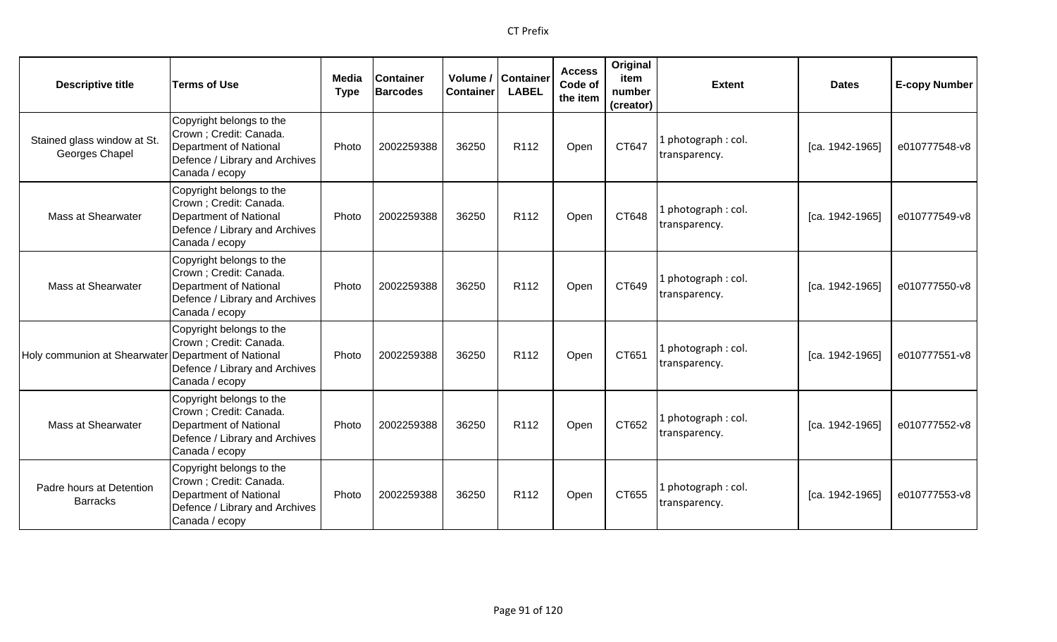| <b>Descriptive title</b>                            | <b>Terms of Use</b>                                                                                                               | Media<br><b>Type</b> | <b>Container</b><br><b>Barcodes</b> | Container | Volume / Container<br><b>LABEL</b> | <b>Access</b><br>Code of<br>the item | Original<br>item<br>number<br>(creator) | <b>Extent</b>                        | <b>Dates</b>    | <b>E-copy Number</b> |
|-----------------------------------------------------|-----------------------------------------------------------------------------------------------------------------------------------|----------------------|-------------------------------------|-----------|------------------------------------|--------------------------------------|-----------------------------------------|--------------------------------------|-----------------|----------------------|
| Stained glass window at St.<br>Georges Chapel       | Copyright belongs to the<br>Crown ; Credit: Canada.<br>Department of National<br>Defence / Library and Archives<br>Canada / ecopy | Photo                | 2002259388                          | 36250     | R112                               | Open                                 | CT647                                   | l photograph : col.<br>transparency. | [ca. 1942-1965] | e010777548-v8        |
| Mass at Shearwater                                  | Copyright belongs to the<br>Crown ; Credit: Canada.<br>Department of National<br>Defence / Library and Archives<br>Canada / ecopy | Photo                | 2002259388                          | 36250     | R <sub>112</sub>                   | Open                                 | CT648                                   | 1 photograph: col.<br>transparency.  | [ca. 1942-1965] | e010777549-v8        |
| Mass at Shearwater                                  | Copyright belongs to the<br>Crown ; Credit: Canada.<br>Department of National<br>Defence / Library and Archives<br>Canada / ecopy | Photo                | 2002259388                          | 36250     | R <sub>112</sub>                   | Open                                 | CT649                                   | l photograph : col.<br>transparency. | [ca. 1942-1965] | e010777550-v8        |
| Holy communion at Shearwater Department of National | Copyright belongs to the<br>Crown ; Credit: Canada.<br>Defence / Library and Archives<br>Canada / ecopy                           | Photo                | 2002259388                          | 36250     | R112                               | Open                                 | CT651                                   | 1 photograph: col.<br>transparency.  | [ca. 1942-1965] | e010777551-v8        |
| <b>Mass at Shearwater</b>                           | Copyright belongs to the<br>Crown ; Credit: Canada.<br>Department of National<br>Defence / Library and Archives<br>Canada / ecopy | Photo                | 2002259388                          | 36250     | R <sub>112</sub>                   | Open                                 | CT652                                   | 1 photograph: col.<br>transparency.  | [ca. 1942-1965] | e010777552-v8        |
| Padre hours at Detention<br><b>Barracks</b>         | Copyright belongs to the<br>Crown ; Credit: Canada.<br>Department of National<br>Defence / Library and Archives<br>Canada / ecopy | Photo                | 2002259388                          | 36250     | R <sub>112</sub>                   | Open                                 | CT655                                   | 1 photograph: col.<br>transparency.  | [ca. 1942-1965] | e010777553-v8        |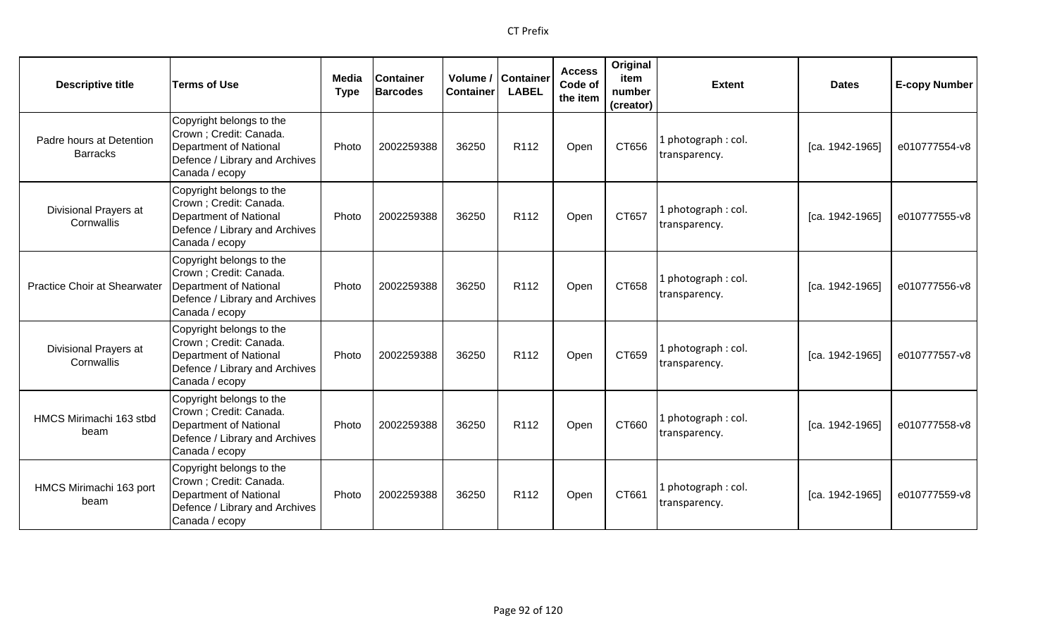| <b>Descriptive title</b>                    | <b>Terms of Use</b>                                                                                                                      | Media<br><b>Type</b> | <b>Container</b><br><b>Barcodes</b> | Volume /<br><b>Container</b> | Container<br><b>LABEL</b> | <b>Access</b><br>Code of<br>the item | Original<br>item<br>number<br>(creator) | <b>Extent</b>                        | <b>Dates</b>      | <b>E-copy Number</b> |
|---------------------------------------------|------------------------------------------------------------------------------------------------------------------------------------------|----------------------|-------------------------------------|------------------------------|---------------------------|--------------------------------------|-----------------------------------------|--------------------------------------|-------------------|----------------------|
| Padre hours at Detention<br><b>Barracks</b> | Copyright belongs to the<br>Crown ; Credit: Canada.<br><b>Department of National</b><br>Defence / Library and Archives<br>Canada / ecopy | Photo                | 2002259388                          | 36250                        | R112                      | Open                                 | CT656                                   | photograph: col.<br>transparency.    | [ca. 1942-1965]   | e010777554-v8        |
| <b>Divisional Prayers at</b><br>Cornwallis  | Copyright belongs to the<br>Crown ; Credit: Canada.<br><b>Department of National</b><br>Defence / Library and Archives<br>Canada / ecopy | Photo                | 2002259388                          | 36250                        | R112                      | Open                                 | CT657                                   | photograph: col.<br>transparency.    | [ca. 1942-1965]   | e010777555-v8        |
| <b>Practice Choir at Shearwater</b>         | Copyright belongs to the<br>Crown ; Credit: Canada.<br>Department of National<br>Defence / Library and Archives<br>Canada / ecopy        | Photo                | 2002259388                          | 36250                        | R <sub>112</sub>          | Open                                 | CT658                                   | I photograph: col.<br>transparency.  | $[ca. 1942-1965]$ | e010777556-v8        |
| Divisional Prayers at<br>Cornwallis         | Copyright belongs to the<br>Crown ; Credit: Canada.<br><b>Department of National</b><br>Defence / Library and Archives<br>Canada / ecopy | Photo                | 2002259388                          | 36250                        | R <sub>112</sub>          | Open                                 | CT659                                   | l photograph : col.<br>transparency. | [ca. 1942-1965]   | e010777557-v8        |
| HMCS Mirimachi 163 stbd<br>beam             | Copyright belongs to the<br>Crown ; Credit: Canada.<br><b>Department of National</b><br>Defence / Library and Archives<br>Canada / ecopy | Photo                | 2002259388                          | 36250                        | R <sub>112</sub>          | Open                                 | CT660                                   | photograph: col.<br>transparency.    | [ca. 1942-1965]   | e010777558-v8        |
| HMCS Mirimachi 163 port<br>beam             | Copyright belongs to the<br>Crown ; Credit: Canada.<br><b>Department of National</b><br>Defence / Library and Archives<br>Canada / ecopy | Photo                | 2002259388                          | 36250                        | R <sub>112</sub>          | Open                                 | CT661                                   | I photograph: col.<br>transparency.  | [ca. 1942-1965]   | e010777559-v8        |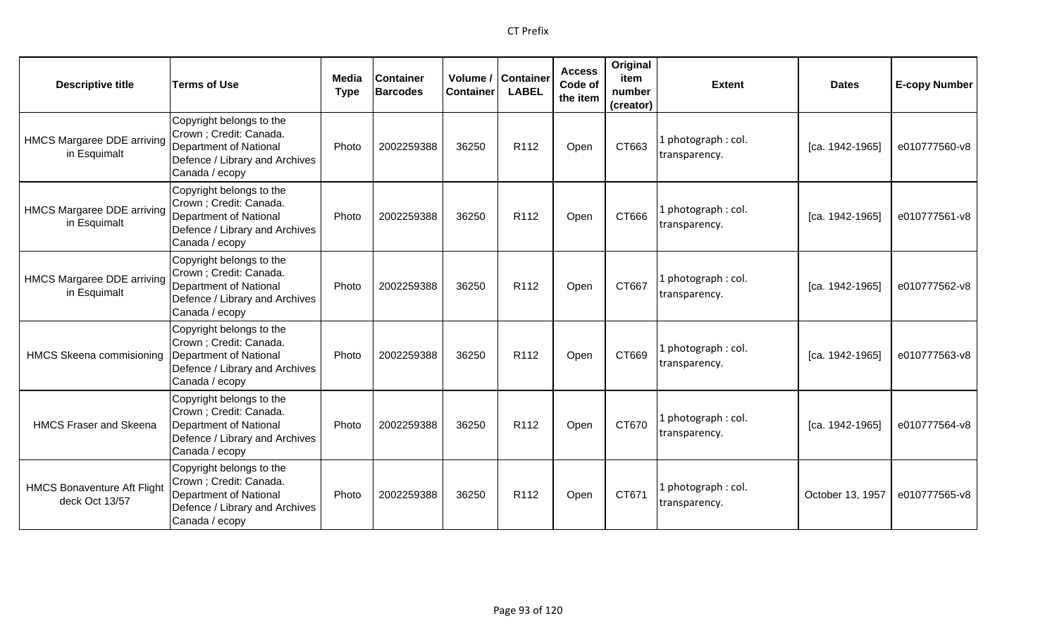| <b>Descriptive title</b>                             | <b>Terms of Use</b>                                                                                                               | Media<br><b>Type</b> | <b>Container</b><br><b>Barcodes</b> | <b>Container</b> | Volume / Container<br><b>LABEL</b> | <b>Access</b><br>Code of<br>the item | Original<br>item<br>number<br>(creator) | <b>Extent</b>                        | <b>Dates</b>      | <b>E-copy Number</b> |
|------------------------------------------------------|-----------------------------------------------------------------------------------------------------------------------------------|----------------------|-------------------------------------|------------------|------------------------------------|--------------------------------------|-----------------------------------------|--------------------------------------|-------------------|----------------------|
| <b>HMCS Margaree DDE arriving</b><br>in Esquimalt    | Copyright belongs to the<br>Crown; Credit: Canada.<br>Department of National<br>Defence / Library and Archives<br>Canada / ecopy  | Photo                | 2002259388                          | 36250            | R <sub>112</sub>                   | Open                                 | CT663                                   | L photograph : col.<br>transparency. | [ca. 1942-1965]   | e010777560-v8        |
| <b>HMCS Margaree DDE arriving</b><br>in Esquimalt    | Copyright belongs to the<br>Crown; Credit: Canada.<br>Department of National<br>Defence / Library and Archives<br>Canada / ecopy  | Photo                | 2002259388                          | 36250            | R112                               | Open                                 | CT666                                   | 1 photograph : col.<br>transparency. | $[ca. 1942-1965]$ | e010777561-v8        |
| <b>HMCS Margaree DDE arriving</b><br>in Esquimalt    | Copyright belongs to the<br>Crown; Credit: Canada.<br>Department of National<br>Defence / Library and Archives<br>Canada / ecopy  | Photo                | 2002259388                          | 36250            | R <sub>112</sub>                   | Open                                 | CT667                                   | L photograph : col.<br>transparency. | [ca. 1942-1965]   | e010777562-v8        |
| HMCS Skeena commisioning Department of National      | Copyright belongs to the<br>Crown; Credit: Canada.<br>Defence / Library and Archives<br>Canada / ecopy                            | Photo                | 2002259388                          | 36250            | R <sub>112</sub>                   | Open                                 | CT669                                   | 1 photograph: col.<br>transparency.  | [ca. 1942-1965]   | e010777563-v8        |
| <b>HMCS Fraser and Skeena</b>                        | Copyright belongs to the<br>Crown ; Credit: Canada.<br>Department of National<br>Defence / Library and Archives<br>Canada / ecopy | Photo                | 2002259388                          | 36250            | R112                               | Open                                 | CT670                                   | 1 photograph : col.<br>transparency. | $[ca. 1942-1965]$ | e010777564-v8        |
| <b>HMCS Bonaventure Aft Flight</b><br>deck Oct 13/57 | Copyright belongs to the<br>Crown ; Credit: Canada.<br>Department of National<br>Defence / Library and Archives<br>Canada / ecopy | Photo                | 2002259388                          | 36250            | R <sub>112</sub>                   | Open                                 | CT671                                   | 1 photograph: col.<br>transparency.  | October 13, 1957  | e010777565-v8        |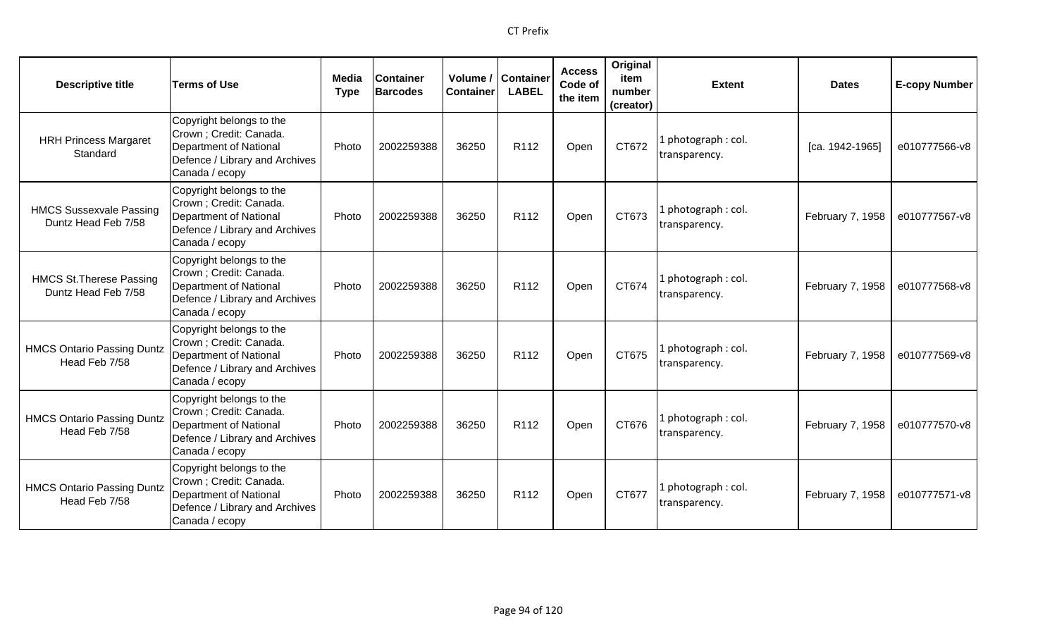| <b>Descriptive title</b>                               | <b>Terms of Use</b>                                                                                                                      | Media<br><b>Type</b> | <b>Container</b><br><b>Barcodes</b> | <b>Container</b> | Volume / Container<br><b>LABEL</b> | <b>Access</b><br>Code of<br>the item | Original<br>item<br>number<br>(creator) | <b>Extent</b>                        | <b>Dates</b>     | <b>E-copy Number</b> |
|--------------------------------------------------------|------------------------------------------------------------------------------------------------------------------------------------------|----------------------|-------------------------------------|------------------|------------------------------------|--------------------------------------|-----------------------------------------|--------------------------------------|------------------|----------------------|
| <b>HRH Princess Margaret</b><br>Standard               | Copyright belongs to the<br>Crown ; Credit: Canada.<br><b>Department of National</b><br>Defence / Library and Archives<br>Canada / ecopy | Photo                | 2002259388                          | 36250            | R112                               | Open                                 | CT672                                   | photograph: col.<br>transparency.    | [ca. 1942-1965]  | e010777566-v8        |
| <b>HMCS Sussexvale Passing</b><br>Duntz Head Feb 7/58  | Copyright belongs to the<br>Crown ; Credit: Canada.<br><b>Department of National</b><br>Defence / Library and Archives<br>Canada / ecopy | Photo                | 2002259388                          | 36250            | R <sub>112</sub>                   | Open                                 | CT673                                   | I photograph: col.<br>transparency.  | February 7, 1958 | e010777567-v8        |
| <b>HMCS St. Therese Passing</b><br>Duntz Head Feb 7/58 | Copyright belongs to the<br>Crown ; Credit: Canada.<br><b>Department of National</b><br>Defence / Library and Archives<br>Canada / ecopy | Photo                | 2002259388                          | 36250            | R <sub>112</sub>                   | Open                                 | CT674                                   | l photograph : col.<br>transparency. | February 7, 1958 | e010777568-v8        |
| <b>HMCS Ontario Passing Duntz</b><br>Head Feb 7/58     | Copyright belongs to the<br>Crown ; Credit: Canada.<br><b>Department of National</b><br>Defence / Library and Archives<br>Canada / ecopy | Photo                | 2002259388                          | 36250            | R <sub>112</sub>                   | Open                                 | CT675                                   | l photograph : col.<br>transparency. | February 7, 1958 | e010777569-v8        |
| <b>HMCS Ontario Passing Duntz</b><br>Head Feb 7/58     | Copyright belongs to the<br>Crown ; Credit: Canada.<br><b>Department of National</b><br>Defence / Library and Archives<br>Canada / ecopy | Photo                | 2002259388                          | 36250            | R <sub>112</sub>                   | Open                                 | CT676                                   | l photograph : col.<br>transparency. | February 7, 1958 | e010777570-v8        |
| <b>HMCS Ontario Passing Duntz</b><br>Head Feb 7/58     | Copyright belongs to the<br>Crown ; Credit: Canada.<br><b>Department of National</b><br>Defence / Library and Archives<br>Canada / ecopy | Photo                | 2002259388                          | 36250            | R <sub>112</sub>                   | Open                                 | CT677                                   | photograph: col.<br>transparency.    | February 7, 1958 | e010777571-v8        |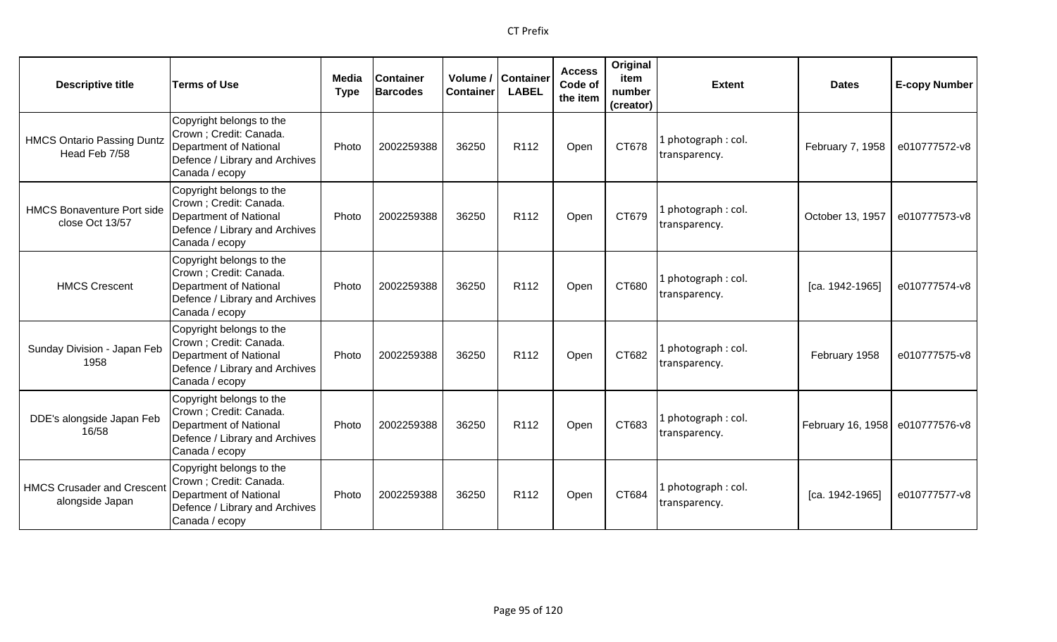| <b>Descriptive title</b>                             | <b>Terms of Use</b>                                                                                                               | Media<br><b>Type</b> | <b>Container</b><br><b>Barcodes</b> | Volume /<br><b>Container</b> | <b>Container</b><br><b>LABEL</b> | <b>Access</b><br>Code of<br>the item | Original<br>item<br>number<br>(creator) | <b>Extent</b>                        | <b>Dates</b>      | <b>E-copy Number</b> |
|------------------------------------------------------|-----------------------------------------------------------------------------------------------------------------------------------|----------------------|-------------------------------------|------------------------------|----------------------------------|--------------------------------------|-----------------------------------------|--------------------------------------|-------------------|----------------------|
| <b>HMCS Ontario Passing Duntz</b><br>Head Feb 7/58   | Copyright belongs to the<br>Crown; Credit: Canada.<br>Department of National<br>Defence / Library and Archives<br>Canada / ecopy  | Photo                | 2002259388                          | 36250                        | R112                             | Open                                 | CT678                                   | 1 photograph: col.<br>transparency.  | February 7, 1958  | e010777572-v8        |
| <b>HMCS Bonaventure Port side</b><br>close Oct 13/57 | Copyright belongs to the<br>Crown ; Credit: Canada.<br>Department of National<br>Defence / Library and Archives<br>Canada / ecopy | Photo                | 2002259388                          | 36250                        | R112                             | Open                                 | CT679                                   | 1 photograph: col.<br>transparency.  | October 13, 1957  | e010777573-v8        |
| <b>HMCS Crescent</b>                                 | Copyright belongs to the<br>Crown ; Credit: Canada.<br>Department of National<br>Defence / Library and Archives<br>Canada / ecopy | Photo                | 2002259388                          | 36250                        | R <sub>112</sub>                 | Open                                 | CT680                                   | 1 photograph : col.<br>transparency. | [ca. 1942-1965]   | e010777574-v8        |
| Sunday Division - Japan Feb<br>1958                  | Copyright belongs to the<br>Crown ; Credit: Canada.<br>Department of National<br>Defence / Library and Archives<br>Canada / ecopy | Photo                | 2002259388                          | 36250                        | R112                             | Open                                 | CT682                                   | 1 photograph: col.<br>transparency.  | February 1958     | e010777575-v8        |
| DDE's alongside Japan Feb<br>16/58                   | Copyright belongs to the<br>Crown ; Credit: Canada.<br>Department of National<br>Defence / Library and Archives<br>Canada / ecopy | Photo                | 2002259388                          | 36250                        | R <sub>112</sub>                 | Open                                 | CT683                                   | 1 photograph: col.<br>transparency.  | February 16, 1958 | e010777576-v8        |
| <b>HMCS Crusader and Crescent</b><br>alongside Japan | Copyright belongs to the<br>Crown ; Credit: Canada.<br>Department of National<br>Defence / Library and Archives<br>Canada / ecopy | Photo                | 2002259388                          | 36250                        | R112                             | Open                                 | CT684                                   | 1 photograph: col.<br>transparency.  | [ca. 1942-1965]   | e010777577-v8        |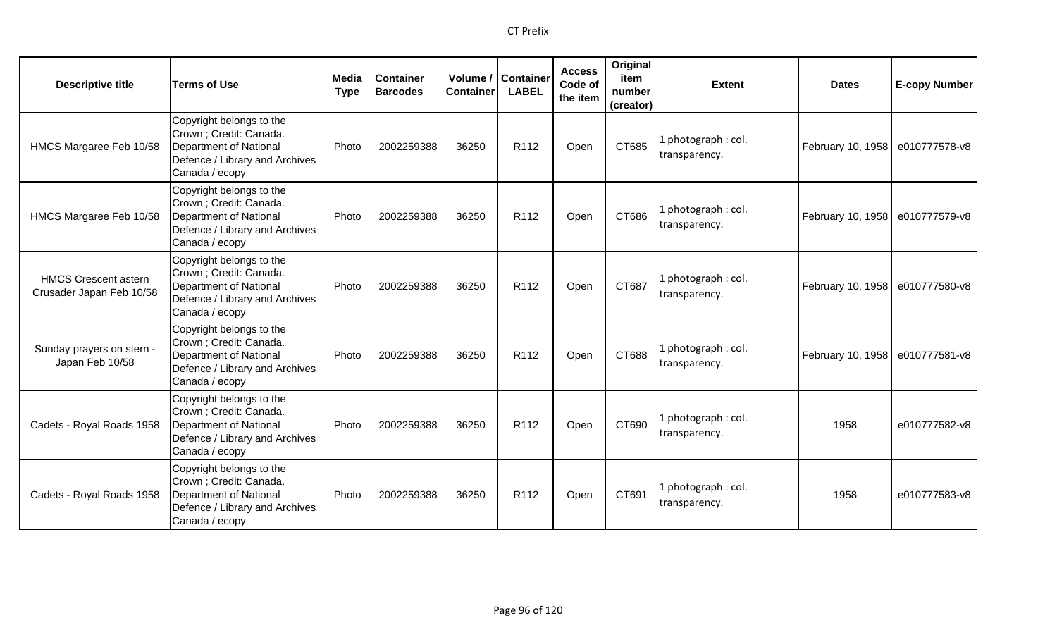| <b>Descriptive title</b>                                | <b>Terms of Use</b>                                                                                                               | Media<br><b>Type</b> | <b>Container</b><br><b>Barcodes</b> | Volume /<br><b>Container</b> | <b>Container</b><br><b>LABEL</b> | <b>Access</b><br>Code of<br>the item | Original<br>item<br>number<br>(creator) | <b>Extent</b>                        | <b>Dates</b>      | <b>E-copy Number</b> |
|---------------------------------------------------------|-----------------------------------------------------------------------------------------------------------------------------------|----------------------|-------------------------------------|------------------------------|----------------------------------|--------------------------------------|-----------------------------------------|--------------------------------------|-------------------|----------------------|
| HMCS Margaree Feb 10/58                                 | Copyright belongs to the<br>Crown ; Credit: Canada.<br>Department of National<br>Defence / Library and Archives<br>Canada / ecopy | Photo                | 2002259388                          | 36250                        | R112                             | Open                                 | CT685                                   | 1 photograph: col.<br>transparency.  | February 10, 1958 | e010777578-v8        |
| HMCS Margaree Feb 10/58                                 | Copyright belongs to the<br>Crown ; Credit: Canada.<br>Department of National<br>Defence / Library and Archives<br>Canada / ecopy | Photo                | 2002259388                          | 36250                        | R <sub>112</sub>                 | Open                                 | CT686                                   | 1 photograph: col.<br>transparency.  | February 10, 1958 | e010777579-v8        |
| <b>HMCS Crescent astern</b><br>Crusader Japan Feb 10/58 | Copyright belongs to the<br>Crown ; Credit: Canada.<br>Department of National<br>Defence / Library and Archives<br>Canada / ecopy | Photo                | 2002259388                          | 36250                        | R <sub>112</sub>                 | Open                                 | CT687                                   | 1 photograph : col.<br>transparency. | February 10, 1958 | e010777580-v8        |
| Sunday prayers on stern -<br>Japan Feb 10/58            | Copyright belongs to the<br>Crown ; Credit: Canada.<br>Department of National<br>Defence / Library and Archives<br>Canada / ecopy | Photo                | 2002259388                          | 36250                        | R112                             | Open                                 | CT688                                   | 1 photograph: col.<br>transparency.  | February 10, 1958 | e010777581-v8        |
| Cadets - Royal Roads 1958                               | Copyright belongs to the<br>Crown ; Credit: Canada.<br>Department of National<br>Defence / Library and Archives<br>Canada / ecopy | Photo                | 2002259388                          | 36250                        | R <sub>112</sub>                 | Open                                 | CT690                                   | 1 photograph: col.<br>transparency.  | 1958              | e010777582-v8        |
| Cadets - Royal Roads 1958                               | Copyright belongs to the<br>Crown ; Credit: Canada.<br>Department of National<br>Defence / Library and Archives<br>Canada / ecopy | Photo                | 2002259388                          | 36250                        | R <sub>112</sub>                 | Open                                 | CT691                                   | 1 photograph: col.<br>transparency.  | 1958              | e010777583-v8        |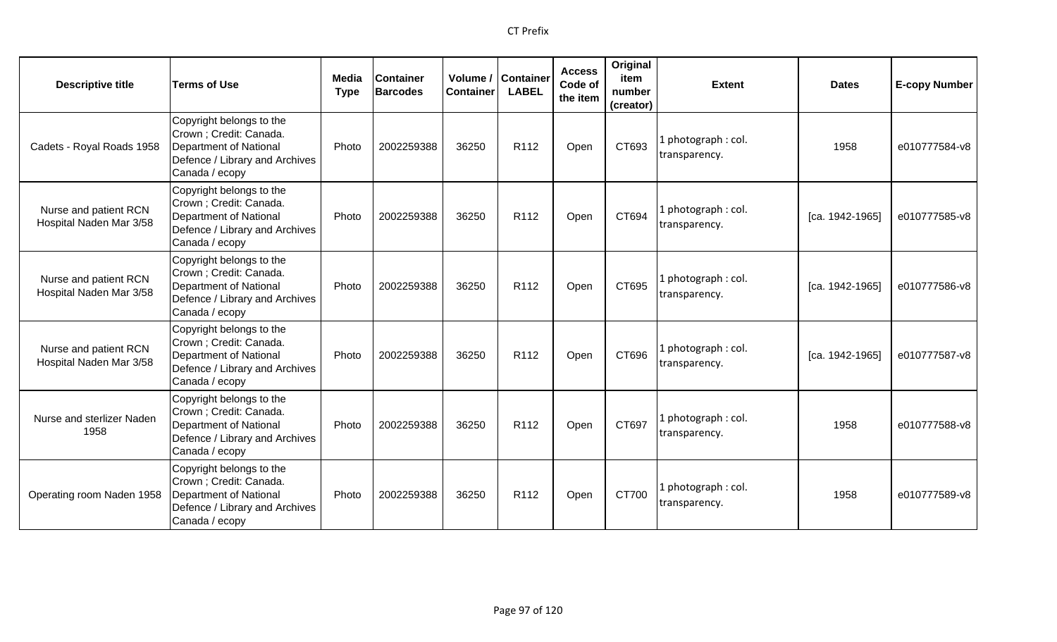| <b>Descriptive title</b>                         | <b>Terms of Use</b>                                                                                                               | Media<br><b>Type</b> | <b>Container</b><br><b>Barcodes</b> | <b>Container</b> | Volume / Container<br><b>LABEL</b> | <b>Access</b><br>Code of<br>the item | Original<br>item<br>number<br>(creator) | <b>Extent</b>                        | <b>Dates</b>    | <b>E-copy Number</b> |
|--------------------------------------------------|-----------------------------------------------------------------------------------------------------------------------------------|----------------------|-------------------------------------|------------------|------------------------------------|--------------------------------------|-----------------------------------------|--------------------------------------|-----------------|----------------------|
| Cadets - Royal Roads 1958                        | Copyright belongs to the<br>Crown ; Credit: Canada.<br>Department of National<br>Defence / Library and Archives<br>Canada / ecopy | Photo                | 2002259388                          | 36250            | R112                               | Open                                 | CT693                                   | 1 photograph: col.<br>transparency.  | 1958            | e010777584-v8        |
| Nurse and patient RCN<br>Hospital Naden Mar 3/58 | Copyright belongs to the<br>Crown ; Credit: Canada.<br>Department of National<br>Defence / Library and Archives<br>Canada / ecopy | Photo                | 2002259388                          | 36250            | R <sub>112</sub>                   | Open                                 | CT694                                   | 1 photograph: col.<br>transparency.  | [ca. 1942-1965] | e010777585-v8        |
| Nurse and patient RCN<br>Hospital Naden Mar 3/58 | Copyright belongs to the<br>Crown ; Credit: Canada.<br>Department of National<br>Defence / Library and Archives<br>Canada / ecopy | Photo                | 2002259388                          | 36250            | R <sub>112</sub>                   | Open                                 | CT695                                   | l photograph : col.<br>transparency. | [ca. 1942-1965] | e010777586-v8        |
| Nurse and patient RCN<br>Hospital Naden Mar 3/58 | Copyright belongs to the<br>Crown ; Credit: Canada.<br>Department of National<br>Defence / Library and Archives<br>Canada / ecopy | Photo                | 2002259388                          | 36250            | R112                               | Open                                 | CT696                                   | 1 photograph: col.<br>transparency.  | [ca. 1942-1965] | e010777587-v8        |
| Nurse and sterlizer Naden<br>1958                | Copyright belongs to the<br>Crown ; Credit: Canada.<br>Department of National<br>Defence / Library and Archives<br>Canada / ecopy | Photo                | 2002259388                          | 36250            | R <sub>112</sub>                   | Open                                 | CT697                                   | l photograph : col.<br>transparency. | 1958            | e010777588-v8        |
| Operating room Naden 1958                        | Copyright belongs to the<br>Crown ; Credit: Canada.<br>Department of National<br>Defence / Library and Archives<br>Canada / ecopy | Photo                | 2002259388                          | 36250            | R <sub>112</sub>                   | Open                                 | CT700                                   | 1 photograph: col.<br>transparency.  | 1958            | e010777589-v8        |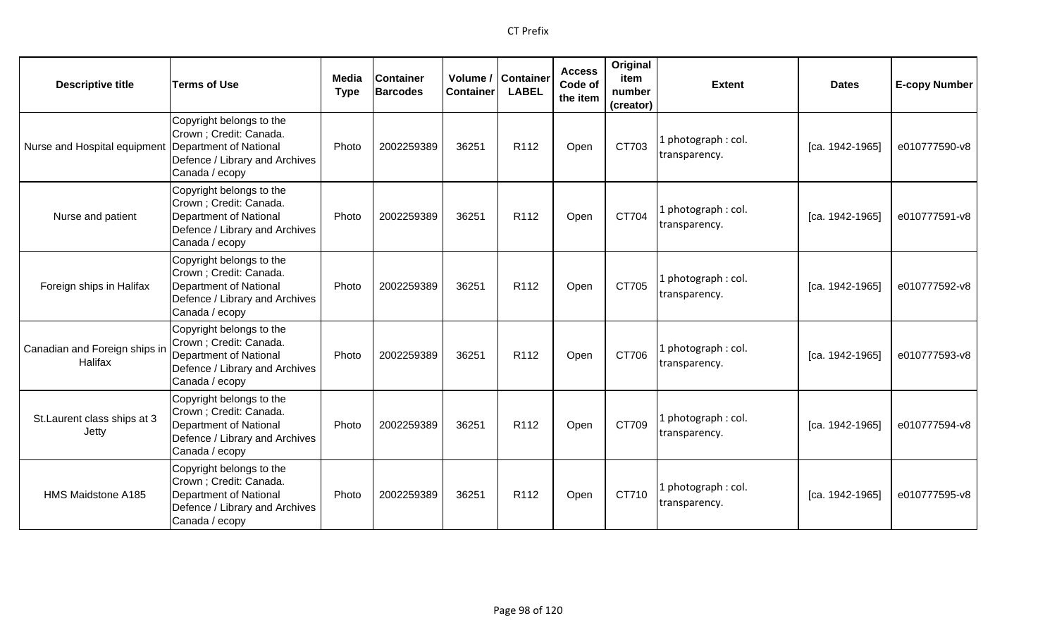| <b>Descriptive title</b>                            | <b>Terms of Use</b>                                                                                                               | Media<br><b>Type</b> | <b>Container</b><br><b>Barcodes</b> | Volume /<br><b>Container</b> | <b>Container</b><br><b>LABEL</b> | <b>Access</b><br>Code of<br>the item | Original<br>item<br>number<br>(creator) | <b>Extent</b>                       | <b>Dates</b>    | <b>E-copy Number</b> |
|-----------------------------------------------------|-----------------------------------------------------------------------------------------------------------------------------------|----------------------|-------------------------------------|------------------------------|----------------------------------|--------------------------------------|-----------------------------------------|-------------------------------------|-----------------|----------------------|
| Nurse and Hospital equipment Department of National | Copyright belongs to the<br>Crown ; Credit: Canada.<br>Defence / Library and Archives<br>Canada / ecopy                           | Photo                | 2002259389                          | 36251                        | R112                             | Open                                 | CT703                                   | L photograph: col.<br>transparency. | [ca. 1942-1965] | e010777590-v8        |
| Nurse and patient                                   | Copyright belongs to the<br>Crown ; Credit: Canada.<br>Department of National<br>Defence / Library and Archives<br>Canada / ecopy | Photo                | 2002259389                          | 36251                        | R112                             | Open                                 | CT704                                   | 1 photograph: col.<br>transparency. | [ca. 1942-1965] | e010777591-v8        |
| Foreign ships in Halifax                            | Copyright belongs to the<br>Crown ; Credit: Canada.<br>Department of National<br>Defence / Library and Archives<br>Canada / ecopy | Photo                | 2002259389                          | 36251                        | R <sub>112</sub>                 | Open                                 | CT705                                   | 1 photograph: col.<br>transparency. | [ca. 1942-1965] | e010777592-v8        |
| Canadian and Foreign ships ir<br>Halifax            | Copyright belongs to the<br>Crown ; Credit: Canada.<br>Department of National<br>Defence / Library and Archives<br>Canada / ecopy | Photo                | 2002259389                          | 36251                        | R <sub>112</sub>                 | Open                                 | CT706                                   | 1 photograph: col.<br>transparency. | [ca. 1942-1965] | e010777593-v8        |
| St. Laurent class ships at 3<br>Jetty               | Copyright belongs to the<br>Crown ; Credit: Canada.<br>Department of National<br>Defence / Library and Archives<br>Canada / ecopy | Photo                | 2002259389                          | 36251                        | R112                             | Open                                 | CT709                                   | L photograph: col.<br>transparency. | [ca. 1942-1965] | e010777594-v8        |
| HMS Maidstone A185                                  | Copyright belongs to the<br>Crown ; Credit: Canada.<br>Department of National<br>Defence / Library and Archives<br>Canada / ecopy | Photo                | 2002259389                          | 36251                        | R112                             | Open                                 | CT710                                   | 1 photograph: col.<br>transparency. | [ca. 1942-1965] | e010777595-v8        |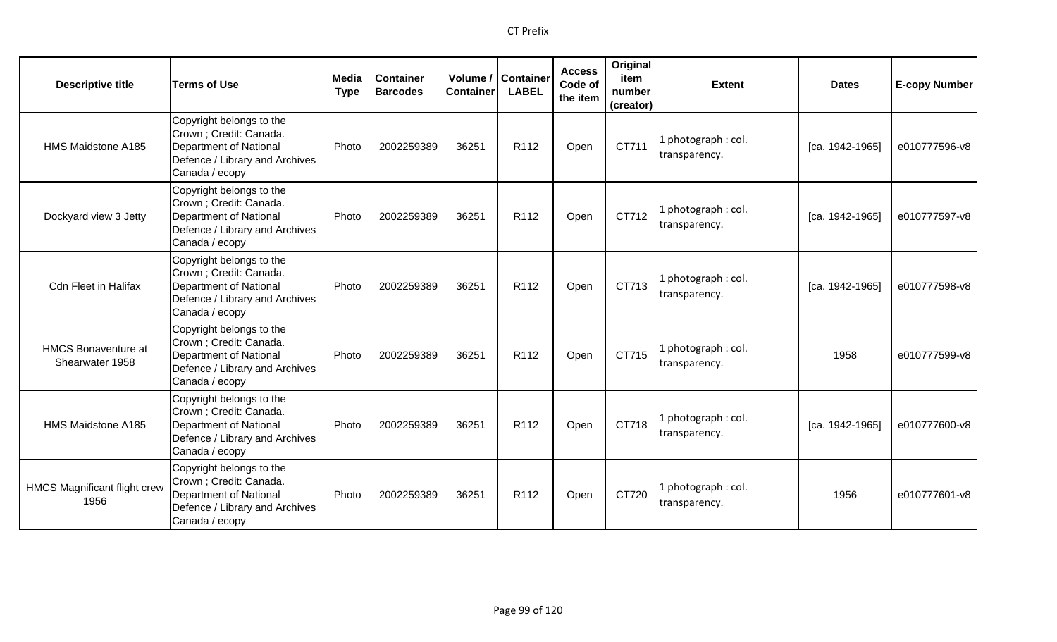| <b>Descriptive title</b>                      | <b>Terms of Use</b>                                                                                                               | Media<br><b>Type</b> | <b>Container</b><br><b>Barcodes</b> | Container | Volume / Container<br><b>LABEL</b> | <b>Access</b><br>Code of<br>the item | Original<br>item<br>number<br>(creator) | <b>Extent</b>                        | <b>Dates</b>    | <b>E-copy Number</b> |
|-----------------------------------------------|-----------------------------------------------------------------------------------------------------------------------------------|----------------------|-------------------------------------|-----------|------------------------------------|--------------------------------------|-----------------------------------------|--------------------------------------|-----------------|----------------------|
| HMS Maidstone A185                            | Copyright belongs to the<br>Crown ; Credit: Canada.<br>Department of National<br>Defence / Library and Archives<br>Canada / ecopy | Photo                | 2002259389                          | 36251     | R <sub>112</sub>                   | Open                                 | CT711                                   | l photograph : col.<br>transparency. | [ca. 1942-1965] | e010777596-v8        |
| Dockyard view 3 Jetty                         | Copyright belongs to the<br>Crown ; Credit: Canada.<br>Department of National<br>Defence / Library and Archives<br>Canada / ecopy | Photo                | 2002259389                          | 36251     | R112                               | Open                                 | CT712                                   | 1 photograph: col.<br>transparency.  | [ca. 1942-1965] | e010777597-v8        |
| <b>Cdn Fleet in Halifax</b>                   | Copyright belongs to the<br>Crown ; Credit: Canada.<br>Department of National<br>Defence / Library and Archives<br>Canada / ecopy | Photo                | 2002259389                          | 36251     | R <sub>112</sub>                   | Open                                 | CT713                                   | 1 photograph: col.<br>transparency.  | [ca. 1942-1965] | e010777598-v8        |
| <b>HMCS Bonaventure at</b><br>Shearwater 1958 | Copyright belongs to the<br>Crown ; Credit: Canada.<br>Department of National<br>Defence / Library and Archives<br>Canada / ecopy | Photo                | 2002259389                          | 36251     | R <sub>112</sub>                   | Open                                 | CT715                                   | 1 photograph: col.<br>transparency.  | 1958            | e010777599-v8        |
| HMS Maidstone A185                            | Copyright belongs to the<br>Crown ; Credit: Canada.<br>Department of National<br>Defence / Library and Archives<br>Canada / ecopy | Photo                | 2002259389                          | 36251     | R112                               | Open                                 | CT718                                   | 1 photograph : col.<br>transparency. | [ca. 1942-1965] | e010777600-v8        |
| <b>HMCS Magnificant flight crew</b><br>1956   | Copyright belongs to the<br>Crown ; Credit: Canada.<br>Department of National<br>Defence / Library and Archives<br>Canada / ecopy | Photo                | 2002259389                          | 36251     | R <sub>112</sub>                   | Open                                 | CT720                                   | 1 photograph: col.<br>transparency.  | 1956            | e010777601-v8        |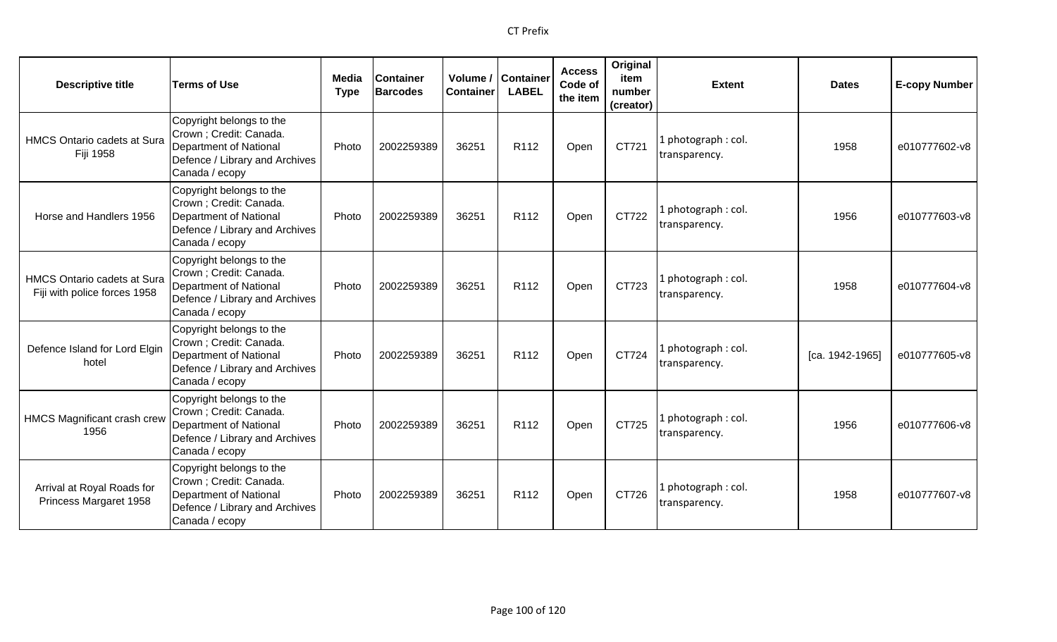| <b>Descriptive title</b>                                           | <b>Terms of Use</b>                                                                                                               | Media<br><b>Type</b> | <b>Container</b><br><b>Barcodes</b> | Volume /<br><b>Container</b> | <b>Container</b><br><b>LABEL</b> | <b>Access</b><br>Code of<br>the item | Original<br>item<br>number<br>(creator) | <b>Extent</b>                        | <b>Dates</b>    | <b>E-copy Number</b> |
|--------------------------------------------------------------------|-----------------------------------------------------------------------------------------------------------------------------------|----------------------|-------------------------------------|------------------------------|----------------------------------|--------------------------------------|-----------------------------------------|--------------------------------------|-----------------|----------------------|
| <b>HMCS Ontario cadets at Sura</b><br><b>Fiji 1958</b>             | Copyright belongs to the<br>Crown ; Credit: Canada.<br>Department of National<br>Defence / Library and Archives<br>Canada / ecopy | Photo                | 2002259389                          | 36251                        | R112                             | Open                                 | CT721                                   | 1 photograph : col.<br>transparency. | 1958            | e010777602-v8        |
| Horse and Handlers 1956                                            | Copyright belongs to the<br>Crown ; Credit: Canada.<br>Department of National<br>Defence / Library and Archives<br>Canada / ecopy | Photo                | 2002259389                          | 36251                        | R112                             | Open                                 | CT722                                   | 1 photograph: col.<br>transparency.  | 1956            | e010777603-v8        |
| <b>HMCS Ontario cadets at Sura</b><br>Fiji with police forces 1958 | Copyright belongs to the<br>Crown ; Credit: Canada.<br>Department of National<br>Defence / Library and Archives<br>Canada / ecopy | Photo                | 2002259389                          | 36251                        | R112                             | Open                                 | CT723                                   | 1 photograph: col.<br>transparency.  | 1958            | e010777604-v8        |
| Defence Island for Lord Elgin<br>hotel                             | Copyright belongs to the<br>Crown ; Credit: Canada.<br>Department of National<br>Defence / Library and Archives<br>Canada / ecopy | Photo                | 2002259389                          | 36251                        | R112                             | Open                                 | CT724                                   | 1 photograph: col.<br>transparency.  | [ca. 1942-1965] | e010777605-v8        |
| <b>HMCS Magnificant crash crew</b><br>1956                         | Copyright belongs to the<br>Crown ; Credit: Canada.<br>Department of National<br>Defence / Library and Archives<br>Canada / ecopy | Photo                | 2002259389                          | 36251                        | R <sub>112</sub>                 | Open                                 | CT725                                   | 1 photograph: col.<br>transparency.  | 1956            | e010777606-v8        |
| Arrival at Royal Roads for<br>Princess Margaret 1958               | Copyright belongs to the<br>Crown ; Credit: Canada.<br>Department of National<br>Defence / Library and Archives<br>Canada / ecopy | Photo                | 2002259389                          | 36251                        | R <sub>112</sub>                 | Open                                 | CT726                                   | 1 photograph: col.<br>transparency.  | 1958            | e010777607-v8        |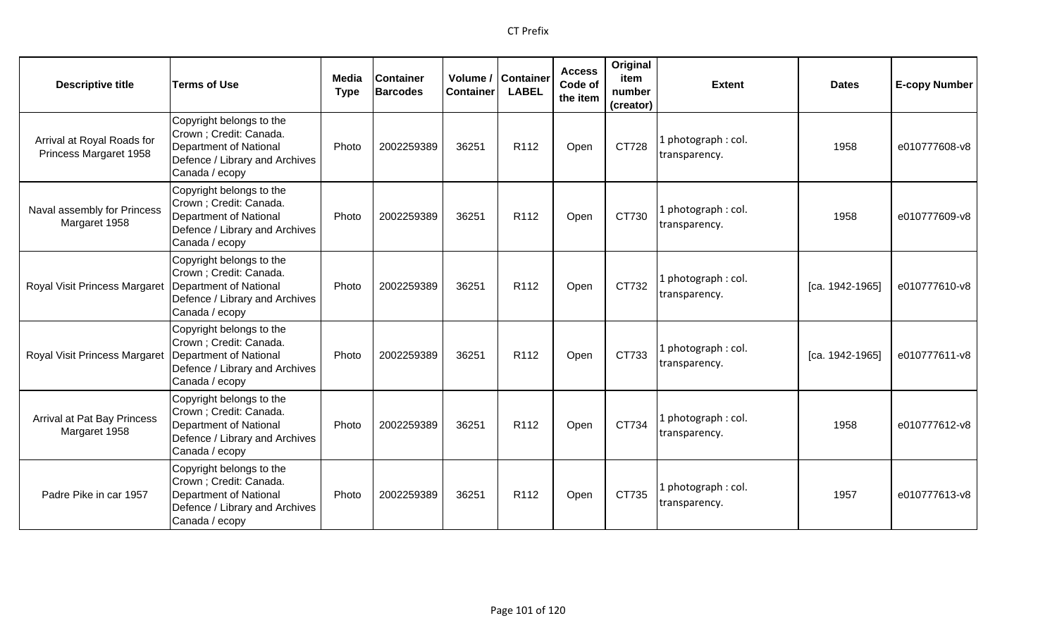| <b>Descriptive title</b>                             | <b>Terms of Use</b>                                                                                                               | Media<br><b>Type</b> | <b>Container</b><br><b>Barcodes</b> | Volume /<br><b>Container</b> | <b>Container</b><br><b>LABEL</b> | <b>Access</b><br>Code of<br>the item | Original<br>item<br>number<br>(creator) | <b>Extent</b>                        | <b>Dates</b>    | <b>E-copy Number</b> |
|------------------------------------------------------|-----------------------------------------------------------------------------------------------------------------------------------|----------------------|-------------------------------------|------------------------------|----------------------------------|--------------------------------------|-----------------------------------------|--------------------------------------|-----------------|----------------------|
| Arrival at Royal Roads for<br>Princess Margaret 1958 | Copyright belongs to the<br>Crown ; Credit: Canada.<br>Department of National<br>Defence / Library and Archives<br>Canada / ecopy | Photo                | 2002259389                          | 36251                        | R112                             | Open                                 | CT728                                   | 1 photograph : col.<br>transparency. | 1958            | e010777608-v8        |
| Naval assembly for Princess<br>Margaret 1958         | Copyright belongs to the<br>Crown ; Credit: Canada.<br>Department of National<br>Defence / Library and Archives<br>Canada / ecopy | Photo                | 2002259389                          | 36251                        | R112                             | Open                                 | CT730                                   | 1 photograph: col.<br>transparency.  | 1958            | e010777609-v8        |
| Royal Visit Princess Margaret                        | Copyright belongs to the<br>Crown ; Credit: Canada.<br>Department of National<br>Defence / Library and Archives<br>Canada / ecopy | Photo                | 2002259389                          | 36251                        | R112                             | Open                                 | CT732                                   | 1 photograph: col.<br>transparency.  | [ca. 1942-1965] | e010777610-v8        |
| Royal Visit Princess Margaret                        | Copyright belongs to the<br>Crown ; Credit: Canada.<br>Department of National<br>Defence / Library and Archives<br>Canada / ecopy | Photo                | 2002259389                          | 36251                        | R112                             | Open                                 | CT733                                   | 1 photograph: col.<br>transparency.  | [ca. 1942-1965] | e010777611-v8        |
| Arrival at Pat Bay Princess<br>Margaret 1958         | Copyright belongs to the<br>Crown ; Credit: Canada.<br>Department of National<br>Defence / Library and Archives<br>Canada / ecopy | Photo                | 2002259389                          | 36251                        | R112                             | Open                                 | CT734                                   | 1 photograph: col.<br>transparency.  | 1958            | e010777612-v8        |
| Padre Pike in car 1957                               | Copyright belongs to the<br>Crown ; Credit: Canada.<br>Department of National<br>Defence / Library and Archives<br>Canada / ecopy | Photo                | 2002259389                          | 36251                        | R <sub>112</sub>                 | Open                                 | CT735                                   | 1 photograph: col.<br>transparency.  | 1957            | e010777613-v8        |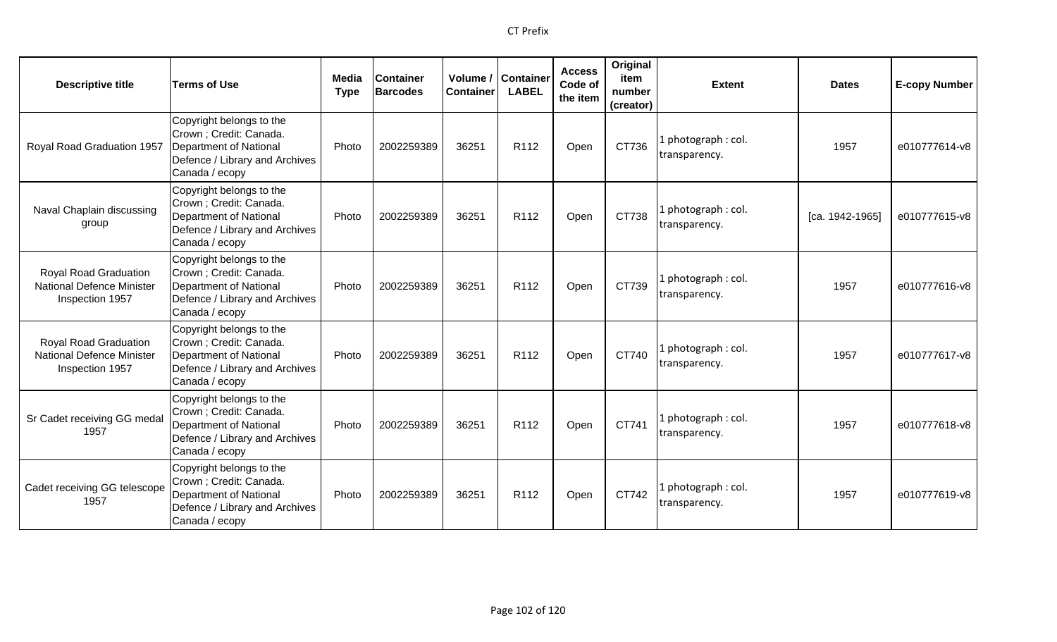| <b>Descriptive title</b>                                                            | <b>Terms of Use</b>                                                                                                               | <b>Media</b><br><b>Type</b> | <b>Container</b><br><b>Barcodes</b> | <b>Container</b> | Volume / Container<br><b>LABEL</b> | <b>Access</b><br>Code of<br>the item | Original<br>item<br>number<br>(creator) | <b>Extent</b>                        | <b>Dates</b>    | <b>E-copy Number</b> |
|-------------------------------------------------------------------------------------|-----------------------------------------------------------------------------------------------------------------------------------|-----------------------------|-------------------------------------|------------------|------------------------------------|--------------------------------------|-----------------------------------------|--------------------------------------|-----------------|----------------------|
| Royal Road Graduation 1957                                                          | Copyright belongs to the<br>Crown ; Credit: Canada.<br>Department of National<br>Defence / Library and Archives<br>Canada / ecopy | Photo                       | 2002259389                          | 36251            | R112                               | Open                                 | CT736                                   | l photograph : col.<br>transparency. | 1957            | e010777614-v8        |
| Naval Chaplain discussing<br>group                                                  | Copyright belongs to the<br>Crown ; Credit: Canada.<br>Department of National<br>Defence / Library and Archives<br>Canada / ecopy | Photo                       | 2002259389                          | 36251            | R112                               | Open                                 | CT738                                   | 1 photograph: col.<br>transparency.  | [ca. 1942-1965] | e010777615-v8        |
| <b>Royal Road Graduation</b><br><b>National Defence Minister</b><br>Inspection 1957 | Copyright belongs to the<br>Crown ; Credit: Canada.<br>Department of National<br>Defence / Library and Archives<br>Canada / ecopy | Photo                       | 2002259389                          | 36251            | R <sub>112</sub>                   | Open                                 | CT739                                   | 1 photograph: col.<br>transparency.  | 1957            | e010777616-v8        |
| Royal Road Graduation<br><b>National Defence Minister</b><br>Inspection 1957        | Copyright belongs to the<br>Crown ; Credit: Canada.<br>Department of National<br>Defence / Library and Archives<br>Canada / ecopy | Photo                       | 2002259389                          | 36251            | R <sub>112</sub>                   | Open                                 | CT740                                   | 1 photograph: col.<br>transparency.  | 1957            | e010777617-v8        |
| Sr Cadet receiving GG medal<br>1957                                                 | Copyright belongs to the<br>Crown ; Credit: Canada.<br>Department of National<br>Defence / Library and Archives<br>Canada / ecopy | Photo                       | 2002259389                          | 36251            | R <sub>112</sub>                   | Open                                 | CT741                                   | 1 photograph: col.<br>transparency.  | 1957            | e010777618-v8        |
| Cadet receiving GG telescope<br>1957                                                | Copyright belongs to the<br>Crown ; Credit: Canada.<br>Department of National<br>Defence / Library and Archives<br>Canada / ecopy | Photo                       | 2002259389                          | 36251            | R <sub>112</sub>                   | Open                                 | CT742                                   | 1 photograph: col.<br>transparency.  | 1957            | e010777619-v8        |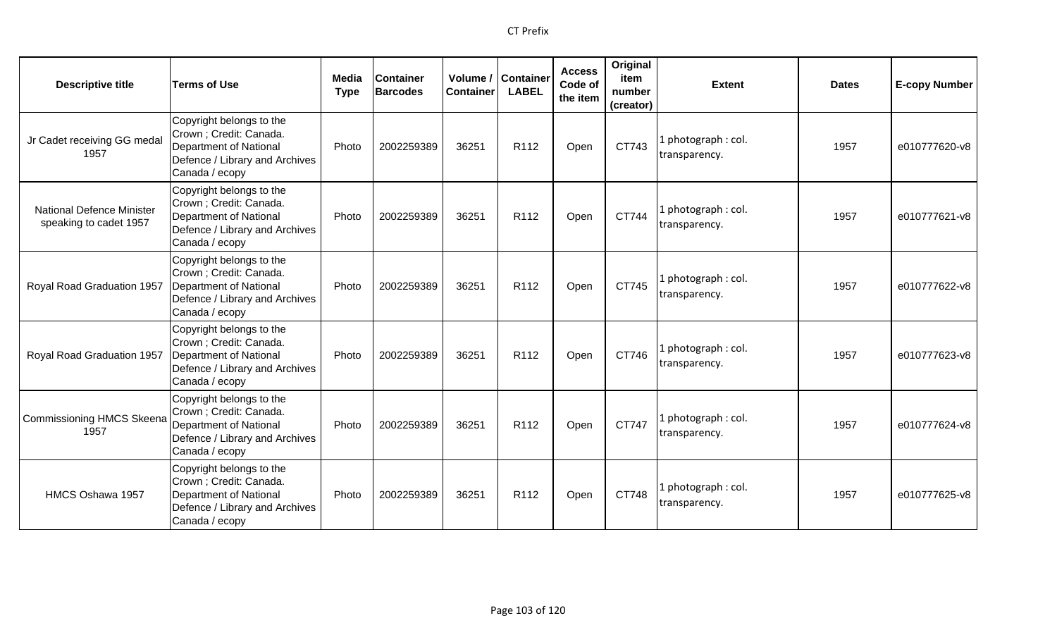| <b>Descriptive title</b>                                   | <b>Terms of Use</b>                                                                                                                      | <b>Media</b><br><b>Type</b> | <b>Container</b><br><b>Barcodes</b> | <b>Container</b> | Volume / Container<br><b>LABEL</b> | <b>Access</b><br>Code of<br>the item | Original<br>item<br>number<br>(creator) | <b>Extent</b>                        | <b>Dates</b> | <b>E-copy Number</b> |
|------------------------------------------------------------|------------------------------------------------------------------------------------------------------------------------------------------|-----------------------------|-------------------------------------|------------------|------------------------------------|--------------------------------------|-----------------------------------------|--------------------------------------|--------------|----------------------|
| Jr Cadet receiving GG medal<br>1957                        | Copyright belongs to the<br>Crown ; Credit: Canada.<br>Department of National<br>Defence / Library and Archives<br>Canada / ecopy        | Photo                       | 2002259389                          | 36251            | R112                               | Open                                 | CT743                                   | 1 photograph : col.<br>transparency. | 1957         | e010777620-v8        |
| <b>National Defence Minister</b><br>speaking to cadet 1957 | Copyright belongs to the<br>Crown ; Credit: Canada.<br><b>Department of National</b><br>Defence / Library and Archives<br>Canada / ecopy | Photo                       | 2002259389                          | 36251            | R112                               | Open                                 | CT744                                   | 1 photograph: col.<br>transparency.  | 1957         | e010777621-v8        |
| Royal Road Graduation 1957                                 | Copyright belongs to the<br>Crown ; Credit: Canada.<br><b>Department of National</b><br>Defence / Library and Archives<br>Canada / ecopy | Photo                       | 2002259389                          | 36251            | R <sub>112</sub>                   | Open                                 | CT745                                   | 1 photograph: col.<br>transparency.  | 1957         | e010777622-v8        |
| Royal Road Graduation 1957                                 | Copyright belongs to the<br>Crown ; Credit: Canada.<br><b>Department of National</b><br>Defence / Library and Archives<br>Canada / ecopy | Photo                       | 2002259389                          | 36251            | R <sub>112</sub>                   | Open                                 | CT746                                   | 1 photograph: col.<br>transparency.  | 1957         | e010777623-v8        |
| <b>Commissioning HMCS Skeena</b><br>1957                   | Copyright belongs to the<br>Crown; Credit: Canada.<br><b>Department of National</b><br>Defence / Library and Archives<br>Canada / ecopy  | Photo                       | 2002259389                          | 36251            | R <sub>112</sub>                   | Open                                 | CT747                                   | 1 photograph: col.<br>transparency.  | 1957         | e010777624-v8        |
| HMCS Oshawa 1957                                           | Copyright belongs to the<br>Crown; Credit: Canada.<br><b>Department of National</b><br>Defence / Library and Archives<br>Canada / ecopy  | Photo                       | 2002259389                          | 36251            | R <sub>112</sub>                   | Open                                 | CT748                                   | 1 photograph: col.<br>transparency.  | 1957         | e010777625-v8        |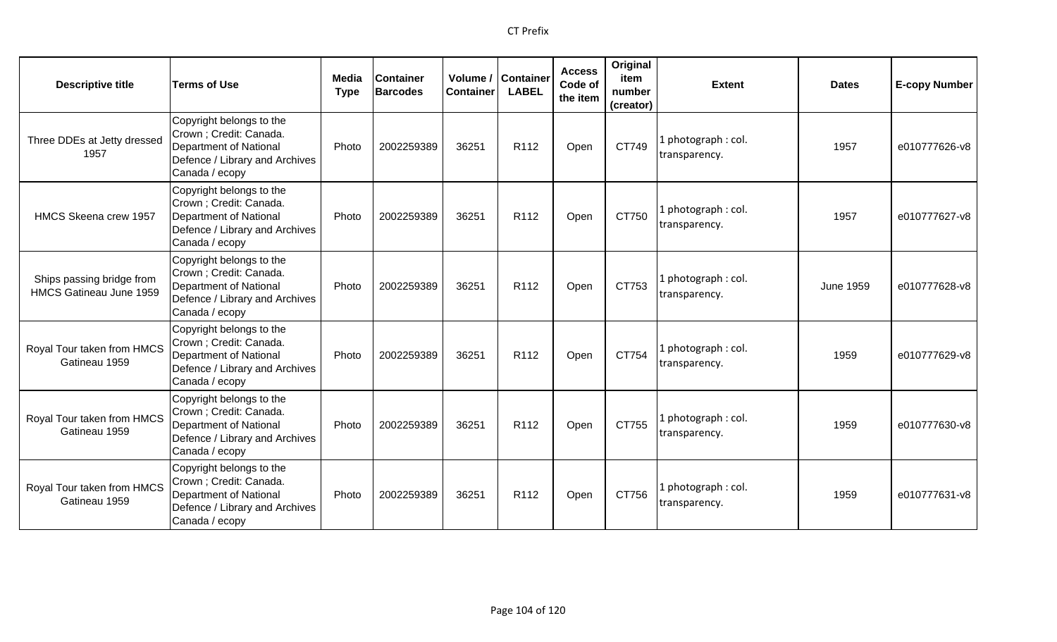| <b>Descriptive title</b>                             | <b>Terms of Use</b>                                                                                                               | Media<br><b>Type</b> | <b>Container</b><br><b>Barcodes</b> | <b>Container</b> | Volume / Container<br><b>LABEL</b> | <b>Access</b><br>Code of<br>the item | Original<br>item<br>number<br>(creator) | <b>Extent</b>                        | <b>Dates</b>     | <b>E-copy Number</b> |
|------------------------------------------------------|-----------------------------------------------------------------------------------------------------------------------------------|----------------------|-------------------------------------|------------------|------------------------------------|--------------------------------------|-----------------------------------------|--------------------------------------|------------------|----------------------|
| Three DDEs at Jetty dressed<br>1957                  | Copyright belongs to the<br>Crown ; Credit: Canada.<br>Department of National<br>Defence / Library and Archives<br>Canada / ecopy | Photo                | 2002259389                          | 36251            | R112                               | Open                                 | CT749                                   | l photograph : col.<br>transparency. | 1957             | e010777626-v8        |
| HMCS Skeena crew 1957                                | Copyright belongs to the<br>Crown ; Credit: Canada.<br>Department of National<br>Defence / Library and Archives<br>Canada / ecopy | Photo                | 2002259389                          | 36251            | R <sub>112</sub>                   | Open                                 | CT750                                   | 1 photograph: col.<br>transparency.  | 1957             | e010777627-v8        |
| Ships passing bridge from<br>HMCS Gatineau June 1959 | Copyright belongs to the<br>Crown ; Credit: Canada.<br>Department of National<br>Defence / Library and Archives<br>Canada / ecopy | Photo                | 2002259389                          | 36251            | R112                               | Open                                 | CT753                                   | 1 photograph: col.<br>transparency.  | <b>June 1959</b> | e010777628-v8        |
| Royal Tour taken from HMCS<br>Gatineau 1959          | Copyright belongs to the<br>Crown ; Credit: Canada.<br>Department of National<br>Defence / Library and Archives<br>Canada / ecopy | Photo                | 2002259389                          | 36251            | R112                               | Open                                 | CT754                                   | 1 photograph: col.<br>transparency.  | 1959             | e010777629-v8        |
| Royal Tour taken from HMCS<br>Gatineau 1959          | Copyright belongs to the<br>Crown ; Credit: Canada.<br>Department of National<br>Defence / Library and Archives<br>Canada / ecopy | Photo                | 2002259389                          | 36251            | R <sub>112</sub>                   | Open                                 | CT755                                   | 1 photograph: col.<br>transparency.  | 1959             | e010777630-v8        |
| Royal Tour taken from HMCS<br>Gatineau 1959          | Copyright belongs to the<br>Crown ; Credit: Canada.<br>Department of National<br>Defence / Library and Archives<br>Canada / ecopy | Photo                | 2002259389                          | 36251            | R112                               | Open                                 | CT756                                   | 1 photograph: col.<br>transparency.  | 1959             | e010777631-v8        |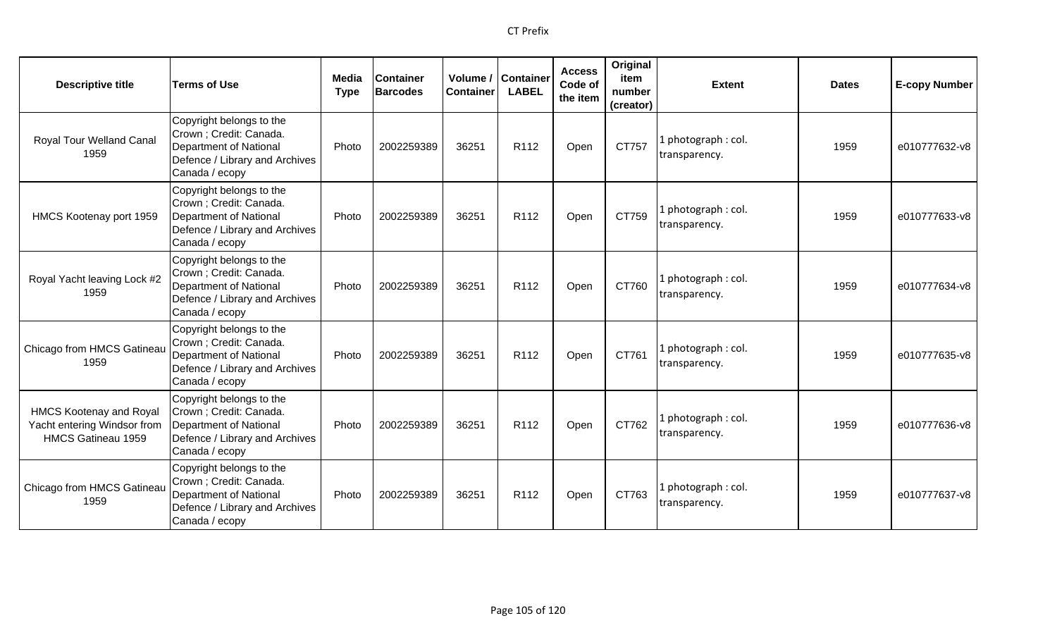| <b>Descriptive title</b>                                                            | <b>Terms of Use</b>                                                                                                                      | Media<br><b>Type</b> | <b>Container</b><br><b>Barcodes</b> | Volume /<br><b>Container</b> | <b>Container</b><br><b>LABEL</b> | <b>Access</b><br>Code of<br>the item | Original<br>item<br>number<br>(creator) | <b>Extent</b>                        | <b>Dates</b> | <b>E-copy Number</b> |
|-------------------------------------------------------------------------------------|------------------------------------------------------------------------------------------------------------------------------------------|----------------------|-------------------------------------|------------------------------|----------------------------------|--------------------------------------|-----------------------------------------|--------------------------------------|--------------|----------------------|
| Royal Tour Welland Canal<br>1959                                                    | Copyright belongs to the<br>Crown ; Credit: Canada.<br><b>Department of National</b><br>Defence / Library and Archives<br>Canada / ecopy | Photo                | 2002259389                          | 36251                        | R112                             | Open                                 | CT757                                   | 1 photograph: col.<br>transparency.  | 1959         | e010777632-v8        |
| HMCS Kootenay port 1959                                                             | Copyright belongs to the<br>Crown ; Credit: Canada.<br><b>Department of National</b><br>Defence / Library and Archives<br>Canada / ecopy | Photo                | 2002259389                          | 36251                        | R <sub>112</sub>                 | Open                                 | CT759                                   | 1 photograph: col.<br>transparency.  | 1959         | e010777633-v8        |
| Royal Yacht leaving Lock #2<br>1959                                                 | Copyright belongs to the<br>Crown ; Credit: Canada.<br><b>Department of National</b><br>Defence / Library and Archives<br>Canada / ecopy | Photo                | 2002259389                          | 36251                        | R <sub>112</sub>                 | Open                                 | CT760                                   | 1 photograph : col.<br>transparency. | 1959         | e010777634-v8        |
| Chicago from HMCS Gatineau<br>1959                                                  | Copyright belongs to the<br>Crown ; Credit: Canada.<br><b>Department of National</b><br>Defence / Library and Archives<br>Canada / ecopy | Photo                | 2002259389                          | 36251                        | R <sub>112</sub>                 | Open                                 | CT761                                   | 1 photograph: col.<br>transparency.  | 1959         | e010777635-v8        |
| <b>HMCS Kootenay and Royal</b><br>Yacht entering Windsor from<br>HMCS Gatineau 1959 | Copyright belongs to the<br>Crown ; Credit: Canada.<br><b>Department of National</b><br>Defence / Library and Archives<br>Canada / ecopy | Photo                | 2002259389                          | 36251                        | R <sub>112</sub>                 | Open                                 | CT762                                   | 1 photograph: col.<br>transparency.  | 1959         | e010777636-v8        |
| Chicago from HMCS Gatineau<br>1959                                                  | Copyright belongs to the<br>Crown ; Credit: Canada.<br><b>Department of National</b><br>Defence / Library and Archives<br>Canada / ecopy | Photo                | 2002259389                          | 36251                        | R <sub>112</sub>                 | Open                                 | CT763                                   | 1 photograph: col.<br>transparency.  | 1959         | e010777637-v8        |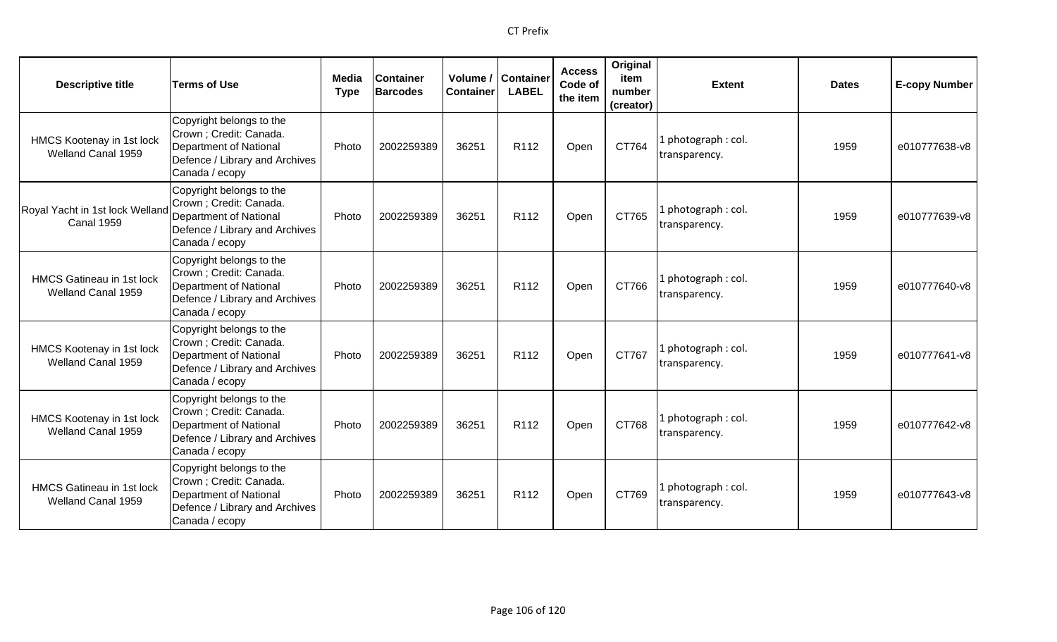| <b>Descriptive title</b>                               | <b>Terms of Use</b>                                                                                                                      | Media<br><b>Type</b> | <b>Container</b><br><b>Barcodes</b> | Volume /<br><b>Container</b> | <b>Container</b><br><b>LABEL</b> | <b>Access</b><br>Code of<br>the item | Original<br>item<br>number<br>(creator) | <b>Extent</b>                        | <b>Dates</b> | <b>E-copy Number</b> |
|--------------------------------------------------------|------------------------------------------------------------------------------------------------------------------------------------------|----------------------|-------------------------------------|------------------------------|----------------------------------|--------------------------------------|-----------------------------------------|--------------------------------------|--------------|----------------------|
| HMCS Kootenay in 1st lock<br>Welland Canal 1959        | Copyright belongs to the<br>Crown ; Credit: Canada.<br><b>Department of National</b><br>Defence / Library and Archives<br>Canada / ecopy | Photo                | 2002259389                          | 36251                        | R112                             | Open                                 | CT764                                   | . photograph: col.<br>transparency.  | 1959         | e010777638-v8        |
| Royal Yacht in 1st lock Welland<br><b>Canal 1959</b>   | Copyright belongs to the<br>Crown ; Credit: Canada.<br><b>Department of National</b><br>Defence / Library and Archives<br>Canada / ecopy | Photo                | 2002259389                          | 36251                        | R <sub>112</sub>                 | Open                                 | CT765                                   | photograph: col.<br>transparency.    | 1959         | e010777639-v8        |
| <b>HMCS Gatineau in 1st lock</b><br>Welland Canal 1959 | Copyright belongs to the<br>Crown; Credit: Canada.<br><b>Department of National</b><br>Defence / Library and Archives<br>Canada / ecopy  | Photo                | 2002259389                          | 36251                        | R112                             | Open                                 | CT766                                   | l photograph : col.<br>transparency. | 1959         | e010777640-v8        |
| HMCS Kootenay in 1st lock<br>Welland Canal 1959        | Copyright belongs to the<br>Crown; Credit: Canada.<br><b>Department of National</b><br>Defence / Library and Archives<br>Canada / ecopy  | Photo                | 2002259389                          | 36251                        | R112                             | Open                                 | CT767                                   | l photograph : col.<br>transparency. | 1959         | e010777641-v8        |
| HMCS Kootenay in 1st lock<br>Welland Canal 1959        | Copyright belongs to the<br>Crown; Credit: Canada.<br><b>Department of National</b><br>Defence / Library and Archives<br>Canada / ecopy  | Photo                | 2002259389                          | 36251                        | R <sub>112</sub>                 | Open                                 | CT768                                   | photograph: col.<br>transparency.    | 1959         | e010777642-v8        |
| <b>HMCS Gatineau in 1st lock</b><br>Welland Canal 1959 | Copyright belongs to the<br>Crown; Credit: Canada.<br><b>Department of National</b><br>Defence / Library and Archives<br>Canada / ecopy  | Photo                | 2002259389                          | 36251                        | R <sub>112</sub>                 | Open                                 | CT769                                   | photograph: col.<br>transparency.    | 1959         | e010777643-v8        |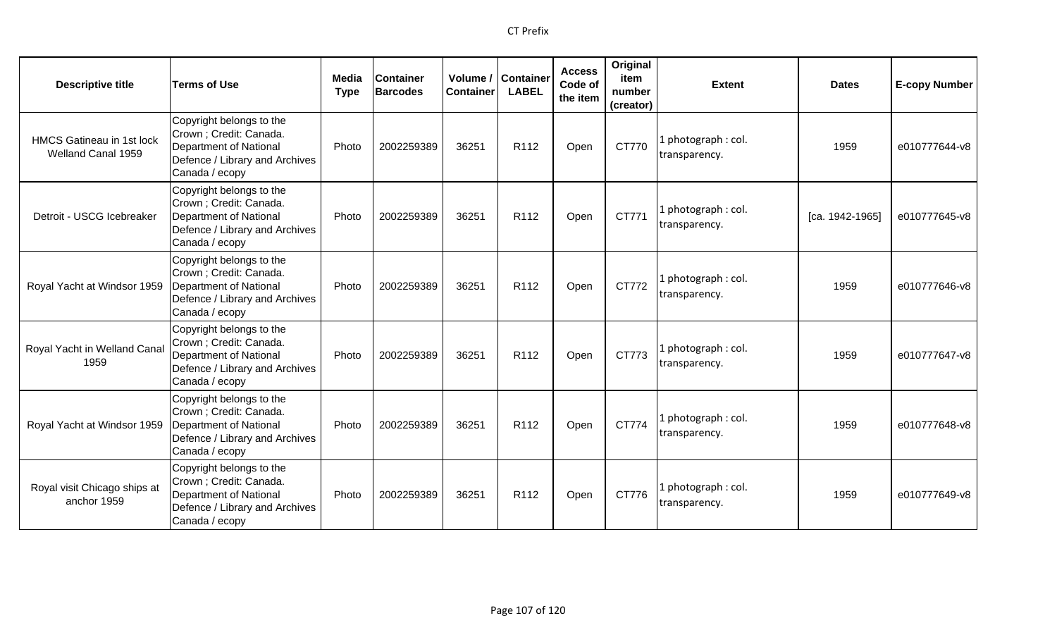| <b>Descriptive title</b>                               | <b>Terms of Use</b>                                                                                                               | Media<br><b>Type</b> | <b>Container</b><br><b>Barcodes</b> | Volume /<br><b>Container</b> | Container<br><b>LABEL</b> | <b>Access</b><br>Code of<br>the item | Original<br>item<br>number<br>(creator) | <b>Extent</b>                        | <b>Dates</b>    | <b>E-copy Number</b> |
|--------------------------------------------------------|-----------------------------------------------------------------------------------------------------------------------------------|----------------------|-------------------------------------|------------------------------|---------------------------|--------------------------------------|-----------------------------------------|--------------------------------------|-----------------|----------------------|
| <b>HMCS Gatineau in 1st lock</b><br>Welland Canal 1959 | Copyright belongs to the<br>Crown ; Credit: Canada.<br>Department of National<br>Defence / Library and Archives<br>Canada / ecopy | Photo                | 2002259389                          | 36251                        | R112                      | Open                                 | CT770                                   | 1 photograph: col.<br>transparency.  | 1959            | e010777644-v8        |
| Detroit - USCG Icebreaker                              | Copyright belongs to the<br>Crown ; Credit: Canada.<br>Department of National<br>Defence / Library and Archives<br>Canada / ecopy | Photo                | 2002259389                          | 36251                        | R112                      | Open                                 | CT771                                   | 1 photograph: col.<br>transparency.  | [ca. 1942-1965] | e010777645-v8        |
| Royal Yacht at Windsor 1959                            | Copyright belongs to the<br>Crown ; Credit: Canada.<br>Department of National<br>Defence / Library and Archives<br>Canada / ecopy | Photo                | 2002259389                          | 36251                        | R <sub>112</sub>          | Open                                 | CT772                                   | 1 photograph: col.<br>transparency.  | 1959            | e010777646-v8        |
| Royal Yacht in Welland Canal<br>1959                   | Copyright belongs to the<br>Crown ; Credit: Canada.<br>Department of National<br>Defence / Library and Archives<br>Canada / ecopy | Photo                | 2002259389                          | 36251                        | R112                      | Open                                 | CT773                                   | 1 photograph: col.<br>transparency.  | 1959            | e010777647-v8        |
| Royal Yacht at Windsor 1959                            | Copyright belongs to the<br>Crown ; Credit: Canada.<br>Department of National<br>Defence / Library and Archives<br>Canada / ecopy | Photo                | 2002259389                          | 36251                        | R112                      | Open                                 | CT774                                   | 1 photograph : col.<br>transparency. | 1959            | e010777648-v8        |
| Royal visit Chicago ships at<br>anchor 1959            | Copyright belongs to the<br>Crown ; Credit: Canada.<br>Department of National<br>Defence / Library and Archives<br>Canada / ecopy | Photo                | 2002259389                          | 36251                        | R112                      | Open                                 | CT776                                   | 1 photograph: col.<br>transparency.  | 1959            | e010777649-v8        |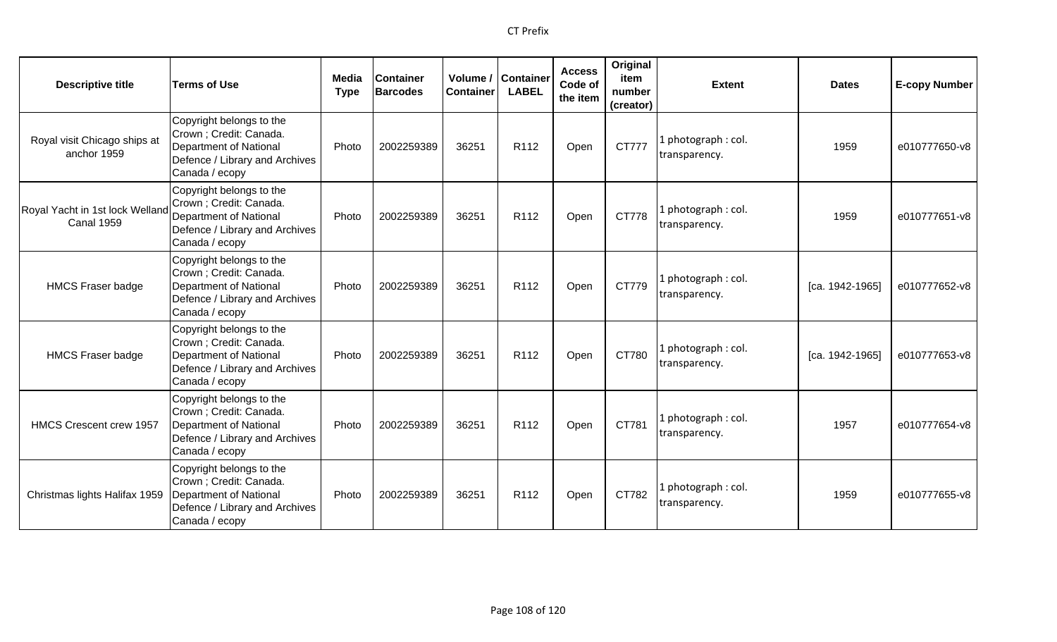| <b>Descriptive title</b>                             | <b>Terms of Use</b>                                                                                                               | Media<br><b>Type</b> | <b>Container</b><br><b>Barcodes</b> | Volume /<br><b>Container</b> | <b>Container</b><br><b>LABEL</b> | <b>Access</b><br>Code of<br>the item | Original<br>item<br>number<br>(creator) | <b>Extent</b>                        | <b>Dates</b>    | <b>E-copy Number</b> |
|------------------------------------------------------|-----------------------------------------------------------------------------------------------------------------------------------|----------------------|-------------------------------------|------------------------------|----------------------------------|--------------------------------------|-----------------------------------------|--------------------------------------|-----------------|----------------------|
| Royal visit Chicago ships at<br>anchor 1959          | Copyright belongs to the<br>Crown; Credit: Canada.<br>Department of National<br>Defence / Library and Archives<br>Canada / ecopy  | Photo                | 2002259389                          | 36251                        | R112                             | Open                                 | CT777                                   | 1 photograph: col.<br>transparency.  | 1959            | e010777650-v8        |
| Royal Yacht in 1st lock Welland<br><b>Canal 1959</b> | Copyright belongs to the<br>Crown ; Credit: Canada.<br>Department of National<br>Defence / Library and Archives<br>Canada / ecopy | Photo                | 2002259389                          | 36251                        | R <sub>112</sub>                 | Open                                 | CT778                                   | 1 photograph: col.<br>transparency.  | 1959            | e010777651-v8        |
| <b>HMCS Fraser badge</b>                             | Copyright belongs to the<br>Crown ; Credit: Canada.<br>Department of National<br>Defence / Library and Archives<br>Canada / ecopy | Photo                | 2002259389                          | 36251                        | R <sub>112</sub>                 | Open                                 | CT779                                   | 1 photograph : col.<br>transparency. | [ca. 1942-1965] | e010777652-v8        |
| <b>HMCS Fraser badge</b>                             | Copyright belongs to the<br>Crown ; Credit: Canada.<br>Department of National<br>Defence / Library and Archives<br>Canada / ecopy | Photo                | 2002259389                          | 36251                        | R112                             | Open                                 | CT780                                   | 1 photograph: col.<br>transparency.  | [ca. 1942-1965] | e010777653-v8        |
| <b>HMCS Crescent crew 1957</b>                       | Copyright belongs to the<br>Crown ; Credit: Canada.<br>Department of National<br>Defence / Library and Archives<br>Canada / ecopy | Photo                | 2002259389                          | 36251                        | R <sub>112</sub>                 | Open                                 | CT781                                   | 1 photograph: col.<br>transparency.  | 1957            | e010777654-v8        |
| Christmas lights Halifax 1959                        | Copyright belongs to the<br>Crown ; Credit: Canada.<br>Department of National<br>Defence / Library and Archives<br>Canada / ecopy | Photo                | 2002259389                          | 36251                        | R <sub>112</sub>                 | Open                                 | CT782                                   | 1 photograph: col.<br>transparency.  | 1959            | e010777655-v8        |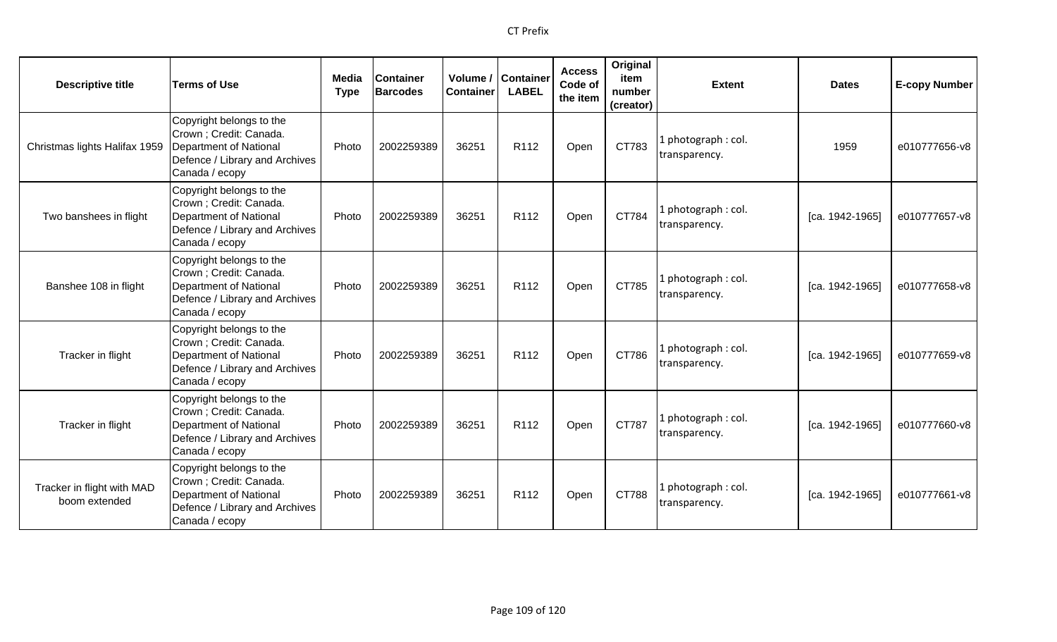| <b>Descriptive title</b>                    | <b>Terms of Use</b>                                                                                                               | Media<br><b>Type</b> | Container<br><b>Barcodes</b> | Volume /<br><b>Container</b> | <b>Container</b><br><b>LABEL</b> | <b>Access</b><br>Code of<br>the item | Original<br>item<br>number<br>(creator) | <b>Extent</b>                        | <b>Dates</b>    | <b>E-copy Number</b> |
|---------------------------------------------|-----------------------------------------------------------------------------------------------------------------------------------|----------------------|------------------------------|------------------------------|----------------------------------|--------------------------------------|-----------------------------------------|--------------------------------------|-----------------|----------------------|
| Christmas lights Halifax 1959               | Copyright belongs to the<br>Crown ; Credit: Canada.<br>Department of National<br>Defence / Library and Archives<br>Canada / ecopy | Photo                | 2002259389                   | 36251                        | R112                             | Open                                 | CT783                                   | 1 photograph : col.<br>transparency. | 1959            | e010777656-v8        |
| Two banshees in flight                      | Copyright belongs to the<br>Crown ; Credit: Canada.<br>Department of National<br>Defence / Library and Archives<br>Canada / ecopy | Photo                | 2002259389                   | 36251                        | R112                             | Open                                 | CT784                                   | 1 photograph: col.<br>transparency.  | [ca. 1942-1965] | e010777657-v8        |
| Banshee 108 in flight                       | Copyright belongs to the<br>Crown ; Credit: Canada.<br>Department of National<br>Defence / Library and Archives<br>Canada / ecopy | Photo                | 2002259389                   | 36251                        | R112                             | Open                                 | CT785                                   | L photograph: col.<br>transparency.  | [ca. 1942-1965] | e010777658-v8        |
| Tracker in flight                           | Copyright belongs to the<br>Crown ; Credit: Canada.<br>Department of National<br>Defence / Library and Archives<br>Canada / ecopy | Photo                | 2002259389                   | 36251                        | R <sub>112</sub>                 | Open                                 | CT786                                   | 1 photograph: col.<br>transparency.  | [ca. 1942-1965] | e010777659-v8        |
| Tracker in flight                           | Copyright belongs to the<br>Crown ; Credit: Canada.<br>Department of National<br>Defence / Library and Archives<br>Canada / ecopy | Photo                | 2002259389                   | 36251                        | R112                             | Open                                 | CT787                                   | L photograph: col.<br>transparency.  | [ca. 1942-1965] | e010777660-v8        |
| Tracker in flight with MAD<br>boom extended | Copyright belongs to the<br>Crown ; Credit: Canada.<br>Department of National<br>Defence / Library and Archives<br>Canada / ecopy | Photo                | 2002259389                   | 36251                        | R <sub>112</sub>                 | Open                                 | CT788                                   | 1 photograph: col.<br>transparency.  | [ca. 1942-1965] | e010777661-v8        |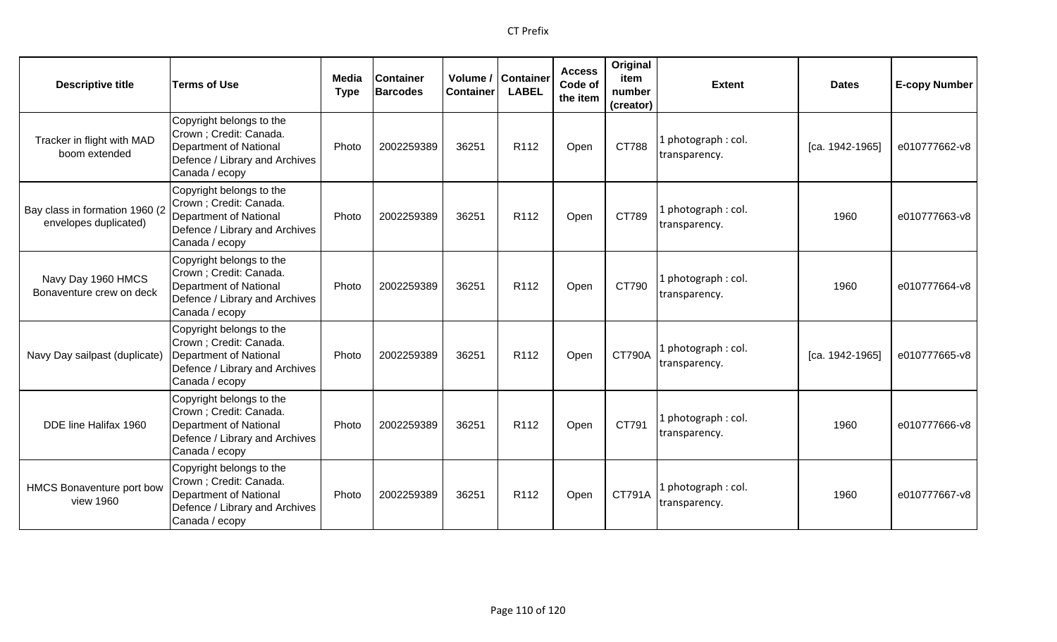| <b>Descriptive title</b>                                | <b>Terms of Use</b>                                                                                                               | Media<br><b>Type</b> | <b>Container</b><br><b>Barcodes</b> | Volume /<br><b>Container</b> | <b>Container</b><br><b>LABEL</b> | <b>Access</b><br>Code of<br>the item | Original<br>item<br>number<br>(creator) | <b>Extent</b>                        | <b>Dates</b>    | <b>E-copy Number</b> |
|---------------------------------------------------------|-----------------------------------------------------------------------------------------------------------------------------------|----------------------|-------------------------------------|------------------------------|----------------------------------|--------------------------------------|-----------------------------------------|--------------------------------------|-----------------|----------------------|
| Tracker in flight with MAD<br>boom extended             | Copyright belongs to the<br>Crown; Credit: Canada.<br>Department of National<br>Defence / Library and Archives<br>Canada / ecopy  | Photo                | 2002259389                          | 36251                        | R112                             | Open                                 | CT788                                   | 1 photograph: col.<br>transparency.  | [ca. 1942-1965] | e010777662-v8        |
| Bay class in formation 1960 (2<br>envelopes duplicated) | Copyright belongs to the<br>Crown ; Credit: Canada.<br>Department of National<br>Defence / Library and Archives<br>Canada / ecopy | Photo                | 2002259389                          | 36251                        | R112                             | Open                                 | CT789                                   | 1 photograph : col.<br>transparency. | 1960            | e010777663-v8        |
| Navy Day 1960 HMCS<br>Bonaventure crew on deck          | Copyright belongs to the<br>Crown ; Credit: Canada.<br>Department of National<br>Defence / Library and Archives<br>Canada / ecopy | Photo                | 2002259389                          | 36251                        | R <sub>112</sub>                 | Open                                 | CT790                                   | 1 photograph: col.<br>transparency.  | 1960            | e010777664-v8        |
| Navy Day sailpast (duplicate)                           | Copyright belongs to the<br>Crown ; Credit: Canada.<br>Department of National<br>Defence / Library and Archives<br>Canada / ecopy | Photo                | 2002259389                          | 36251                        | R <sub>112</sub>                 | Open                                 | <b>CT790A</b>                           | 1 photograph: col.<br>transparency.  | [ca. 1942-1965] | e010777665-v8        |
| DDE line Halifax 1960                                   | Copyright belongs to the<br>Crown ; Credit: Canada.<br>Department of National<br>Defence / Library and Archives<br>Canada / ecopy | Photo                | 2002259389                          | 36251                        | R112                             | Open                                 | CT791                                   | 1 photograph : col.<br>transparency. | 1960            | e010777666-v8        |
| HMCS Bonaventure port bow<br>view 1960                  | Copyright belongs to the<br>Crown ; Credit: Canada.<br>Department of National<br>Defence / Library and Archives<br>Canada / ecopy | Photo                | 2002259389                          | 36251                        | R <sub>112</sub>                 | Open                                 | CT791A                                  | 1 photograph: col.<br>transparency.  | 1960            | e010777667-v8        |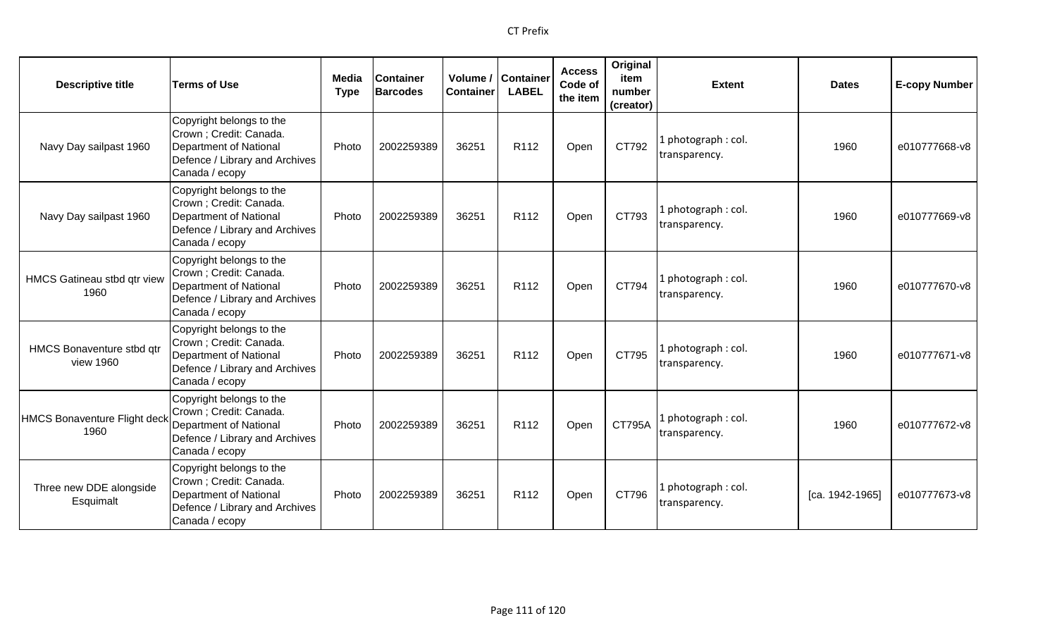| <b>Descriptive title</b>               | <b>Terms of Use</b>                                                                                                               | Media<br><b>Type</b> | <b>Container</b><br><b>Barcodes</b> | Volume /<br><b>Container</b> | Container<br><b>LABEL</b> | <b>Access</b><br>Code of<br>the item | Original<br>item<br>number<br>(creator) | <b>Extent</b>                        | <b>Dates</b>    | <b>E-copy Number</b> |
|----------------------------------------|-----------------------------------------------------------------------------------------------------------------------------------|----------------------|-------------------------------------|------------------------------|---------------------------|--------------------------------------|-----------------------------------------|--------------------------------------|-----------------|----------------------|
| Navy Day sailpast 1960                 | Copyright belongs to the<br>Crown ; Credit: Canada.<br>Department of National<br>Defence / Library and Archives<br>Canada / ecopy | Photo                | 2002259389                          | 36251                        | R <sub>112</sub>          | Open                                 | CT792                                   | 1 photograph: col.<br>transparency.  | 1960            | e010777668-v8        |
| Navy Day sailpast 1960                 | Copyright belongs to the<br>Crown ; Credit: Canada.<br>Department of National<br>Defence / Library and Archives<br>Canada / ecopy | Photo                | 2002259389                          | 36251                        | R112                      | Open                                 | CT793                                   | 1 photograph: col.<br>transparency.  | 1960            | e010777669-v8        |
| HMCS Gatineau stbd qtr view<br>1960    | Copyright belongs to the<br>Crown ; Credit: Canada.<br>Department of National<br>Defence / Library and Archives<br>Canada / ecopy | Photo                | 2002259389                          | 36251                        | R112                      | Open                                 | CT794                                   | 1 photograph: col.<br>transparency.  | 1960            | e010777670-v8        |
| HMCS Bonaventure stbd qtr<br>view 1960 | Copyright belongs to the<br>Crown ; Credit: Canada.<br>Department of National<br>Defence / Library and Archives<br>Canada / ecopy | Photo                | 2002259389                          | 36251                        | R <sub>112</sub>          | Open                                 | CT795                                   | 1 photograph: col.<br>transparency.  | 1960            | e010777671-v8        |
| HMCS Bonaventure Flight decl<br>1960   | Copyright belongs to the<br>Crown ; Credit: Canada.<br>Department of National<br>Defence / Library and Archives<br>Canada / ecopy | Photo                | 2002259389                          | 36251                        | R112                      | Open                                 | <b>CT795A</b>                           | 1 photograph : col.<br>transparency. | 1960            | e010777672-v8        |
| Three new DDE alongside<br>Esquimalt   | Copyright belongs to the<br>Crown ; Credit: Canada.<br>Department of National<br>Defence / Library and Archives<br>Canada / ecopy | Photo                | 2002259389                          | 36251                        | R <sub>112</sub>          | Open                                 | CT796                                   | 1 photograph: col.<br>transparency.  | [ca. 1942-1965] | e010777673-v8        |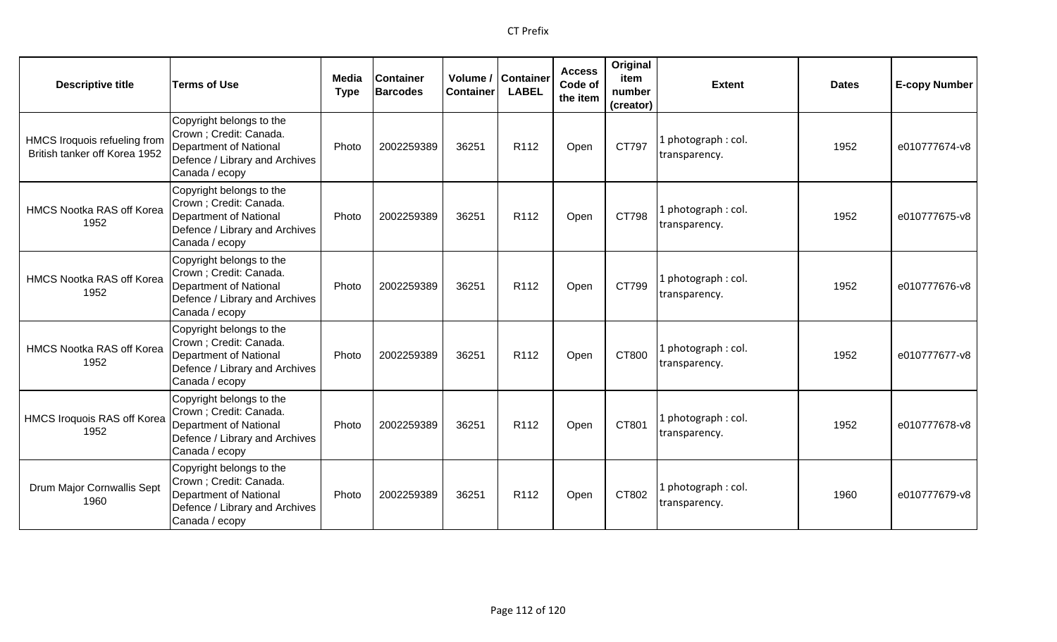| <b>Descriptive title</b>                                      | <b>Terms of Use</b>                                                                                                               | Media<br><b>Type</b> | <b>Container</b><br><b>Barcodes</b> | Volume /<br><b>Container</b> | <b>Container</b><br><b>LABEL</b> | <b>Access</b><br>Code of<br>the item | Original<br>item<br>number<br>(creator) | <b>Extent</b>                       | <b>Dates</b> | <b>E-copy Number</b> |
|---------------------------------------------------------------|-----------------------------------------------------------------------------------------------------------------------------------|----------------------|-------------------------------------|------------------------------|----------------------------------|--------------------------------------|-----------------------------------------|-------------------------------------|--------------|----------------------|
| HMCS Iroquois refueling from<br>British tanker off Korea 1952 | Copyright belongs to the<br>Crown ; Credit: Canada.<br>Department of National<br>Defence / Library and Archives<br>Canada / ecopy | Photo                | 2002259389                          | 36251                        | R112                             | Open                                 | CT797                                   | 1 photograph: col.<br>transparency. | 1952         | e010777674-v8        |
| <b>HMCS Nootka RAS off Korea</b><br>1952                      | Copyright belongs to the<br>Crown ; Credit: Canada.<br>Department of National<br>Defence / Library and Archives<br>Canada / ecopy | Photo                | 2002259389                          | 36251                        | R112                             | Open                                 | CT798                                   | 1 photograph: col.<br>transparency. | 1952         | e010777675-v8        |
| <b>HMCS Nootka RAS off Korea</b><br>1952                      | Copyright belongs to the<br>Crown ; Credit: Canada.<br>Department of National<br>Defence / Library and Archives<br>Canada / ecopy | Photo                | 2002259389                          | 36251                        | R112                             | Open                                 | CT799                                   | 1 photograph: col.<br>transparency. | 1952         | e010777676-v8        |
| <b>HMCS Nootka RAS off Korea</b><br>1952                      | Copyright belongs to the<br>Crown ; Credit: Canada.<br>Department of National<br>Defence / Library and Archives<br>Canada / ecopy | Photo                | 2002259389                          | 36251                        | R112                             | Open                                 | CT800                                   | 1 photograph: col.<br>transparency. | 1952         | e010777677-v8        |
| HMCS Iroquois RAS off Korea<br>1952                           | Copyright belongs to the<br>Crown ; Credit: Canada.<br>Department of National<br>Defence / Library and Archives<br>Canada / ecopy | Photo                | 2002259389                          | 36251                        | R112                             | Open                                 | CT801                                   | 1 photograph: col.<br>transparency. | 1952         | e010777678-v8        |
| Drum Major Cornwallis Sept<br>1960                            | Copyright belongs to the<br>Crown ; Credit: Canada.<br>Department of National<br>Defence / Library and Archives<br>Canada / ecopy | Photo                | 2002259389                          | 36251                        | R112                             | Open                                 | CT802                                   | 1 photograph: col.<br>transparency. | 1960         | e010777679-v8        |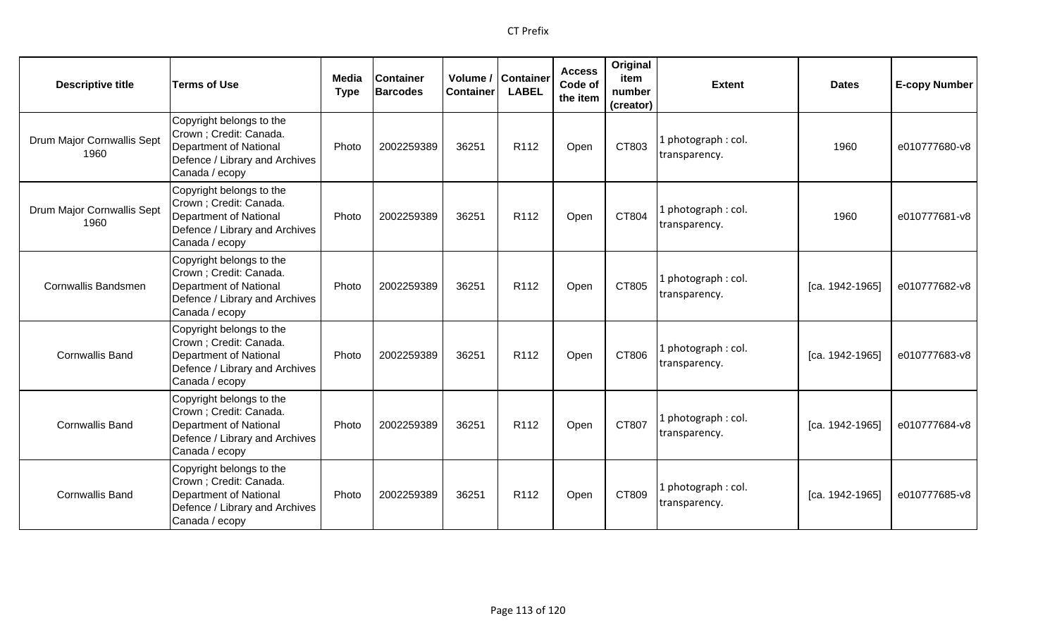| <b>Descriptive title</b>           | <b>Terms of Use</b>                                                                                                                      | Media<br><b>Type</b> | <b>Container</b><br><b>Barcodes</b> | <b>Container</b> | Volume / Container<br><b>LABEL</b> | <b>Access</b><br>Code of<br>the item | Original<br>item<br>number<br>(creator) | <b>Extent</b>                       | <b>Dates</b>    | <b>E-copy Number</b> |
|------------------------------------|------------------------------------------------------------------------------------------------------------------------------------------|----------------------|-------------------------------------|------------------|------------------------------------|--------------------------------------|-----------------------------------------|-------------------------------------|-----------------|----------------------|
| Drum Major Cornwallis Sept<br>1960 | Copyright belongs to the<br>Crown; Credit: Canada.<br>Department of National<br>Defence / Library and Archives<br>Canada / ecopy         | Photo                | 2002259389                          | 36251            | R112                               | Open                                 | CT803                                   | 1 photograph: col.<br>transparency. | 1960            | e010777680-v8        |
| Drum Major Cornwallis Sept<br>1960 | Copyright belongs to the<br>Crown; Credit: Canada.<br>Department of National<br>Defence / Library and Archives<br>Canada / ecopy         | Photo                | 2002259389                          | 36251            | R <sub>112</sub>                   | Open                                 | CT804                                   | 1 photograph: col.<br>transparency. | 1960            | e010777681-v8        |
| <b>Cornwallis Bandsmen</b>         | Copyright belongs to the<br>Crown; Credit: Canada.<br><b>Department of National</b><br>Defence / Library and Archives<br>Canada / ecopy  | Photo                | 2002259389                          | 36251            | R <sub>112</sub>                   | Open                                 | CT805                                   | 1 photograph: col.<br>transparency. | [ca. 1942-1965] | e010777682-v8        |
| <b>Cornwallis Band</b>             | Copyright belongs to the<br>Crown; Credit: Canada.<br><b>Department of National</b><br>Defence / Library and Archives<br>Canada / ecopy  | Photo                | 2002259389                          | 36251            | R112                               | Open                                 | CT806                                   | 1 photograph: col.<br>transparency. | [ca. 1942-1965] | e010777683-v8        |
| <b>Cornwallis Band</b>             | Copyright belongs to the<br>Crown ; Credit: Canada.<br><b>Department of National</b><br>Defence / Library and Archives<br>Canada / ecopy | Photo                | 2002259389                          | 36251            | R <sub>112</sub>                   | Open                                 | CT807                                   | 1 photograph: col.<br>transparency. | [ca. 1942-1965] | e010777684-v8        |
| <b>Cornwallis Band</b>             | Copyright belongs to the<br>Crown; Credit: Canada.<br><b>Department of National</b><br>Defence / Library and Archives<br>Canada / ecopy  | Photo                | 2002259389                          | 36251            | R <sub>112</sub>                   | Open                                 | CT809                                   | 1 photograph: col.<br>transparency. | [ca. 1942-1965] | e010777685-v8        |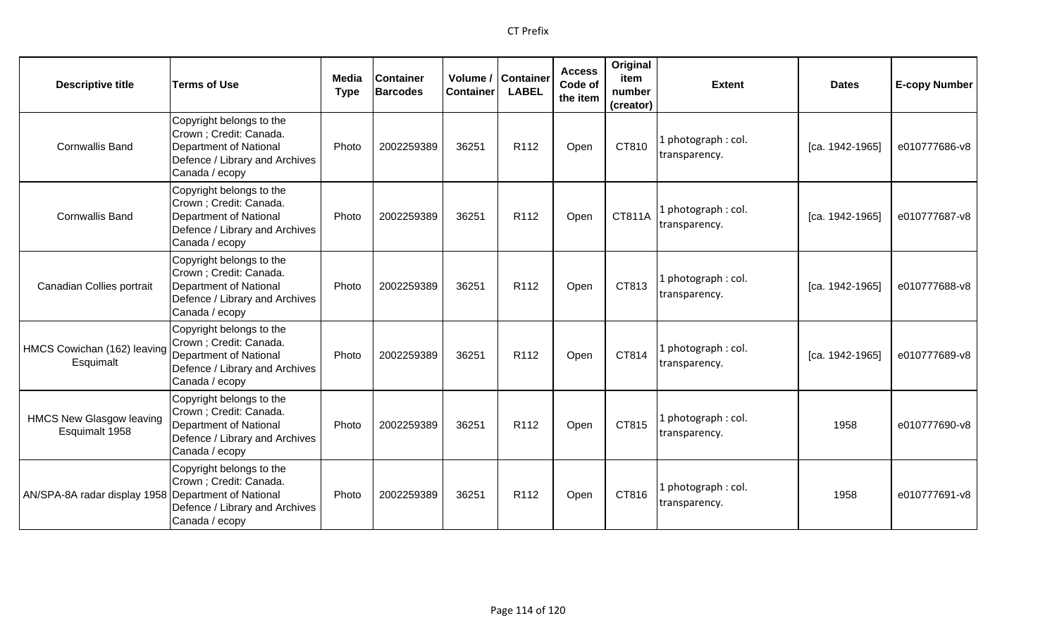| <b>Descriptive title</b>                            | <b>Terms of Use</b>                                                                                                               | Media<br><b>Type</b> | <b>Container</b><br><b>Barcodes</b> | Volume /<br><b>Container</b> | <b>Container</b><br><b>LABEL</b> | <b>Access</b><br>Code of<br>the item | Original<br>item<br>number<br>(creator) | <b>Extent</b>                        | <b>Dates</b>      | <b>E-copy Number</b> |
|-----------------------------------------------------|-----------------------------------------------------------------------------------------------------------------------------------|----------------------|-------------------------------------|------------------------------|----------------------------------|--------------------------------------|-----------------------------------------|--------------------------------------|-------------------|----------------------|
| <b>Cornwallis Band</b>                              | Copyright belongs to the<br>Crown ; Credit: Canada.<br>Department of National<br>Defence / Library and Archives<br>Canada / ecopy | Photo                | 2002259389                          | 36251                        | R112                             | Open                                 | CT810                                   | 1 photograph : col.<br>transparency. | $[ca. 1942-1965]$ | e010777686-v8        |
| <b>Cornwallis Band</b>                              | Copyright belongs to the<br>Crown ; Credit: Canada.<br>Department of National<br>Defence / Library and Archives<br>Canada / ecopy | Photo                | 2002259389                          | 36251                        | R112                             | Open                                 | CT811A                                  | 1 photograph: col.<br>transparency.  | [ca. 1942-1965]   | e010777687-v8        |
| Canadian Collies portrait                           | Copyright belongs to the<br>Crown ; Credit: Canada.<br>Department of National<br>Defence / Library and Archives<br>Canada / ecopy | Photo                | 2002259389                          | 36251                        | R112                             | Open                                 | CT813                                   | 1 photograph: col.<br>transparency.  | [ca. 1942-1965]   | e010777688-v8        |
| HMCS Cowichan (162) leaving<br>Esquimalt            | Copyright belongs to the<br>Crown ; Credit: Canada.<br>Department of National<br>Defence / Library and Archives<br>Canada / ecopy | Photo                | 2002259389                          | 36251                        | R112                             | Open                                 | CT814                                   | 1 photograph: col.<br>transparency.  | [ca. 1942-1965]   | e010777689-v8        |
| <b>HMCS New Glasgow leaving</b><br>Esquimalt 1958   | Copyright belongs to the<br>Crown ; Credit: Canada.<br>Department of National<br>Defence / Library and Archives<br>Canada / ecopy | Photo                | 2002259389                          | 36251                        | R112                             | Open                                 | CT815                                   | 1 photograph: col.<br>transparency.  | 1958              | e010777690-v8        |
| AN/SPA-8A radar display 1958 Department of National | Copyright belongs to the<br>Crown ; Credit: Canada.<br>Defence / Library and Archives<br>Canada / ecopy                           | Photo                | 2002259389                          | 36251                        | R <sub>112</sub>                 | Open                                 | CT816                                   | 1 photograph: col.<br>transparency.  | 1958              | e010777691-v8        |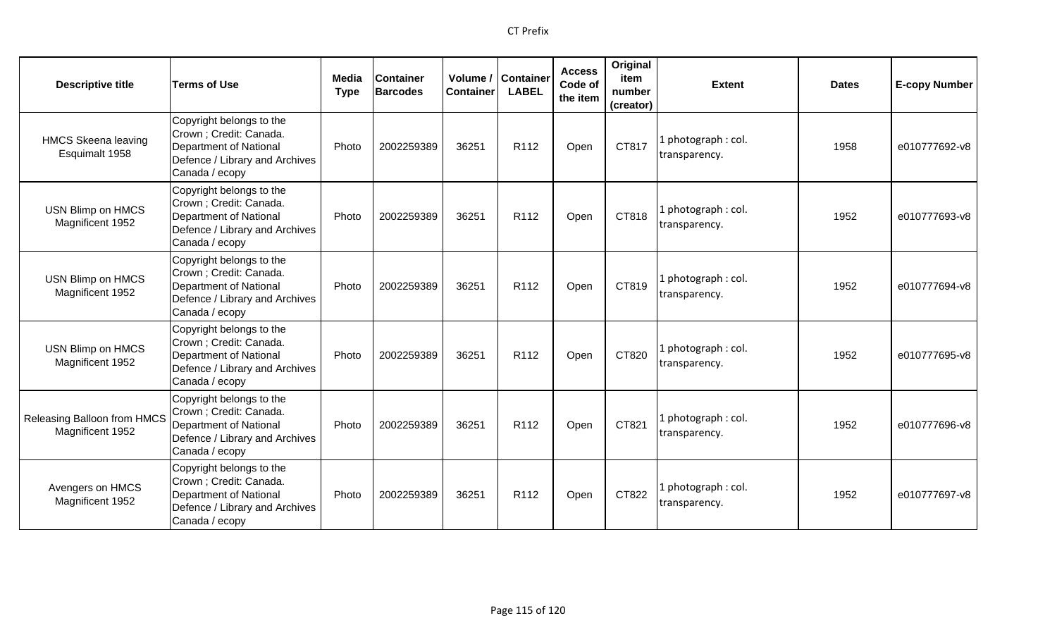| <b>Descriptive title</b>                        | <b>Terms of Use</b>                                                                                                               | <b>Media</b><br><b>Type</b> | <b>Container</b><br><b>Barcodes</b> | Volume /<br><b>Container</b> | <b>Container</b><br><b>LABEL</b> | <b>Access</b><br>Code of<br>the item | Original<br>item<br>number<br>(creator) | <b>Extent</b>                       | <b>Dates</b> | <b>E-copy Number</b> |
|-------------------------------------------------|-----------------------------------------------------------------------------------------------------------------------------------|-----------------------------|-------------------------------------|------------------------------|----------------------------------|--------------------------------------|-----------------------------------------|-------------------------------------|--------------|----------------------|
| <b>HMCS Skeena leaving</b><br>Esquimalt 1958    | Copyright belongs to the<br>Crown ; Credit: Canada.<br>Department of National<br>Defence / Library and Archives<br>Canada / ecopy | Photo                       | 2002259389                          | 36251                        | R112                             | Open                                 | CT817                                   | . photograph: col.<br>transparency. | 1958         | e010777692-v8        |
| USN Blimp on HMCS<br>Magnificent 1952           | Copyright belongs to the<br>Crown ; Credit: Canada.<br>Department of National<br>Defence / Library and Archives<br>Canada / ecopy | Photo                       | 2002259389                          | 36251                        | R <sub>112</sub>                 | Open                                 | CT818                                   | photograph: col.<br>transparency.   | 1952         | e010777693-v8        |
| USN Blimp on HMCS<br>Magnificent 1952           | Copyright belongs to the<br>Crown ; Credit: Canada.<br>Department of National<br>Defence / Library and Archives<br>Canada / ecopy | Photo                       | 2002259389                          | 36251                        | R <sub>112</sub>                 | Open                                 | CT819                                   | I photograph: col.<br>transparency. | 1952         | e010777694-v8        |
| USN Blimp on HMCS<br>Magnificent 1952           | Copyright belongs to the<br>Crown ; Credit: Canada.<br>Department of National<br>Defence / Library and Archives<br>Canada / ecopy | Photo                       | 2002259389                          | 36251                        | R112                             | Open                                 | CT820                                   | photograph: col.<br>transparency.   | 1952         | e010777695-v8        |
| Releasing Balloon from HMCS<br>Magnificent 1952 | Copyright belongs to the<br>Crown ; Credit: Canada.<br>Department of National<br>Defence / Library and Archives<br>Canada / ecopy | Photo                       | 2002259389                          | 36251                        | R <sub>112</sub>                 | Open                                 | CT821                                   | photograph: col.<br>transparency.   | 1952         | e010777696-v8        |
| Avengers on HMCS<br>Magnificent 1952            | Copyright belongs to the<br>Crown ; Credit: Canada.<br>Department of National<br>Defence / Library and Archives<br>Canada / ecopy | Photo                       | 2002259389                          | 36251                        | R <sub>112</sub>                 | Open                                 | CT822                                   | . photograph: col.<br>transparency. | 1952         | e010777697-v8        |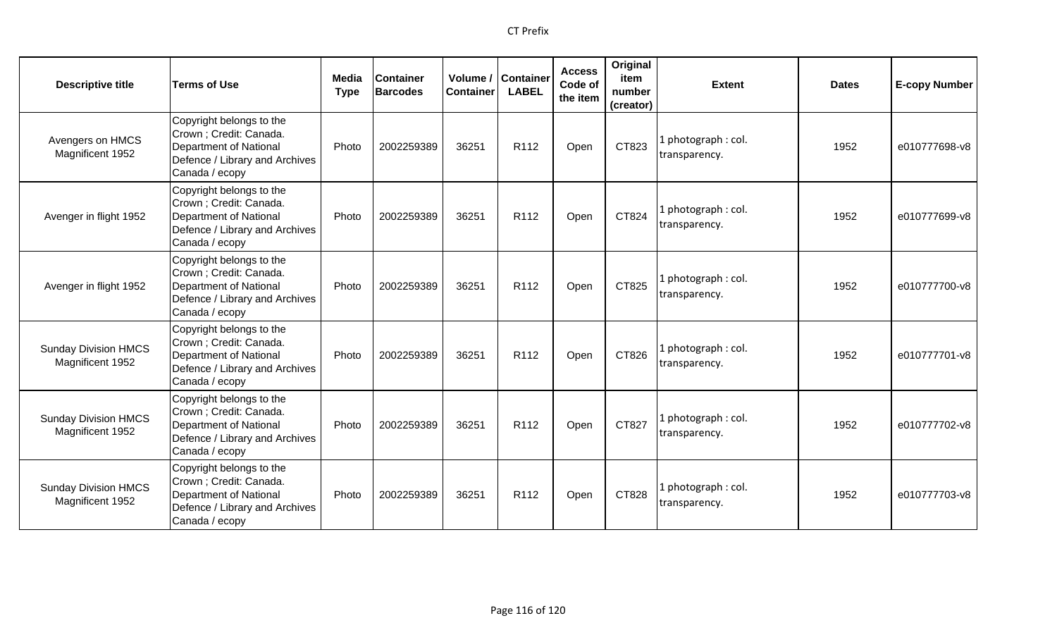| <b>Descriptive title</b>                        | <b>Terms of Use</b>                                                                                                                      | <b>Media</b><br><b>Type</b> | <b>Container</b><br><b>Barcodes</b> | <b>Container</b> | Volume / Container<br><b>LABEL</b> | <b>Access</b><br>Code of<br>the item | Original<br>item<br>number<br>(creator) | <b>Extent</b>                        | <b>Dates</b> | <b>E-copy Number</b> |
|-------------------------------------------------|------------------------------------------------------------------------------------------------------------------------------------------|-----------------------------|-------------------------------------|------------------|------------------------------------|--------------------------------------|-----------------------------------------|--------------------------------------|--------------|----------------------|
| Avengers on HMCS<br>Magnificent 1952            | Copyright belongs to the<br>Crown ; Credit: Canada.<br><b>Department of National</b><br>Defence / Library and Archives<br>Canada / ecopy | Photo                       | 2002259389                          | 36251            | R112                               | Open                                 | CT823                                   | L photograph: col.<br>transparency.  | 1952         | e010777698-v8        |
| Avenger in flight 1952                          | Copyright belongs to the<br>Crown ; Credit: Canada.<br><b>Department of National</b><br>Defence / Library and Archives<br>Canada / ecopy | Photo                       | 2002259389                          | 36251            | R112                               | Open                                 | CT824                                   | 1 photograph: col.<br>transparency.  | 1952         | e010777699-v8        |
| Avenger in flight 1952                          | Copyright belongs to the<br>Crown ; Credit: Canada.<br><b>Department of National</b><br>Defence / Library and Archives<br>Canada / ecopy | Photo                       | 2002259389                          | 36251            | R <sub>112</sub>                   | Open                                 | CT825                                   | l photograph : col.<br>transparency. | 1952         | e010777700-v8        |
| <b>Sunday Division HMCS</b><br>Magnificent 1952 | Copyright belongs to the<br>Crown ; Credit: Canada.<br><b>Department of National</b><br>Defence / Library and Archives<br>Canada / ecopy | Photo                       | 2002259389                          | 36251            | R <sub>112</sub>                   | Open                                 | CT826                                   | 1 photograph: col.<br>transparency.  | 1952         | e010777701-v8        |
| <b>Sunday Division HMCS</b><br>Magnificent 1952 | Copyright belongs to the<br>Crown ; Credit: Canada.<br><b>Department of National</b><br>Defence / Library and Archives<br>Canada / ecopy | Photo                       | 2002259389                          | 36251            | R <sub>112</sub>                   | Open                                 | CT827                                   | L photograph: col.<br>transparency.  | 1952         | e010777702-v8        |
| <b>Sunday Division HMCS</b><br>Magnificent 1952 | Copyright belongs to the<br>Crown ; Credit: Canada.<br><b>Department of National</b><br>Defence / Library and Archives<br>Canada / ecopy | Photo                       | 2002259389                          | 36251            | R <sub>112</sub>                   | Open                                 | CT828                                   | 1 photograph: col.<br>transparency.  | 1952         | e010777703-v8        |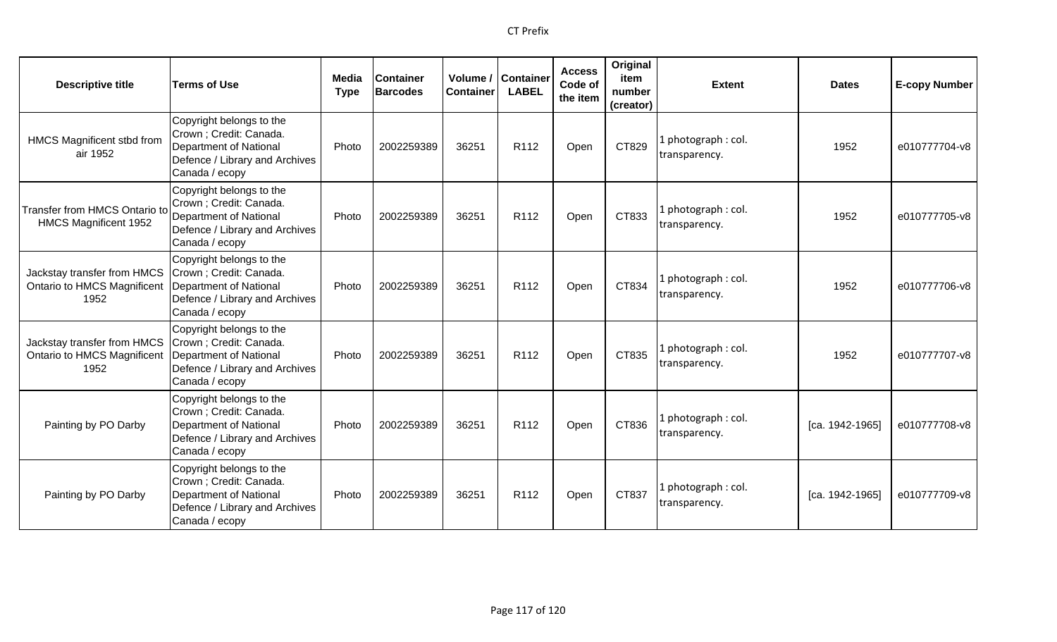| <b>Descriptive title</b>                                                  | <b>Terms of Use</b>                                                                                                               | Media<br><b>Type</b> | <b>Container</b><br><b>Barcodes</b> | Volume /<br><b>Container</b> | <b>Container</b><br><b>LABEL</b> | <b>Access</b><br>Code of<br>the item | Original<br>item<br>number<br>(creator) | <b>Extent</b>                        | <b>Dates</b>      | <b>E-copy Number</b> |
|---------------------------------------------------------------------------|-----------------------------------------------------------------------------------------------------------------------------------|----------------------|-------------------------------------|------------------------------|----------------------------------|--------------------------------------|-----------------------------------------|--------------------------------------|-------------------|----------------------|
| HMCS Magnificent stbd from<br>air 1952                                    | Copyright belongs to the<br>Crown ; Credit: Canada.<br>Department of National<br>Defence / Library and Archives<br>Canada / ecopy | Photo                | 2002259389                          | 36251                        | R112                             | Open                                 | CT829                                   | 1 photograph: col.<br>transparency.  | 1952              | e010777704-v8        |
| Transfer from HMCS Ontario to<br>HMCS Magnificent 1952                    | Copyright belongs to the<br>Crown; Credit: Canada.<br>Department of National<br>Defence / Library and Archives<br>Canada / ecopy  | Photo                | 2002259389                          | 36251                        | R112                             | Open                                 | CT833                                   | 1 photograph: col.<br>transparency.  | 1952              | e010777705-v8        |
| Jackstay transfer from HMCS<br><b>Ontario to HMCS Magnificent</b><br>1952 | Copyright belongs to the<br>Crown ; Credit: Canada.<br>Department of National<br>Defence / Library and Archives<br>Canada / ecopy | Photo                | 2002259389                          | 36251                        | R112                             | Open                                 | CT834                                   | 1 photograph: col.<br>transparency.  | 1952              | e010777706-v8        |
| Jackstay transfer from HMCS<br><b>Ontario to HMCS Magnificent</b><br>1952 | Copyright belongs to the<br>Crown; Credit: Canada.<br>Department of National<br>Defence / Library and Archives<br>Canada / ecopy  | Photo                | 2002259389                          | 36251                        | R112                             | Open                                 | CT835                                   | 1 photograph: col.<br>transparency.  | 1952              | e010777707-v8        |
| Painting by PO Darby                                                      | Copyright belongs to the<br>Crown ; Credit: Canada.<br>Department of National<br>Defence / Library and Archives<br>Canada / ecopy | Photo                | 2002259389                          | 36251                        | R112                             | Open                                 | CT836                                   | 1 photograph : col.<br>transparency. | $[ca. 1942-1965]$ | e010777708-v8        |
| Painting by PO Darby                                                      | Copyright belongs to the<br>Crown ; Credit: Canada.<br>Department of National<br>Defence / Library and Archives<br>Canada / ecopy | Photo                | 2002259389                          | 36251                        | R <sub>112</sub>                 | Open                                 | CT837                                   | 1 photograph: col.<br>transparency.  | [ca. 1942-1965]   | e010777709-v8        |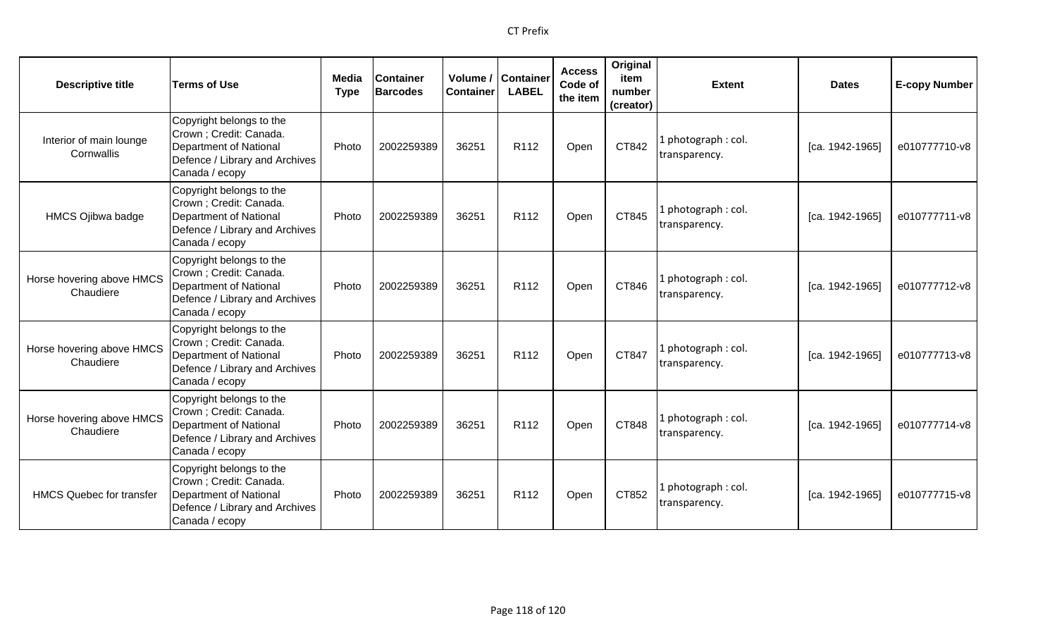| <b>Descriptive title</b>               | <b>Terms of Use</b>                                                                                                                      | Media<br><b>Type</b> | <b>Container</b><br><b>Barcodes</b> | Volume /<br><b>Container</b> | <b>Container</b><br><b>LABEL</b> | <b>Access</b><br>Code of<br>the item | Original<br>item<br>number<br>(creator) | <b>Extent</b>                        | <b>Dates</b>      | <b>E-copy Number</b> |
|----------------------------------------|------------------------------------------------------------------------------------------------------------------------------------------|----------------------|-------------------------------------|------------------------------|----------------------------------|--------------------------------------|-----------------------------------------|--------------------------------------|-------------------|----------------------|
| Interior of main lounge<br>Cornwallis  | Copyright belongs to the<br>Crown ; Credit: Canada.<br><b>Department of National</b><br>Defence / Library and Archives<br>Canada / ecopy | Photo                | 2002259389                          | 36251                        | R <sub>112</sub>                 | Open                                 | CT842                                   | l photograph : col.<br>transparency. | $[ca. 1942-1965]$ | e010777710-v8        |
| HMCS Ojibwa badge                      | Copyright belongs to the<br>Crown ; Credit: Canada.<br><b>Department of National</b><br>Defence / Library and Archives<br>Canada / ecopy | Photo                | 2002259389                          | 36251                        | R112                             | Open                                 | CT845                                   | l photograph : col.<br>transparency. | [ca. 1942-1965]   | e010777711-v8        |
| Horse hovering above HMCS<br>Chaudiere | Copyright belongs to the<br>Crown; Credit: Canada.<br>Department of National<br>Defence / Library and Archives<br>Canada / ecopy         | Photo                | 2002259389                          | 36251                        | R <sub>112</sub>                 | Open                                 | CT846                                   | photograph: col.<br>transparency.    | $[ca. 1942-1965]$ | e010777712-v8        |
| Horse hovering above HMCS<br>Chaudiere | Copyright belongs to the<br>Crown ; Credit: Canada.<br>Department of National<br>Defence / Library and Archives<br>Canada / ecopy        | Photo                | 2002259389                          | 36251                        | R <sub>112</sub>                 | Open                                 | CT847                                   | photograph: col.<br>transparency.    | [ca. 1942-1965]   | e010777713-v8        |
| Horse hovering above HMCS<br>Chaudiere | Copyright belongs to the<br>Crown; Credit: Canada.<br>Department of National<br>Defence / Library and Archives<br>Canada / ecopy         | Photo                | 2002259389                          | 36251                        | R <sub>112</sub>                 | Open                                 | CT848                                   | l photograph : col.<br>transparency. | $[ca. 1942-1965]$ | e010777714-v8        |
| <b>HMCS Quebec for transfer</b>        | Copyright belongs to the<br>Crown ; Credit: Canada.<br>Department of National<br>Defence / Library and Archives<br>Canada / ecopy        | Photo                | 2002259389                          | 36251                        | R <sub>112</sub>                 | Open                                 | CT852                                   | l photograph : col.<br>transparency. | [ca. 1942-1965]   | e010777715-v8        |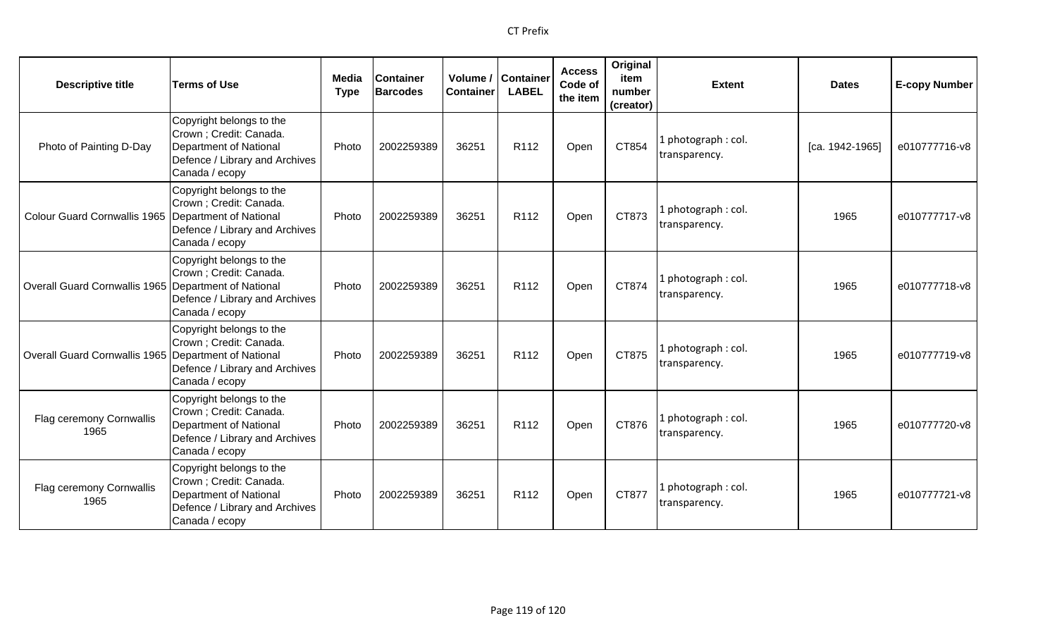| <b>Descriptive title</b>                              | <b>Terms of Use</b>                                                                                                                      | <b>Media</b><br><b>Type</b> | <b>Container</b><br><b>Barcodes</b> | <b>Container</b> | Volume / Container<br><b>LABEL</b> | <b>Access</b><br>Code of<br>the item | Original<br>item<br>number<br>(creator) | <b>Extent</b>                        | <b>Dates</b>    | <b>E-copy Number</b> |
|-------------------------------------------------------|------------------------------------------------------------------------------------------------------------------------------------------|-----------------------------|-------------------------------------|------------------|------------------------------------|--------------------------------------|-----------------------------------------|--------------------------------------|-----------------|----------------------|
| Photo of Painting D-Day                               | Copyright belongs to the<br>Crown ; Credit: Canada.<br><b>Department of National</b><br>Defence / Library and Archives<br>Canada / ecopy | Photo                       | 2002259389                          | 36251            | R112                               | Open                                 | CT854                                   | l photograph : col.<br>transparency. | [ca. 1942-1965] | e010777716-v8        |
| Colour Guard Cornwallis 1965   Department of National | Copyright belongs to the<br>Crown; Credit: Canada.<br>Defence / Library and Archives<br>Canada / ecopy                                   | Photo                       | 2002259389                          | 36251            | R <sub>112</sub>                   | Open                                 | CT873                                   | 1 photograph: col.<br>transparency.  | 1965            | e010777717-v8        |
| Overall Guard Cornwallis 1965 Department of National  | Copyright belongs to the<br>Crown; Credit: Canada.<br>Defence / Library and Archives<br>Canada / ecopy                                   | Photo                       | 2002259389                          | 36251            | R112                               | Open                                 | CT874                                   | 1 photograph: col.<br>transparency.  | 1965            | e010777718-v8        |
| Overall Guard Cornwallis 1965 Department of National  | Copyright belongs to the<br>Crown; Credit: Canada.<br>Defence / Library and Archives<br>Canada / ecopy                                   | Photo                       | 2002259389                          | 36251            | R112                               | Open                                 | CT875                                   | 1 photograph: col.<br>transparency.  | 1965            | e010777719-v8        |
| Flag ceremony Cornwallis<br>1965                      | Copyright belongs to the<br>Crown ; Credit: Canada.<br>Department of National<br>Defence / Library and Archives<br>Canada / ecopy        | Photo                       | 2002259389                          | 36251            | R <sub>112</sub>                   | Open                                 | CT876                                   | 1 photograph: col.<br>transparency.  | 1965            | e010777720-v8        |
| Flag ceremony Cornwallis<br>1965                      | Copyright belongs to the<br>Crown ; Credit: Canada.<br>Department of National<br>Defence / Library and Archives<br>Canada / ecopy        | Photo                       | 2002259389                          | 36251            | R112                               | Open                                 | CT877                                   | l photograph : col.<br>transparency. | 1965            | e010777721-v8        |